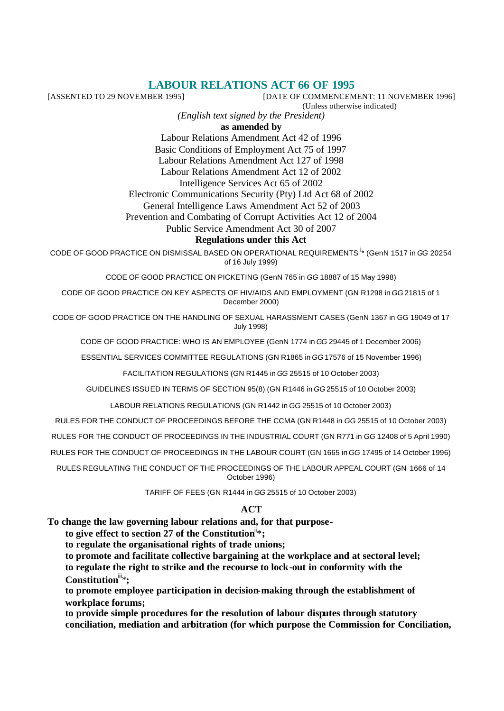# **LABOUR RELATIONS ACT 66 OF 1995**<br>[DATE OF COMMENCEM]

[DATE OF COMMENCEMENT: 11 NOVEMBER 1996]

(Unless otherwise indicated)

*(English text signed by the President)*

**as amended by**

Labour Relations Amendment Act 42 of 1996 Basic Conditions of Employment Act 75 of 1997 Labour Relations Amendment Act 127 of 1998 Labour Relations Amendment Act 12 of 2002 Intelligence Services Act 65 of 2002 Electronic Communications Security (Pty) Ltd Act 68 of 2002 General Intelligence Laws Amendment Act 52 of 2003

Prevention and Combating of Corrupt Activities Act 12 of 2004

Public Service Amendment Act 30 of 2007

### **Regulations under this Act**

CODE OF GOOD PRACTICE ON DISMISSAL BASED ON OPERATIONAL REQUIREMENTS <sup>i</sup> \* (GenN 1517 in *GG* 20254 of 16 July 1999)

CODE OF GOOD PRACTICE ON PICKETING (GenN 765 in *GG* 18887 of 15 May 1998)

CODE OF GOOD PRACTICE ON KEY ASPECTS OF HIV/AIDS AND EMPLOYMENT (GN R1298 in *GG* 21815 of 1 December 2000)

CODE OF GOOD PRACTICE ON THE HANDLING OF SEXUAL HARASSMENT CASES (GenN 1367 in GG 19049 of 17 July 1998)

CODE OF GOOD PRACTICE: WHO IS AN EMPLOYEE (GenN 1774 in *GG* 29445 of 1 December 2006)

ESSENTIAL SERVICES COMMITTEE REGULATIONS (GN R1865 in *GG* 17576 of 15 November 1996)

FACILITATION REGULATIONS (GN R1445 in *GG* 25515 of 10 October 2003)

GUIDELINES ISSUED IN TERMS OF SECTION 95(8) (GN R1446 in *GG* 25515 of 10 October 2003)

LABOUR RELATIONS REGULATIONS (GN R1442 in *GG* 25515 of 10 October 2003)

RULES FOR THE CONDUCT OF PROCEEDINGS BEFORE THE CCMA (GN R1448 in *GG* 25515 of 10 October 2003)

RULES FOR THE CONDUCT OF PROCEEDINGS IN THE INDUSTRIAL COURT (GN R771 in *GG* 12408 of 5 April 1990)

RULES FOR THE CONDUCT OF PROCEEDINGS IN THE LABOUR COURT (GN 1665 in *GG* 17495 of 14 October 1996)

RULES REGULATING THE CONDUCT OF THE PROCEEDINGS OF THE LABOUR APPEAL COURT (GN 1666 of 14 October 1996)

TARIFF OF FEES (GN R1444 in *GG* 25515 of 10 October 2003)

#### **ACT**

**To change the law governing labour relations and, for that purpose-**

to give effect to section 27 of the Constitution<sup> $\ddot{x}$ </sup>:

**to regulate the organisational rights of trade unions;**

**to promote and facilitate collective bargaining at the workplace and at sectoral level; to regulate the right to strike and the recourse to lock-out in conformity with the Constitution**iii\***;**

**to promote employee participation in decision-making through the establishment of workplace forums;**

**to provide simple procedures for the resolution of labour disputes through statutory conciliation, mediation and arbitration (for which purpose the Commission for Conciliation,**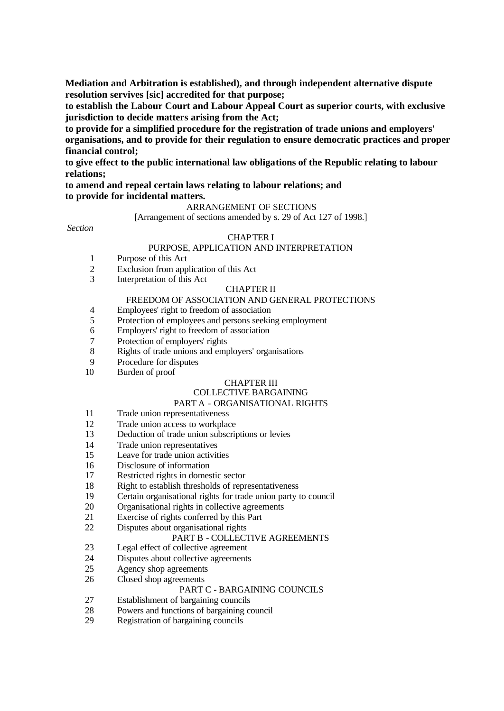**Mediation and Arbitration is established), and through independent alternative dispute resolution servives [sic] accredited for that purpose;**

**to establish the Labour Court and Labour Appeal Court as superior courts, with exclusive jurisdiction to decide matters arising from the Act;**

**to provide for a simplified procedure for the registration of trade unions and employers' organisations, and to provide for their regulation to ensure democratic practices and proper financial control;**

**to give effect to the public international law obligations of the Republic relating to labour relations;**

#### **to amend and repeal certain laws relating to labour relations; and to provide for incidental matters.**

#### ARRANGEMENT OF SECTIONS

[Arrangement of sections amended by s. 29 of Act 127 of 1998.]

*Section*

### CHAPTER I

#### PURPOSE, APPLICATION AND INTERPRETATION

- 1 Purpose of this Act
- 2 Exclusion from application of this Act
- 3 Interpretation of this Act

#### CHAPTER II

### FREEDOM OF ASSOCIATION AND GENERAL PROTECTIONS

- 4 Employees' right to freedom of association
- 5 Protection of employees and persons seeking employment
- 6 Employers' right to freedom of association
- 7 Protection of employers' rights
- 8 Rights of trade unions and employers' organisations
- 9 Procedure for disputes
- 10 Burden of proof

#### CHAPTER III

### COLLECTIVE BARGAINING

### PART A - ORGANISATIONAL RIGHTS

- 11 Trade union representativeness
- 12 Trade union access to workplace
- 13 Deduction of trade union subscriptions or levies
- 14 Trade union representatives
- 15 Leave for trade union activities
- 16 Disclosure of information
- 17 Restricted rights in domestic sector
- 18 Right to establish thresholds of representativeness
- 19 Certain organisational rights for trade union party to council
- 20 Organisational rights in collective agreements
- 21 Exercise of rights conferred by this Part
- 22 Disputes about organisational rights

#### PART B - COLLECTIVE AGREEMENTS

- 23 Legal effect of collective agreement
- 24 Disputes about collective agreements
- 25 Agency shop agreements
- 26 Closed shop agreements

#### PART C - BARGAINING COUNCILS

- 27 Establishment of bargaining councils
- 28 Powers and functions of bargaining council
- 29 Registration of bargaining councils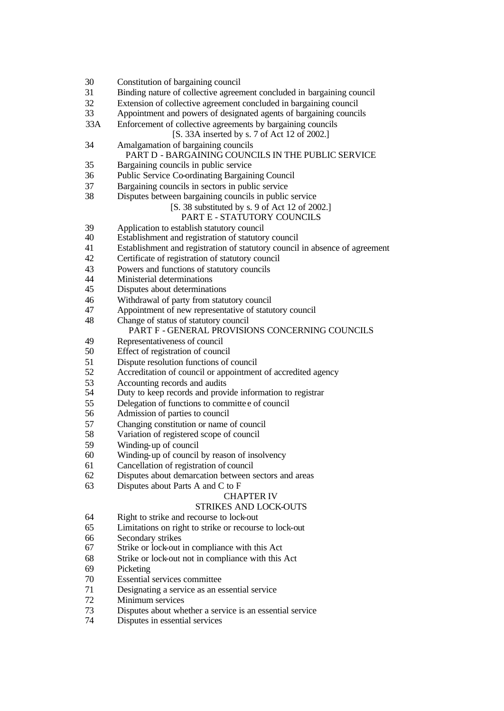- Constitution of bargaining council Binding nature of collective agreement concluded in bargaining council Extension of collective agreement concluded in bargaining council Appointment and powers of designated agents of bargaining councils 33A Enforcement of collective agreements by bargaining councils [S. 33A inserted by s. 7 of Act 12 of 2002.] Amalgamation of bargaining councils PART D - BARGAINING COUNCILS IN THE PUBLIC SERVICE Bargaining councils in public service Public Service Co-ordinating Bargaining Council Bargaining councils in sectors in public service Disputes between bargaining councils in public service [S. 38 substituted by s. 9 of Act 12 of 2002.] PART E - STATUTORY COUNCILS 39 Application to establish statutory council<br>40 Establishment and registration of statutor Establishment and registration of statutory council Establishment and registration of statutory council in absence of agreement Certificate of registration of statutory council Powers and functions of statutory councils Ministerial determinations Disputes about determinations Withdrawal of party from statutory council Appointment of new representative of statutory council Change of status of statutory council PART F - GENERAL PROVISIONS CONCERNING COUNCILS Representativeness of council Effect of registration of council Dispute resolution functions of council Accreditation of council or appointment of accredited agency 53 Accounting records and audits<br>54 Duty to keep records and provi Duty to keep records and provide information to registrar
- Delegation of functions to committe e of council
- Admission of parties to council
- Changing constitution or name of council
- Variation of registered scope of council
- Winding-up of council
- Winding-up of council by reason of insolvency
- Cancellation of registration of council
- Disputes about demarcation between sectors and areas
- Disputes about Parts A and C to F

#### CHAPTER IV

#### STRIKES AND LOCK-OUTS

- Right to strike and recourse to lock-out
- Limitations on right to strike or recourse to lock-out
- Secondary strikes
- Strike or lock-out in compliance with this Act
- Strike or lock-out not in compliance with this Act
- Picketing
- Essential services committee
- Designating a service as an essential service
- Minimum services
- Disputes about whether a service is an essential service
- Disputes in essential services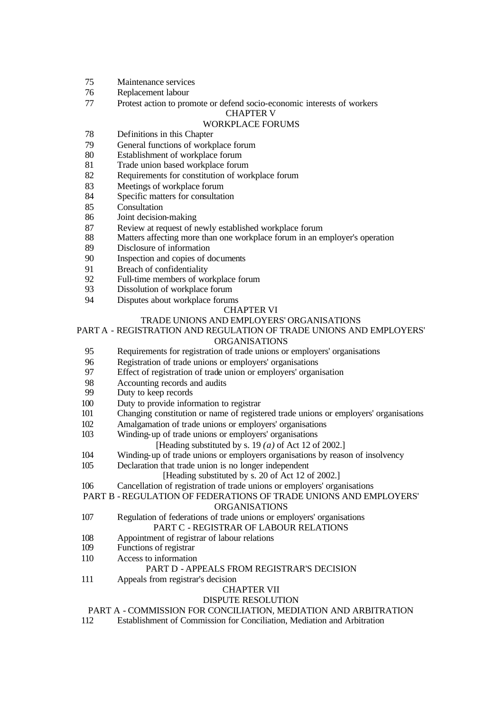- Maintenance services
- Replacement labour
- Protest action to promote or defend socio-economic interests of workers

#### CHAPTER V

#### WORKPLACE FORUMS

- Definitions in this Chapter
- General functions of workplace forum
- Establishment of workplace forum
- Trade union based workplace forum
- Requirements for constitution of workplace forum
- Meetings of workplace forum
- Specific matters for consultation
- Consultation
- Joint decision-making
- 87 Review at request of newly established workplace forum<br>88 Matters affecting more than one workplace forum in an er-
- Matters affecting more than one workplace forum in an employer's operation
- Disclosure of information
- Inspection and copies of documents
- Breach of confidentiality
- Full-time members of workplace forum
- Dissolution of workplace forum
- Disputes about workplace forums

#### CHAPTER VI

#### TRADE UNIONS AND EMPLOYERS' ORGANISATIONS

#### PART A - REGISTRATION AND REGULATION OF TRADE UNIONS AND EMPLOYERS'

#### ORGANISATIONS

- Requirements for registration of trade unions or employers' organisations
- Registration of trade unions or employers' organisations
- Effect of registration of trade union or employers' organisation
- 98 Accounting records and audits<br>99 Duty to keep records
- Duty to keep records
- Duty to provide information to registrar
- Changing constitution or name of registered trade unions or employers' organisations
- Amalgamation of trade unions or employers' organisations
- Winding-up of trade unions or employers' organisations
	- [Heading substituted by s. 19  $(a)$  of Act 12 of 2002.]
- Winding-up of trade unions or employers organisations by reason of insolvency
- Declaration that trade union is no longer independent

### [Heading substituted by s. 20 of Act 12 of 2002.]

- Cancellation of registration of trade unions or employers' organisations
- PART B REGULATION OF FEDERATIONS OF TRADE UNIONS AND EMPLOYERS'

#### ORGANISATIONS

- Regulation of federations of trade unions or employers' organisations PART C - REGISTRAR OF LABOUR RELATIONS
- Appointment of registrar of labour relations
- Functions of registrar
- Access to information

#### PART D - APPEALS FROM REGISTRAR'S DECISION

Appeals from registrar's decision

#### CHAPTER VII

#### DISPUTE RESOLUTION

#### PART A - COMMISSION FOR CONCILIATION, MEDIATION AND ARBITRATION

Establishment of Commission for Conciliation, Mediation and Arbitration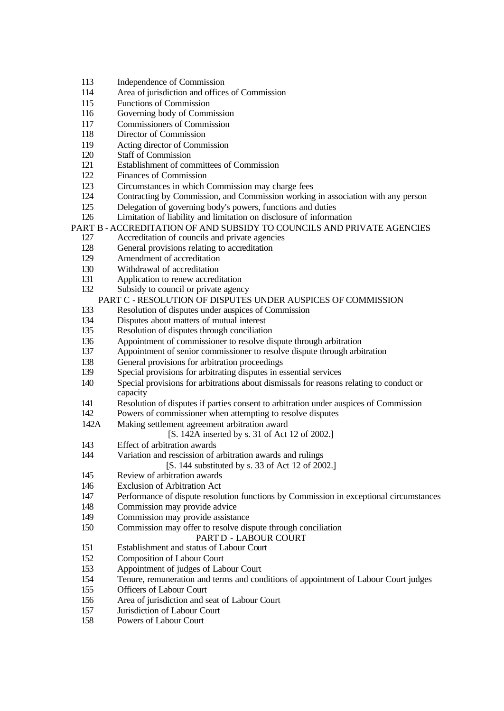- Independence of Commission
- Area of jurisdiction and offices of Commission
- Functions of Commission
- Governing body of Commission
- Commissioners of Commission
- Director of Commission
- Acting director of Commission
- Staff of Commission
- Establishment of committees of Commission
- Finances of Commission
- Circumstances in which Commission may charge fees
- Contracting by Commission, and Commission working in association with any person
- Delegation of governing body's powers, functions and duties
- Limitation of liability and limitation on disclosure of information

#### PART B - ACCREDITATION OF AND SUBSIDY TO COUNCILS AND PRIVATE AGENCIES

- Accreditation of councils and private agencies
- General provisions relating to accreditation
- Amendment of accreditation
- Withdrawal of accreditation
- Application to renew accreditation
- Subsidy to council or private agency

### PART C - RESOLUTION OF DISPUTES UNDER AUSPICES OF COMMISSION

- Resolution of disputes under auspices of Commission
- Disputes about matters of mutual interest
- Resolution of disputes through conciliation
- Appointment of commissioner to resolve dispute through arbitration
- Appointment of senior commissioner to resolve dispute through arbitration
- General provisions for arbitration proceedings
- Special provisions for arbitrating disputes in essential services
- Special provisions for arbitrations about dismissals for reasons relating to conduct or capacity
- Resolution of disputes if parties consent to arbitration under auspices of Commission
- Powers of commissioner when attempting to resolve disputes
- 142A Making settlement agreement arbitration award

[S. 142A inserted by s. 31 of Act 12 of 2002.]

- Effect of arbitration awards
- Variation and rescission of arbitration awards and rulings

[S. 144 substituted by s. 33 of Act 12 of 2002.]

- Review of arbitration awards
- Exclusion of Arbitration Act
- Performance of dispute resolution functions by Commission in exceptional circumstances
- Commission may provide advice
- Commission may provide assistance
- Commission may offer to resolve dispute through conciliation

#### PART D - LABOUR COURT

- Establishment and status of Labour Court
- Composition of Labour Court
- Appointment of judges of Labour Court
- Tenure, remuneration and terms and conditions of appointment of Labour Court judges
- Officers of Labour Court
- Area of jurisdiction and seat of Labour Court
- Jurisdiction of Labour Court
- Powers of Labour Court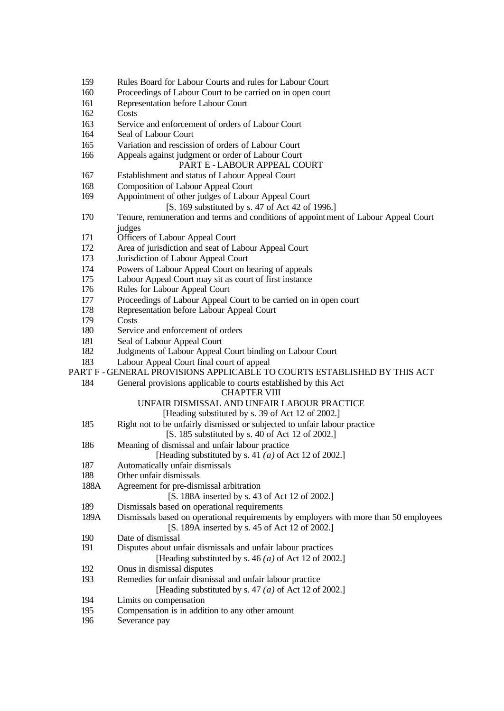- Rules Board for Labour Courts and rules for Labour Court
- Proceedings of Labour Court to be carried on in open court
- Representation before Labour Court
- Costs
- Service and enforcement of orders of Labour Court
- Seal of Labour Court
- Variation and rescission of orders of Labour Court
- Appeals against judgment or order of Labour Court

### PART E - LABOUR APPEAL COURT

- Establishment and status of Labour Appeal Court
- Composition of Labour Appeal Court
- Appointment of other judges of Labour Appeal Court
	- [S. 169 substituted by s. 47 of Act 42 of 1996.]
- Tenure, remuneration and terms and conditions of appointment of Labour Appeal Court judges
- **Officers of Labour Appeal Court**
- Area of jurisdiction and seat of Labour Appeal Court
- Jurisdiction of Labour Appeal Court
- Powers of Labour Appeal Court on hearing of appeals
- Labour Appeal Court may sit as court of first instance
- Rules for Labour Appeal Court
- Proceedings of Labour Appeal Court to be carried on in open court
- Representation before Labour Appeal Court
- Costs
- Service and enforcement of orders
- 181 Seal of Labour Appeal Court
- Judgments of Labour Appeal Court binding on Labour Court
- Labour Appeal Court final court of appeal
- PART F GENERAL PROVISIONS APPLICABLE TO COURTS ESTABLISHED BY THIS ACT

#### General provisions applicable to courts established by this Act

#### CHAPTER VIII

#### UNFAIR DISMISSAL AND UNFAIR LABOUR PRACTICE

#### [Heading substituted by s. 39 of Act 12 of 2002.]

- Right not to be unfairly dismissed or subjected to unfair labour practice
	- [S. 185 substituted by s. 40 of Act 12 of 2002.]
- Meaning of dismissal and unfair labour practice
- [Heading substituted by s. 41 *(a)* of Act 12 of 2002.]
- Automatically unfair dismissals
- Other unfair dismissals
- 188A Agreement for pre-dismissal arbitration

[S. 188A inserted by s. 43 of Act 12 of 2002.]

- Dismissals based on operational requirements
- 189A Dismissals based on operational requirements by employers with more than 50 employees [S. 189A inserted by s. 45 of Act 12 of 2002.]
- Date of dismissal
- Disputes about unfair dismissals and unfair labour practices
	- [Heading substituted by s. 46 *(a)* of Act 12 of 2002.]
- Onus in dismissal disputes
- Remedies for unfair dismissal and unfair labour practice
	- [Heading substituted by s. 47 *(a)* of Act 12 of 2002.]
- Limits on compensation
- Compensation is in addition to any other amount
- Severance pay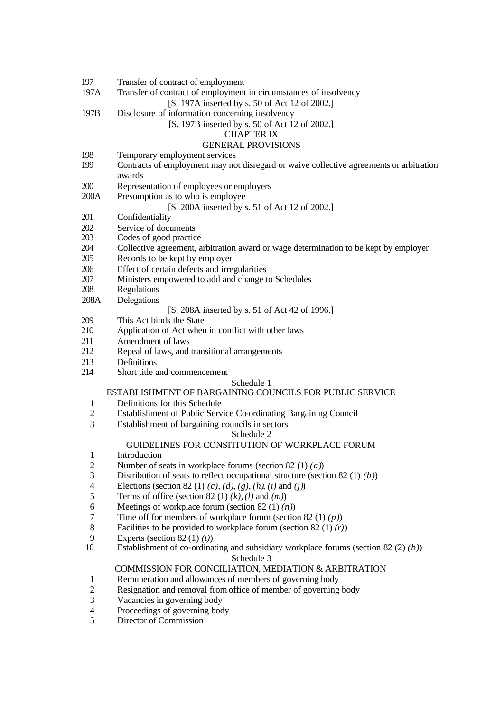- 197 Transfer of contract of employment
- 197A Transfer of contract of employment in circumstances of insolvency

[S. 197A inserted by s. 50 of Act 12 of 2002.]

197B Disclosure of information concerning insolvency

#### [S. 197B inserted by s. 50 of Act 12 of 2002.]

### CHAPTER IX

### GENERAL PROVISIONS

- 198 Temporary employment services
- 199 Contracts of employment may not disregard or waive collective agreements or arbitration awards
- 200 Representation of employees or employers
- 200A Presumption as to who is employee

#### [S. 200A inserted by s. 51 of Act 12 of 2002.]

- 201 Confidentiality
- 202 Service of documents<br>203 Codes of good practic
- Codes of good practice
- 204 Collective agreement, arbitration award or wage determination to be kept by employer
- 205 Records to be kept by employer
- 206 Effect of certain defects and irregularities
- 207 Ministers empowered to add and change to Schedules
- 208 Regulations
- 208A Delegations
	- [S. 208A inserted by s. 51 of Act 42 of 1996.]
- 209 This Act binds the State
- 210 Application of Act when in conflict with other laws
- 211 Amendment of laws
- 212 Repeal of laws, and transitional arrangements
- 213 Definitions
- 214 Short title and commencement

#### Schedule 1

### ESTABLISHMENT OF BARGAINING COUNCILS FOR PUBLIC SERVICE

- 1 Definitions for this Schedule
- 2 Establishment of Public Service Co-ordinating Bargaining Council
- 3 Establishment of bargaining councils in sectors

#### Schedule 2

#### GUIDELINES FOR CONSTITUTION OF WORKPLACE FORUM

- 1 Introduction
- 2 Number of seats in workplace forums (section 82 (1) *(a)*)<br>3 Distribution of seats to reflect occupational structure (section
- Distribution of seats to reflect occupational structure (section 82 (1) *(b)*)
- 4 Elections (section 82 (1) *(c)*, *(d)*, *(g)*, *(h)*, *(i)* and *(j)*)
- 5 Terms of office (section 82 (1) *(k)*, *(l)* and *(m)*)
- 6 Meetings of workplace forum (section 82 (1) *(n)*)
- 7 Time off for members of workplace forum (section 82 (1) *(p)*)
- 8 Facilities to be provided to workplace forum (section 82 (1) *(r)*)
- 
- 9 Experts (section 82 (1) *(t)*) Establishment of co-ordinating and subsidiary workplace forums (section 82 (2) *(b)*)

# Schedule 3

### COMMISSION FOR CONCILIATION, MEDIATION & ARBITRATION

- 1 Remuneration and allowances of members of governing body
- 2 Resignation and removal from office of member of governing body
- 3 Vacancies in governing body
- 4 Proceedings of governing body<br>5 Director of Commission
- Director of Commission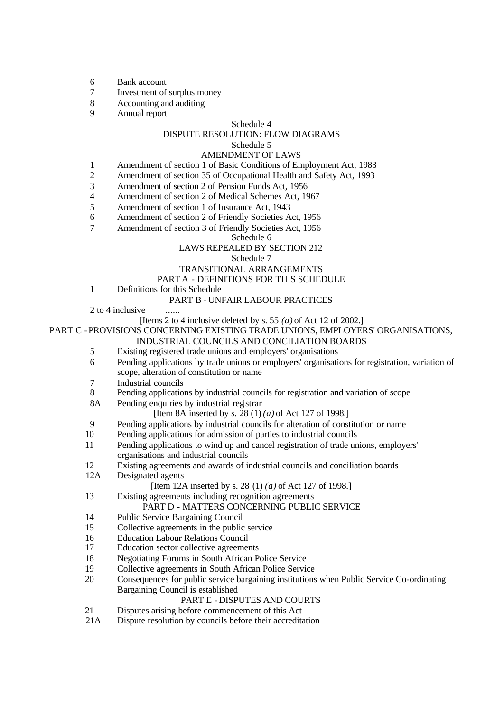- 6 Bank account
- 7 Investment of surplus money
- 8 Accounting and auditing
- 9 Annual report

#### Schedule 4

### DISPUTE RESOLUTION: FLOW DIAGRAMS

#### Schedule 5

#### AMENDMENT OF LAWS

- 1 Amendment of section 1 of Basic Conditions of Employment Act, 1983
- 2 Amendment of section 35 of Occupational Health and Safety Act, 1993
- 3 Amendment of section 2 of Pension Funds Act, 1956
- 4 Amendment of section 2 of Medical Schemes Act, 1967
- 5 Amendment of section 1 of Insurance Act, 1943
- 6 Amendment of section 2 of Friendly Societies Act, 1956
- 7 Amendment of section 3 of Friendly Societies Act, 1956

Schedule 6

### LAWS REPEALED BY SECTION 212

Schedule 7

#### TRANSITIONAL ARRANGEMENTS

#### PART A - DEFINITIONS FOR THIS SCHEDULE

1 Definitions for this Schedule

#### PART B - UNFAIR LABOUR PRACTICES

2 to 4 inclusive

#### [Items 2 to 4 inclusive deleted by s. 55 *(a)* of Act 12 of 2002.]

PART C - PROVISIONS CONCERNING EXISTING TRADE UNIONS, EMPLOYERS' ORGANISATIONS,

#### INDUSTRIAL COUNCILS AND CONCILIATION BOARDS

- 5 Existing registered trade unions and employers' organisations
- 6 Pending applications by trade unions or employers' organisations for registration, variation of scope, alteration of constitution or name
- 7 Industrial councils<br>8 Pending application
- 8 Pending applications by industrial councils for registration and variation of scope
- 8A Pending enquiries by industrial registrar

#### [Item 8A inserted by s. 28 (1) *(a)* of Act 127 of 1998.]

- 9 Pending applications by industrial councils for alteration of constitution or name
- 10 Pending applications for admission of parties to industrial councils
- 11 Pending applications to wind up and cancel registration of trade unions, employers' organisations and industrial councils
- 12 Existing agreements and awards of industrial councils and conciliation boards
- 12A Designated agents

#### [Item 12A inserted by s. 28 (1) *(a)* of Act 127 of 1998.]

13 Existing agreements including recognition agreements

#### PART D - MATTERS CONCERNING PUBLIC SERVICE

- 14 Public Service Bargaining Council
- 15 Collective agreements in the public service
- 16 Education Labour Relations Council
- 17 Education sector collective agreements
- 18 Negotiating Forums in South African Police Service
- 19 Collective agreements in South African Police Service
- 20 Consequences for public service bargaining institutions when Public Service Co-ordinating Bargaining Council is established

#### PART E - DISPUTES AND COURTS

- 21 Disputes arising before commencement of this Act
- 21A Dispute resolution by councils before their accreditation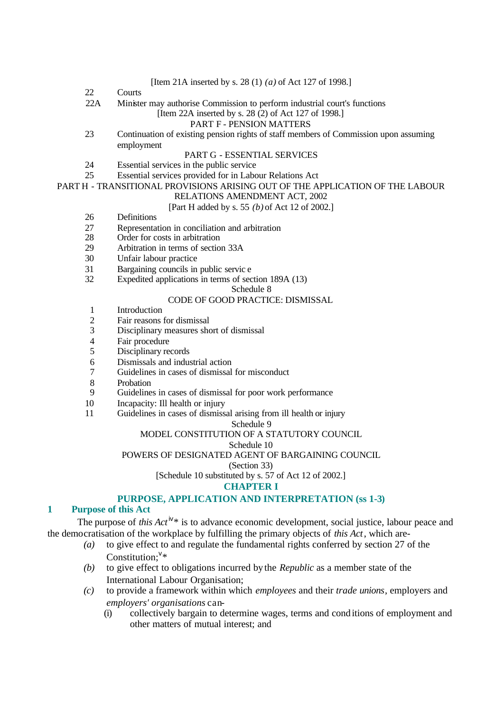|                                                                               |     | [Item 21A inserted by s. 28 (1) ( <i>a</i> ) of Act 127 of 1998.]                    |
|-------------------------------------------------------------------------------|-----|--------------------------------------------------------------------------------------|
|                                                                               | 22  | Courts                                                                               |
|                                                                               | 22A | Minister may authorise Commission to perform industrial court's functions            |
|                                                                               |     | [Item 22A inserted by s. 28 (2) of Act 127 of 1998.]                                 |
|                                                                               |     | <b>PART F - PENSION MATTERS</b>                                                      |
|                                                                               | 23  | Continuation of existing pension rights of staff members of Commission upon assuming |
|                                                                               |     | employment                                                                           |
|                                                                               |     | <b>PART G - ESSENTIAL SERVICES</b>                                                   |
|                                                                               | 24  | Essential services in the public service                                             |
|                                                                               | 25  | Essential services provided for in Labour Relations Act                              |
| PART H - TRANSITIONAL PROVISIONS ARISING OUT OF THE APPLICATION OF THE LABOUR |     |                                                                                      |
|                                                                               |     | RELATIONS AMENDMENT ACT, 2002                                                        |
|                                                                               |     | [Part H added by s. 55 (b) of Act 12 of 2002.]                                       |
|                                                                               | 26  | <b>Definitions</b>                                                                   |
|                                                                               | 27  | Representation in conciliation and arbitration                                       |
|                                                                               | 28  | Order for costs in arbitration                                                       |
|                                                                               | 29  | Arbitration in terms of section 33A                                                  |

- 30 Unfair labour practice
- 31 Bargaining councils in public servic e
- 32 Expedited applications in terms of section 189A (13)

#### Schedule 8

### CODE OF GOOD PRACTICE: DISMISSAL

- 1 Introduction
- 2 Fair reasons for dismissal<br>3 Disciplinary measures sho
- Disciplinary measures short of dismissal
- 4 Fair procedure
- 5 Disciplinary records
- 6 Dismissals and industrial action
- 7 Guidelines in cases of dismissal for misconduct
- 8 Probation<br>9 Guideline
- Guidelines in cases of dismissal for poor work performance
- 10 Incapacity: Ill health or injury
- 11 Guidelines in cases of dismissal arising from ill health or injury

#### Schedule 9

#### MODEL CONSTITUTION OF A STATUTORY COUNCIL

Schedule 10

#### POWERS OF DESIGNATED AGENT OF BARGAINING COUNCIL

(Section 33)

[Schedule 10 substituted by s. 57 of Act 12 of 2002.]

#### **CHAPTER I**

#### **PURPOSE, APPLICATION AND INTERPRETATION (ss 1-3)**

### **1 Purpose of this Act**

The purpose of *this Act*<sup>iv\*</sup> is to advance economic development, social justice, labour peace and the democratisation of the workplace by fulfilling the primary objects of *this Act*, which are-

- *(a)* to give effect to and regulate the fundamental rights conferred by section 27 of the Constitution;  $v^*$
- *(b)* to give effect to obligations incurred by the *Republic* as a member state of the International Labour Organisation;
- *(c)* to provide a framework within which *employees* and their *trade unions*, employers and *employers' organisations* can-
	- (i) collectively bargain to determine wages, terms and conditions of employment and other matters of mutual interest; and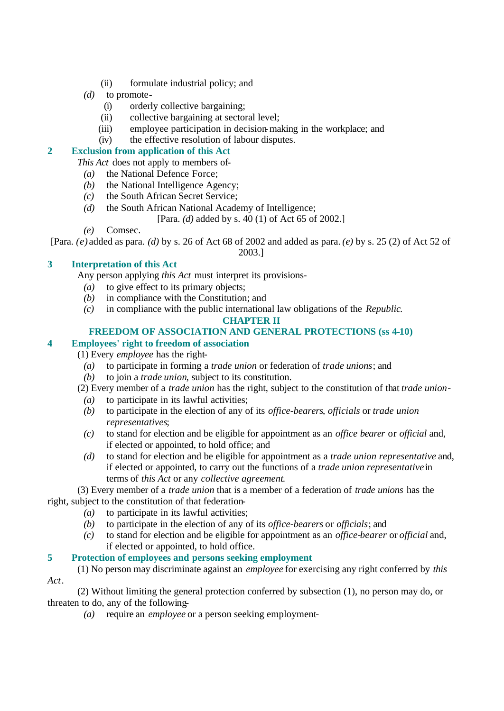- (ii) formulate industrial policy; and
- *(d)* to promote-
	- (i) orderly collective bargaining;
	- (ii) collective bargaining at sectoral level;
	- (iii) employee participation in decision-making in the workplace; and
	- (iv) the effective resolution of labour disputes.

### **2 Exclusion from application of this Act**

*This Act* does not apply to members of-

- *(a)* the National Defence Force;
- *(b)* the National Intelligence Agency;
- *(c)* the South African Secret Service;
- *(d)* the South African National Academy of Intelligence;
	- [Para. *(d)* added by s. 40 (1) of Act 65 of 2002.]
- *(e)* Comsec.

[Para. *(e)* added as para. *(d)* by s. 26 of Act 68 of 2002 and added as para. *(e)* by s. 25 (2) of Act 52 of

2003.]

## **3 Interpretation of this Act**

Any person applying *this Act* must interpret its provisions-

- *(a)* to give effect to its primary objects;
- *(b)* in compliance with the Constitution; and
- *(c)* in compliance with the public international law obligations of the *Republic*.

### **CHAPTER II**

### **FREEDOM OF ASSOCIATION AND GENERAL PROTECTIONS (ss 4-10)**

### **4 Employees' right to freedom of association**

(1) Every *employee* has the right-

- *(a)* to participate in forming a *trade union* or federation of *trade unions*; and
- *(b)* to join a *trade union*, subject to its constitution.
- (2) Every member of a *trade union* has the right, subject to the constitution of that *trade union*
	- *(a)* to participate in its lawful activities;
	- *(b)* to participate in the election of any of its *office-bearers*, *officials* or *trade union representatives*;
	- *(c)* to stand for election and be eligible for appointment as an *office bearer* or *official* and, if elected or appointed, to hold office; and
	- *(d)* to stand for election and be eligible for appointment as a *trade union representative* and, if elected or appointed, to carry out the functions of a *trade union representative* in terms of *this Act* or any *collective agreement*.

(3) Every member of a *trade union* that is a member of a federation of *trade unions* has the right, subject to the constitution of that federation-

- *(a)* to participate in its lawful activities;
- *(b)* to participate in the election of any of its *office-bearers* or *officials*; and
- *(c)* to stand for election and be eligible for appointment as an *office-bearer* or *official* and, if elected or appointed, to hold office.

### **5 Protection of employees and persons seeking employment**

(1) No person may discriminate against an *employee* for exercising any right conferred by *this Act*.

(2) Without limiting the general protection conferred by subsection (1), no person may do, or threaten to do, any of the following-

*(a)* require an *employee* or a person seeking employment-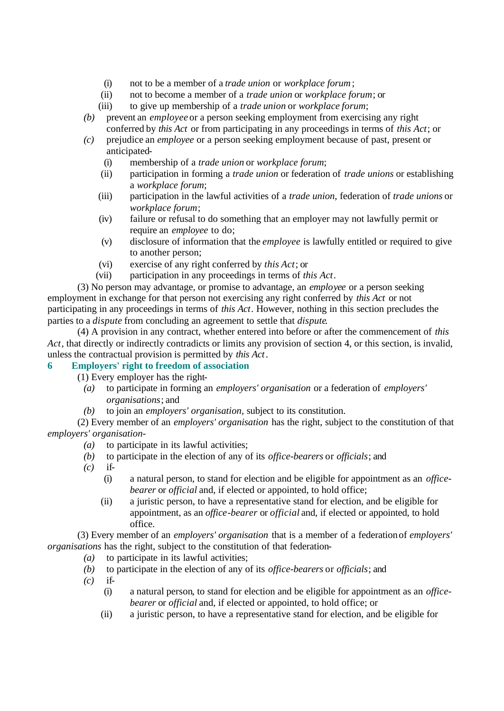- (i) not to be a member of a *trade union* or *workplace forum*;
- (ii) not to become a member of a *trade union* or *workplace forum*; or
- (iii) to give up membership of a *trade union* or *workplace forum*;
- *(b)* prevent an *employee* or a person seeking employment from exercising any right conferred by *this Act* or from participating in any proceedings in terms of *this Act*; or
- *(c)* prejudice an *employee* or a person seeking employment because of past, present or anticipated-
	- (i) membership of a *trade union* or *workplace forum*;
	- (ii) participation in forming a *trade union* or federation of *trade unions* or establishing a *workplace forum*;
	- (iii) participation in the lawful activities of a *trade union*, federation of *trade unions* or *workplace forum*;
	- (iv) failure or refusal to do something that an employer may not lawfully permit or require an *employee* to do;
	- (v) disclosure of information that the *employee* is lawfully entitled or required to give to another person;
	- (vi) exercise of any right conferred by *this Act*; or
	- (vii) participation in any proceedings in terms of *this Act*.

(3) No person may advantage, or promise to advantage, an *employee* or a person seeking employment in exchange for that person not exercising any right conferred by *this Act* or not participating in any proceedings in terms of *this Act*. However, nothing in this section precludes the parties to a *dispute* from concluding an agreement to settle that *dispute*.

(4) A provision in any contract, whether entered into before or after the commencement of *this Act*, that directly or indirectly contradicts or limits any provision of section 4, or this section, is invalid, unless the contractual provision is permitted by *this Act*.

### **6 Employers' right to freedom of association**

- (1) Every employer has the right-
	- *(a)* to participate in forming an *employers' organisation* or a federation of *employers' organisations*; and
	- *(b)* to join an *employers' organisation*, subject to its constitution.

(2) Every member of an *employers' organisation* has the right, subject to the constitution of that *employers' organisation*-

- *(a)* to participate in its lawful activities;
- *(b)* to participate in the election of any of its *office-bearers* or *officials*; and
- *(c)* if-
	- (i) a natural person, to stand for election and be eligible for appointment as an *officebearer* or *official* and, if elected or appointed, to hold office;
	- (ii) a juristic person, to have a representative stand for election, and be eligible for appointment, as an *office-bearer* or *official* and, if elected or appointed, to hold office.

(3) Every member of an *employers' organisation* that is a member of a federation of *employers' organisations* has the right, subject to the constitution of that federation-

- *(a)* to participate in its lawful activities;
- *(b)* to participate in the election of any of its *office-bearers* or *officials*; and
- *(c)* if-
	- (i) a natural person, to stand for election and be eligible for appointment as an *officebearer* or *official* and, if elected or appointed, to hold office; or
	- (ii) a juristic person, to have a representative stand for election, and be eligible for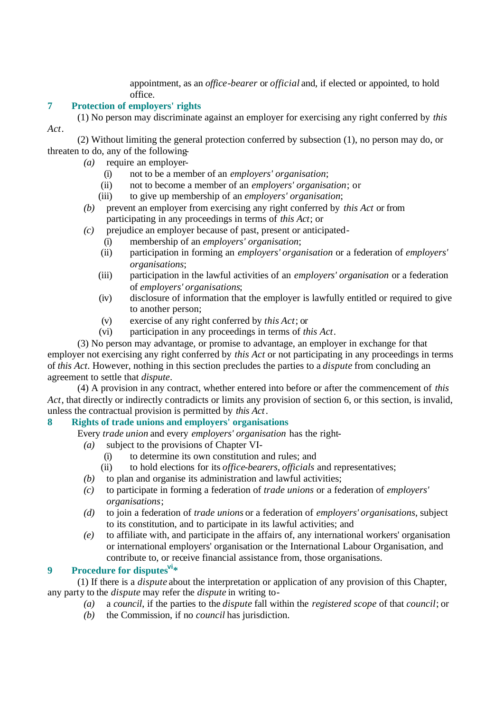appointment, as an *office-bearer* or *official* and, if elected or appointed, to hold office.

### **7 Protection of employers' rights**

(1) No person may discriminate against an employer for exercising any right conferred by *this Act*.

(2) Without limiting the general protection conferred by subsection (1), no person may do, or threaten to do, any of the following-

- *(a)* require an employer-
	- (i) not to be a member of an *employers' organisation*;
	- (ii) not to become a member of an *employers' organisation*; or
	- (iii) to give up membership of an *employers' organisation*;
- *(b)* prevent an employer from exercising any right conferred by *this Act* or from participating in any proceedings in terms of *this Act*; or
- *(c)* prejudice an employer because of past, present or anticipated-
	- (i) membership of an *employers' organisation*;
	- (ii) participation in forming an *employers' organisation* or a federation of *employers' organisations*;
	- (iii) participation in the lawful activities of an *employers' organisation* or a federation of *employers' organisations*;
	- (iv) disclosure of information that the employer is lawfully entitled or required to give to another person;
	- (v) exercise of any right conferred by *this Act*; or
	- (vi) participation in any proceedings in terms of *this Act*.

(3) No person may advantage, or promise to advantage, an employer in exchange for that employer not exercising any right conferred by *this Act* or not participating in any proceedings in terms of *this Act*. However, nothing in this section precludes the parties to a *dispute* from concluding an agreement to settle that *dispute*.

(4) A provision in any contract, whether entered into before or after the commencement of *this Act*, that directly or indirectly contradicts or limits any provision of section 6, or this section, is invalid, unless the contractual provision is permitted by *this Act*.

### **8 Rights of trade unions and employers' organisations**

Every *trade union* and every *employers' organisation* has the right-

- *(a)* subject to the provisions of Chapter VI-
	- (i) to determine its own constitution and rules; and
	- (ii) to hold elections for its *office-bearers*, *officials* and representatives;
- *(b)* to plan and organise its administration and lawful activities;
- *(c)* to participate in forming a federation of *trade unions* or a federation of *employers' organisations*;
- *(d)* to join a federation of *trade unions* or a federation of *employers' organisations*, subject to its constitution, and to participate in its lawful activities; and
- *(e)* to affiliate with, and participate in the affairs of, any international workers' organisation or international employers' organisation or the International Labour Organisation, and contribute to, or receive financial assistance from, those organisations.

### **9 Procedure for disputesvi\***

(1) If there is a *dispute* about the interpretation or application of any provision of this Chapter, any party to the *dispute* may refer the *dispute* in writing to-

- *(a)* a *council*, if the parties to the *dispute* fall within the *registered scope* of that *council*; or
	- *(b)* the Commission, if no *council* has jurisdiction.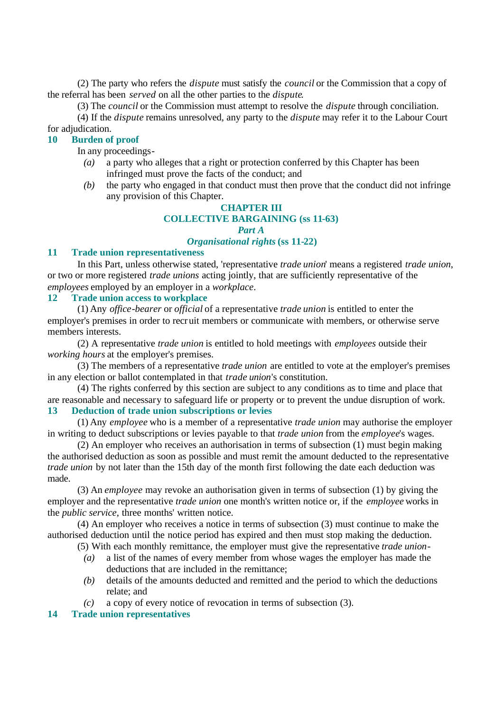(2) The party who refers the *dispute* must satisfy the *council* or the Commission that a copy of the referral has been *served* on all the other parties to the *dispute*.

(3) The *council* or the Commission must attempt to resolve the *dispute* through conciliation.

(4) If the *dispute* remains unresolved, any party to the *dispute* may refer it to the Labour Court for adjudication.

### **10 Burden of proof**

In any proceedings-

- *(a)* a party who alleges that a right or protection conferred by this Chapter has been infringed must prove the facts of the conduct; and
- *(b)* the party who engaged in that conduct must then prove that the conduct did not infringe any provision of this Chapter.

# **CHAPTER III**

# **COLLECTIVE BARGAINING (ss 11-63)**

### *Part A*

### *Organisational rights* **(ss 11-22)**

#### **11 Trade union representativeness**

In this Part, unless otherwise stated, 'representative *trade union*' means a registered *trade union*, or two or more registered *trade unions* acting jointly, that are sufficiently representative of the *employees* employed by an employer in a *workplace*.

### **12 Trade union access to workplace**

(1) Any *office-bearer* or *official* of a representative *trade union* is entitled to enter the employer's premises in order to recruit members or communicate with members, or otherwise serve members interests.

(2) A representative *trade union* is entitled to hold meetings with *employees* outside their *working hours* at the employer's premises.

(3) The members of a representative *trade union* are entitled to vote at the employer's premises in any election or ballot contemplated in that *trade union*'s constitution.

(4) The rights conferred by this section are subject to any conditions as to time and place that are reasonable and necessary to safeguard life or property or to prevent the undue disruption of work. **13 Deduction of trade union subscriptions or levies**

(1) Any *employee* who is a member of a representative *trade union* may authorise the employer in writing to deduct subscriptions or levies payable to that *trade union* from the *employee*'s wages.

(2) An employer who receives an authorisation in terms of subsection (1) must begin making the authorised deduction as soon as possible and must remit the amount deducted to the representative *trade union* by not later than the 15th day of the month first following the date each deduction was made.

(3) An *employee* may revoke an authorisation given in terms of subsection (1) by giving the employer and the representative *trade union* one month's written notice or, if the *employee* works in the *public service*, three months' written notice.

(4) An employer who receives a notice in terms of subsection (3) must continue to make the authorised deduction until the notice period has expired and then must stop making the deduction.

(5) With each monthly remittance, the employer must give the representative *trade union*-

- *(a)* a list of the names of every member from whose wages the employer has made the deductions that are included in the remittance;
- *(b)* details of the amounts deducted and remitted and the period to which the deductions relate; and
- *(c)* a copy of every notice of revocation in terms of subsection (3).

### **14 Trade union representatives**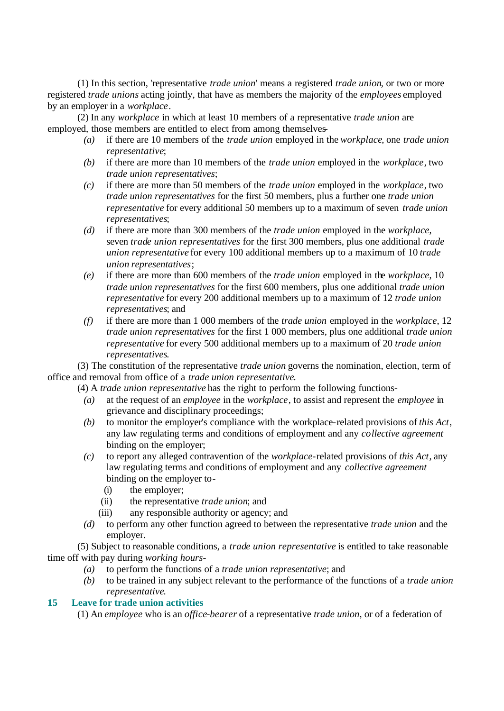(1) In this section, 'representative *trade union*' means a registered *trade union*, or two or more registered *trade unions* acting jointly, that have as members the majority of the *employees* employed by an employer in a *workplace*.

(2) In any *workplace* in which at least 10 members of a representative *trade union* are employed, those members are entitled to elect from among themselves-

- *(a)* if there are 10 members of the *trade union* employed in the *workplace*, one *trade union representative*;
- *(b)* if there are more than 10 members of the *trade union* employed in the *workplace*, two *trade union representatives*;
- *(c)* if there are more than 50 members of the *trade union* employed in the *workplace*, two *trade union representatives* for the first 50 members, plus a further one *trade union representative* for every additional 50 members up to a maximum of seven *trade union representatives*;
- *(d)* if there are more than 300 members of the *trade union* employed in the *workplace*, seven *trade union representatives* for the first 300 members, plus one additional *trade union representative* for every 100 additional members up to a maximum of 10 *trade union representatives*;
- *(e)* if there are more than 600 members of the *trade union* employed in the *workplace*, 10 *trade union representatives* for the first 600 members, plus one additional *trade union representative* for every 200 additional members up to a maximum of 12 *trade union representatives*; and
- *(f)* if there are more than 1 000 members of the *trade union* employed in the *workplace*, 12 *trade union representatives* for the first 1 000 members, plus one additional *trade union representative* for every 500 additional members up to a maximum of 20 *trade union representatives*.

(3) The constitution of the representative *trade union* governs the nomination, election, term of office and removal from office of a *trade union representative*.

(4) A *trade union representative* has the right to perform the following functions-

- *(a)* at the request of an *employee* in the *workplace*, to assist and represent the *employee* in grievance and disciplinary proceedings;
- *(b)* to monitor the employer's compliance with the workplace-related provisions of *this Act*, any law regulating terms and conditions of employment and any *collective agreement* binding on the employer;
- *(c)* to report any alleged contravention of the *workplace*-related provisions of *this Act*, any law regulating terms and conditions of employment and any *collective agreement* binding on the employer to-
	- (i) the employer;
	- (ii) the representative *trade union*; and
	- (iii) any responsible authority or agency; and
- *(d)* to perform any other function agreed to between the representative *trade union* and the employer.

(5) Subject to reasonable conditions, a *trade union representative* is entitled to take reasonable time off with pay during *working hours*-

- *(a)* to perform the functions of a *trade union representative*; and
- *(b)* to be trained in any subject relevant to the performance of the functions of a *trade union representative*.

### **15 Leave for trade union activities**

(1) An *employee* who is an *office-bearer* of a representative *trade union*, or of a federation of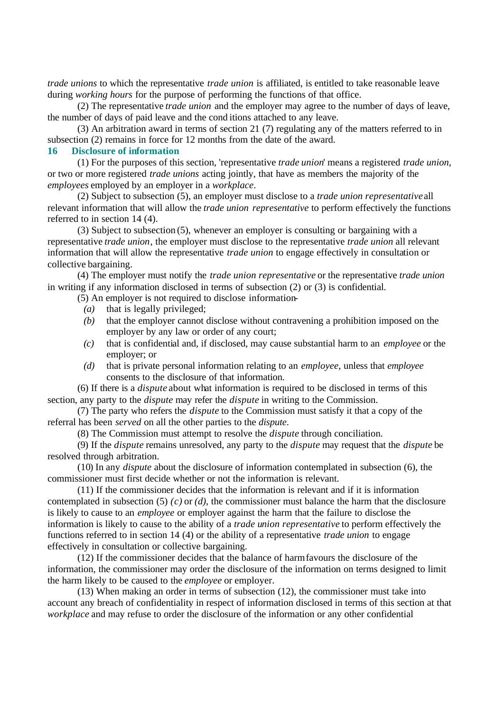*trade unions* to which the representative *trade union* is affiliated, is entitled to take reasonable leave during *working hours* for the purpose of performing the functions of that office.

(2) The representative *trade union* and the employer may agree to the number of days of leave, the number of days of paid leave and the cond itions attached to any leave.

(3) An arbitration award in terms of section 21 (7) regulating any of the matters referred to in subsection (2) remains in force for 12 months from the date of the award.

#### **16 Disclosure of information**

(1) For the purposes of this section, 'representative *trade union*' means a registered *trade union*, or two or more registered *trade unions* acting jointly, that have as members the majority of the *employees* employed by an employer in a *workplace*.

(2) Subject to subsection (5), an employer must disclose to a *trade union representative* all relevant information that will allow the *trade union representative* to perform effectively the functions referred to in section 14 (4).

(3) Subject to subsection (5), whenever an employer is consulting or bargaining with a representative *trade union*, the employer must disclose to the representative *trade union* all relevant information that will allow the representative *trade union* to engage effectively in consultation or collective bargaining.

(4) The employer must notify the *trade union representative* or the representative *trade union* in writing if any information disclosed in terms of subsection (2) or (3) is confidential.

(5) An employer is not required to disclose information-

- *(a)* that is legally privileged;
- *(b)* that the employer cannot disclose without contravening a prohibition imposed on the employer by any law or order of any court;
- *(c)* that is confidential and, if disclosed, may cause substantial harm to an *employee* or the employer; or
- *(d)* that is private personal information relating to an *employee*, unless that *employee* consents to the disclosure of that information.

(6) If there is a *dispute* about what information is required to be disclosed in terms of this section, any party to the *dispute* may refer the *dispute* in writing to the Commission.

(7) The party who refers the *dispute* to the Commission must satisfy it that a copy of the referral has been *served* on all the other parties to the *dispute*.

(8) The Commission must attempt to resolve the *dispute* through conciliation.

(9) If the *dispute* remains unresolved, any party to the *dispute* may request that the *dispute* be resolved through arbitration.

(10) In any *dispute* about the disclosure of information contemplated in subsection (6), the commissioner must first decide whether or not the information is relevant.

(11) If the commissioner decides that the information is relevant and if it is information contemplated in subsection (5) *(c)* or *(d)*, the commissioner must balance the harm that the disclosure is likely to cause to an *employee* or employer against the harm that the failure to disclose the information is likely to cause to the ability of a *trade union representative* to perform effectively the functions referred to in section 14 (4) or the ability of a representative *trade union* to engage effectively in consultation or collective bargaining.

(12) If the commissioner decides that the balance of harm favours the disclosure of the information, the commissioner may order the disclosure of the information on terms designed to limit the harm likely to be caused to the *employee* or employer.

(13) When making an order in terms of subsection (12), the commissioner must take into account any breach of confidentiality in respect of information disclosed in terms of this section at that *workplace* and may refuse to order the disclosure of the information or any other confidential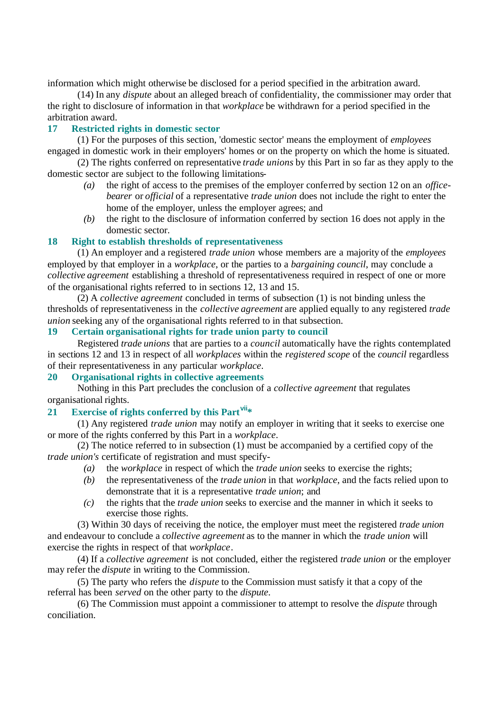information which might otherwise be disclosed for a period specified in the arbitration award.

(14) In any *dispute* about an alleged breach of confidentiality, the commissioner may order that the right to disclosure of information in that *workplace* be withdrawn for a period specified in the arbitration award.

### **17 Restricted rights in domestic sector**

(1) For the purposes of this section, 'domestic sector' means the employment of *employees* engaged in domestic work in their employers' homes or on the property on which the home is situated.

(2) The rights conferred on representative *trade unions* by this Part in so far as they apply to the domestic sector are subject to the following limitations-

- *(a)* the right of access to the premises of the employer conferred by section 12 on an *officebearer* or *official* of a representative *trade union* does not include the right to enter the home of the employer, unless the employer agrees; and
- *(b)* the right to the disclosure of information conferred by section 16 does not apply in the domestic sector.

#### **18 Right to establish thresholds of representativeness**

(1) An employer and a registered *trade union* whose members are a majority of the *employees* employed by that employer in a *workplace*, or the parties to a *bargaining council*, may conclude a *collective agreement* establishing a threshold of representativeness required in respect of one or more of the organisational rights referred to in sections 12, 13 and 15.

(2) A *collective agreement* concluded in terms of subsection (1) is not binding unless the thresholds of representativeness in the *collective agreement* are applied equally to any registered *trade union* seeking any of the organisational rights referred to in that subsection.

#### **19 Certain organisational rights for trade union party to council**

Registered *trade unions* that are parties to a *council* automatically have the rights contemplated in sections 12 and 13 in respect of all *workplaces* within the *registered scope* of the *council* regardless of their representativeness in any particular *workplace*.

#### **20 Organisational rights in collective agreements**

Nothing in this Part precludes the conclusion of a *collective agreement* that regulates organisational rights.

### **21 Exercise of rights conferred by this Partvii\***

(1) Any registered *trade union* may notify an employer in writing that it seeks to exercise one or more of the rights conferred by this Part in a *workplace*.

(2) The notice referred to in subsection (1) must be accompanied by a certified copy of the *trade union's* certificate of registration and must specify-

- *(a)* the *workplace* in respect of which the *trade union* seeks to exercise the rights;
- *(b)* the representativeness of the *trade union* in that *workplace*, and the facts relied upon to demonstrate that it is a representative *trade union*; and
- *(c)* the rights that the *trade union* seeks to exercise and the manner in which it seeks to exercise those rights.

(3) Within 30 days of receiving the notice, the employer must meet the registered *trade union* and endeavour to conclude a *collective agreement* as to the manner in which the *trade union* will exercise the rights in respect of that *workplace*.

(4) If a *collective agreement* is not concluded, either the registered *trade union* or the employer may refer the *dispute* in writing to the Commission.

(5) The party who refers the *dispute* to the Commission must satisfy it that a copy of the referral has been *served* on the other party to the *dispute*.

(6) The Commission must appoint a commissioner to attempt to resolve the *dispute* through conciliation.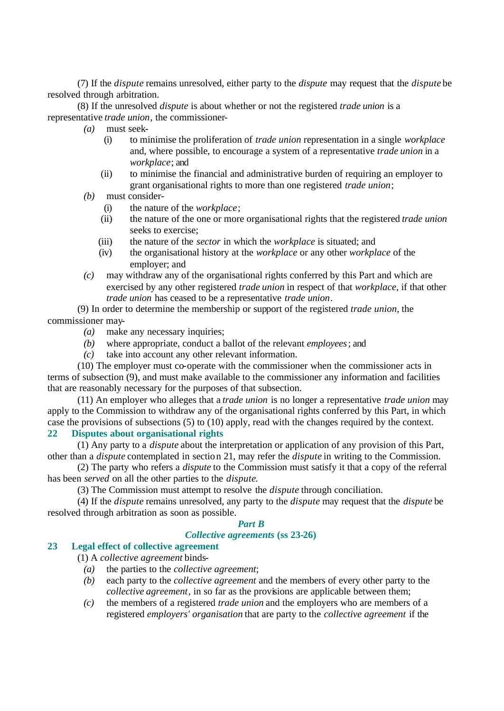(7) If the *dispute* remains unresolved, either party to the *dispute* may request that the *dispute* be resolved through arbitration.

(8) If the unresolved *dispute* is about whether or not the registered *trade union* is a representative *trade union*, the commissioner-

- *(a)* must seek-
	- (i) to minimise the proliferation of *trade union* representation in a single *workplace* and, where possible, to encourage a system of a representative *trade union* in a *workplace*; and
	- (ii) to minimise the financial and administrative burden of requiring an employer to grant organisational rights to more than one registered *trade union*;
- *(b)* must consider-
	- (i) the nature of the *workplace*;
	- (ii) the nature of the one or more organisational rights that the registered *trade union* seeks to exercise;
	- (iii) the nature of the *sector* in which the *workplace* is situated; and
	- (iv) the organisational history at the *workplace* or any other *workplace* of the employer; and
- *(c)* may withdraw any of the organisational rights conferred by this Part and which are exercised by any other registered *trade union* in respect of that *workplace*, if that other *trade union* has ceased to be a representative *trade union*.

(9) In order to determine the membership or support of the registered *trade union*, the commissioner may-

- *(a)* make any necessary inquiries;
- *(b)* where appropriate, conduct a ballot of the relevant *employees*; and
- *(c)* take into account any other relevant information.

(10) The employer must co-operate with the commissioner when the commissioner acts in terms of subsection (9), and must make available to the commissioner any information and facilities that are reasonably necessary for the purposes of that subsection.

(11) An employer who alleges that a *trade union* is no longer a representative *trade union* may apply to the Commission to withdraw any of the organisational rights conferred by this Part, in which case the provisions of subsections (5) to (10) apply, read with the changes required by the context.

#### **22 Disputes about organisational rights**

(1) Any party to a *dispute* about the interpretation or application of any provision of this Part, other than a *dispute* contemplated in section 21, may refer the *dispute* in writing to the Commission.

(2) The party who refers a *dispute* to the Commission must satisfy it that a copy of the referral has been *served* on all the other parties to the *dispute*.

(3) The Commission must attempt to resolve the *dispute* through conciliation.

(4) If the *dispute* remains unresolved, any party to the *dispute* may request that the *dispute* be resolved through arbitration as soon as possible.

#### *Part B*

#### *Collective agreements* **(ss 23-26)**

# **23 Legal effect of collective agreement**

(1) A *collective agreement* binds-

- *(a)* the parties to the *collective agreement*;
- *(b)* each party to the *collective agreement* and the members of every other party to the *collective agreement*, in so far as the provisions are applicable between them;
- *(c)* the members of a registered *trade union* and the employers who are members of a registered *employers' organisation* that are party to the *collective agreement* if the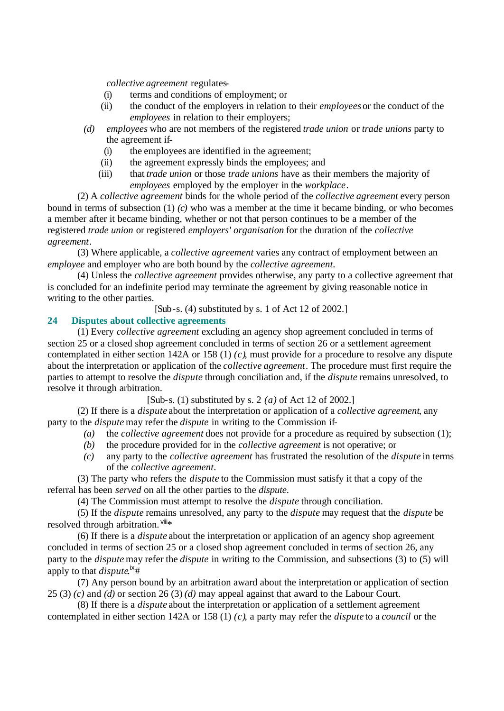*collective agreement* regulates-

- (i) terms and conditions of employment; or
- (ii) the conduct of the employers in relation to their *employees* or the conduct of the *employees* in relation to their employers;
- *(d) employees* who are not members of the registered *trade union* or *trade unions* party to the agreement if-
	- (i) the employees are identified in the agreement;
	- (ii) the agreement expressly binds the employees; and
	- (iii) that *trade union* or those *trade unions* have as their members the majority of *employees* employed by the employer in the *workplace*.

(2) A *collective agreement* binds for the whole period of the *collective agreement* every person bound in terms of subsection (1) *(c)* who was a member at the time it became binding, or who becomes a member after it became binding, whether or not that person continues to be a member of the registered *trade union* or registered *employers' organisation* for the duration of the *collective agreement*.

(3) Where applicable, a *collective agreement* varies any contract of employment between an *employee* and employer who are both bound by the *collective agreement*.

(4) Unless the *collective agreement* provides otherwise, any party to a collective agreement that is concluded for an indefinite period may terminate the agreement by giving reasonable notice in writing to the other parties.

[Sub-s. (4) substituted by s. 1 of Act 12 of 2002.]

### **24 Disputes about collective agreements**

(1) Every *collective agreement* excluding an agency shop agreement concluded in terms of section 25 or a closed shop agreement concluded in terms of section 26 or a settlement agreement contemplated in either section 142A or 158 (1) *(c)*, must provide for a procedure to resolve any dispute about the interpretation or application of the *collective agreement*. The procedure must first require the parties to attempt to resolve the *dispute* through conciliation and, if the *dispute* remains unresolved, to resolve it through arbitration.

[Sub-s. (1) substituted by s. 2 *(a)* of Act 12 of 2002.]

(2) If there is a *dispute* about the interpretation or application of a *collective agreement*, any party to the *dispute* may refer the *dispute* in writing to the Commission if-

- *(a)* the *collective agreement* does not provide for a procedure as required by subsection (1);
- *(b)* the procedure provided for in the *collective agreement* is not operative; or
- *(c)* any party to the *collective agreement* has frustrated the resolution of the *dispute* in terms of the *collective agreement*.

(3) The party who refers the *dispute* to the Commission must satisfy it that a copy of the referral has been *served* on all the other parties to the *dispute*.

(4) The Commission must attempt to resolve the *dispute* through conciliation.

(5) If the *dispute* remains unresolved, any party to the *dispute* may request that the *dispute* be resolved through arbitration. Vill\*

(6) If there is a *dispute* about the interpretation or application of an agency shop agreement concluded in terms of section 25 or a closed shop agreement concluded in terms of section 26, any party to the *dispute* may refer the *dispute* in writing to the Commission, and subsections (3) to (5) will apply to that *dispute*.<sup>ix</sup>#

(7) Any person bound by an arbitration award about the interpretation or application of section 25 (3) *(c)* and *(d)* or section 26 (3) *(d)* may appeal against that award to the Labour Court.

(8) If there is a *dispute* about the interpretation or application of a settlement agreement contemplated in either section 142A or 158 (1) *(c)*, a party may refer the *dispute* to a *council* or the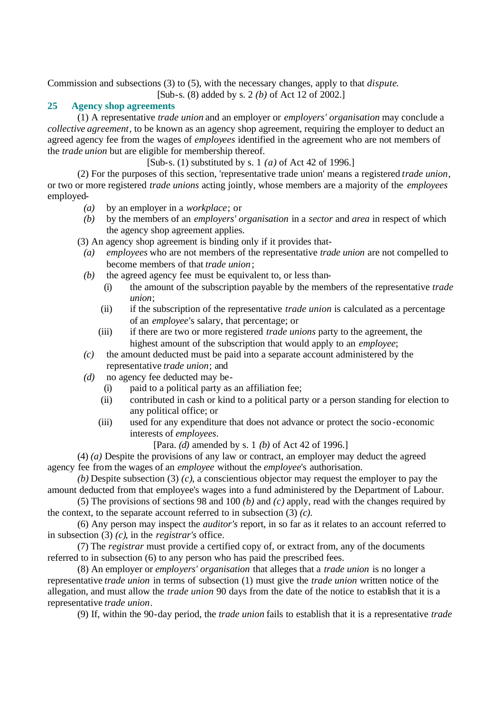Commission and subsections (3) to (5), with the necessary changes, apply to that *dispute*.

[Sub-s. (8) added by s. 2 *(b)* of Act 12 of 2002.]

### **25 Agency shop agreements**

(1) A representative *trade union* and an employer or *employers' organisation* may conclude a *collective agreement*, to be known as an agency shop agreement, requiring the employer to deduct an agreed agency fee from the wages of *employees* identified in the agreement who are not members of the *trade union* but are eligible for membership thereof.

[Sub-s. (1) substituted by s. 1 *(a)* of Act 42 of 1996.]

(2) For the purposes of this section, 'representative trade union' means a registered *trade union*, or two or more registered *trade unions* acting jointly, whose members are a majority of the *employees* employed-

- *(a)* by an employer in a *workplace*; or
- *(b)* by the members of an *employers' organisation* in a *sector* and *area* in respect of which the agency shop agreement applies.

(3) An agency shop agreement is binding only if it provides that-

- *(a) employees* who are not members of the representative *trade union* are not compelled to become members of that *trade union*;
- *(b)* the agreed agency fee must be equivalent to, or less than-
	- (i) the amount of the subscription payable by the members of the representative *trade union*;
	- (ii) if the subscription of the representative *trade union* is calculated as a percentage of an *employee*'s salary, that percentage; or
	- (iii) if there are two or more registered *trade unions* party to the agreement, the highest amount of the subscription that would apply to an *employee*;
- *(c)* the amount deducted must be paid into a separate account administered by the representative *trade union*; and
- *(d)* no agency fee deducted may be-
	- (i) paid to a political party as an affiliation fee;
	- (ii) contributed in cash or kind to a political party or a person standing for election to any political office; or
	- (iii) used for any expenditure that does not advance or protect the socio-economic interests of *employees*.

[Para. *(d)* amended by s. 1 *(b)* of Act 42 of 1996.]

(4) *(a)* Despite the provisions of any law or contract, an employer may deduct the agreed agency fee from the wages of an *employee* without the *employee*'s authorisation.

*(b)* Despite subsection (3) *(c)*, a conscientious objector may request the employer to pay the amount deducted from that employee's wages into a fund administered by the Department of Labour.

(5) The provisions of sections 98 and 100 *(b)* and *(c)* apply, read with the changes required by the context, to the separate account referred to in subsection (3) *(c)*.

(6) Any person may inspect the *auditor's* report, in so far as it relates to an account referred to in subsection (3) *(c)*, in the *registrar's* office.

(7) The *registrar* must provide a certified copy of, or extract from, any of the documents referred to in subsection (6) to any person who has paid the prescribed fees.

(8) An employer or *employers' organisation* that alleges that a *trade union* is no longer a representative *trade union* in terms of subsection (1) must give the *trade union* written notice of the allegation, and must allow the *trade union* 90 days from the date of the notice to establish that it is a representative *trade union*.

(9) If, within the 90-day period, the *trade union* fails to establish that it is a representative *trade*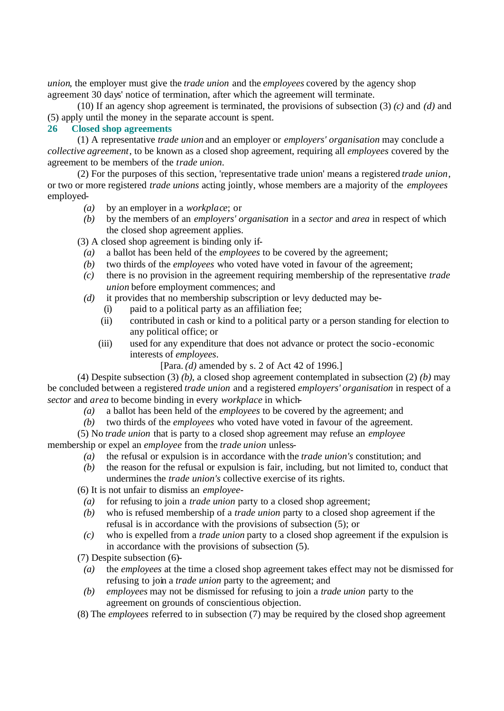*union*, the employer must give the *trade union* and the *employees* covered by the agency shop agreement 30 days' notice of termination, after which the agreement will terminate.

(10) If an agency shop agreement is terminated, the provisions of subsection (3) *(c)* and *(d)* and (5) apply until the money in the separate account is spent.

### **26 Closed shop agreements**

(1) A representative *trade union* and an employer or *employers' organisation* may conclude a *collective agreement*, to be known as a closed shop agreement, requiring all *employees* covered by the agreement to be members of the *trade union*.

(2) For the purposes of this section, 'representative trade union' means a registered *trade union*, or two or more registered *trade unions* acting jointly, whose members are a majority of the *employees* employed-

- *(a)* by an employer in a *workplace*; or
- *(b)* by the members of an *employers' organisation* in a *sector* and *area* in respect of which the closed shop agreement applies.

(3) A closed shop agreement is binding only if-

- *(a)* a ballot has been held of the *employees* to be covered by the agreement;
- *(b)* two thirds of the *employees* who voted have voted in favour of the agreement;
- *(c)* there is no provision in the agreement requiring membership of the representative *trade union* before employment commences; and
- *(d)* it provides that no membership subscription or levy deducted may be-
	- (i) paid to a political party as an affiliation fee;
	- (ii) contributed in cash or kind to a political party or a person standing for election to any political office; or
	- (iii) used for any expenditure that does not advance or protect the socio-economic interests of *employees*.
		- [Para. *(d)* amended by s. 2 of Act 42 of 1996.]

(4) Despite subsection (3) *(b)*, a closed shop agreement contemplated in subsection (2) *(b)* may be concluded between a registered *trade union* and a registered *employers' organisation* in respect of a *sector* and *area* to become binding in every *workplace* in which-

- *(a)* a ballot has been held of the *employees* to be covered by the agreement; and
- *(b)* two thirds of the *employees* who voted have voted in favour of the agreement.

(5) No *trade union* that is party to a closed shop agreement may refuse an *employee* membership or expel an *employee* from the *trade union* unless-

- *(a)* the refusal or expulsion is in accordance with the *trade union's* constitution; and
- *(b)* the reason for the refusal or expulsion is fair, including, but not limited to, conduct that undermines the *trade union's* collective exercise of its rights.

(6) It is not unfair to dismiss an *employee*-

- *(a)* for refusing to join a *trade union* party to a closed shop agreement;
- *(b)* who is refused membership of a *trade union* party to a closed shop agreement if the refusal is in accordance with the provisions of subsection (5); or
- *(c)* who is expelled from a *trade union* party to a closed shop agreement if the expulsion is in accordance with the provisions of subsection (5).

(7) Despite subsection (6)-

- *(a)* the *employees* at the time a closed shop agreement takes effect may not be dismissed for refusing to join a *trade union* party to the agreement; and
- *(b) employees* may not be dismissed for refusing to join a *trade union* party to the agreement on grounds of conscientious objection.
- (8) The *employees* referred to in subsection (7) may be required by the closed shop agreement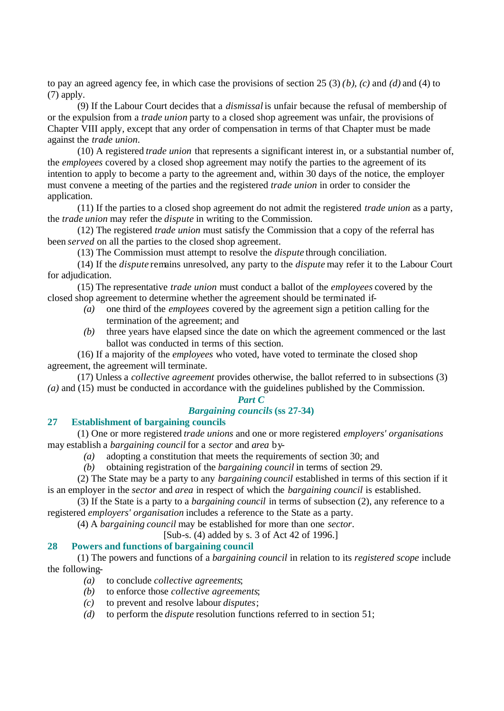to pay an agreed agency fee, in which case the provisions of section 25 (3) *(b)*, *(c)* and *(d)* and (4) to (7) apply.

(9) If the Labour Court decides that a *dismissal* is unfair because the refusal of membership of or the expulsion from a *trade union* party to a closed shop agreement was unfair, the provisions of Chapter VIII apply, except that any order of compensation in terms of that Chapter must be made against the *trade union*.

(10) A registered *trade union* that represents a significant interest in, or a substantial number of, the *employees* covered by a closed shop agreement may notify the parties to the agreement of its intention to apply to become a party to the agreement and, within 30 days of the notice, the employer must convene a meeting of the parties and the registered *trade union* in order to consider the application.

(11) If the parties to a closed shop agreement do not admit the registered *trade union* as a party, the *trade union* may refer the *dispute* in writing to the Commission.

(12) The registered *trade union* must satisfy the Commission that a copy of the referral has been *served* on all the parties to the closed shop agreement.

(13) The Commission must attempt to resolve the *dispute* through conciliation.

(14) If the *dispute* remains unresolved, any party to the *dispute* may refer it to the Labour Court for adjudication.

(15) The representative *trade union* must conduct a ballot of the *employees* covered by the closed shop agreement to determine whether the agreement should be terminated if-

- *(a)* one third of the *employees* covered by the agreement sign a petition calling for the termination of the agreement; and
- *(b)* three years have elapsed since the date on which the agreement commenced or the last ballot was conducted in terms of this section.

(16) If a majority of the *employees* who voted, have voted to terminate the closed shop agreement, the agreement will terminate.

(17) Unless a *collective agreement* provides otherwise, the ballot referred to in subsections (3) *(a)* and (15) must be conducted in accordance with the guidelines published by the Commission.

#### *Part C*

### *Bargaining councils* **(ss 27-34)**

#### **27 Establishment of bargaining councils**

(1) One or more registered *trade unions* and one or more registered *employers' organisations* may establish a *bargaining council* for a *sector* and *area* by-

*(a)* adopting a constitution that meets the requirements of section 30; and

*(b)* obtaining registration of the *bargaining council* in terms of section 29.

(2) The State may be a party to any *bargaining council* established in terms of this section if it is an employer in the *sector* and *area* in respect of which the *bargaining council* is established.

(3) If the State is a party to a *bargaining council* in terms of subsection (2), any reference to a registered *employers' organisation* includes a reference to the State as a party.

(4) A *bargaining council* may be established for more than one *sector*.

[Sub-s. (4) added by s. 3 of Act 42 of 1996.]

### **28 Powers and functions of bargaining council**

(1) The powers and functions of a *bargaining council* in relation to its *registered scope* include the following-

- *(a)* to conclude *collective agreements*;
- *(b)* to enforce those *collective agreements*;
- *(c)* to prevent and resolve labour *disputes*;
- *(d)* to perform the *dispute* resolution functions referred to in section 51;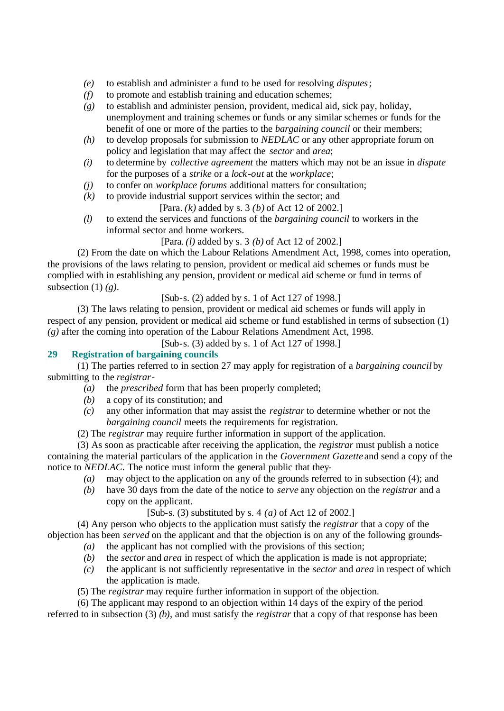- *(e)* to establish and administer a fund to be used for resolving *disputes*;
- *(f)* to promote and establish training and education schemes;
- *(g)* to establish and administer pension, provident, medical aid, sick pay, holiday, unemployment and training schemes or funds or any similar schemes or funds for the benefit of one or more of the parties to the *bargaining council* or their members;
- *(h)* to develop proposals for submission to *NEDLAC* or any other appropriate forum on policy and legislation that may affect the *sector* and *area*;
- *(i)* to determine by *collective agreement* the matters which may not be an issue in *dispute* for the purposes of a *strike* or a *lock-out* at the *workplace*;
- *(j)* to confer on *workplace forums* additional matters for consultation;
- *(k)* to provide industrial support services within the sector; and
	- [Para. *(k)* added by s. 3 *(b)* of Act 12 of 2002.]
- *(l)* to extend the services and functions of the *bargaining council* to workers in the informal sector and home workers.

[Para. *(l)* added by s. 3 *(b)* of Act 12 of 2002.]

(2) From the date on which the Labour Relations Amendment Act, 1998, comes into operation, the provisions of the laws relating to pension, provident or medical aid schemes or funds must be complied with in establishing any pension, provident or medical aid scheme or fund in terms of subsection (1) *(g)*.

[Sub-s. (2) added by s. 1 of Act 127 of 1998.]

(3) The laws relating to pension, provident or medical aid schemes or funds will apply in respect of any pension, provident or medical aid scheme or fund established in terms of subsection (1) *(g)* after the coming into operation of the Labour Relations Amendment Act, 1998.

[Sub-s. (3) added by s. 1 of Act 127 of 1998.]

#### **29 Registration of bargaining councils**

(1) The parties referred to in section 27 may apply for registration of a *bargaining council* by submitting to the *registrar*-

- *(a)* the *prescribed* form that has been properly completed;
- *(b)* a copy of its constitution; and
- *(c)* any other information that may assist the *registrar* to determine whether or not the *bargaining council* meets the requirements for registration.
- (2) The *registrar* may require further information in support of the application.

(3) As soon as practicable after receiving the application, the *registrar* must publish a notice containing the material particulars of the application in the *Government Gazette* and send a copy of the notice to *NEDLAC*. The notice must inform the general public that they-

- *(a)* may object to the application on any of the grounds referred to in subsection (4); and
- *(b)* have 30 days from the date of the notice to *serve* any objection on the *registrar* and a copy on the applicant.

[Sub-s. (3) substituted by s. 4 *(a)* of Act 12 of 2002.]

(4) Any person who objects to the application must satisfy the *registrar* that a copy of the objection has been *served* on the applicant and that the objection is on any of the following grounds-

- *(a)* the applicant has not complied with the provisions of this section;
- *(b)* the *sector* and *area* in respect of which the application is made is not appropriate;
- *(c)* the applicant is not sufficiently representative in the *sector* and *area* in respect of which the application is made.
- (5) The *registrar* may require further information in support of the objection.

(6) The applicant may respond to an objection within 14 days of the expiry of the period referred to in subsection (3) *(b)*, and must satisfy the *registrar* that a copy of that response has been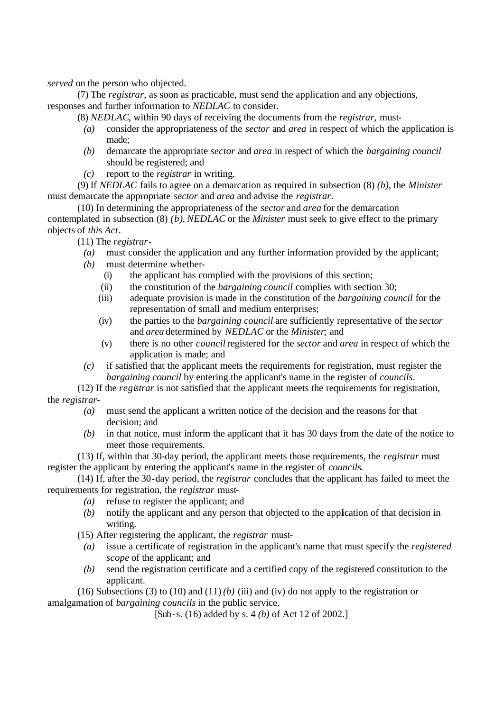*served* on the person who objected.

(7) The *registrar*, as soon as practicable, must send the application and any objections, responses and further information to *NEDLAC* to consider.

(8) *NEDLAC*, within 90 days of receiving the documents from the *registrar*, must-

- *(a)* consider the appropriateness of the *sector* and *area* in respect of which the application is made;
- *(b)* demarcate the appropriate *sector* and *area* in respect of which the *bargaining council* should be registered; and
- *(c)* report to the *registrar* in writing.

(9) If *NEDLAC* fails to agree on a demarcation as required in subsection (8) *(b)*, the *Minister* must demarcate the appropriate *sector* and *area* and advise the *registrar*.

(10) In determining the appropriateness of the *sector* and *area* for the demarcation contemplated in subsection (8) *(b)*, *NEDLAC* or the *Minister* must seek to give effect to the primary objects of *this Act*.

(11) The *registrar*-

- *(a)* must consider the application and any further information provided by the applicant;
- *(b)* must determine whether-
	- (i) the applicant has complied with the provisions of this section;
	- (ii) the constitution of the *bargaining council* complies with section 30;
	- (iii) adequate provision is made in the constitution of the *bargaining council* for the representation of small and medium enterprises;
	- (iv) the parties to the *bargaining council* are sufficiently representative of the *sector* and *area* determined by *NEDLAC* or the *Minister*; and
	- (v) there is no other *council* registered for the *sector* and *area* in respect of which the application is made; and
- *(c)* if satisfied that the applicant meets the requirements for registration, must register the *bargaining council* by entering the applicant's name in the register of *councils*.

(12) If the *registrar* is not satisfied that the applicant meets the requirements for registration, the *registrar*-

- *(a)* must send the applicant a written notice of the decision and the reasons for that decision; and
- *(b)* in that notice, must inform the applicant that it has 30 days from the date of the notice to meet those requirements.

(13) If, within that 30-day period, the applicant meets those requirements, the *registrar* must register the applicant by entering the applicant's name in the register of *councils*.

(14) If, after the 30-day period, the *registrar* concludes that the applicant has failed to meet the requirements for registration, the *registrar* must-

- *(a)* refuse to register the applicant; and
- *(b)* notify the applicant and any person that objected to the application of that decision in writing.

(15) After registering the applicant, the *registrar* must-

- *(a)* issue a certificate of registration in the applicant's name that must specify the *registered scope* of the applicant; and
- *(b)* send the registration certificate and a certified copy of the registered constitution to the applicant.

(16) Subsections (3) to (10) and (11) *(b)* (iii) and (iv) do not apply to the registration or amalgamation of *bargaining councils* in the public service.

[Sub-s. (16) added by s. 4 *(b)* of Act 12 of 2002.]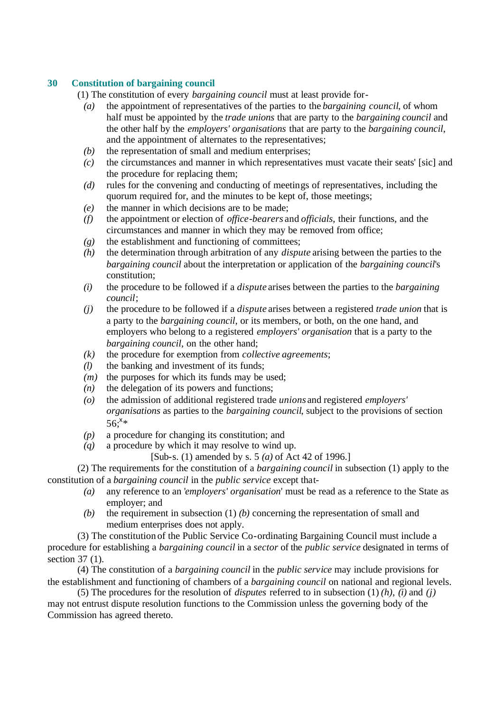### **30 Constitution of bargaining council**

(1) The constitution of every *bargaining council* must at least provide for-

- *(a)* the appointment of representatives of the parties to the *bargaining council*, of whom half must be appointed by the *trade unions* that are party to the *bargaining council* and the other half by the *employers' organisations* that are party to the *bargaining council*, and the appointment of alternates to the representatives;
- *(b)* the representation of small and medium enterprises;
- *(c)* the circumstances and manner in which representatives must vacate their seats' [sic] and the procedure for replacing them;
- *(d)* rules for the convening and conducting of meetings of representatives, including the quorum required for, and the minutes to be kept of, those meetings;
- *(e)* the manner in which decisions are to be made;
- *(f)* the appointment or election of *office-bearers* and *officials*, their functions, and the circumstances and manner in which they may be removed from office;
- *(g)* the establishment and functioning of committees;
- *(h)* the determination through arbitration of any *dispute* arising between the parties to the *bargaining council* about the interpretation or application of the *bargaining council*'s constitution;
- *(i)* the procedure to be followed if a *dispute* arises between the parties to the *bargaining council*;
- *(j)* the procedure to be followed if a *dispute* arises between a registered *trade union* that is a party to the *bargaining council*, or its members, or both, on the one hand, and employers who belong to a registered *employers' organisation* that is a party to the *bargaining council*, on the other hand;
- *(k)* the procedure for exemption from *collective agreements*;
- *(l)* the banking and investment of its funds;
- *(m)* the purposes for which its funds may be used;
- *(n)* the delegation of its powers and functions;
- *(o)* the admission of additional registered trade *unions* and registered *employers' organisations* as parties to the *bargaining council*, subject to the provisions of section  $56;$ <sup>x</sup>\*
- *(p)* a procedure for changing its constitution; and
- *(q)* a procedure by which it may resolve to wind up.
	- [Sub-s. (1) amended by s. 5 *(a)* of Act 42 of 1996.]

(2) The requirements for the constitution of a *bargaining council* in subsection (1) apply to the constitution of a *bargaining council* in the *public service* except that-

- *(a)* any reference to an '*employers' organisation*' must be read as a reference to the State as employer; and
- *(b)* the requirement in subsection (1) *(b)* concerning the representation of small and medium enterprises does not apply.

(3) The constitution of the Public Service Co-ordinating Bargaining Council must include a procedure for establishing a *bargaining council* in a *sector* of the *public service* designated in terms of section 37 (1).

(4) The constitution of a *bargaining council* in the *public service* may include provisions for the establishment and functioning of chambers of a *bargaining council* on national and regional levels.

(5) The procedures for the resolution of *disputes* referred to in subsection (1) *(h)*, *(i)* and *(j)* may not entrust dispute resolution functions to the Commission unless the governing body of the Commission has agreed thereto.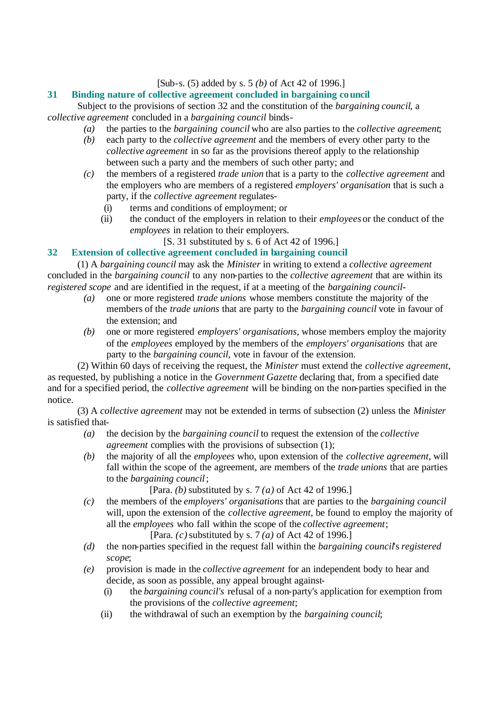[Sub-s. (5) added by s. 5 *(b)* of Act 42 of 1996.]

### **31 Binding nature of collective agreement concluded in bargaining council**

Subject to the provisions of section 32 and the constitution of the *bargaining council*, a *collective agreement* concluded in a *bargaining council* binds-

- *(a)* the parties to the *bargaining council* who are also parties to the *collective agreement*;
- *(b)* each party to the *collective agreement* and the members of every other party to the *collective agreement* in so far as the provisions thereof apply to the relationship between such a party and the members of such other party; and
- *(c)* the members of a registered *trade union* that is a party to the *collective agreement* and the employers who are members of a registered *employers' organisation* that is such a party, if the *collective agreement* regulates-
	- (i) terms and conditions of employment; or
	- (ii) the conduct of the employers in relation to their *employees* or the conduct of the *employees* in relation to their employers.

[S. 31 substituted by s. 6 of Act 42 of 1996.]

### **32 Extension of collective agreement concluded in bargaining council**

(1) A *bargaining council* may ask the *Minister* in writing to extend a *collective agreement* concluded in the *bargaining council* to any non-parties to the *collective agreement* that are within its *registered scope* and are identified in the request, if at a meeting of the *bargaining council*-

- *(a)* one or more registered *trade unions* whose members constitute the majority of the members of the *trade unions* that are party to the *bargaining council* vote in favour of the extension; and
- *(b)* one or more registered *employers' organisations*, whose members employ the majority of the *employees* employed by the members of the *employers' organisations* that are party to the *bargaining council*, vote in favour of the extension.

(2) Within 60 days of receiving the request, the *Minister* must extend the *collective agreement*, as requested, by publishing a notice in the *Government Gazette* declaring that, from a specified date and for a specified period, the *collective agreement* will be binding on the non-parties specified in the notice.

(3) A *collective agreement* may not be extended in terms of subsection (2) unless the *Minister* is satisfied that-

- *(a)* the decision by the *bargaining council* to request the extension of the *collective agreement* complies with the provisions of subsection (1);
- *(b)* the majority of all the *employees* who, upon extension of the *collective agreement*, will fall within the scope of the agreement, are members of the *trade unions* that are parties to the *bargaining council*;

[Para. *(b)* substituted by s. 7 *(a)* of Act 42 of 1996.]

- *(c)* the members of the *employers' organisations* that are parties to the *bargaining council* will, upon the extension of the *collective agreement*, be found to employ the majority of all the *employees* who fall within the scope of the *collective agreement*; [Para. *(c)* substituted by s. 7 *(a)* of Act 42 of 1996.]
- *(d)* the non-parties specified in the request fall within the *bargaining council*'s *registered scope*;
- *(e)* provision is made in the *collective agreement* for an independent body to hear and decide, as soon as possible, any appeal brought against-
	- (i) the *bargaining council's* refusal of a non-party's application for exemption from the provisions of the *collective agreement*;
	- (ii) the withdrawal of such an exemption by the *bargaining council*;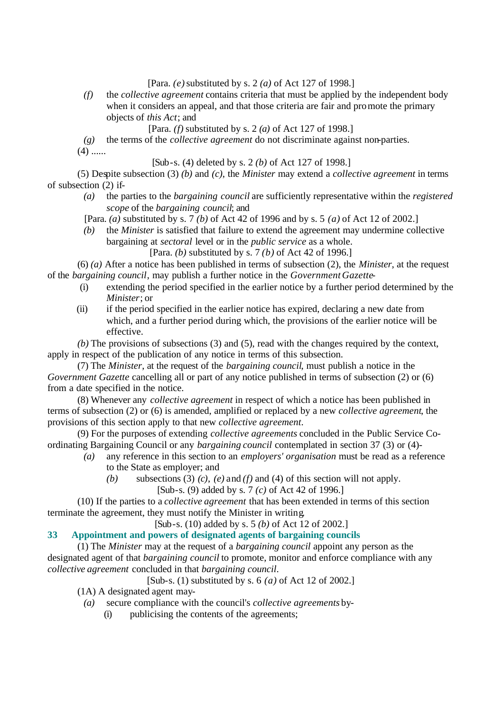[Para. *(e)* substituted by s. 2 *(a)* of Act 127 of 1998.]

- *(f)* the *collective agreement* contains criteria that must be applied by the independent body when it considers an appeal, and that those criteria are fair and promote the primary objects of *this Act*; and
	- [Para. *(f)* substituted by s. 2 *(a)* of Act 127 of 1998.]
- *(g)* the terms of the *collective agreement* do not discriminate against non-parties.

 $(4)$  ......

[Sub-s. (4) deleted by s. 2 *(b)* of Act 127 of 1998.]

(5) Despite subsection (3) *(b)* and *(c)*, the *Minister* may extend a *collective agreement* in terms of subsection (2) if-

- *(a)* the parties to the *bargaining council* are sufficiently representative within the *registered scope* of the *bargaining council*; and
- [Para. *(a)* substituted by s. 7 *(b)* of Act 42 of 1996 and by s. 5 *(a)* of Act 12 of 2002.]
- *(b)* the *Minister* is satisfied that failure to extend the agreement may undermine collective bargaining at *sectoral* level or in the *public service* as a whole.

[Para. *(b)* substituted by s. 7 *(b)* of Act 42 of 1996.]

(6) *(a)* After a notice has been published in terms of subsection (2), the *Minister*, at the request of the *bargaining council*, may publish a further notice in the *Government Gazette*-

- (i) extending the period specified in the earlier notice by a further period determined by the *Minister*; or
- (ii) if the period specified in the earlier notice has expired, declaring a new date from which, and a further period during which, the provisions of the earlier notice will be effective.

*(b)* The provisions of subsections (3) and (5), read with the changes required by the context, apply in respect of the publication of any notice in terms of this subsection.

(7) The *Minister*, at the request of the *bargaining council*, must publish a notice in the *Government Gazette* cancelling all or part of any notice published in terms of subsection (2) or (6) from a date specified in the notice.

(8) Whenever any *collective agreement* in respect of which a notice has been published in terms of subsection (2) or (6) is amended, amplified or replaced by a new *collective agreement*, the provisions of this section apply to that new *collective agreement*.

(9) For the purposes of extending *collective agreements* concluded in the Public Service Coordinating Bargaining Council or any *bargaining council* contemplated in section 37 (3) or (4)-

- *(a)* any reference in this section to an *employers' organisation* must be read as a reference to the State as employer; and
	- *(b)* subsections (3) *(c)*, *(e)* and *(f)* and (4) of this section will not apply.
		- [Sub-s. (9) added by s. 7 *(c)* of Act 42 of 1996.]

(10) If the parties to a *collective agreement* that has been extended in terms of this section terminate the agreement, they must notify the Minister in writing.

[Sub-s. (10) added by s. 5 *(b)* of Act 12 of 2002.]

### **33 Appointment and powers of designated agents of bargaining councils**

(1) The *Minister* may at the request of a *bargaining council* appoint any person as the designated agent of that *bargaining council* to promote, monitor and enforce compliance with any *collective agreement* concluded in that *bargaining council*.

[Sub-s. (1) substituted by s. 6 *(a)* of Act 12 of 2002.]

(1A) A designated agent may-

- *(a)* secure compliance with the council's *collective agreements* by-
	- (i) publicising the contents of the agreements;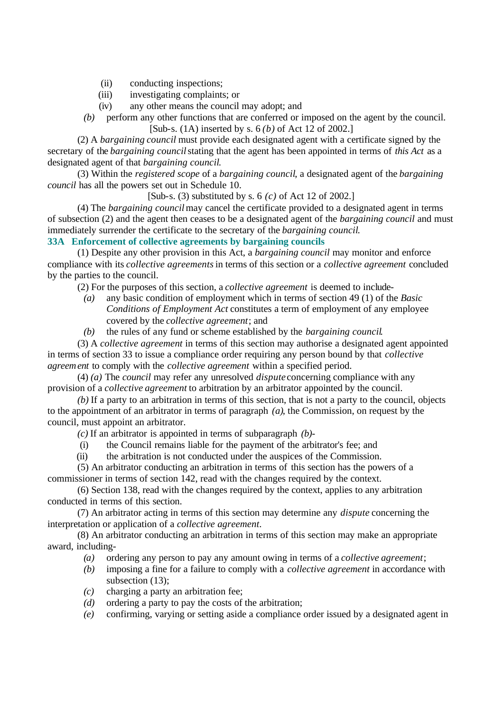- (ii) conducting inspections;
- (iii) investigating complaints; or
- (iv) any other means the council may adopt; and
- *(b)* perform any other functions that are conferred or imposed on the agent by the council. [Sub-s. (1A) inserted by s. 6 *(b)* of Act 12 of 2002.]

(2) A *bargaining council* must provide each designated agent with a certificate signed by the secretary of the *bargaining council* stating that the agent has been appointed in terms of *this Act* as a designated agent of that *bargaining council*.

(3) Within the *registered scope* of a *bargaining council*, a designated agent of the *bargaining council* has all the powers set out in Schedule 10.

[Sub-s. (3) substituted by s. 6 *(c)* of Act 12 of 2002.]

(4) The *bargaining council* may cancel the certificate provided to a designated agent in terms of subsection (2) and the agent then ceases to be a designated agent of the *bargaining council* and must immediately surrender the certificate to the secretary of the *bargaining council*.

### **33A Enforcement of collective agreements by bargaining councils**

(1) Despite any other provision in this Act, a *bargaining council* may monitor and enforce compliance with its *collective agreements* in terms of this section or a *collective agreement* concluded by the parties to the council.

(2) For the purposes of this section, a *collective agreement* is deemed to include-

- *(a)* any basic condition of employment which in terms of section 49 (1) of the *Basic Conditions of Employment Act* constitutes a term of employment of any employee covered by the *collective agreement*; and
- *(b)* the rules of any fund or scheme established by the *bargaining council*.

(3) A *collective agreement* in terms of this section may authorise a designated agent appointed in terms of section 33 to issue a compliance order requiring any person bound by that *collective agreement* to comply with the *collective agreement* within a specified period.

(4) *(a)* The *council* may refer any unresolved *dispute* concerning compliance with any provision of a *collective agreement* to arbitration by an arbitrator appointed by the council.

*(b)* If a party to an arbitration in terms of this section, that is not a party to the council, objects to the appointment of an arbitrator in terms of paragraph *(a)*, the Commission, on request by the council, must appoint an arbitrator.

*(c)* If an arbitrator is appointed in terms of subparagraph *(b)*-

- (i) the Council remains liable for the payment of the arbitrator's fee; and
- (ii) the arbitration is not conducted under the auspices of the Commission.

(5) An arbitrator conducting an arbitration in terms of this section has the powers of a commissioner in terms of section 142, read with the changes required by the context.

(6) Section 138, read with the changes required by the context, applies to any arbitration conducted in terms of this section.

(7) An arbitrator acting in terms of this section may determine any *dispute* concerning the interpretation or application of a *collective agreement*.

(8) An arbitrator conducting an arbitration in terms of this section may make an appropriate award, including-

- *(a)* ordering any person to pay any amount owing in terms of a *collective agreement*;
- *(b)* imposing a fine for a failure to comply with a *collective agreement* in accordance with subsection (13):
- *(c)* charging a party an arbitration fee;
- *(d)* ordering a party to pay the costs of the arbitration;
- *(e)* confirming, varying or setting aside a compliance order issued by a designated agent in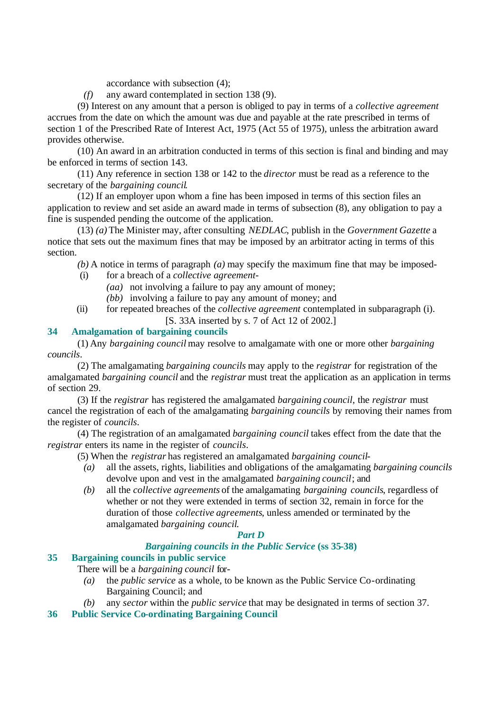accordance with subsection (4);

*(f)* any award contemplated in section 138 (9).

(9) Interest on any amount that a person is obliged to pay in terms of a *collective agreement* accrues from the date on which the amount was due and payable at the rate prescribed in terms of section 1 of the Prescribed Rate of Interest Act, 1975 (Act 55 of 1975), unless the arbitration award provides otherwise.

(10) An award in an arbitration conducted in terms of this section is final and binding and may be enforced in terms of section 143.

(11) Any reference in section 138 or 142 to the *director* must be read as a reference to the secretary of the *bargaining council*.

(12) If an employer upon whom a fine has been imposed in terms of this section files an application to review and set aside an award made in terms of subsection (8), any obligation to pay a fine is suspended pending the outcome of the application.

(13) *(a)* The Minister may, after consulting *NEDLAC*, publish in the *Government Gazette* a notice that sets out the maximum fines that may be imposed by an arbitrator acting in terms of this section.

*(b)* A notice in terms of paragraph *(a)* may specify the maximum fine that may be imposed-

- (i) for a breach of a *collective agreement*
	- *(aa)* not involving a failure to pay any amount of money;
	- *(bb)* involving a failure to pay any amount of money; and
- (ii) for repeated breaches of the *collective agreement* contemplated in subparagraph (i).
	- [S. 33A inserted by s. 7 of Act 12 of 2002.]

### **34 Amalgamation of bargaining councils**

(1) Any *bargaining council* may resolve to amalgamate with one or more other *bargaining councils*.

(2) The amalgamating *bargaining councils* may apply to the *registrar* for registration of the amalgamated *bargaining council* and the *registrar* must treat the application as an application in terms of section 29.

(3) If the *registrar* has registered the amalgamated *bargaining council*, the *registrar* must cancel the registration of each of the amalgamating *bargaining councils* by removing their names from the register of *councils*.

(4) The registration of an amalgamated *bargaining council* takes effect from the date that the *registrar* enters its name in the register of *councils*.

(5) When the *registrar* has registered an amalgamated *bargaining council*-

- *(a)* all the assets, rights, liabilities and obligations of the amalgamating *bargaining councils* devolve upon and vest in the amalgamated *bargaining council*; and
- *(b)* all the *collective agreements* of the amalgamating *bargaining councils*, regardless of whether or not they were extended in terms of section 32, remain in force for the duration of those *collective agreements*, unless amended or terminated by the amalgamated *bargaining council*.

### *Part D*

#### *Bargaining councils in the Public Service* **(ss 35-38)**

### **35 Bargaining councils in public service**

There will be a *bargaining council* for-

- *(a)* the *public service* as a whole, to be known as the Public Service Co-ordinating Bargaining Council; and
- *(b)* any *sector* within the *public service* that may be designated in terms of section 37.
- **36 Public Service Co-ordinating Bargaining Council**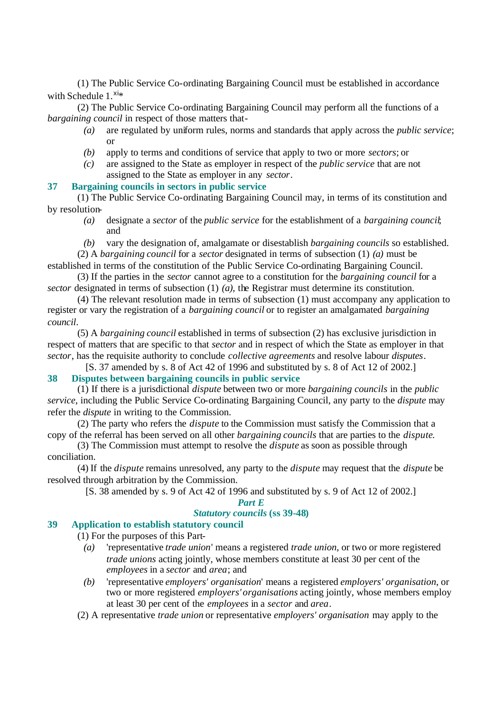(1) The Public Service Co-ordinating Bargaining Council must be established in accordance with Schedule  $1.^{\text{xi}}$ 

(2) The Public Service Co-ordinating Bargaining Council may perform all the functions of a *bargaining council* in respect of those matters that-

- *(a)* are regulated by uniform rules, norms and standards that apply across the *public service*; or
- *(b)* apply to terms and conditions of service that apply to two or more *sectors*; or
- *(c)* are assigned to the State as employer in respect of the *public service* that are not assigned to the State as employer in any *sector*.

#### **37 Bargaining councils in sectors in public service**

(1) The Public Service Co-ordinating Bargaining Council may, in terms of its constitution and by resolution-

- *(a)* designate a *sector* of the *public service* for the establishment of a *bargaining council*; and
- *(b)* vary the designation of, amalgamate or disestablish *bargaining councils* so established.

(2) A *bargaining council* for a *sector* designated in terms of subsection (1) *(a)* must be established in terms of the constitution of the Public Service Co-ordinating Bargaining Council.

(3) If the parties in the *sector* cannot agree to a constitution for the *bargaining council* for a *sector* designated in terms of subsection (1) *(a)*, the Registrar must determine its constitution.

(4) The relevant resolution made in terms of subsection (1) must accompany any application to register or vary the registration of a *bargaining council* or to register an amalgamated *bargaining council*.

(5) A *bargaining council* established in terms of subsection (2) has exclusive jurisdiction in respect of matters that are specific to that *sector* and in respect of which the State as employer in that *sector*, has the requisite authority to conclude *collective agreements* and resolve labour *disputes*.

[S. 37 amended by s. 8 of Act 42 of 1996 and substituted by s. 8 of Act 12 of 2002.] **38 Disputes between bargaining councils in public service**

(1) If there is a jurisdictional *dispute* between two or more *bargaining councils* in the *public service*, including the Public Service Co-ordinating Bargaining Council, any party to the *dispute* may refer the *dispute* in writing to the Commission.

(2) The party who refers the *dispute* to the Commission must satisfy the Commission that a copy of the referral has been served on all other *bargaining councils* that are parties to the *dispute*.

(3) The Commission must attempt to resolve the *dispute* as soon as possible through conciliation.

(4) If the *dispute* remains unresolved, any party to the *dispute* may request that the *dispute* be resolved through arbitration by the Commission.

[S. 38 amended by s. 9 of Act 42 of 1996 and substituted by s. 9 of Act 12 of 2002.]

### *Part E Statutory councils* **(ss 39-48)**

#### **39 Application to establish statutory council**

(1) For the purposes of this Part-

- *(a)* 'representative *trade union*' means a registered *trade union*, or two or more registered *trade unions* acting jointly, whose members constitute at least 30 per cent of the *employees* in a *sector* and *area*; and
- *(b)* 'representative *employers' organisation*' means a registered *employers' organisation*, or two or more registered *employers' organisations* acting jointly, whose members employ at least 30 per cent of the *employees* in a *sector* and *area*.
- (2) A representative *trade union* or representative *employers' organisation* may apply to the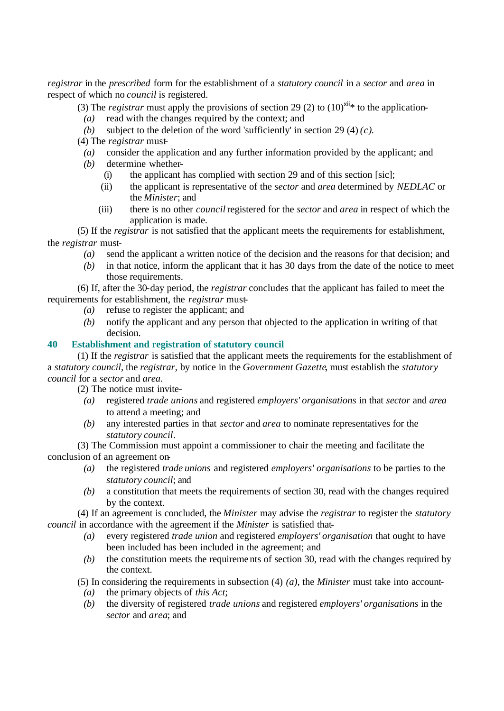*registrar* in the *prescribed* form for the establishment of a *statutory council* in a *sector* and *area* in respect of which no *council* is registered.

(3) The *registrar* must apply the provisions of section 29 (2) to  $(10)^{xii*}$  to the application-

- *(a)* read with the changes required by the context; and
- *(b)* subject to the deletion of the word 'sufficiently' in section 29 (4)  $(c)$ .
- (4) The *registrar* must-
	- *(a)* consider the application and any further information provided by the applicant; and
- *(b)* determine whether-
	- (i) the applicant has complied with section 29 and of this section [sic];
	- (ii) the applicant is representative of the *sector* and *area* determined by *NEDLAC* or the *Minister*; and
	- (iii) there is no other *council* registered for the *sector* and *area* in respect of which the application is made.

(5) If the *registrar* is not satisfied that the applicant meets the requirements for establishment, the *registrar* must-

- *(a)* send the applicant a written notice of the decision and the reasons for that decision; and
- *(b)* in that notice, inform the applicant that it has 30 days from the date of the notice to meet those requirements.

(6) If, after the 30-day period, the *registrar* concludes that the applicant has failed to meet the requirements for establishment, the *registrar* must-

- *(a)* refuse to register the applicant; and
- *(b)* notify the applicant and any person that objected to the application in writing of that decision.

### **40 Establishment and registration of statutory council**

(1) If the *registrar* is satisfied that the applicant meets the requirements for the establishment of a *statutory council*, the *registrar*, by notice in the *Government Gazette*, must establish the *statutory council* for a *sector* and *area*.

(2) The notice must invite-

- *(a)* registered *trade unions* and registered *employers' organisations* in that *sector* and *area* to attend a meeting; and
- *(b)* any interested parties in that *sector* and *area* to nominate representatives for the *statutory council*.

(3) The Commission must appoint a commissioner to chair the meeting and facilitate the conclusion of an agreement on-

- *(a)* the registered *trade unions* and registered *employers' organisations* to be parties to the *statutory council*; and
- *(b)* a constitution that meets the requirements of section 30, read with the changes required by the context.

(4) If an agreement is concluded, the *Minister* may advise the *registrar* to register the *statutory council* in accordance with the agreement if the *Minister* is satisfied that-

- *(a)* every registered *trade union* and registered *employers' organisation* that ought to have been included has been included in the agreement; and
- *(b)* the constitution meets the requirements of section 30, read with the changes required by the context.

(5) In considering the requirements in subsection (4) *(a)*, the *Minister* must take into account-

- *(a)* the primary objects of *this Act*;
- *(b)* the diversity of registered *trade unions* and registered *employers' organisations* in the *sector* and *area*; and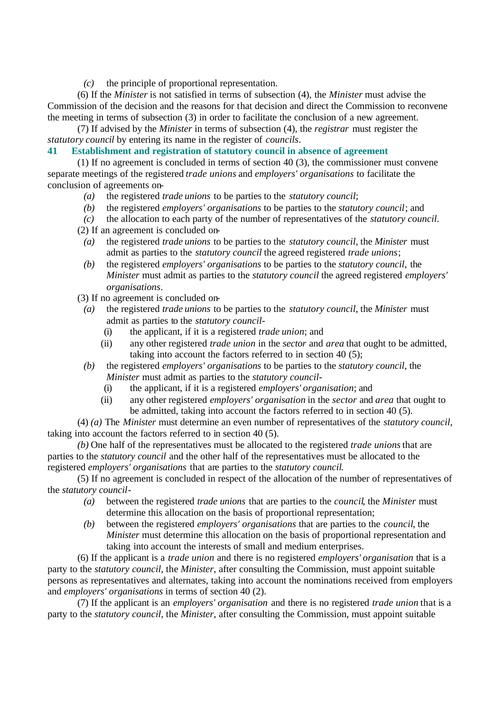*(c)* the principle of proportional representation.

(6) If the *Minister* is not satisfied in terms of subsection (4), the *Minister* must advise the Commission of the decision and the reasons for that decision and direct the Commission to reconvene the meeting in terms of subsection (3) in order to facilitate the conclusion of a new agreement.

(7) If advised by the *Minister* in terms of subsection (4), the *registrar* must register the *statutory council* by entering its name in the register of *councils*.

### **41 Establishment and registration of statutory council in absence of agreement**

(1) If no agreement is concluded in terms of section 40 (3), the commissioner must convene separate meetings of the registered *trade unions* and *employers' organisations* to facilitate the conclusion of agreements on-

- *(a)* the registered *trade unions* to be parties to the *statutory council*;
- *(b)* the registered *employers' organisations* to be parties to the *statutory council*; and
- *(c)* the allocation to each party of the number of representatives of the *statutory council*. (2) If an agreement is concluded on-
	- *(a)* the registered *trade unions* to be parties to the *statutory council*, the *Minister* must admit as parties to the *statutory council* the agreed registered *trade unions*;
	- *(b)* the registered *employers' organisations* to be parties to the *statutory council*, the *Minister* must admit as parties to the *statutory council* the agreed registered *employers' organisations*.

(3) If no agreement is concluded on-

- *(a)* the registered *trade unions* to be parties to the *statutory council*, the *Minister* must admit as parties to the *statutory council*-
	- (i) the applicant, if it is a registered *trade union*; and
	- (ii) any other registered *trade union* in the *sector* and *area* that ought to be admitted, taking into account the factors referred to in section 40 (5);
- *(b)* the registered *employers' organisations* to be parties to the *statutory council*, the *Minister* must admit as parties to the *statutory council*-
	- (i) the applicant, if it is a registered *employers' organisation*; and
	- (ii) any other registered *employers' organisation* in the *sector* and *area* that ought to be admitted, taking into account the factors referred to in section 40 (5).

(4) *(a)* The *Minister* must determine an even number of representatives of the *statutory council*, taking into account the factors referred to in section 40 (5).

*(b)* One half of the representatives must be allocated to the registered *trade unions* that are parties to the *statutory council* and the other half of the representatives must be allocated to the registered *employers' organisations* that are parties to the *statutory council*.

(5) If no agreement is concluded in respect of the allocation of the number of representatives of the *statutory council*-

- *(a)* between the registered *trade unions* that are parties to the *council*, the *Minister* must determine this allocation on the basis of proportional representation;
- *(b)* between the registered *employers' organisations* that are parties to the *council*, the *Minister* must determine this allocation on the basis of proportional representation and taking into account the interests of small and medium enterprises.

(6) If the applicant is a *trade union* and there is no registered *employers' organisation* that is a party to the *statutory council*, the *Minister*, after consulting the Commission, must appoint suitable persons as representatives and alternates, taking into account the nominations received from employers and *employers' organisations* in terms of section 40 (2).

(7) If the applicant is an *employers' organisation* and there is no registered *trade union* that is a party to the *statutory council*, the *Minister*, after consulting the Commission, must appoint suitable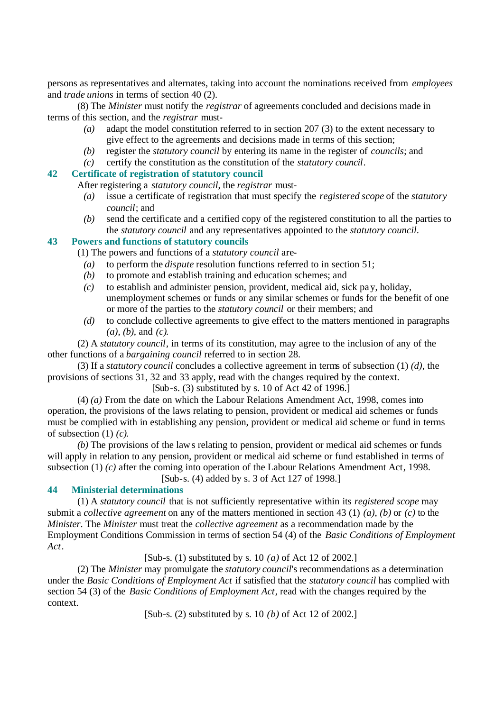persons as representatives and alternates, taking into account the nominations received from *employees* and *trade unions* in terms of section 40 (2).

(8) The *Minister* must notify the *registrar* of agreements concluded and decisions made in terms of this section, and the *registrar* must-

- *(a)* adapt the model constitution referred to in section 207 (3) to the extent necessary to give effect to the agreements and decisions made in terms of this section;
- *(b)* register the *statutory council* by entering its name in the register of *councils*; and
- *(c)* certify the constitution as the constitution of the *statutory council*.

### **42 Certificate of registration of statutory council**

After registering a *statutory council*, the *registrar* must-

- *(a)* issue a certificate of registration that must specify the *registered scope* of the *statutory council*; and
- *(b)* send the certificate and a certified copy of the registered constitution to all the parties to the *statutory council* and any representatives appointed to the *statutory council*.

### **43 Powers and functions of statutory councils**

(1) The powers and functions of a *statutory council* are-

- *(a)* to perform the *dispute* resolution functions referred to in section 51;
- *(b)* to promote and establish training and education schemes; and
- *(c)* to establish and administer pension, provident, medical aid, sick pay, holiday, unemployment schemes or funds or any similar schemes or funds for the benefit of one or more of the parties to the *statutory council* or their members; and
- *(d)* to conclude collective agreements to give effect to the matters mentioned in paragraphs *(a)*, *(b)*, and *(c)*.

(2) A *statutory council*, in terms of its constitution, may agree to the inclusion of any of the other functions of a *bargaining council* referred to in section 28.

(3) If a *statutory council* concludes a collective agreement in terms of subsection (1) *(d)*, the provisions of sections 31, 32 and 33 apply, read with the changes required by the context.

 $[Sub-s. (3)$  substituted by s. 10 of Act 42 of 1996.

(4) *(a)* From the date on which the Labour Relations Amendment Act, 1998, comes into operation, the provisions of the laws relating to pension, provident or medical aid schemes or funds must be complied with in establishing any pension, provident or medical aid scheme or fund in terms of subsection (1) *(c)*.

*(b)* The provisions of the laws relating to pension, provident or medical aid schemes or funds will apply in relation to any pension, provident or medical aid scheme or fund established in terms of subsection (1) *(c)* after the coming into operation of the Labour Relations Amendment Act, 1998.

[Sub-s. (4) added by s. 3 of Act 127 of 1998.]

### **44 Ministerial determinations**

(1) A *statutory council* that is not sufficiently representative within its *registered scope* may submit a *collective agreement* on any of the matters mentioned in section 43 (1) *(a)*, *(b)* or *(c)* to the *Minister*. The *Minister* must treat the *collective agreement* as a recommendation made by the Employment Conditions Commission in terms of section 54 (4) of the *Basic Conditions of Employment Act*.

[Sub-s. (1) substituted by s. 10 *(a)* of Act 12 of 2002.]

(2) The *Minister* may promulgate the *statutory council*'s recommendations as a determination under the *Basic Conditions of Employment Act* if satisfied that the *statutory council* has complied with section 54 (3) of the *Basic Conditions of Employment Act*, read with the changes required by the context.

[Sub-s. (2) substituted by s. 10 *(b)* of Act 12 of 2002.]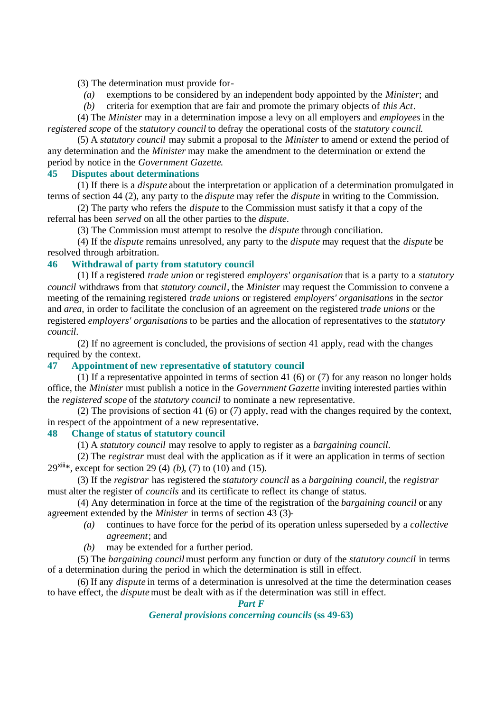(3) The determination must provide for-

*(a)* exemptions to be considered by an independent body appointed by the *Minister*; and

*(b)* criteria for exemption that are fair and promote the primary objects of *this Act*.

(4) The *Minister* may in a determination impose a levy on all employers and *employees* in the *registered scope* of the *statutory council* to defray the operational costs of the *statutory council*.

(5) A *statutory council* may submit a proposal to the *Minister* to amend or extend the period of any determination and the *Minister* may make the amendment to the determination or extend the period by notice in the *Government Gazette*.

### **45 Disputes about determinations**

(1) If there is a *dispute* about the interpretation or application of a determination promulgated in terms of section 44 (2), any party to the *dispute* may refer the *dispute* in writing to the Commission.

(2) The party who refers the *dispute* to the Commission must satisfy it that a copy of the referral has been *served* on all the other parties to the *dispute*.

(3) The Commission must attempt to resolve the *dispute* through conciliation.

(4) If the *dispute* remains unresolved, any party to the *dispute* may request that the *dispute* be resolved through arbitration.

### **46 Withdrawal of party from statutory council**

(1) If a registered *trade union* or registered *employers' organisation* that is a party to a *statutory council* withdraws from that *statutory council*, the *Minister* may request the Commission to convene a meeting of the remaining registered *trade unions* or registered *employers' organisations* in the *sector* and *area*, in order to facilitate the conclusion of an agreement on the registered *trade unions* or the registered *employers' organisations* to be parties and the allocation of representatives to the *statutory council*.

(2) If no agreement is concluded, the provisions of section 41 apply, read with the changes required by the context.

### **47 Appointment of new representative of statutory council**

(1) If a representative appointed in terms of section 41 (6) or (7) for any reason no longer holds office, the *Minister* must publish a notice in the *Government Gazette* inviting interested parties within the *registered scope* of the *statutory council* to nominate a new representative.

(2) The provisions of section 41 (6) or (7) apply, read with the changes required by the context, in respect of the appointment of a new representative.

#### **48 Change of status of statutory council**

(1) A *statutory council* may resolve to apply to register as a *bargaining council*.

(2) The *registrar* must deal with the application as if it were an application in terms of section 29xiii\*, except for section 29 (4) *(b)*, (7) to (10) and (15).

(3) If the *registrar* has registered the *statutory council* as a *bargaining council*, the *registrar* must alter the register of *councils* and its certificate to reflect its change of status.

(4) Any determination in force at the time of the registration of the *bargaining council* or any agreement extended by the *Minister* in terms of section 43 (3)-

- *(a)* continues to have force for the period of its operation unless superseded by a *collective agreement*; and
- *(b)* may be extended for a further period.

(5) The *bargaining council* must perform any function or duty of the *statutory council* in terms of a determination during the period in which the determination is still in effect.

(6) If any *dispute* in terms of a determination is unresolved at the time the determination ceases to have effect, the *dispute* must be dealt with as if the determination was still in effect.

### *Part F*

*General provisions concerning councils* **(ss 49-63)**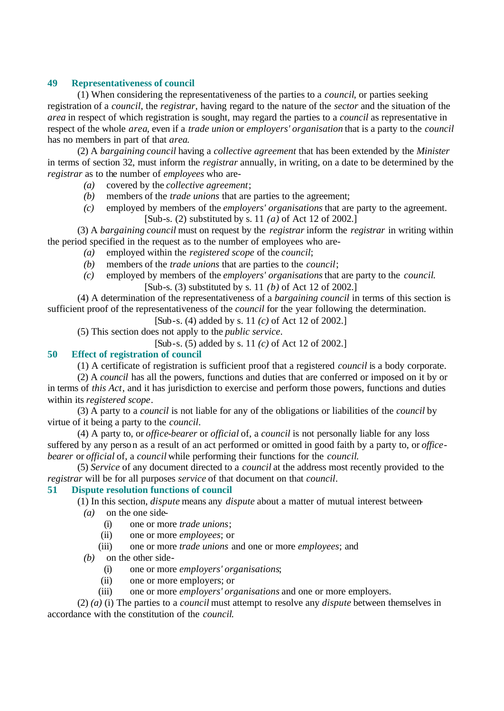### **49 Representativeness of council**

(1) When considering the representativeness of the parties to a *council*, or parties seeking registration of a *council*, the *registrar*, having regard to the nature of the *sector* and the situation of the *area* in respect of which registration is sought, may regard the parties to a *council* as representative in respect of the whole *area*, even if a *trade union* or *employers' organisation* that is a party to the *council* has no members in part of that *area*.

(2) A *bargaining council* having a *collective agreement* that has been extended by the *Minister* in terms of section 32, must inform the *registrar* annually, in writing, on a date to be determined by the *registrar* as to the number of *employees* who are-

- *(a)* covered by the *collective agreement*;
- *(b)* members of the *trade unions* that are parties to the agreement;

*(c)* employed by members of the *employers' organisations* that are party to the agreement. [Sub-s. (2) substituted by s. 11 *(a)* of Act 12 of 2002.]

(3) A *bargaining council* must on request by the *registrar* inform the *registrar* in writing within the period specified in the request as to the number of employees who are-

- *(a)* employed within the *registered scope* of the *council*;
- *(b)* members of the *trade unions* that are parties to the *council*;
- *(c)* employed by members of the *employers' organisations* that are party to the *council*. [Sub-s. (3) substituted by s. 11 *(b)* of Act 12 of 2002.]

(4) A determination of the representativeness of a *bargaining council* in terms of this section is sufficient proof of the representativeness of the *council* for the year following the determination.

[Sub-s. (4) added by s. 11 *(c)* of Act 12 of 2002.]

(5) This section does not apply to the *public service*.

[Sub-s. (5) added by s. 11 *(c)* of Act 12 of 2002.]

#### **50 Effect of registration of council**

(1) A certificate of registration is sufficient proof that a registered *council* is a body corporate.

(2) A *council* has all the powers, functions and duties that are conferred or imposed on it by or in terms of *this Act*, and it has jurisdiction to exercise and perform those powers, functions and duties within its *registered scope*.

(3) A party to a *council* is not liable for any of the obligations or liabilities of the *council* by virtue of it being a party to the *council*.

(4) A party to, or *office-bearer* or *official* of, a *council* is not personally liable for any loss suffered by any person as a result of an act performed or omitted in good faith by a party to, or *officebearer* or *official* of, a *council* while performing their functions for the *council*.

(5) *Service* of any document directed to a *council* at the address most recently provided to the *registrar* will be for all purposes *service* of that document on that *council*.

#### **51 Dispute resolution functions of council**

(1) In this section, *dispute* means any *dispute* about a matter of mutual interest between-

- *(a)* on the one side-
	- (i) one or more *trade unions*;
	- (ii) one or more *employees*; or
	- (iii) one or more *trade unions* and one or more *employees*; and
- *(b)* on the other side-
	- (i) one or more *employers' organisations*;
	- (ii) one or more employers; or
	- (iii) one or more *employers' organisations* and one or more employers.

(2) *(a)* (i) The parties to a *council* must attempt to resolve any *dispute* between themselves in accordance with the constitution of the *council*.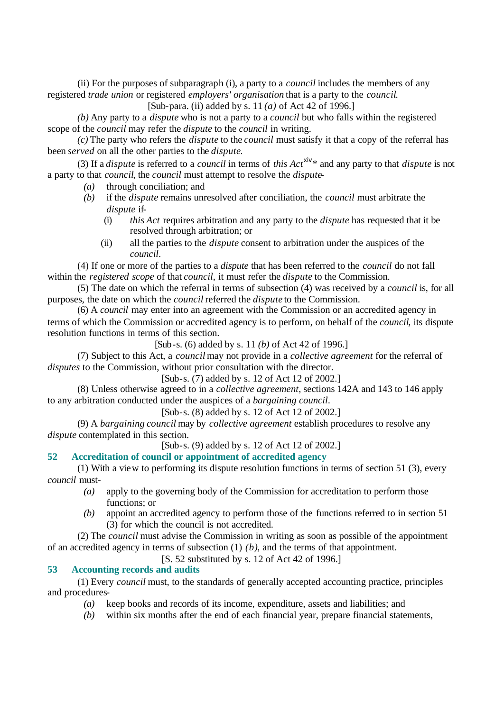(ii) For the purposes of subparagraph (i), a party to a *council* includes the members of any registered *trade union* or registered *employers' organisation* that is a party to the *council*.

[Sub-para. (ii) added by s. 11 *(a)* of Act 42 of 1996.]

*(b)* Any party to a *dispute* who is not a party to a *council* but who falls within the registered scope of the *council* may refer the *dispute* to the *council* in writing.

*(c)* The party who refers the *dispute* to the *council* must satisfy it that a copy of the referral has been *served* on all the other parties to the *dispute*.

(3) If a *dispute* is referred to a *council* in terms of *this Act*xiv\* and any party to that *dispute* is not a party to that *council*, the *council* must attempt to resolve the *dispute*-

- *(a)* through conciliation; and
- *(b)* if the *dispute* remains unresolved after conciliation, the *council* must arbitrate the *dispute* if-
	- (i) *this Act* requires arbitration and any party to the *dispute* has requested that it be resolved through arbitration; or
	- (ii) all the parties to the *dispute* consent to arbitration under the auspices of the *council*.

(4) If one or more of the parties to a *dispute* that has been referred to the *council* do not fall within the *registered scope* of that *council*, it must refer the *dispute* to the Commission.

(5) The date on which the referral in terms of subsection (4) was received by a *council* is, for all purposes, the date on which the *council* referred the *dispute* to the Commission.

(6) A *council* may enter into an agreement with the Commission or an accredited agency in terms of which the Commission or accredited agency is to perform, on behalf of the *council*, its dispute resolution functions in terms of this section.

[Sub-s. (6) added by s. 11 *(b)* of Act 42 of 1996.]

(7) Subject to this Act, a *council* may not provide in a *collective agreement* for the referral of *disputes* to the Commission, without prior consultation with the director.

[Sub-s. (7) added by s. 12 of Act 12 of 2002.]

(8) Unless otherwise agreed to in a *collective agreement*, sections 142A and 143 to 146 apply to any arbitration conducted under the auspices of a *bargaining council*.

[Sub-s. (8) added by s. 12 of Act 12 of 2002.]

(9) A *bargaining council* may by *collective agreement* establish procedures to resolve any *dispute* contemplated in this section.

[Sub-s. (9) added by s. 12 of Act 12 of 2002.]

### **52 Accreditation of council or appointment of accredited agency**

(1) With a view to performing its dispute resolution functions in terms of section 51 (3), every *council* must-

- *(a)* apply to the governing body of the Commission for accreditation to perform those functions; or
- *(b)* appoint an accredited agency to perform those of the functions referred to in section 51 (3) for which the council is not accredited.

(2) The *council* must advise the Commission in writing as soon as possible of the appointment of an accredited agency in terms of subsection (1) *(b)*, and the terms of that appointment.

[S. 52 substituted by s. 12 of Act 42 of 1996.]

### **53 Accounting records and audits**

(1) Every *council* must, to the standards of generally accepted accounting practice, principles and procedures-

*(a)* keep books and records of its income, expenditure, assets and liabilities; and

*(b)* within six months after the end of each financial year, prepare financial statements,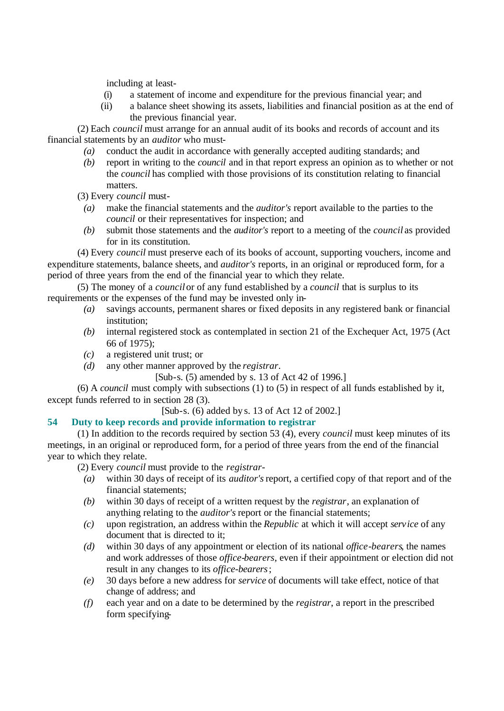including at least-

- (i) a statement of income and expenditure for the previous financial year; and
- (ii) a balance sheet showing its assets, liabilities and financial position as at the end of the previous financial year.

(2) Each *council* must arrange for an annual audit of its books and records of account and its financial statements by an *auditor* who must-

- *(a)* conduct the audit in accordance with generally accepted auditing standards; and
- *(b)* report in writing to the *council* and in that report express an opinion as to whether or not the *council* has complied with those provisions of its constitution relating to financial matters.

(3) Every *council* must-

- *(a)* make the financial statements and the *auditor's* report available to the parties to the *council* or their representatives for inspection; and
- *(b)* submit those statements and the *auditor's* report to a meeting of the *council* as provided for in its constitution.

(4) Every *council* must preserve each of its books of account, supporting vouchers, income and expenditure statements, balance sheets, and *auditor's* reports, in an original or reproduced form, for a period of three years from the end of the financial year to which they relate.

(5) The money of a *council* or of any fund established by a *council* that is surplus to its requirements or the expenses of the fund may be invested only in-

- *(a)* savings accounts, permanent shares or fixed deposits in any registered bank or financial institution;
- *(b)* internal registered stock as contemplated in section 21 of the Exchequer Act, 1975 (Act 66 of 1975);
- *(c)* a registered unit trust; or
- *(d)* any other manner approved by the *registrar*.

[Sub-s. (5) amended by s. 13 of Act 42 of 1996.]

(6) A *council* must comply with subsections (1) to (5) in respect of all funds established by it, except funds referred to in section 28 (3).

[Sub-s. (6) added by s. 13 of Act 12 of 2002.]

### **54 Duty to keep records and provide information to registrar**

(1) In addition to the records required by section 53 (4), every *council* must keep minutes of its meetings, in an original or reproduced form, for a period of three years from the end of the financial year to which they relate.

(2) Every *council* must provide to the *registrar*-

- *(a)* within 30 days of receipt of its *auditor's* report, a certified copy of that report and of the financial statements;
- *(b)* within 30 days of receipt of a written request by the *registrar*, an explanation of anything relating to the *auditor's* report or the financial statements;
- *(c)* upon registration, an address within the *Republic* at which it will accept *service* of any document that is directed to it;
- *(d)* within 30 days of any appointment or election of its national *office-bearers*, the names and work addresses of those *office-bearers*, even if their appointment or election did not result in any changes to its *office-bearers*;
- *(e)* 30 days before a new address for *service* of documents will take effect, notice of that change of address; and
- *(f)* each year and on a date to be determined by the *registrar*, a report in the prescribed form specifying-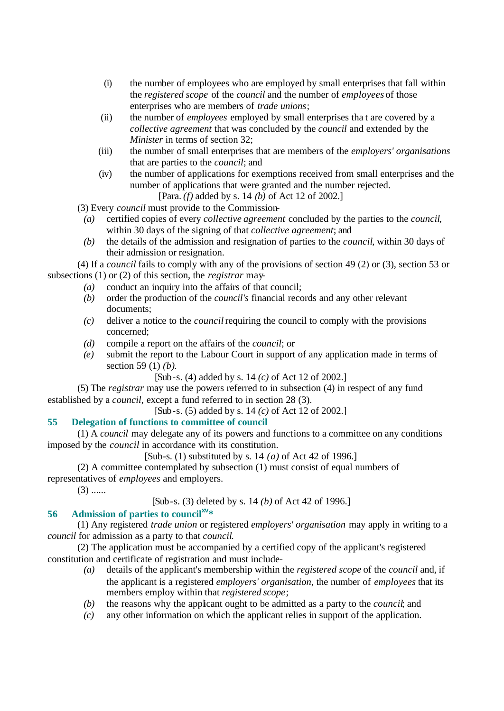- (i) the number of employees who are employed by small enterprises that fall within the *registered scope* of the *council* and the number of *employees* of those enterprises who are members of *trade unions*;
- (ii) the number of *employees* employed by small enterprises tha t are covered by a *collective agreement* that was concluded by the *council* and extended by the *Minister* in terms of section 32;
- (iii) the number of small enterprises that are members of the *employers' organisations* that are parties to the *council*; and
- (iv) the number of applications for exemptions received from small enterprises and the number of applications that were granted and the number rejected. [Para. *(f)* added by s. 14 *(b)* of Act 12 of 2002.]

(3) Every *council* must provide to the Commission-

- *(a)* certified copies of every *collective agreement* concluded by the parties to the *council*, within 30 days of the signing of that *collective agreement*; and
- *(b)* the details of the admission and resignation of parties to the *council*, within 30 days of their admission or resignation.

(4) If a *council* fails to comply with any of the provisions of section 49 (2) or (3), section 53 or subsections (1) or (2) of this section, the *registrar* may-

- *(a)* conduct an inquiry into the affairs of that council;
- *(b)* order the production of the *council's* financial records and any other relevant documents;
- *(c)* deliver a notice to the *council* requiring the council to comply with the provisions concerned;
- *(d)* compile a report on the affairs of the *council*; or
- *(e)* submit the report to the Labour Court in support of any application made in terms of section 59 (1) *(b)*.

[Sub-s. (4) added by s. 14 *(c)* of Act 12 of 2002.]

(5) The *registrar* may use the powers referred to in subsection (4) in respect of any fund established by a *council*, except a fund referred to in section 28 (3).

[Sub-s. (5) added by s. 14 *(c)* of Act 12 of 2002.]

# **55 Delegation of functions to committee of council**

(1) A *council* may delegate any of its powers and functions to a committee on any conditions imposed by the *council* in accordance with its constitution.

[Sub-s. (1) substituted by s. 14 *(a)* of Act 42 of 1996.]

(2) A committee contemplated by subsection (1) must consist of equal numbers of representatives of *employees* and employers.

 $(3)$  ......

[Sub-s. (3) deleted by s. 14 *(b)* of Act 42 of 1996.]

# **56 Admission of parties to councilxv\***

(1) Any registered *trade union* or registered *employers' organisation* may apply in writing to a *council* for admission as a party to that *council*.

(2) The application must be accompanied by a certified copy of the applicant's registered constitution and certificate of registration and must include-

- *(a)* details of the applicant's membership within the *registered scope* of the *council* and, if the applicant is a registered *employers' organisation*, the number of *employees* that its members employ within that *registered scope*;
- *(b)* the reasons why the applicant ought to be admitted as a party to the *council*; and
- *(c)* any other information on which the applicant relies in support of the application.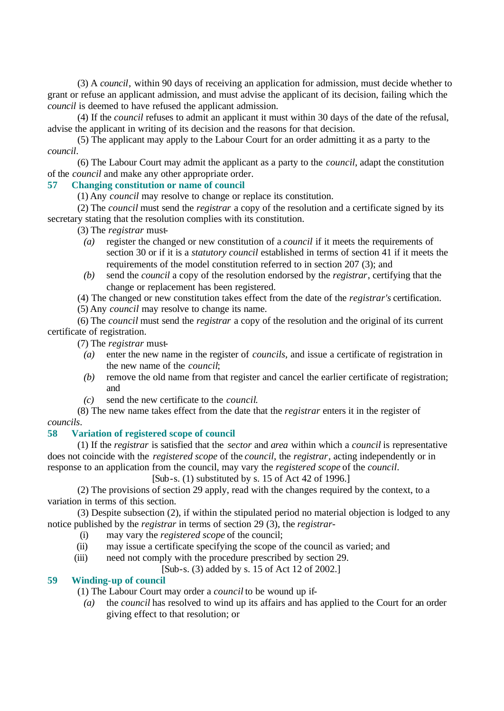(3) A *council*, within 90 days of receiving an application for admission, must decide whether to grant or refuse an applicant admission, and must advise the applicant of its decision, failing which the *council* is deemed to have refused the applicant admission.

(4) If the *council* refuses to admit an applicant it must within 30 days of the date of the refusal, advise the applicant in writing of its decision and the reasons for that decision.

(5) The applicant may apply to the Labour Court for an order admitting it as a party to the *council*.

(6) The Labour Court may admit the applicant as a party to the *council*, adapt the constitution of the *council* and make any other appropriate order.

# **57 Changing constitution or name of council**

(1) Any *council* may resolve to change or replace its constitution.

(2) The *council* must send the *registrar* a copy of the resolution and a certificate signed by its secretary stating that the resolution complies with its constitution.

(3) The *registrar* must-

- *(a)* register the changed or new constitution of a *council* if it meets the requirements of section 30 or if it is a *statutory council* established in terms of section 41 if it meets the requirements of the model constitution referred to in section 207 (3); and
- *(b)* send the *council* a copy of the resolution endorsed by the *registrar*, certifying that the change or replacement has been registered.

(4) The changed or new constitution takes effect from the date of the *registrar's* certification.

(5) Any *council* may resolve to change its name.

(6) The *council* must send the *registrar* a copy of the resolution and the original of its current certificate of registration.

(7) The *registrar* must-

- *(a)* enter the new name in the register of *councils*, and issue a certificate of registration in the new name of the *council*;
- *(b)* remove the old name from that register and cancel the earlier certificate of registration; and
- *(c)* send the new certificate to the *council*.

(8) The new name takes effect from the date that the *registrar* enters it in the register of *councils*.

# **58 Variation of registered scope of council**

(1) If the *registrar* is satisfied that the *sector* and *area* within which a *council* is representative does not coincide with the *registered scope* of the *council*, the *registrar*, acting independently or in response to an application from the council, may vary the *registered scope* of the *council*.

[Sub-s. (1) substituted by s. 15 of Act 42 of 1996.]

(2) The provisions of section 29 apply, read with the changes required by the context, to a variation in terms of this section.

(3) Despite subsection (2), if within the stipulated period no material objection is lodged to any notice published by the *registrar* in terms of section 29 (3), the *registrar*-

- (i) may vary the *registered scope* of the council;
- (ii) may issue a certificate specifying the scope of the council as varied; and
- (iii) need not comply with the procedure prescribed by section 29.

[Sub-s. (3) added by s. 15 of Act 12 of 2002.]

# **59 Winding-up of council**

(1) The Labour Court may order a *council* to be wound up if-

*(a)* the *council* has resolved to wind up its affairs and has applied to the Court for an order giving effect to that resolution; or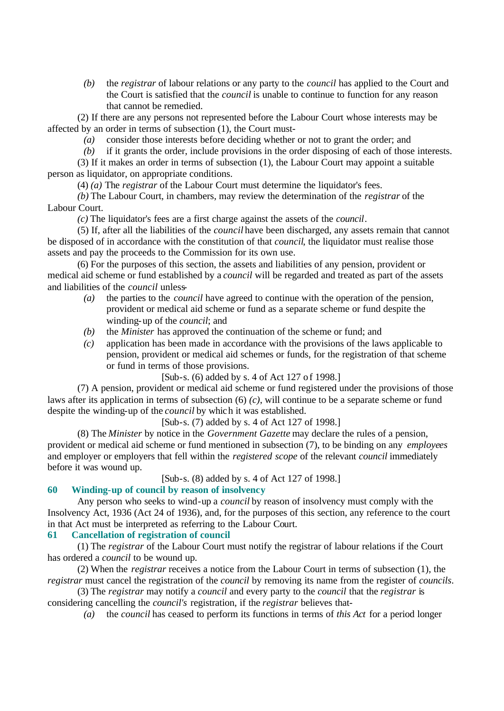*(b)* the *registrar* of labour relations or any party to the *council* has applied to the Court and the Court is satisfied that the *council* is unable to continue to function for any reason that cannot be remedied.

(2) If there are any persons not represented before the Labour Court whose interests may be affected by an order in terms of subsection (1), the Court must-

- *(a)* consider those interests before deciding whether or not to grant the order; and
- *(b)* if it grants the order, include provisions in the order disposing of each of those interests.

(3) If it makes an order in terms of subsection (1), the Labour Court may appoint a suitable person as liquidator, on appropriate conditions.

(4) *(a)* The *registrar* of the Labour Court must determine the liquidator's fees.

*(b)* The Labour Court, in chambers, may review the determination of the *registrar* of the Labour Court.

*(c)* The liquidator's fees are a first charge against the assets of the *council*.

(5) If, after all the liabilities of the *council* have been discharged, any assets remain that cannot be disposed of in accordance with the constitution of that *council*, the liquidator must realise those assets and pay the proceeds to the Commission for its own use.

(6) For the purposes of this section, the assets and liabilities of any pension, provident or medical aid scheme or fund established by a *council* will be regarded and treated as part of the assets and liabilities of the *council* unless-

- *(a)* the parties to the *council* have agreed to continue with the operation of the pension, provident or medical aid scheme or fund as a separate scheme or fund despite the winding-up of the *council*; and
- *(b)* the *Minister* has approved the continuation of the scheme or fund; and
- *(c)* application has been made in accordance with the provisions of the laws applicable to pension, provident or medical aid schemes or funds, for the registration of that scheme or fund in terms of those provisions.

[Sub-s. (6) added by s. 4 of Act 127 of 1998.]

(7) A pension, provident or medical aid scheme or fund registered under the provisions of those laws after its application in terms of subsection (6) *(c)*, will continue to be a separate scheme or fund despite the winding-up of the *council* by which it was established.

[Sub-s. (7) added by s. 4 of Act 127 of 1998.]

(8) The *Minister* by notice in the *Government Gazette* may declare the rules of a pension, provident or medical aid scheme or fund mentioned in subsection (7), to be binding on any *employees* and employer or employers that fell within the *registered scope* of the relevant *council* immediately before it was wound up.

[Sub-s. (8) added by s. 4 of Act 127 of 1998.]

#### **60 Winding-up of council by reason of insolvency**

Any person who seeks to wind-up a *council* by reason of insolvency must comply with the Insolvency Act, 1936 (Act 24 of 1936), and, for the purposes of this section, any reference to the court in that Act must be interpreted as referring to the Labour Court.

### **61 Cancellation of registration of council**

(1) The *registrar* of the Labour Court must notify the registrar of labour relations if the Court has ordered a *council* to be wound up.

(2) When the *registrar* receives a notice from the Labour Court in terms of subsection (1), the *registrar* must cancel the registration of the *council* by removing its name from the register of *councils*.

(3) The *registrar* may notify a *council* and every party to the *council* that the *registrar* is considering cancelling the *council's* registration, if the *registrar* believes that-

*(a)* the *council* has ceased to perform its functions in terms of *this Act* for a period longer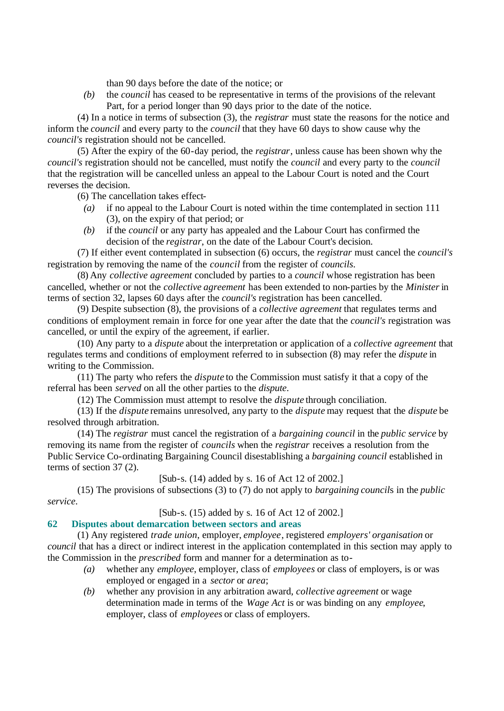than 90 days before the date of the notice; or

*(b)* the *council* has ceased to be representative in terms of the provisions of the relevant Part, for a period longer than 90 days prior to the date of the notice.

(4) In a notice in terms of subsection (3), the *registrar* must state the reasons for the notice and inform the *council* and every party to the *council* that they have 60 days to show cause why the *council's* registration should not be cancelled.

(5) After the expiry of the 60-day period, the *registrar*, unless cause has been shown why the *council's* registration should not be cancelled, must notify the *council* and every party to the *council* that the registration will be cancelled unless an appeal to the Labour Court is noted and the Court reverses the decision.

(6) The cancellation takes effect-

- *(a)* if no appeal to the Labour Court is noted within the time contemplated in section 111 (3), on the expiry of that period; or
- *(b)* if the *council* or any party has appealed and the Labour Court has confirmed the decision of the *registrar*, on the date of the Labour Court's decision.

(7) If either event contemplated in subsection (6) occurs, the *registrar* must cancel the *council's* registration by removing the name of the *council* from the register of *councils*.

(8) Any *collective agreement* concluded by parties to a *council* whose registration has been cancelled, whether or not the *collective agreement* has been extended to non-parties by the *Minister* in terms of section 32, lapses 60 days after the *council's* registration has been cancelled.

(9) Despite subsection (8), the provisions of a *collective agreement* that regulates terms and conditions of employment remain in force for one year after the date that the *council's* registration was cancelled, or until the expiry of the agreement, if earlier.

(10) Any party to a *dispute* about the interpretation or application of a *collective agreement* that regulates terms and conditions of employment referred to in subsection (8) may refer the *dispute* in writing to the Commission.

(11) The party who refers the *dispute* to the Commission must satisfy it that a copy of the referral has been *served* on all the other parties to the *dispute*.

(12) The Commission must attempt to resolve the *dispute* through conciliation.

(13) If the *dispute* remains unresolved, any party to the *dispute* may request that the *dispute* be resolved through arbitration.

(14) The *registrar* must cancel the registration of a *bargaining council* in the *public service* by removing its name from the register of *councils* when the *registrar* receives a resolution from the Public Service Co-ordinating Bargaining Council disestablishing a *bargaining council* established in terms of section 37 (2).

[Sub-s. (14) added by s. 16 of Act 12 of 2002.]

(15) The provisions of subsections (3) to (7) do not apply to *bargaining council*s in the *public service*.

[Sub-s. (15) added by s. 16 of Act 12 of 2002.]

# **62 Disputes about demarcation between sectors and areas**

(1) Any registered *trade union*, employer, *employee*, registered *employers' organisation* or *council* that has a direct or indirect interest in the application contemplated in this section may apply to the Commission in the *prescribed* form and manner for a determination as to-

- *(a)* whether any *employee*, employer, class of *employees* or class of employers, is or was employed or engaged in a *sector* or *area*;
- *(b)* whether any provision in any arbitration award, *collective agreement* or wage determination made in terms of the *Wage Act* is or was binding on any *employee*, employer, class of *employees* or class of employers.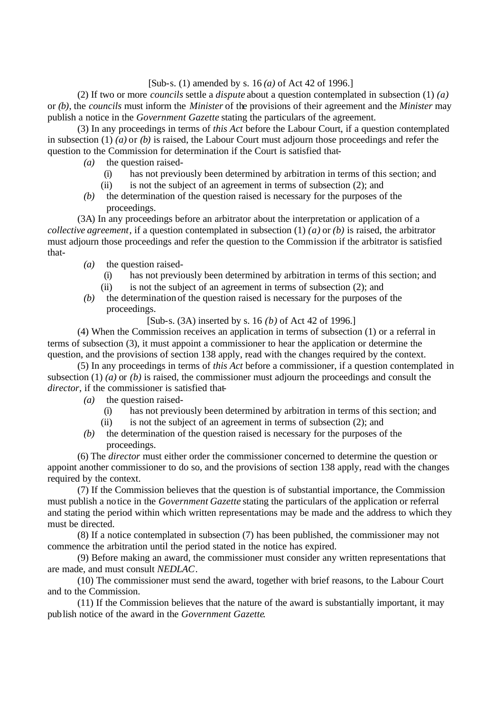#### [Sub-s. (1) amended by s. 16 *(a)* of Act 42 of 1996.]

(2) If two or more *councils* settle a *dispute* about a question contemplated in subsection (1) *(a)* or *(b)*, the *councils* must inform the *Minister* of the provisions of their agreement and the *Minister* may publish a notice in the *Government Gazette* stating the particulars of the agreement.

(3) In any proceedings in terms of *this Act* before the Labour Court, if a question contemplated in subsection (1) *(a)* or *(b)* is raised, the Labour Court must adjourn those proceedings and refer the question to the Commission for determination if the Court is satisfied that-

- *(a)* the question raised-
	- (i) has not previously been determined by arbitration in terms of this section; and
	- (ii) is not the subject of an agreement in terms of subsection (2); and
- *(b)* the determination of the question raised is necessary for the purposes of the proceedings.

(3A) In any proceedings before an arbitrator about the interpretation or application of a *collective agreement*, if a question contemplated in subsection (1) *(a)* or *(b)* is raised, the arbitrator must adjourn those proceedings and refer the question to the Commission if the arbitrator is satisfied that-

- *(a)* the question raised-
	- (i) has not previously been determined by arbitration in terms of this section; and
	- (ii) is not the subject of an agreement in terms of subsection (2); and
- *(b)* the determination of the question raised is necessary for the purposes of the proceedings.

[Sub-s. (3A) inserted by s. 16 *(b)* of Act 42 of 1996.]

(4) When the Commission receives an application in terms of subsection (1) or a referral in terms of subsection (3), it must appoint a commissioner to hear the application or determine the question, and the provisions of section 138 apply, read with the changes required by the context.

(5) In any proceedings in terms of *this Act* before a commissioner, if a question contemplated in subsection (1) (*a*) or (*b*) is raised, the commissioner must adjourn the proceedings and consult the *director*, if the commissioner is satisfied that-

- *(a)* the question raised-
	- (i) has not previously been determined by arbitration in terms of this section; and
	- (ii) is not the subject of an agreement in terms of subsection (2); and
- *(b)* the determination of the question raised is necessary for the purposes of the proceedings.

(6) The *director* must either order the commissioner concerned to determine the question or appoint another commissioner to do so, and the provisions of section 138 apply, read with the changes required by the context.

(7) If the Commission believes that the question is of substantial importance, the Commission must publish a notice in the *Government Gazette* stating the particulars of the application or referral and stating the period within which written representations may be made and the address to which they must be directed.

(8) If a notice contemplated in subsection (7) has been published, the commissioner may not commence the arbitration until the period stated in the notice has expired.

(9) Before making an award, the commissioner must consider any written representations that are made, and must consult *NEDLAC*.

(10) The commissioner must send the award, together with brief reasons, to the Labour Court and to the Commission.

(11) If the Commission believes that the nature of the award is substantially important, it may publish notice of the award in the *Government Gazette*.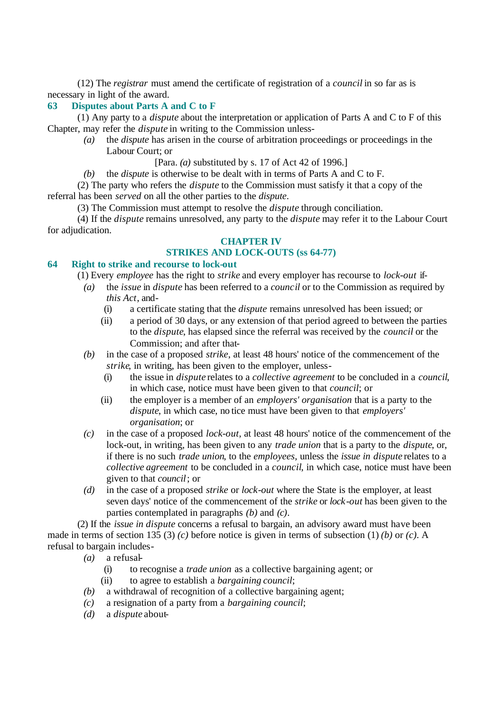(12) The *registrar* must amend the certificate of registration of a *council* in so far as is necessary in light of the award.

# **63 Disputes about Parts A and C to F**

(1) Any party to a *dispute* about the interpretation or application of Parts A and C to F of this Chapter, may refer the *dispute* in writing to the Commission unless-

- *(a)* the *dispute* has arisen in the course of arbitration proceedings or proceedings in the Labour Court; or
	- [Para. *(a)* substituted by s. 17 of Act 42 of 1996.]
- *(b)* the *dispute* is otherwise to be dealt with in terms of Parts A and C to F.

(2) The party who refers the *dispute* to the Commission must satisfy it that a copy of the referral has been *served* on all the other parties to the *dispute*.

(3) The Commission must attempt to resolve the *dispute* through conciliation.

(4) If the *dispute* remains unresolved, any party to the *dispute* may refer it to the Labour Court for adjudication.

#### **CHAPTER IV**

# **STRIKES AND LOCK-OUTS (ss 64-77)**

# **64 Right to strike and recourse to lock-out**

(1) Every *employee* has the right to *strike* and every employer has recourse to *lock-out* if-

- *(a)* the *issue* in *dispute* has been referred to a *council* or to the Commission as required by *this Act*, and-
	- (i) a certificate stating that the *dispute* remains unresolved has been issued; or
	- (ii) a period of 30 days, or any extension of that period agreed to between the parties to the *dispute*, has elapsed since the referral was received by the *council* or the Commission; and after that-
- *(b)* in the case of a proposed *strike*, at least 48 hours' notice of the commencement of the *strike*, in writing, has been given to the employer, unless-
	- (i) the issue in *dispute* relates to a *collective agreement* to be concluded in a *council*, in which case, notice must have been given to that *council*; or
	- (ii) the employer is a member of an *employers' organisation* that is a party to the *dispute*, in which case, no tice must have been given to that *employers' organisation*; or
- *(c)* in the case of a proposed *lock-out*, at least 48 hours' notice of the commencement of the lock-out, in writing, has been given to any *trade union* that is a party to the *dispute*, or, if there is no such *trade union*, to the *employees*, unless the *issue in dispute* relates to a *collective agreement* to be concluded in a *council*, in which case, notice must have been given to that *council*; or
- *(d)* in the case of a proposed *strike* or *lock-out* where the State is the employer, at least seven days' notice of the commencement of the *strike* or *lock-out* has been given to the parties contemplated in paragraphs *(b)* and *(c)*.

(2) If the *issue in dispute* concerns a refusal to bargain, an advisory award must have been made in terms of section 135 (3) *(c)* before notice is given in terms of subsection (1) *(b)* or *(c)*. A refusal to bargain includes-

*(a)* a refusal-

- (i) to recognise a *trade union* as a collective bargaining agent; or
- (ii) to agree to establish a *bargaining council*;
- *(b)* a withdrawal of recognition of a collective bargaining agent;
- *(c)* a resignation of a party from a *bargaining council*;
- *(d)* a *dispute* about-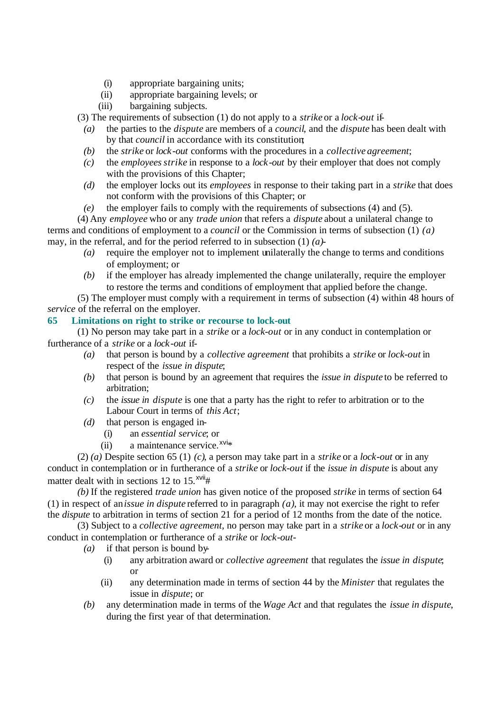- (i) appropriate bargaining units;
- (ii) appropriate bargaining levels; or
- (iii) bargaining subjects.

(3) The requirements of subsection (1) do not apply to a *strike* or a *lock-out* if-

- *(a)* the parties to the *dispute* are members of a *council*, and the *dispute* has been dealt with by that *council* in accordance with its constitution;
- *(b)* the *strike* or *lock-out* conforms with the procedures in a *collective agreement*;
- *(c)* the *employees strike* in response to a *lock-out* by their employer that does not comply with the provisions of this Chapter;
- *(d)* the employer locks out its *employees* in response to their taking part in a *strike* that does not conform with the provisions of this Chapter; or
- *(e)* the employer fails to comply with the requirements of subsections (4) and (5).

(4) Any *employee* who or any *trade union* that refers a *dispute* about a unilateral change to terms and conditions of employment to a *council* or the Commission in terms of subsection (1) *(a)* may, in the referral, and for the period referred to in subsection (1) *(a)*-

- *(a)* require the employer not to implement unilaterally the change to terms and conditions of employment; or
- *(b)* if the employer has already implemented the change unilaterally, require the employer to restore the terms and conditions of employment that applied before the change.

(5) The employer must comply with a requirement in terms of subsection (4) within 48 hours of *service* of the referral on the employer.

# **65 Limitations on right to strike or recourse to lock-out**

(1) No person may take part in a *strike* or a *lock-out* or in any conduct in contemplation or furtherance of a *strike* or a *lock-out* if-

- *(a)* that person is bound by a *collective agreement* that prohibits a *strike* or *lock-out* in respect of the *issue in dispute*;
- *(b)* that person is bound by an agreement that requires the *issue in dispute* to be referred to arbitration;
- *(c)* the *issue in dispute* is one that a party has the right to refer to arbitration or to the Labour Court in terms of *this Act*;
- *(d)* that person is engaged in-
	- (i) an *essential service*; or
	- $(ii)$  a maintenance service.<sup> $xvi*$ </sup>

(2) *(a)* Despite section 65 (1) *(c)*, a person may take part in a *strike* or a *lock-out* or in any conduct in contemplation or in furtherance of a *strike* or *lock-out* if the *issue in dispute* is about any matter dealt with in sections 12 to  $15.^{x}$ <sup>xvii</sup>#

*(b)* If the registered *trade union* has given notice of the proposed *strike* in terms of section 64 (1) in respect of an *issue in dispute* referred to in paragraph *(a)*, it may not exercise the right to refer the *dispute* to arbitration in terms of section 21 for a period of 12 months from the date of the notice.

(3) Subject to a *collective agreement*, no person may take part in a *strike* or a *lock-out* or in any conduct in contemplation or furtherance of a *strike* or *lock-out*-

- *(a)* if that person is bound by-
	- (i) any arbitration award or *collective agreement* that regulates the *issue in dispute*; or
	- (ii) any determination made in terms of section 44 by the *Minister* that regulates the issue in *dispute*; or
- *(b)* any determination made in terms of the *Wage Act* and that regulates the *issue in dispute*, during the first year of that determination.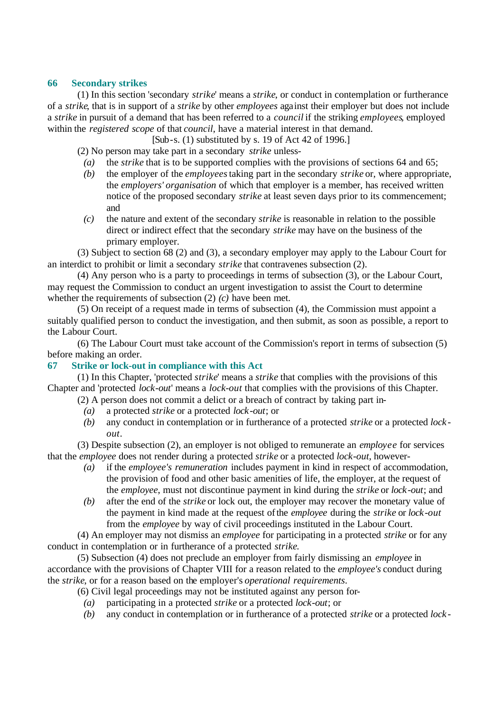### **66 Secondary strikes**

(1) In this section 'secondary *strike*' means a *strike*, or conduct in contemplation or furtherance of a *strike*, that is in support of a *strike* by other *employees* against their employer but does not include a *strike* in pursuit of a demand that has been referred to a *council* if the striking *employees*, employed within the *registered scope* of that *council*, have a material interest in that demand.

[Sub-s. (1) substituted by s. 19 of Act 42 of 1996.]

(2) No person may take part in a secondary *strike* unless-

- *(a)* the *strike* that is to be supported complies with the provisions of sections 64 and 65;
- *(b)* the employer of the *employees* taking part in the secondary *strike* or, where appropriate, the *employers' organisation* of which that employer is a member, has received written notice of the proposed secondary *strike* at least seven days prior to its commencement; and
- *(c)* the nature and extent of the secondary *strike* is reasonable in relation to the possible direct or indirect effect that the secondary *strike* may have on the business of the primary employer.

(3) Subject to section 68 (2) and (3), a secondary employer may apply to the Labour Court for an interdict to prohibit or limit a secondary *strike* that contravenes subsection (2).

(4) Any person who is a party to proceedings in terms of subsection (3), or the Labour Court, may request the Commission to conduct an urgent investigation to assist the Court to determine whether the requirements of subsection (2) *(c)* have been met.

(5) On receipt of a request made in terms of subsection (4), the Commission must appoint a suitably qualified person to conduct the investigation, and then submit, as soon as possible, a report to the Labour Court.

(6) The Labour Court must take account of the Commission's report in terms of subsection (5) before making an order.

# **67 Strike or lock-out in compliance with this Act**

(1) In this Chapter, 'protected *strike*' means a *strike* that complies with the provisions of this Chapter and 'protected *lock-out*' means a *lock-out* that complies with the provisions of this Chapter.

(2) A person does not commit a delict or a breach of contract by taking part in-

- *(a)* a protected *strike* or a protected *lock-out*; or
- *(b)* any conduct in contemplation or in furtherance of a protected *strike* or a protected *lock out*.

(3) Despite subsection (2), an employer is not obliged to remunerate an *employee* for services that the *employee* does not render during a protected *strike* or a protected *lock-out*, however-

- *(a)* if the *employee's remuneration* includes payment in kind in respect of accommodation, the provision of food and other basic amenities of life, the employer, at the request of the *employee*, must not discontinue payment in kind during the *strike* or *lock-out*; and
- *(b)* after the end of the *strike* or lock out, the employer may recover the monetary value of the payment in kind made at the request of the *employee* during the *strike* or *lock-out* from the *employee* by way of civil proceedings instituted in the Labour Court.

(4) An employer may not dismiss an *employee* for participating in a protected *strike* or for any conduct in contemplation or in furtherance of a protected *strike*.

(5) Subsection (4) does not preclude an employer from fairly dismissing an *employee* in accordance with the provisions of Chapter VIII for a reason related to the *employee's* conduct during the *strike*, or for a reason based on the employer's *operational requirements*.

(6) Civil legal proceedings may not be instituted against any person for-

- *(a)* participating in a protected *strike* or a protected *lock-out*; or
- *(b)* any conduct in contemplation or in furtherance of a protected *strike* or a protected *lock -*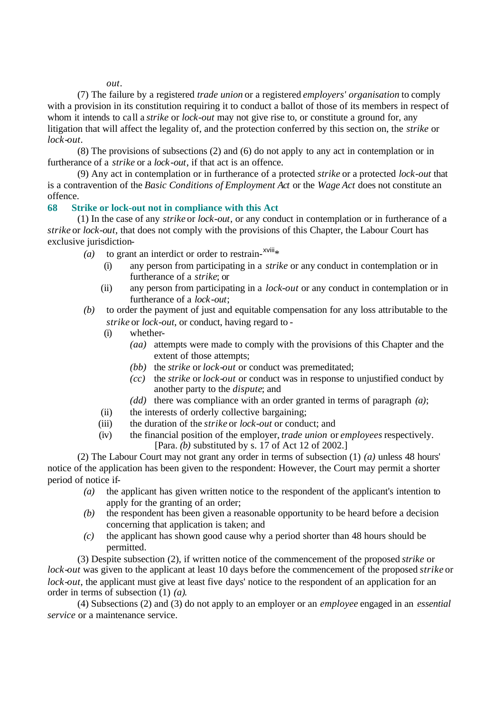*out*.

(7) The failure by a registered *trade union* or a registered *employers' organisation* to comply with a provision in its constitution requiring it to conduct a ballot of those of its members in respect of whom it intends to call a *strike* or *lock-out* may not give rise to, or constitute a ground for, any litigation that will affect the legality of, and the protection conferred by this section on, the *strike* or *lock-out*.

(8) The provisions of subsections (2) and (6) do not apply to any act in contemplation or in furtherance of a *strike* or a *lock-out*, if that act is an offence.

(9) Any act in contemplation or in furtherance of a protected *strike* or a protected *lock-out* that is a contravention of the *Basic Conditions of Employment Act* or the *Wage Act* does not constitute an offence.

#### **68 Strike or lock-out not in compliance with this Act**

(1) In the case of any *strike* or *lock-out*, or any conduct in contemplation or in furtherance of a *strike* or *lock-out*, that does not comply with the provisions of this Chapter, the Labour Court has exclusive jurisdiction-

- (a) to grant an interdict or order to restrain- $^{xviii*}$ 
	- (i) any person from participating in a *strike* or any conduct in contemplation or in furtherance of a *strike*; or
	- (ii) any person from participating in a *lock-out* or any conduct in contemplation or in furtherance of a *lock-out*;
- *(b)* to order the payment of just and equitable compensation for any loss attributable to the *strike* or *lock-out*, or conduct, having regard to *-*
	- (i) whether-
		- *(aa)* attempts were made to comply with the provisions of this Chapter and the extent of those attempts;
		- *(bb)* the *strike* or *lock-out* or conduct was premeditated;
		- *(cc)* the *strike* or *lock-out* or conduct was in response to unjustified conduct by another party to the *dispute*; and
		- *(dd)* there was compliance with an order granted in terms of paragraph *(a)*;
	- (ii) the interests of orderly collective bargaining;
	- (iii) the duration of the *strike* or *lock-out* or conduct; and
	- (iv) the financial position of the employer, *trade union* or *employees* respectively. [Para. *(b)* substituted by s. 17 of Act 12 of 2002.]

(2) The Labour Court may not grant any order in terms of subsection (1) *(a)* unless 48 hours' notice of the application has been given to the respondent: However, the Court may permit a shorter period of notice if-

- *(a)* the applicant has given written notice to the respondent of the applicant's intention to apply for the granting of an order;
- *(b)* the respondent has been given a reasonable opportunity to be heard before a decision concerning that application is taken; and
- *(c)* the applicant has shown good cause why a period shorter than 48 hours should be permitted.

(3) Despite subsection (2), if written notice of the commencement of the proposed *strike* or *lock-out* was given to the applicant at least 10 days before the commencement of the proposed *strike* or *lock-out*, the applicant must give at least five days' notice to the respondent of an application for an order in terms of subsection (1) *(a)*.

(4) Subsections (2) and (3) do not apply to an employer or an *employee* engaged in an *essential service* or a maintenance service.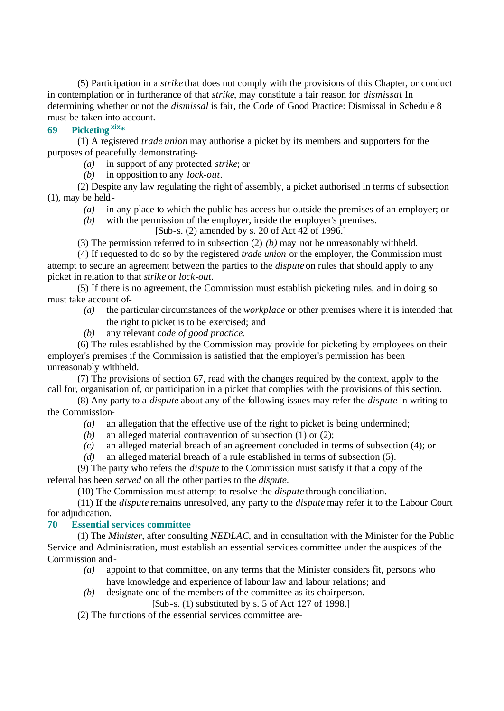(5) Participation in a *strike* that does not comply with the provisions of this Chapter, or conduct in contemplation or in furtherance of that *strike*, may constitute a fair reason for *dismissal*. In determining whether or not the *dismissal* is fair, the Code of Good Practice: Dismissal in Schedule 8 must be taken into account.

# **69 Picketing xix\***

(1) A registered *trade union* may authorise a picket by its members and supporters for the purposes of peacefully demonstrating-

- *(a)* in support of any protected *strike*; or
- *(b)* in opposition to any *lock-out*.

(2) Despite any law regulating the right of assembly, a picket authorised in terms of subsection (1), may be held-

- *(a)* in any place to which the public has access but outside the premises of an employer; or
- *(b)* with the permission of the employer, inside the employer's premises.

[Sub-s. (2) amended by s. 20 of Act 42 of 1996.]

(3) The permission referred to in subsection (2) *(b)* may not be unreasonably withheld.

(4) If requested to do so by the registered *trade union* or the employer, the Commission must attempt to secure an agreement between the parties to the *dispute* on rules that should apply to any picket in relation to that *strike* or *lock-out*.

(5) If there is no agreement, the Commission must establish picketing rules, and in doing so must take account of-

- *(a)* the particular circumstances of the *workplace* or other premises where it is intended that the right to picket is to be exercised; and
- *(b)* any relevant *code of good practice*.

(6) The rules established by the Commission may provide for picketing by employees on their employer's premises if the Commission is satisfied that the employer's permission has been unreasonably withheld.

(7) The provisions of section 67, read with the changes required by the context, apply to the call for, organisation of, or participation in a picket that complies with the provisions of this section.

(8) Any party to a *dispute* about any of the following issues may refer the *dispute* in writing to the Commission-

- *(a)* an allegation that the effective use of the right to picket is being undermined;
- *(b)* an alleged material contravention of subsection (1) or (2);
- *(c)* an alleged material breach of an agreement concluded in terms of subsection (4); or
- *(d)* an alleged material breach of a rule established in terms of subsection (5).

(9) The party who refers the *dispute* to the Commission must satisfy it that a copy of the referral has been *served* on all the other parties to the *dispute*.

(10) The Commission must attempt to resolve the *dispute* through conciliation.

(11) If the *dispute* remains unresolved, any party to the *dispute* may refer it to the Labour Court for adjudication.

#### **70 Essential services committee**

(1) The *Minister*, after consulting *NEDLAC*, and in consultation with the Minister for the Public Service and Administration, must establish an essential services committee under the auspices of the Commission and-

- *(a)* appoint to that committee, on any terms that the Minister considers fit, persons who have knowledge and experience of labour law and labour relations; and
- *(b)* designate one of the members of the committee as its chairperson.
	- [Sub-s. (1) substituted by s. 5 of Act 127 of 1998.]

(2) The functions of the essential services committee are-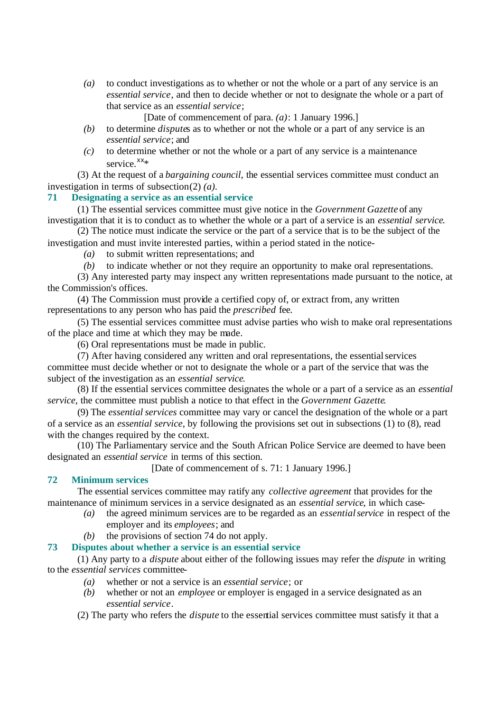*(a)* to conduct investigations as to whether or not the whole or a part of any service is an *essential service*, and then to decide whether or not to designate the whole or a part of that service as an *essential service*;

[Date of commencement of para. *(a)*: 1 January 1996.]

- *(b)* to determine *dispute*s as to whether or not the whole or a part of any service is an *essential service*; and
- *(c)* to determine whether or not the whole or a part of any service is a maintenance service. $x^x*$

(3) At the request of a *bargaining council*, the essential services committee must conduct an investigation in terms of subsection (2) *(a)*.

#### **71 Designating a service as an essential service**

(1) The essential services committee must give notice in the *Government Gazette* of any investigation that it is to conduct as to whether the whole or a part of a service is an *essential service*.

(2) The notice must indicate the service or the part of a service that is to be the subject of the investigation and must invite interested parties, within a period stated in the notice-

*(a)* to submit written representations; and

*(b)* to indicate whether or not they require an opportunity to make oral representations.

(3) Any interested party may inspect any written representations made pursuant to the notice, at the Commission's offices.

(4) The Commission must provide a certified copy of, or extract from, any written representations to any person who has paid the *prescribed* fee.

(5) The essential services committee must advise parties who wish to make oral representations of the place and time at which they may be made.

(6) Oral representations must be made in public.

(7) After having considered any written and oral representations, the essentialservices committee must decide whether or not to designate the whole or a part of the service that was the subject of the investigation as an *essential service*.

(8) If the essential services committee designates the whole or a part of a service as an *essential service*, the committee must publish a notice to that effect in the *Government Gazette*.

(9) The *essential services* committee may vary or cancel the designation of the whole or a part of a service as an *essential service*, by following the provisions set out in subsections (1) to (8), read with the changes required by the context.

(10) The Parliamentary service and the South African Police Service are deemed to have been designated an *essential service* in terms of this section.

[Date of commencement of s. 71: 1 January 1996.]

#### **72 Minimum services**

The essential services committee may ratify any *collective agreement* that provides for the maintenance of minimum services in a service designated as an *essential service*, in which case-

- *(a)* the agreed minimum services are to be regarded as an *essentialservice* in respect of the employer and its *employees*; and
- *(b)* the provisions of section 74 do not apply.

#### **73 Disputes about whether a service is an essential service**

(1) Any party to a *dispute* about either of the following issues may refer the *dispute* in writing to the *essential services* committee-

- *(a)* whether or not a service is an *essential service*; or
- *(b)* whether or not an *employee* or employer is engaged in a service designated as an *essential service*.

(2) The party who refers the *dispute* to the essential services committee must satisfy it that a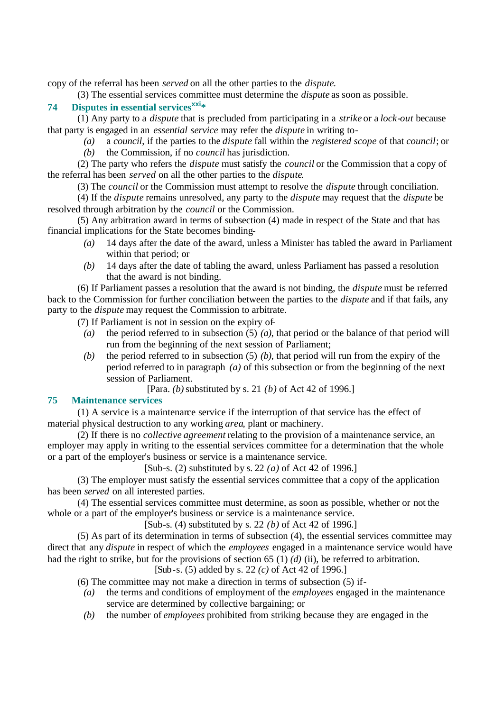copy of the referral has been *served* on all the other parties to the *dispute*.

(3) The essential services committee must determine the *dispute* as soon as possible.

# **74 Disputes in essential servicesxxi\***

(1) Any party to a *dispute* that is precluded from participating in a *strike* or a *lock-out* because that party is engaged in an *essential service* may refer the *dispute* in writing to-

*(a)* a *council*, if the parties to the *dispute* fall within the *registered scope* of that *council*; or *(b)* the Commission, if no *council* has jurisdiction.

(2) The party who refers the *dispute* must satisfy the *council* or the Commission that a copy of the referral has been *served* on all the other parties to the *dispute*.

(3) The *council* or the Commission must attempt to resolve the *dispute* through conciliation.

(4) If the *dispute* remains unresolved, any party to the *dispute* may request that the *dispute* be resolved through arbitration by the *council* or the Commission.

(5) Any arbitration award in terms of subsection (4) made in respect of the State and that has financial implications for the State becomes binding-

- *(a)* 14 days after the date of the award, unless a Minister has tabled the award in Parliament within that period; or
- *(b)* 14 days after the date of tabling the award, unless Parliament has passed a resolution that the award is not binding.

(6) If Parliament passes a resolution that the award is not binding, the *dispute* must be referred back to the Commission for further conciliation between the parties to the *dispute* and if that fails, any party to the *dispute* may request the Commission to arbitrate.

(7) If Parliament is not in session on the expiry of-

- *(a)* the period referred to in subsection (5) *(a)*, that period or the balance of that period will run from the beginning of the next session of Parliament;
- *(b)* the period referred to in subsection (5) *(b)*, that period will run from the expiry of the period referred to in paragraph *(a)* of this subsection or from the beginning of the next session of Parliament.

[Para. *(b)* substituted by s. 21 *(b)* of Act 42 of 1996.]

# **75 Maintenance services**

(1) A service is a maintenance service if the interruption of that service has the effect of material physical destruction to any working *area*, plant or machinery.

(2) If there is no *collective agreement* relating to the provision of a maintenance service, an employer may apply in writing to the essential services committee for a determination that the whole or a part of the employer's business or service is a maintenance service.

[Sub-s. (2) substituted by s. 22 *(a)* of Act 42 of 1996.]

(3) The employer must satisfy the essential services committee that a copy of the application has been *served* on all interested parties.

(4) The essential services committee must determine, as soon as possible, whether or not the whole or a part of the employer's business or service is a maintenance service.

[Sub-s. (4) substituted by s. 22 *(b)* of Act 42 of 1996.]

(5) As part of its determination in terms of subsection (4), the essential services committee may direct that any *dispute* in respect of which the *employees* engaged in a maintenance service would have had the right to strike, but for the provisions of section 65 (1) *(d)* (ii), be referred to arbitration.

[Sub-s. (5) added by s. 22 *(c)* of Act 42 of 1996.]

(6) The committee may not make a direction in terms of subsection (5) if-

- *(a)* the terms and conditions of employment of the *employees* engaged in the maintenance service are determined by collective bargaining; or
- *(b)* the number of *employees* prohibited from striking because they are engaged in the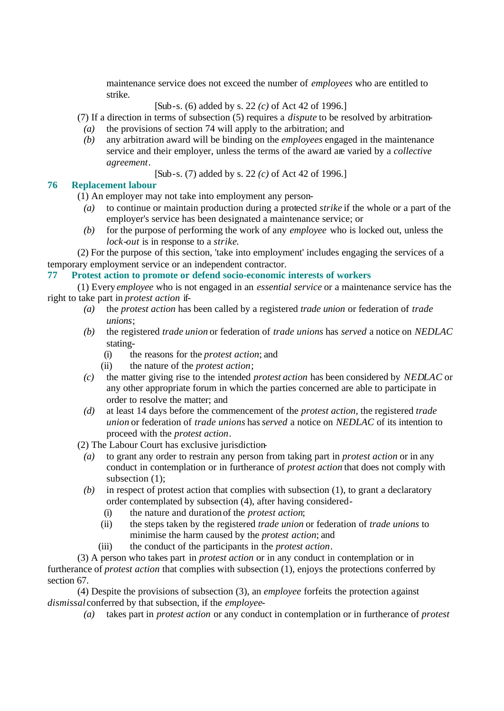maintenance service does not exceed the number of *employees* who are entitled to strike.

[Sub-s. (6) added by s. 22 *(c)* of Act 42 of 1996.]

- (7) If a direction in terms of subsection (5) requires a *dispute* to be resolved by arbitration-
	- *(a)* the provisions of section 74 will apply to the arbitration; and
	- *(b)* any arbitration award will be binding on the *employees* engaged in the maintenance service and their employer, unless the terms of the award are varied by a *collective agreement*.

[Sub-s. (7) added by s. 22 *(c)* of Act 42 of 1996.]

# **76 Replacement labour**

(1) An employer may not take into employment any person-

- *(a)* to continue or maintain production during a protected *strike* if the whole or a part of the employer's service has been designated a maintenance service; or
- *(b)* for the purpose of performing the work of any *employee* who is locked out, unless the *lock-out* is in response to a *strike*.

(2) For the purpose of this section, 'take into employment' includes engaging the services of a temporary employment service or an independent contractor.

# **77 Protest action to promote or defend socio-economic interests of workers**

(1) Every *employee* who is not engaged in an *essential service* or a maintenance service has the right to take part in *protest action* if-

- *(a)* the *protest action* has been called by a registered *trade union* or federation of *trade unions*;
- *(b)* the registered *trade union* or federation of *trade unions* has *served* a notice on *NEDLAC* stating-
	- (i) the reasons for the *protest action*; and
	- (ii) the nature of the *protest action*;
- *(c)* the matter giving rise to the intended *protest action* has been considered by *NEDLAC* or any other appropriate forum in which the parties concerned are able to participate in order to resolve the matter; and
- *(d)* at least 14 days before the commencement of the *protest action*, the registered *trade union* or federation of *trade unions* has*served* a notice on *NEDLAC* of its intention to proceed with the *protest action*.
- (2) The Labour Court has exclusive jurisdiction-
	- *(a)* to grant any order to restrain any person from taking part in *protest action* or in any conduct in contemplation or in furtherance of *protest action* that does not comply with subsection (1):
	- *(b)* in respect of protest action that complies with subsection (1), to grant a declaratory order contemplated by subsection (4), after having considered-
		- (i) the nature and duration of the *protest action*;
		- (ii) the steps taken by the registered *trade union* or federation of *trade unions* to minimise the harm caused by the *protest action*; and
		- (iii) the conduct of the participants in the *protest action*.

(3) A person who takes part in *protest action* or in any conduct in contemplation or in furtherance of *protest action* that complies with subsection (1), enjoys the protections conferred by section 67.

(4) Despite the provisions of subsection (3), an *employee* forfeits the protection against *dismissal* conferred by that subsection, if the *employee*-

*(a)* takes part in *protest action* or any conduct in contemplation or in furtherance of *protest*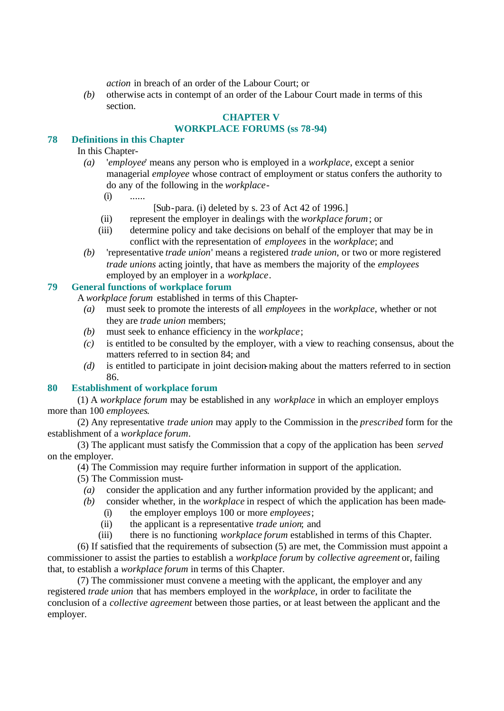*action* in breach of an order of the Labour Court; or

*(b)* otherwise acts in contempt of an order of the Labour Court made in terms of this section.

# **CHAPTER V**

# **WORKPLACE FORUMS (ss 78-94)**

### **78 Definitions in this Chapter**

# In this Chapter-

- *(a)* '*employee*' means any person who is employed in a *workplace*, except a senior managerial *employee* whose contract of employment or status confers the authority to do any of the following in the *workplace*-
	- $(i)$  ......
- [Sub-para. (i) deleted by s. 23 of Act 42 of 1996.]
- (ii) represent the employer in dealings with the *workplace forum*; or
- (iii) determine policy and take decisions on behalf of the employer that may be in conflict with the representation of *employees* in the *workplace*; and
- *(b)* 'representative *trade union*' means a registered *trade union*, or two or more registered *trade unions* acting jointly, that have as members the majority of the *employees* employed by an employer in a *workplace*.

#### **79 General functions of workplace forum**

A *workplace forum* established in terms of this Chapter-

- *(a)* must seek to promote the interests of all *employees* in the *workplace*, whether or not they are *trade union* members;
- *(b)* must seek to enhance efficiency in the *workplace*;
- *(c)* is entitled to be consulted by the employer, with a view to reaching consensus, about the matters referred to in section 84; and
- *(d)* is entitled to participate in joint decision-making about the matters referred to in section 86.

# **80 Establishment of workplace forum**

(1) A *workplace forum* may be established in any *workplace* in which an employer employs more than 100 *employees*.

(2) Any representative *trade union* may apply to the Commission in the *prescribed* form for the establishment of a *workplace forum*.

(3) The applicant must satisfy the Commission that a copy of the application has been *served* on the employer.

(4) The Commission may require further information in support of the application.

- (5) The Commission must-
	- *(a)* consider the application and any further information provided by the applicant; and

*(b)* consider whether, in the *workplace* in respect of which the application has been made-

- (i) the employer employs 100 or more *employees*;
- (ii) the applicant is a representative *trade union*; and
- (iii) there is no functioning *workplace forum* established in terms of this Chapter.

(6) If satisfied that the requirements of subsection (5) are met, the Commission must appoint a commissioner to assist the parties to establish a *workplace forum* by *collective agreement* or, failing that, to establish a *workplace forum* in terms of this Chapter.

(7) The commissioner must convene a meeting with the applicant, the employer and any registered *trade union* that has members employed in the *workplace*, in order to facilitate the conclusion of a *collective agreement* between those parties, or at least between the applicant and the employer.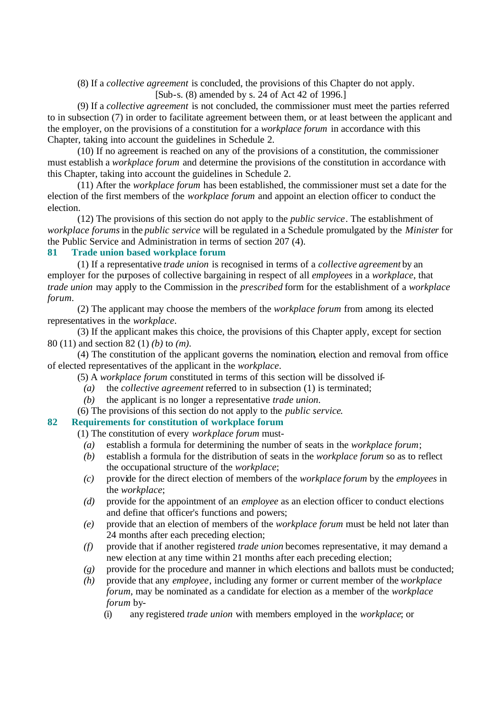(8) If a *collective agreement* is concluded, the provisions of this Chapter do not apply.

[Sub-s. (8) amended by s. 24 of Act 42 of 1996.]

(9) If a *collective agreement* is not concluded, the commissioner must meet the parties referred to in subsection (7) in order to facilitate agreement between them, or at least between the applicant and the employer, on the provisions of a constitution for a *workplace forum* in accordance with this Chapter, taking into account the guidelines in Schedule 2.

(10) If no agreement is reached on any of the provisions of a constitution, the commissioner must establish a *workplace forum* and determine the provisions of the constitution in accordance with this Chapter, taking into account the guidelines in Schedule 2.

(11) After the *workplace forum* has been established, the commissioner must set a date for the election of the first members of the *workplace forum* and appoint an election officer to conduct the election.

(12) The provisions of this section do not apply to the *public service*. The establishment of *workplace forums* in the *public service* will be regulated in a Schedule promulgated by the *Minister* for the Public Service and Administration in terms of section 207 (4).

# **81 Trade union based workplace forum**

(1) If a representative *trade union* is recognised in terms of a *collective agreement* by an employer for the purposes of collective bargaining in respect of all *employees* in a *workplace*, that *trade union* may apply to the Commission in the *prescribed* form for the establishment of a *workplace forum*.

(2) The applicant may choose the members of the *workplace forum* from among its elected representatives in the *workplace*.

(3) If the applicant makes this choice, the provisions of this Chapter apply, except for section 80 (11) and section 82 (1) *(b)* to *(m)*.

(4) The constitution of the applicant governs the nomination, election and removal from office of elected representatives of the applicant in the *workplace*.

- (5) A *workplace forum* constituted in terms of this section will be dissolved if-
	- *(a)* the *collective agreement* referred to in subsection (1) is terminated;
	- *(b)* the applicant is no longer a representative *trade union*.
- (6) The provisions of this section do not apply to the *public service*.

# **82 Requirements for constitution of workplace forum**

(1) The constitution of every *workplace forum* must-

- *(a)* establish a formula for determining the number of seats in the *workplace forum*;
- *(b)* establish a formula for the distribution of seats in the *workplace forum* so as to reflect the occupational structure of the *workplace*;
- *(c)* provide for the direct election of members of the *workplace forum* by the *employees* in the *workplace*;
- *(d)* provide for the appointment of an *employee* as an election officer to conduct elections and define that officer's functions and powers;
- *(e)* provide that an election of members of the *workplace forum* must be held not later than 24 months after each preceding election;
- *(f)* provide that if another registered *trade union* becomes representative, it may demand a new election at any time within 21 months after each preceding election;
- *(g)* provide for the procedure and manner in which elections and ballots must be conducted;
- *(h)* provide that any *employee*, including any former or current member of the *workplace forum*, may be nominated as a candidate for election as a member of the *workplace forum* by-
	- (i) any registered *trade union* with members employed in the *workplace*; or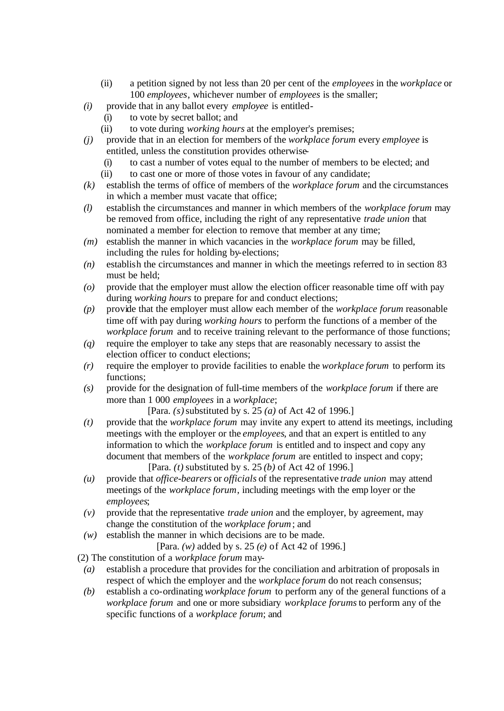- (ii) a petition signed by not less than 20 per cent of the *employees* in the *workplace* or 100 *employees*, whichever number of *employees* is the smaller;
- *(i)* provide that in any ballot every *employee* is entitled-
	- (i) to vote by secret ballot; and
	- (ii) to vote during *working hours* at the employer's premises;
- *(j)* provide that in an election for members of the *workplace forum* every *employee* is entitled, unless the constitution provides otherwise-
	- (i) to cast a number of votes equal to the number of members to be elected; and
	- (ii) to cast one or more of those votes in favour of any candidate;
- *(k)* establish the terms of office of members of the *workplace forum* and the circumstances in which a member must vacate that office;
- *(l)* establish the circumstances and manner in which members of the *workplace forum* may be removed from office, including the right of any representative *trade union* that nominated a member for election to remove that member at any time;
- *(m)* establish the manner in which vacancies in the *workplace forum* may be filled, including the rules for holding by-elections;
- *(n)* establish the circumstances and manner in which the meetings referred to in section 83 must be held;
- *(o)* provide that the employer must allow the election officer reasonable time off with pay during *working hours* to prepare for and conduct elections;
- *(p)* provide that the employer must allow each member of the *workplace forum* reasonable time off with pay during *working hours* to perform the functions of a member of the *workplace forum* and to receive training relevant to the performance of those functions;
- *(q)* require the employer to take any steps that are reasonably necessary to assist the election officer to conduct elections;
- *(r)* require the employer to provide facilities to enable the *workplace forum* to perform its functions;
- *(s)* provide for the designation of full-time members of the *workplace forum* if there are more than 1 000 *employees* in a *workplace*;

[Para. *(s)* substituted by s. 25 *(a)* of Act 42 of 1996.]

- *(t)* provide that the *workplace forum* may invite any expert to attend its meetings, including meetings with the employer or the *employees*, and that an expert is entitled to any information to which the *workplace forum* is entitled and to inspect and copy any document that members of the *workplace forum* are entitled to inspect and copy; [Para. *(t)* substituted by s. 25 *(b)* of Act 42 of 1996.]
- *(u)* provide that *office-bearers* or *officials* of the representative *trade union* may attend meetings of the *workplace forum*, including meetings with the emp loyer or the *employees*;
- *(v)* provide that the representative *trade union* and the employer, by agreement, may change the constitution of the *workplace forum*; and
- *(w)* establish the manner in which decisions are to be made.

[Para. *(w)* added by s. 25 *(e)* of Act 42 of 1996.]

(2) The constitution of a *workplace forum* may-

- *(a)* establish a procedure that provides for the conciliation and arbitration of proposals in respect of which the employer and the *workplace forum* do not reach consensus;
- *(b)* establish a co-ordinating *workplace forum* to perform any of the general functions of a *workplace forum* and one or more subsidiary *workplace forums* to perform any of the specific functions of a *workplace forum*; and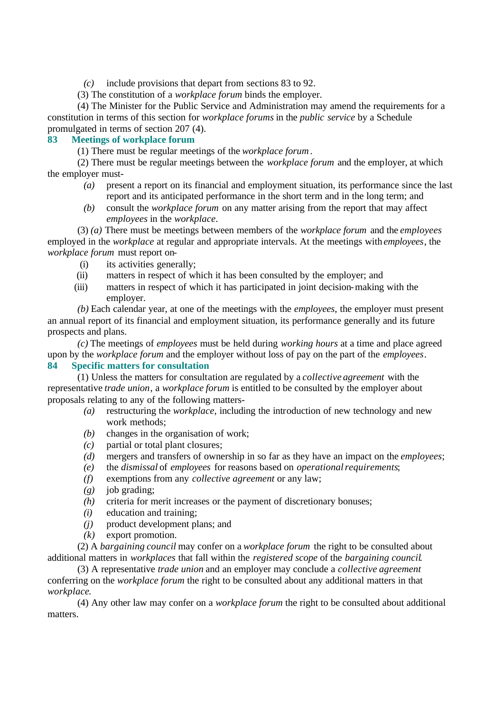*(c)* include provisions that depart from sections 83 to 92.

(3) The constitution of a *workplace forum* binds the employer.

(4) The Minister for the Public Service and Administration may amend the requirements for a constitution in terms of this section for *workplace forums* in the *public service* by a Schedule promulgated in terms of section 207 (4).

# **83 Meetings of workplace forum**

(1) There must be regular meetings of the *workplace forum*.

(2) There must be regular meetings between the *workplace forum* and the employer, at which the employer must-

- *(a)* present a report on its financial and employment situation, its performance since the last report and its anticipated performance in the short term and in the long term; and
- *(b)* consult the *workplace forum* on any matter arising from the report that may affect *employees* in the *workplace*.

(3) *(a)* There must be meetings between members of the *workplace forum* and the *employees* employed in the *workplace* at regular and appropriate intervals. At the meetings with *employees*, the *workplace forum* must report on-

- (i) its activities generally;
- (ii) matters in respect of which it has been consulted by the employer; and
- (iii) matters in respect of which it has participated in joint decision-making with the employer.

*(b)* Each calendar year, at one of the meetings with the *employees*, the employer must present an annual report of its financial and employment situation, its performance generally and its future prospects and plans.

*(c)* The meetings of *employees* must be held during *working hours* at a time and place agreed upon by the *workplace forum* and the employer without loss of pay on the part of the *employees*.

# **84 Specific matters for consultation**

(1) Unless the matters for consultation are regulated by a *collective agreement* with the representative *trade union*, a *workplace forum* is entitled to be consulted by the employer about proposals relating to any of the following matters-

- *(a)* restructuring the *workplace*, including the introduction of new technology and new work methods;
- *(b)* changes in the organisation of work;
- *(c)* partial or total plant closures;
- *(d)* mergers and transfers of ownership in so far as they have an impact on the *employees*;
- *(e)* the *dismissal* of *employees* for reasons based on *operationalrequirements*;
- *(f)* exemptions from any *collective agreement* or any law;
- *(g)* job grading;
- *(h)* criteria for merit increases or the payment of discretionary bonuses;
- *(i)* education and training;
- *(j)* product development plans; and
- *(k)* export promotion.

(2) A *bargaining council* may confer on a *workplace forum* the right to be consulted about additional matters in *workplaces* that fall within the *registered scope* of the *bargaining council*.

(3) A representative *trade union* and an employer may conclude a *collective agreement* conferring on the *workplace forum* the right to be consulted about any additional matters in that *workplace*.

(4) Any other law may confer on a *workplace forum* the right to be consulted about additional matters.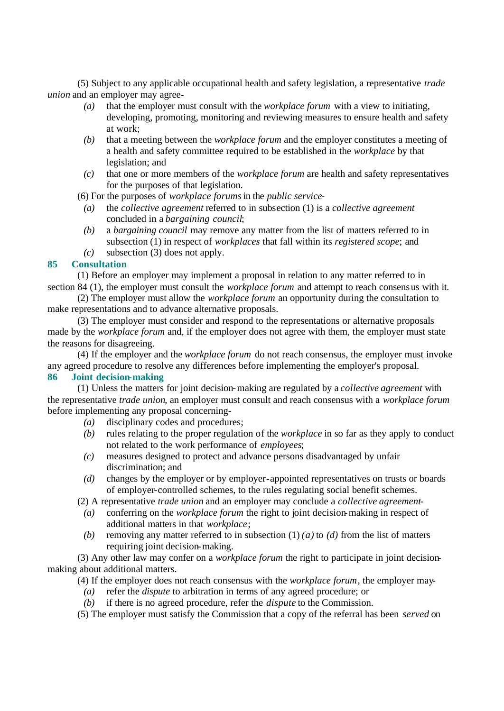(5) Subject to any applicable occupational health and safety legislation, a representative *trade union* and an employer may agree-

- *(a)* that the employer must consult with the *workplace forum* with a view to initiating, developing, promoting, monitoring and reviewing measures to ensure health and safety at work;
- *(b)* that a meeting between the *workplace forum* and the employer constitutes a meeting of a health and safety committee required to be established in the *workplace* by that legislation; and
- *(c)* that one or more members of the *workplace forum* are health and safety representatives for the purposes of that legislation.
- (6) For the purposes of *workplace forums* in the *public service*
	- *(a)* the *collective agreement* referred to in subsection (1) is a *collective agreement* concluded in a *bargaining council*;
	- *(b)* a *bargaining council* may remove any matter from the list of matters referred to in subsection (1) in respect of *workplaces* that fall within its *registered scope*; and
	- *(c)* subsection (3) does not apply.

# **85 Consultation**

(1) Before an employer may implement a proposal in relation to any matter referred to in section 84 (1), the employer must consult the *workplace forum* and attempt to reach consensus with it.

(2) The employer must allow the *workplace forum* an opportunity during the consultation to make representations and to advance alternative proposals.

(3) The employer must consider and respond to the representations or alternative proposals made by the *workplace forum* and, if the employer does not agree with them, the employer must state the reasons for disagreeing.

(4) If the employer and the *workplace forum* do not reach consensus, the employer must invoke any agreed procedure to resolve any differences before implementing the employer's proposal.

# **86 Joint decision-making**

(1) Unless the matters for joint decision-making are regulated by a *collective agreement* with the representative *trade union*, an employer must consult and reach consensus with a *workplace forum* before implementing any proposal concerning-

- *(a)* disciplinary codes and procedures;
- *(b)* rules relating to the proper regulation of the *workplace* in so far as they apply to conduct not related to the work performance of *employees*;
- *(c)* measures designed to protect and advance persons disadvantaged by unfair discrimination; and
- *(d)* changes by the employer or by employer-appointed representatives on trusts or boards of employer-controlled schemes, to the rules regulating social benefit schemes.

(2) A representative *trade union* and an employer may conclude a *collective agreement*-

- *(a)* conferring on the *workplace forum* the right to joint decision-making in respect of additional matters in that *workplace*;
- *(b)* removing any matter referred to in subsection  $(1)$  *(a)* to *(d)* from the list of matters requiring joint decision-making.

(3) Any other law may confer on a *workplace forum* the right to participate in joint decisionmaking about additional matters.

(4) If the employer does not reach consensus with the *workplace forum*, the employer may-

- *(a)* refer the *dispute* to arbitration in terms of any agreed procedure; or
- *(b)* if there is no agreed procedure, refer the *dispute* to the Commission.

(5) The employer must satisfy the Commission that a copy of the referral has been *served* on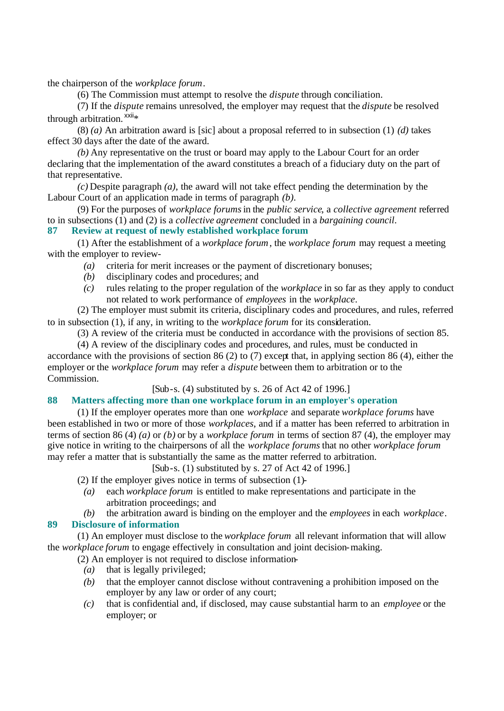the chairperson of the *workplace forum*.

(6) The Commission must attempt to resolve the *dispute* through conciliation.

(7) If the *dispute* remains unresolved, the employer may request that the *dispute* be resolved through arbitration.  $xxi *$ 

(8) *(a)* An arbitration award is [sic] about a proposal referred to in subsection (1) *(d)* takes effect 30 days after the date of the award.

*(b)* Any representative on the trust or board may apply to the Labour Court for an order declaring that the implementation of the award constitutes a breach of a fiduciary duty on the part of that representative.

*(c)* Despite paragraph *(a)*, the award will not take effect pending the determination by the Labour Court of an application made in terms of paragraph *(b)*.

(9) For the purposes of *workplace forums* in the *public service*, a *collective agreement* referred to in subsections (1) and (2) is a *collective agreement* concluded in a *bargaining council*.

**87 Review at request of newly established workplace forum**

(1) After the establishment of a *workplace forum*, the *workplace forum* may request a meeting with the employer to review-

- *(a)* criteria for merit increases or the payment of discretionary bonuses;
- *(b)* disciplinary codes and procedures; and
- *(c)* rules relating to the proper regulation of the *workplace* in so far as they apply to conduct not related to work performance of *employees* in the *workplace*.

(2) The employer must submit its criteria, disciplinary codes and procedures, and rules, referred to in subsection (1), if any, in writing to the *workplace forum* for its consideration.

(3) A review of the criteria must be conducted in accordance with the provisions of section 85.

(4) A review of the disciplinary codes and procedures, and rules, must be conducted in accordance with the provisions of section 86 (2) to (7) except that, in applying section 86 (4), either the employer or the *workplace forum* may refer a *dispute* between them to arbitration or to the Commission.

#### [Sub-s. (4) substituted by s. 26 of Act 42 of 1996.]

# **88 Matters affecting more than one workplace forum in an employer's operation**

(1) If the employer operates more than one *workplace* and separate *workplace forums* have been established in two or more of those *workplaces*, and if a matter has been referred to arbitration in terms of section 86 (4) *(a)* or *(b)* or by a *workplace forum* in terms of section 87 (4), the employer may give notice in writing to the chairpersons of all the *workplace forums* that no other *workplace forum* may refer a matter that is substantially the same as the matter referred to arbitration.

[Sub-s. (1) substituted by s. 27 of Act 42 of 1996.]

(2) If the employer gives notice in terms of subsection (1)-

- *(a)* each *workplace forum* is entitled to make representations and participate in the arbitration proceedings; and
- *(b)* the arbitration award is binding on the employer and the *employees* in each *workplace*.

# **89 Disclosure of information**

(1) An employer must disclose to the *workplace forum* all relevant information that will allow the *workplace forum* to engage effectively in consultation and joint decision-making.

- (2) An employer is not required to disclose information-
	- *(a)* that is legally privileged;
	- *(b)* that the employer cannot disclose without contravening a prohibition imposed on the employer by any law or order of any court;
	- *(c)* that is confidential and, if disclosed, may cause substantial harm to an *employee* or the employer; or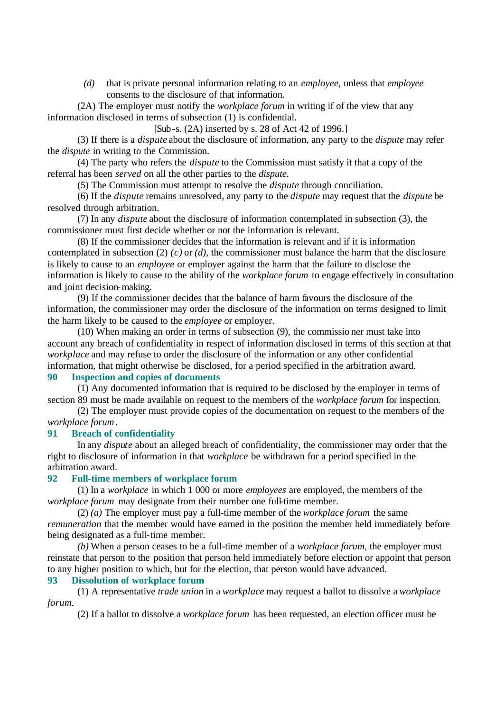*(d)* that is private personal information relating to an *employee*, unless that *employee* consents to the disclosure of that information.

(2A) The employer must notify the *workplace forum* in writing if of the view that any information disclosed in terms of subsection (1) is confidential.

[Sub-s. (2A) inserted by s. 28 of Act 42 of 1996.]

(3) If there is a *dispute* about the disclosure of information, any party to the *dispute* may refer the *dispute* in writing to the Commission.

(4) The party who refers the *dispute* to the Commission must satisfy it that a copy of the referral has been *served* on all the other parties to the *dispute*.

(5) The Commission must attempt to resolve the *dispute* through conciliation.

(6) If the *dispute* remains unresolved, any party to the *dispute* may request that the *dispute* be resolved through arbitration.

(7) In any *dispute* about the disclosure of information contemplated in subsection (3), the commissioner must first decide whether or not the information is relevant.

(8) If the commissioner decides that the information is relevant and if it is information contemplated in subsection (2) *(c)* or *(d)*, the commissioner must balance the harm that the disclosure is likely to cause to an *employee* or employer against the harm that the failure to disclose the information is likely to cause to the ability of the *workplace forum* to engage effectively in consultation and joint decision-making.

(9) If the commissioner decides that the balance of harm favours the disclosure of the information, the commissioner may order the disclosure of the information on terms designed to limit the harm likely to be caused to the *employee* or employer.

(10) When making an order in terms of subsection (9), the commissio ner must take into account any breach of confidentiality in respect of information disclosed in terms of this section at that *workplace* and may refuse to order the disclosure of the information or any other confidential information, that might otherwise be disclosed, for a period specified in the arbitration award.

#### **90 Inspection and copies of documents**

(1) Any documented information that is required to be disclosed by the employer in terms of section 89 must be made available on request to the members of the *workplace forum* for inspection.

(2) The employer must provide copies of the documentation on request to the members of the *workplace forum*.

### **91 Breach of confidentiality**

In any *dispute* about an alleged breach of confidentiality, the commissioner may order that the right to disclosure of information in that *workplace* be withdrawn for a period specified in the arbitration award.

#### **92 Full-time members of workplace forum**

(1) In a *workplace* in which 1 000 or more *employees* are employed, the members of the *workplace forum* may designate from their number one full-time member.

(2) *(a)* The employer must pay a full-time member of the *workplace forum* the same *remuneration* that the member would have earned in the position the member held immediately before being designated as a full-time member.

*(b)* When a person ceases to be a full-time member of a *workplace forum*, the employer must reinstate that person to the position that person held immediately before election or appoint that person to any higher position to which, but for the election, that person would have advanced.

# **93 Dissolution of workplace forum**

(1) A representative *trade union* in a *workplace* may request a ballot to dissolve a *workplace forum*.

(2) If a ballot to dissolve a *workplace forum* has been requested, an election officer must be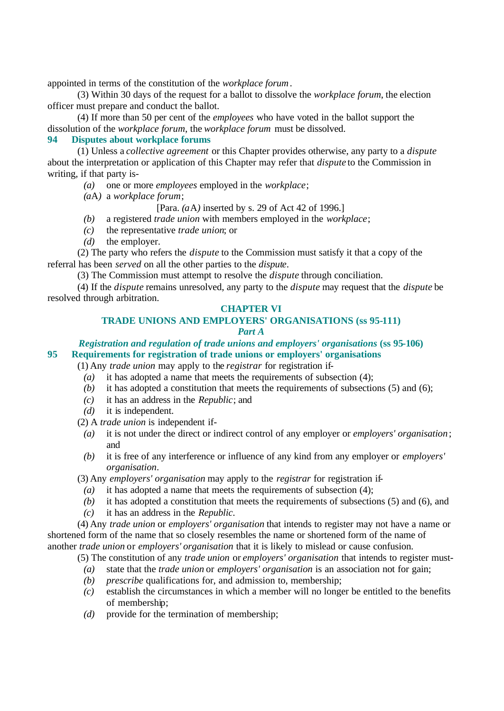appointed in terms of the constitution of the *workplace forum*.

(3) Within 30 days of the request for a ballot to dissolve the *workplace forum*, the election officer must prepare and conduct the ballot.

(4) If more than 50 per cent of the *employees* who have voted in the ballot support the dissolution of the *workplace forum*, the *workplace forum* must be dissolved.

#### **94 Disputes about workplace forums**

(1) Unless a *collective agreement* or this Chapter provides otherwise, any party to a *dispute* about the interpretation or application of this Chapter may refer that *dispute* to the Commission in writing, if that party is-

- *(a)* one or more *employees* employed in the *workplace*;
- *(a*A*)* a *workplace forum*;

[Para. *(a*A*)* inserted by s. 29 of Act 42 of 1996.]

- *(b)* a registered *trade union* with members employed in the *workplace*;
- *(c)* the representative *trade union*; or
- *(d)* the employer.

(2) The party who refers the *dispute* to the Commission must satisfy it that a copy of the referral has been *served* on all the other parties to the *dispute*.

(3) The Commission must attempt to resolve the *dispute* through conciliation.

(4) If the *dispute* remains unresolved, any party to the *dispute* may request that the *dispute* be resolved through arbitration.

#### **CHAPTER VI**

# **TRADE UNIONS AND EMPLOYERS' ORGANISATIONS (ss 95-111)**

#### *Part A*

*Registration and regulation of trade unions and employers' organisations* **(ss 95-106) 95 Requirements for registration of trade unions or employers' organisations**

(1) Any *trade union* may apply to the *registrar* for registration if-

- *(a)* it has adopted a name that meets the requirements of subsection (4);
- *(b)* it has adopted a constitution that meets the requirements of subsections (5) and (6);
- *(c)* it has an address in the *Republic*; and
- *(d)* it is independent.
- (2) A *trade union* is independent if-
	- *(a)* it is not under the direct or indirect control of any employer or *employers' organisation* ; and
	- *(b)* it is free of any interference or influence of any kind from any employer or *employers' organisation*.

(3) Any *employers' organisation* may apply to the *registrar* for registration if-

- *(a)* it has adopted a name that meets the requirements of subsection (4);
- *(b)* it has adopted a constitution that meets the requirements of subsections (5) and (6), and
- *(c)* it has an address in the *Republic*.

(4) Any *trade union* or *employers' organisation* that intends to register may not have a name or shortened form of the name that so closely resembles the name or shortened form of the name of another *trade union* or *employers' organisation* that it is likely to mislead or cause confusion.

(5) The constitution of any *trade union* or *employers' organisation* that intends to register must-

- *(a)* state that the *trade union* or *employers' organisation* is an association not for gain;
- *(b) prescribe* qualifications for, and admission to, membership;
- *(c)* establish the circumstances in which a member will no longer be entitled to the benefits of membership;
- *(d)* provide for the termination of membership;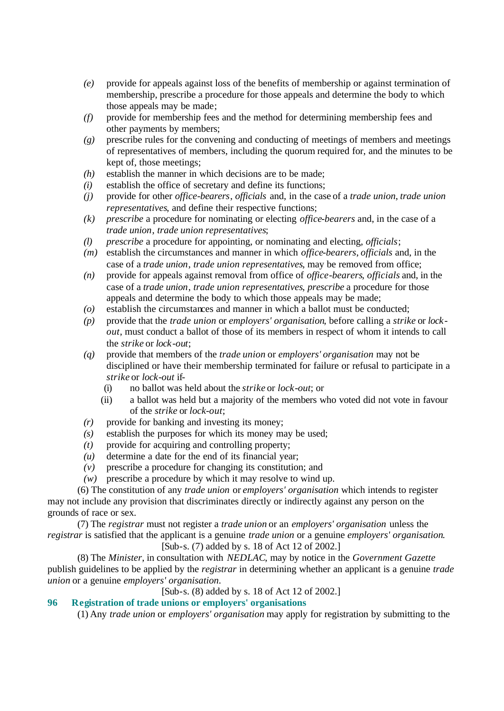- *(e)* provide for appeals against loss of the benefits of membership or against termination of membership, prescribe a procedure for those appeals and determine the body to which those appeals may be made;
- *(f)* provide for membership fees and the method for determining membership fees and other payments by members;
- *(g)* prescribe rules for the convening and conducting of meetings of members and meetings of representatives of members, including the quorum required for, and the minutes to be kept of, those meetings;
- *(h)* establish the manner in which decisions are to be made;
- *(i)* establish the office of secretary and define its functions;
- *(j)* provide for other *office-bearers*, *officials* and, in the case of a *trade union*, *trade union representatives*, and define their respective functions;
- *(k) prescribe* a procedure for nominating or electing *office-bearers* and, in the case of a *trade union*, *trade union representatives*;
- *(l) prescribe* a procedure for appointing, or nominating and electing, *officials*;
- *(m)* establish the circumstances and manner in which *office-bearers*, *officials* and, in the case of a *trade union*, *trade union representatives*, may be removed from office;
- *(n)* provide for appeals against removal from office of *office-bearers*, *officials* and, in the case of a *trade union*, *trade union representatives*, *prescribe* a procedure for those appeals and determine the body to which those appeals may be made;
- *(o)* establish the circumstances and manner in which a ballot must be conducted;
- *(p)* provide that the *trade union* or *employers' organisation*, before calling a *strike* or *lockout*, must conduct a ballot of those of its members in respect of whom it intends to call the *strike* or *lock-out*;
- *(q)* provide that members of the *trade union* or *employers' organisation* may not be disciplined or have their membership terminated for failure or refusal to participate in a *strike* or *lock-out* if-
	- (i) no ballot was held about the *strike* or *lock-out*; or
	- (ii) a ballot was held but a majority of the members who voted did not vote in favour of the *strike* or *lock-out*;
- *(r)* provide for banking and investing its money;
- *(s)* establish the purposes for which its money may be used;
- *(t)* provide for acquiring and controlling property;
- *(u)* determine a date for the end of its financial year;
- *(v)* prescribe a procedure for changing its constitution; and
- *(w)* prescribe a procedure by which it may resolve to wind up.

(6) The constitution of any *trade union* or *employers' organisation* which intends to register may not include any provision that discriminates directly or indirectly against any person on the grounds of race or sex.

(7) The *registrar* must not register a *trade union* or an *employers' organisation* unless the *registrar* is satisfied that the applicant is a genuine *trade union* or a genuine *employers' organisation*.

[Sub-s. (7) added by s. 18 of Act 12 of 2002.]

(8) The *Minister*, in consultation with *NEDLAC*, may by notice in the *Government Gazette* publish guidelines to be applied by the *registrar* in determining whether an applicant is a genuine *trade union* or a genuine *employers' organisation*.

[Sub-s. (8) added by s. 18 of Act 12 of 2002.]

# **96 Registration of trade unions or employers' organisations**

(1) Any *trade union* or *employers' organisation* may apply for registration by submitting to the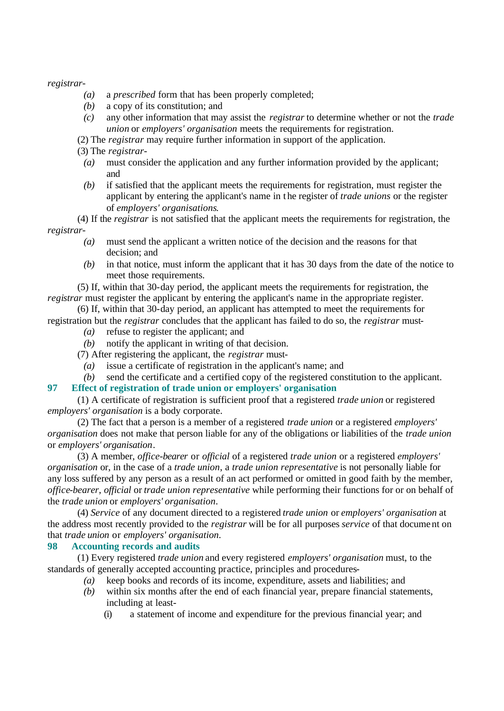*registrar*-

- *(a)* a *prescribed* form that has been properly completed;
- *(b)* a copy of its constitution; and
- *(c)* any other information that may assist the *registrar* to determine whether or not the *trade union* or *employers' organisation* meets the requirements for registration.
- (2) The *registrar* may require further information in support of the application.

(3) The *registrar*-

- *(a)* must consider the application and any further information provided by the applicant; and
- *(b)* if satisfied that the applicant meets the requirements for registration, must register the applicant by entering the applicant's name in the register of *trade unions* or the register of *employers' organisations*.

(4) If the *registrar* is not satisfied that the applicant meets the requirements for registration, the *registrar*-

- *(a)* must send the applicant a written notice of the decision and the reasons for that decision; and
- *(b)* in that notice, must inform the applicant that it has 30 days from the date of the notice to meet those requirements.

(5) If, within that 30-day period, the applicant meets the requirements for registration, the *registrar* must register the applicant by entering the applicant's name in the appropriate register.

(6) If, within that 30-day period, an applicant has attempted to meet the requirements for registration but the *registrar* concludes that the applicant has failed to do so, the *registrar* must-

- *(a)* refuse to register the applicant; and
- *(b)* notify the applicant in writing of that decision.

(7) After registering the applicant, the *registrar* must-

- *(a)* issue a certificate of registration in the applicant's name; and
- *(b)* send the certificate and a certified copy of the registered constitution to the applicant.

### **97 Effect of registration of trade union or employers' organisation**

(1) A certificate of registration is sufficient proof that a registered *trade union* or registered *employers' organisation* is a body corporate.

(2) The fact that a person is a member of a registered *trade union* or a registered *employers' organisation* does not make that person liable for any of the obligations or liabilities of the *trade union* or *employers' organisation*.

(3) A member, *office-bearer* or *official* of a registered *trade union* or a registered *employers' organisation* or, in the case of a *trade union*, a *trade union representative* is not personally liable for any loss suffered by any person as a result of an act performed or omitted in good faith by the member, *office-bearer*, *official* or *trade union representative* while performing their functions for or on behalf of the *trade union* or *employers' organisation*.

(4) *Service* of any document directed to a registered *trade union* or *employers' organisation* at the address most recently provided to the *registrar* will be for all purposes *service* of that document on that *trade union* or *employers' organisation*.

# **98 Accounting records and audits**

(1) Every registered *trade union* and every registered *employers' organisation* must, to the standards of generally accepted accounting practice, principles and procedures-

- *(a)* keep books and records of its income, expenditure, assets and liabilities; and
- *(b)* within six months after the end of each financial year, prepare financial statements, including at least-
	- (i) a statement of income and expenditure for the previous financial year; and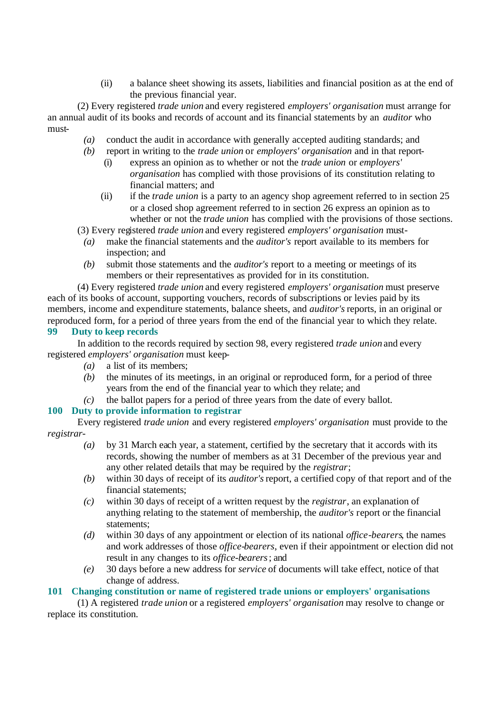(ii) a balance sheet showing its assets, liabilities and financial position as at the end of the previous financial year.

(2) Every registered *trade union* and every registered *employers' organisation* must arrange for an annual audit of its books and records of account and its financial statements by an *auditor* who must-

- *(a)* conduct the audit in accordance with generally accepted auditing standards; and
- *(b)* report in writing to the *trade union* or *employers' organisation* and in that report-
	- (i) express an opinion as to whether or not the *trade union* or *employers' organisation* has complied with those provisions of its constitution relating to financial matters; and
	- (ii) if the *trade union* is a party to an agency shop agreement referred to in section 25 or a closed shop agreement referred to in section 26 express an opinion as to whether or not the *trade union* has complied with the provisions of those sections.
- (3) Every registered *trade union* and every registered *employers' organisation* must-
	- *(a)* make the financial statements and the *auditor's* report available to its members for inspection; and
	- *(b)* submit those statements and the *auditor's* report to a meeting or meetings of its members or their representatives as provided for in its constitution.

(4) Every registered *trade union* and every registered *employers' organisation* must preserve each of its books of account, supporting vouchers, records of subscriptions or levies paid by its members, income and expenditure statements, balance sheets, and *auditor's* reports, in an original or reproduced form, for a period of three years from the end of the financial year to which they relate. **99 Duty to keep records**

In addition to the records required by section 98, every registered *trade union* and every registered *employers' organisation* must keep-

- *(a)* a list of its members;
- *(b)* the minutes of its meetings, in an original or reproduced form, for a period of three years from the end of the financial year to which they relate; and
- *(c)* the ballot papers for a period of three years from the date of every ballot.

# **100 Duty to provide information to registrar**

Every registered *trade union* and every registered *employers' organisation* must provide to the *registrar*-

- *(a)* by 31 March each year, a statement, certified by the secretary that it accords with its records, showing the number of members as at 31 December of the previous year and any other related details that may be required by the *registrar*;
- *(b)* within 30 days of receipt of its *auditor's* report, a certified copy of that report and of the financial statements;
- *(c)* within 30 days of receipt of a written request by the *registrar*, an explanation of anything relating to the statement of membership, the *auditor's* report or the financial statements;
- *(d)* within 30 days of any appointment or election of its national *office-bearers*, the names and work addresses of those *office-bearers*, even if their appointment or election did not result in any changes to its *office-bearers*; and
- *(e)* 30 days before a new address for *service* of documents will take effect, notice of that change of address.

#### **101 Changing constitution or name of registered trade unions or employers' organisations**

(1) A registered *trade union* or a registered *employers' organisation* may resolve to change or replace its constitution.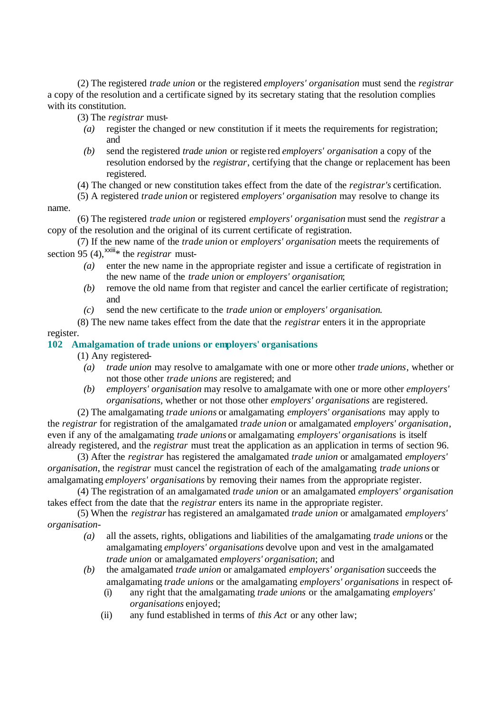(2) The registered *trade union* or the registered *employers' organisation* must send the *registrar* a copy of the resolution and a certificate signed by its secretary stating that the resolution complies with its constitution.

(3) The *registrar* must-

- *(a)* register the changed or new constitution if it meets the requirements for registration; and
- *(b)* send the registered *trade union* or registe red *employers' organisation* a copy of the resolution endorsed by the *registrar*, certifying that the change or replacement has been registered.
- (4) The changed or new constitution takes effect from the date of the *registrar's* certification.
- (5) A registered *trade union* or registered *employers' organisation* may resolve to change its

name.

(6) The registered *trade union* or registered *employers' organisation* must send the *registrar* a copy of the resolution and the original of its current certificate of registration.

(7) If the new name of the *trade union* or *employers' organisation* meets the requirements of section 95 (4),  $\frac{x}{x}$  the *registrar* must-

- *(a)* enter the new name in the appropriate register and issue a certificate of registration in the new name of the *trade union* or *employers' organisation*;
- *(b)* remove the old name from that register and cancel the earlier certificate of registration; and
- *(c)* send the new certificate to the *trade union* or *employers' organisation*.

(8) The new name takes effect from the date that the *registrar* enters it in the appropriate register.

# **102 Amalgamation of trade unions or employers' organisations**

(1) Any registered-

- *(a) trade union* may resolve to amalgamate with one or more other *trade unions*, whether or not those other *trade unions* are registered; and
- *(b) employers' organisation* may resolve to amalgamate with one or more other *employers' organisations*, whether or not those other *employers' organisations* are registered.

(2) The amalgamating *trade unions* or amalgamating *employers' organisations* may apply to the *registrar* for registration of the amalgamated *trade union* or amalgamated *employers' organisation*, even if any of the amalgamating *trade unions* or amalgamating *employers' organisations* is itself already registered, and the *registrar* must treat the application as an application in terms of section 96.

(3) After the *registrar* has registered the amalgamated *trade union* or amalgamated *employers' organisation*, the *registrar* must cancel the registration of each of the amalgamating *trade unions* or amalgamating *employers' organisations* by removing their names from the appropriate register.

(4) The registration of an amalgamated *trade union* or an amalgamated *employers' organisation* takes effect from the date that the *registrar* enters its name in the appropriate register.

(5) When the *registrar* has registered an amalgamated *trade union* or amalgamated *employers' organisation*-

- *(a)* all the assets, rights, obligations and liabilities of the amalgamating *trade unions* or the amalgamating *employers' organisations* devolve upon and vest in the amalgamated *trade union* or amalgamated *employers' organisation*; and
- *(b)* the amalgamated *trade union* or amalgamated *employers' organisation* succeeds the amalgamating *trade unions* or the amalgamating *employers' organisations* in respect of-
	- (i) any right that the amalgamating *trade unions* or the amalgamating *employers' organisations* enjoyed;
	- (ii) any fund established in terms of *this Act* or any other law;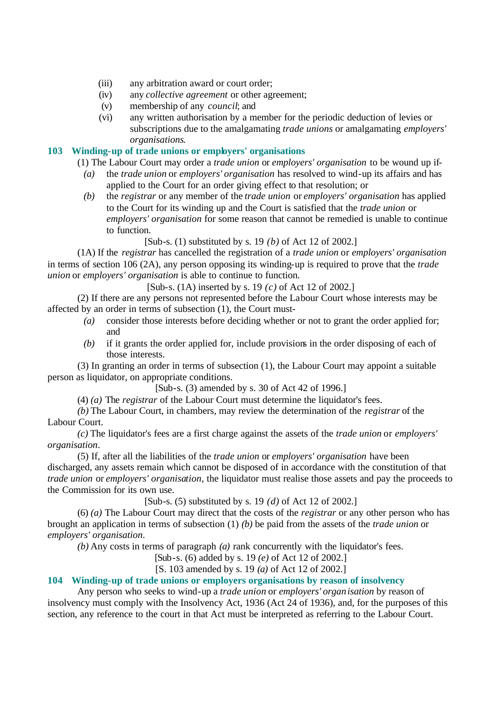- (iii) any arbitration award or court order;
- (iv) any *collective agreement* or other agreement;
- (v) membership of any *council*; and
- (vi) any written authorisation by a member for the periodic deduction of levies or subscriptions due to the amalgamating *trade unions* or amalgamating *employers' organisations*.

# **103 Winding-up of trade unions or employers' organisations**

(1) The Labour Court may order a *trade union* or *employers' organisation* to be wound up if-

- *(a)* the *trade union* or *employers' organisation* has resolved to wind-up its affairs and has applied to the Court for an order giving effect to that resolution; or
- *(b)* the *registrar* or any member of the *trade union* or *employers' organisation* has applied to the Court for its winding up and the Court is satisfied that the *trade union* or *employers' organisation* for some reason that cannot be remedied is unable to continue to function.

[Sub-s. (1) substituted by s. 19 *(b)* of Act 12 of 2002.]

(1A) If the *registrar* has cancelled the registration of a *trade union* or *employers' organisation* in terms of section 106 (2A), any person opposing its winding-up is required to prove that the *trade union* or *employers' organisation* is able to continue to function.

[Sub-s. (1A) inserted by s. 19 *(c)* of Act 12 of 2002.]

(2) If there are any persons not represented before the Labour Court whose interests may be affected by an order in terms of subsection (1), the Court must-

- *(a)* consider those interests before deciding whether or not to grant the order applied for; and
- *(b)* if it grants the order applied for, include provisions in the order disposing of each of those interests.

(3) In granting an order in terms of subsection (1), the Labour Court may appoint a suitable person as liquidator, on appropriate conditions.

[Sub-s. (3) amended by s. 30 of Act 42 of 1996.]

(4) *(a)* The *registrar* of the Labour Court must determine the liquidator's fees.

*(b)* The Labour Court, in chambers, may review the determination of the *registrar* of the Labour Court.

*(c)* The liquidator's fees are a first charge against the assets of the *trade union* or *employers' organisation*.

(5) If, after all the liabilities of the *trade union* or *employers' organisation* have been discharged, any assets remain which cannot be disposed of in accordance with the constitution of that *trade union* or *employers' organisation*, the liquidator must realise those assets and pay the proceeds to the Commission for its own use.

[Sub-s. (5) substituted by s. 19 *(d)* of Act 12 of 2002.]

(6) *(a)* The Labour Court may direct that the costs of the *registrar* or any other person who has brought an application in terms of subsection (1) *(b)* be paid from the assets of the *trade union* or *employers' organisation*.

*(b)* Any costs in terms of paragraph *(a)* rank concurrently with the liquidator's fees.

[Sub-s. (6) added by s. 19 *(e)* of Act 12 of 2002.]

[S. 103 amended by s. 19 *(a)* of Act 12 of 2002.]

# **104 Winding-up of trade unions or employers organisations by reason of insolvency**

Any person who seeks to wind-up a *trade union* or *employers' organisation* by reason of insolvency must comply with the Insolvency Act, 1936 (Act 24 of 1936), and, for the purposes of this section, any reference to the court in that Act must be interpreted as referring to the Labour Court.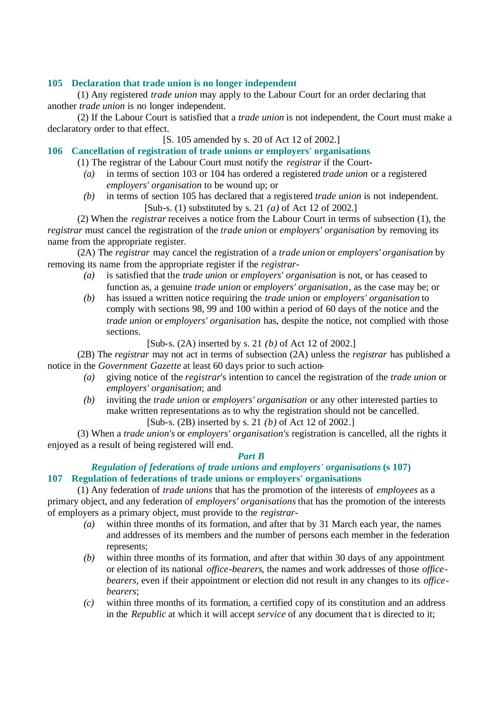# **105 Declaration that trade union is no longer independent**

(1) Any registered *trade union* may apply to the Labour Court for an order declaring that another *trade union* is no longer independent.

(2) If the Labour Court is satisfied that a *trade union* is not independent, the Court must make a declaratory order to that effect.

[S. 105 amended by s. 20 of Act 12 of 2002.]

# **106 Cancellation of registration of trade unions or employers' organisations**

(1) The registrar of the Labour Court must notify the *registrar* if the Court-

- *(a)* in terms of section 103 or 104 has ordered a registered *trade union* or a registered *employers' organisation* to be wound up; or
- *(b)* in terms of section 105 has declared that a registered *trade union* is not independent. [Sub-s. (1) substituted by s. 21 *(a)* of Act 12 of 2002.]

(2) When the *registrar* receives a notice from the Labour Court in terms of subsection (1), the *registrar* must cancel the registration of the *trade union* or *employers' organisation* by removing its name from the appropriate register.

(2A) The *registrar* may cancel the registration of a *trade union* or *employers' organisation* by removing its name from the appropriate register if the *registrar*-

- *(a)* is satisfied that the *trade union* or *employers' organisation* is not, or has ceased to function as, a genuine *trade union* or *employers' organisation*, as the case may be; or
- *(b)* has issued a written notice requiring the *trade union* or *employers' organisation* to comply with sections 98, 99 and 100 within a period of 60 days of the notice and the *trade union* or *employers' organisation* has, despite the notice, not complied with those sections.

[Sub-s. (2A) inserted by s. 21 *(b)* of Act 12 of 2002.]

(2B) The *registrar* may not act in terms of subsection (2A) unless the *registrar* has published a notice in the *Government Gazette* at least 60 days prior to such action-

- *(a)* giving notice of the *registrar*'s intention to cancel the registration of the *trade union* or *employers' organisation*; and
- *(b)* inviting the *trade union* or *employers' organisation* or any other interested parties to make written representations as to why the registration should not be cancelled. [Sub-s. (2B) inserted by s. 21 *(b)* of Act 12 of 2002.]

(3) When a *trade union's* or *employers' organisation's* registration is cancelled, all the rights it enjoyed as a result of being registered will end.

# *Part B*

# *Regulation of federations of trade unions and employers' organisations* **(s 107) 107 Regulation of federations of trade unions or employers' organisations**

(1) Any federation of *trade unions* that has the promotion of the interests of *employees* as a primary object, and any federation of *employers' organisations* that has the promotion of the interests of employers as a primary object, must provide to the *registrar*-

- *(a)* within three months of its formation, and after that by 31 March each year, the names and addresses of its members and the number of persons each member in the federation represents;
- *(b)* within three months of its formation, and after that within 30 days of any appointment or election of its national *office-bearers*, the names and work addresses of those *officebearers*, even if their appointment or election did not result in any changes to its *officebearers*;
- *(c)* within three months of its formation, a certified copy of its constitution and an address in the *Republic* at which it will accept *service* of any document that is directed to it;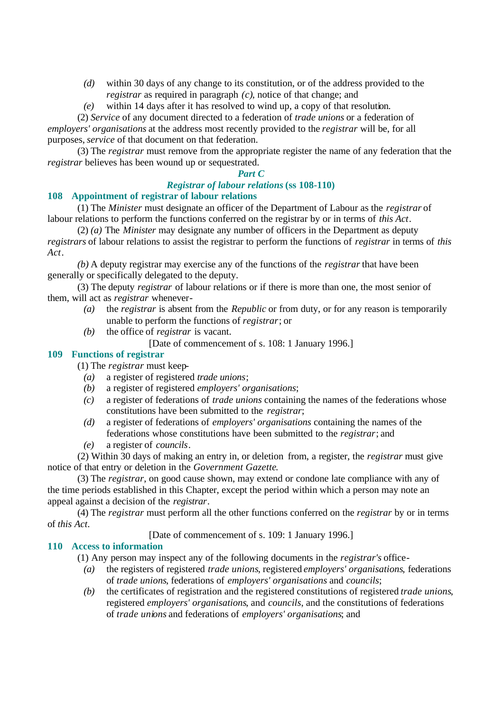- *(d)* within 30 days of any change to its constitution, or of the address provided to the *registrar* as required in paragraph *(c)*, notice of that change; and
- *(e)* within 14 days after it has resolved to wind up, a copy of that resolution.

(2) *Service* of any document directed to a federation of *trade unions* or a federation of *employers' organisations* at the address most recently provided to the *registrar* will be, for all purposes, *service* of that document on that federation.

(3) The *registrar* must remove from the appropriate register the name of any federation that the *registrar* believes has been wound up or sequestrated.

#### *Part C*

# *Registrar of labour relations* **(ss 108-110)**

# **108 Appointment of registrar of labour relations**

(1) The *Minister* must designate an officer of the Department of Labour as the *registrar* of labour relations to perform the functions conferred on the registrar by or in terms of *this Act*.

(2) *(a)* The *Minister* may designate any number of officers in the Department as deputy *registrars* of labour relations to assist the registrar to perform the functions of *registrar* in terms of *this Act*.

*(b)* A deputy registrar may exercise any of the functions of the *registrar* that have been generally or specifically delegated to the deputy.

(3) The deputy *registrar* of labour relations or if there is more than one, the most senior of them, will act as *registrar* whenever-

- *(a)* the *registrar* is absent from the *Republic* or from duty, or for any reason is temporarily unable to perform the functions of *registrar*; or
- *(b)* the office of *registrar* is vacant.

[Date of commencement of s. 108: 1 January 1996.]

# **109 Functions of registrar**

- (1) The *registrar* must keep-
	- *(a)* a register of registered *trade unions*;
	- *(b)* a register of registered *employers' organisations*;
	- *(c)* a register of federations of *trade unions* containing the names of the federations whose constitutions have been submitted to the *registrar*;
	- *(d)* a register of federations of *employers' organisations* containing the names of the federations whose constitutions have been submitted to the *registrar*; and
	- *(e)* a register of *councils*.

(2) Within 30 days of making an entry in, or deletion from, a register, the *registrar* must give notice of that entry or deletion in the *Government Gazette*.

(3) The *registrar*, on good cause shown, may extend or condone late compliance with any of the time periods established in this Chapter, except the period within which a person may note an appeal against a decision of the *registrar*.

(4) The *registrar* must perform all the other functions conferred on the *registrar* by or in terms of *this Act*.

[Date of commencement of s. 109: 1 January 1996.]

# **110 Access to information**

(1) Any person may inspect any of the following documents in the *registrar's* office-

- *(a)* the registers of registered *trade unions*, registered *employers' organisations*, federations of *trade unions*, federations of *employers' organisations* and *councils*;
- *(b)* the certificates of registration and the registered constitutions of registered *trade unions*, registered *employers' organisations*, and *councils*, and the constitutions of federations of *trade unions* and federations of *employers' organisations*; and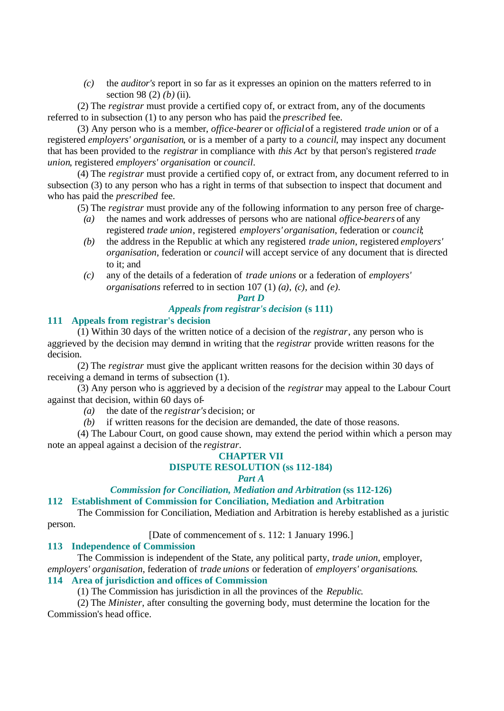*(c)* the *auditor's* report in so far as it expresses an opinion on the matters referred to in section 98 (2) *(b)* (ii).

(2) The *registrar* must provide a certified copy of, or extract from, any of the documents referred to in subsection (1) to any person who has paid the *prescribed* fee.

(3) Any person who is a member, *office-bearer* or *official* of a registered *trade union* or of a registered *employers' organisation*, or is a member of a party to a *council*, may inspect any document that has been provided to the *registrar* in compliance with *this Act* by that person's registered *trade union*, registered *employers' organisation* or *council*.

(4) The *registrar* must provide a certified copy of, or extract from, any document referred to in subsection (3) to any person who has a right in terms of that subsection to inspect that document and who has paid the *prescribed* fee.

(5) The *registrar* must provide any of the following information to any person free of charge-

- *(a)* the names and work addresses of persons who are national *office-bearers* of any registered *trade union*, registered *employers' organisation*, federation or *council*;
- *(b)* the address in the Republic at which any registered *trade union*, registered *employers' organisation*, federation or *council* will accept service of any document that is directed to it; and
- *(c)* any of the details of a federation of *trade unions* or a federation of *employers' organisations* referred to in section 107 (1) *(a)*, *(c)*, and *(e)*.

#### *Part D*

#### *Appeals from registrar's decision* **(s 111)**

# **111 Appeals from registrar's decision**

(1) Within 30 days of the written notice of a decision of the *registrar*, any person who is aggrieved by the decision may demand in writing that the *registrar* provide written reasons for the decision.

(2) The *registrar* must give the applicant written reasons for the decision within 30 days of receiving a demand in terms of subsection (1).

(3) Any person who is aggrieved by a decision of the *registrar* may appeal to the Labour Court against that decision, within 60 days of-

*(a)* the date of the *registrar's* decision; or

*(b)* if written reasons for the decision are demanded, the date of those reasons.

(4) The Labour Court, on good cause shown, may extend the period within which a person may note an appeal against a decision of the *registrar*.

# **CHAPTER VII**

### **DISPUTE RESOLUTION (ss 112-184)**

#### *Part A*

*Commission for Conciliation, Mediation and Arbitration* **(ss 112-126)**

#### **112 Establishment of Commission for Conciliation, Mediation and Arbitration**

The Commission for Conciliation, Mediation and Arbitration is hereby established as a juristic person.

[Date of commencement of s. 112: 1 January 1996.]

#### **113 Independence of Commission**

The Commission is independent of the State, any political party, *trade union*, employer,

*employers' organisation*, federation of *trade unions* or federation of *employers' organisations*.

# **114 Area of jurisdiction and offices of Commission**

(1) The Commission has jurisdiction in all the provinces of the *Republic*.

(2) The *Minister*, after consulting the governing body, must determine the location for the Commission's head office.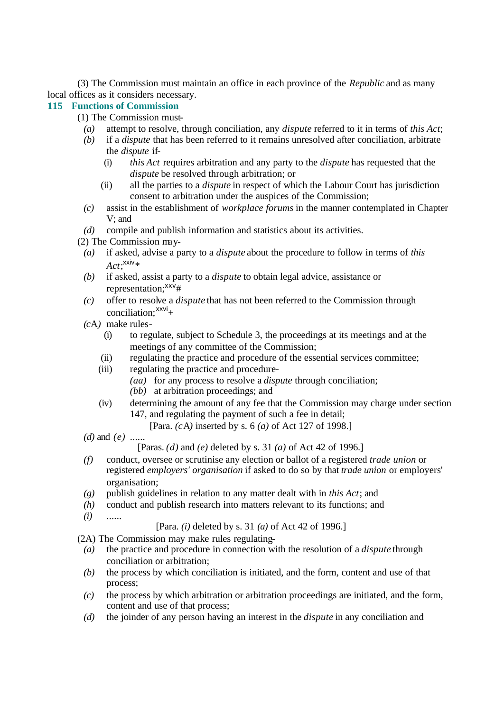(3) The Commission must maintain an office in each province of the *Republic* and as many local offices as it considers necessary.

# **115 Functions of Commission**

(1) The Commission must-

- *(a)* attempt to resolve, through conciliation, any *dispute* referred to it in terms of *this Act*;
- *(b)* if a *dispute* that has been referred to it remains unresolved after conciliation, arbitrate the *dispute* if-
	- (i) *this Act* requires arbitration and any party to the *dispute* has requested that the *dispute* be resolved through arbitration; or
	- (ii) all the parties to a *dispute* in respect of which the Labour Court has jurisdiction consent to arbitration under the auspices of the Commission;
- *(c)* assist in the establishment of *workplace forums* in the manner contemplated in Chapter V; and
- *(d)* compile and publish information and statistics about its activities.
- (2) The Commission may-
	- *(a)* if asked, advise a party to a *dispute* about the procedure to follow in terms of *this*   $Act;^\mathsf{xxiv}*$
	- *(b)* if asked, assist a party to a *dispute* to obtain legal advice, assistance or representation;<sup>xxv</sup>#
	- *(c)* offer to resolve a *dispute* that has not been referred to the Commission through conciliation: $\frac{xxvi}{+}$
	- *(c*A*)* make rules-
		- (i) to regulate, subject to Schedule 3, the proceedings at its meetings and at the meetings of any committee of the Commission;
		- (ii) regulating the practice and procedure of the essential services committee;
		- (iii) regulating the practice and procedure-
			- *(aa)* for any process to resolve a *dispute* through conciliation;
			- *(bb)* at arbitration proceedings; and
		- (iv) determining the amount of any fee that the Commission may charge under section 147, and regulating the payment of such a fee in detail;
			- [Para. *(c*A*)* inserted by s. 6 *(a)* of Act 127 of 1998.]
	- *(d)* and *(e)* ......

[Paras. *(d)* and *(e)* deleted by s. 31 *(a)* of Act 42 of 1996.]

- *(f)* conduct, oversee or scrutinise any election or ballot of a registered *trade union* or registered *employers' organisation* if asked to do so by that *trade union* or employers' organisation;
- *(g)* publish guidelines in relation to any matter dealt with in *this Act*; and
- *(h)* conduct and publish research into matters relevant to its functions; and
- *(i)* ......

[Para. *(i)* deleted by s. 31 *(a)* of Act 42 of 1996.]

(2A) The Commission may make rules regulating-

- *(a)* the practice and procedure in connection with the resolution of a *dispute* through conciliation or arbitration;
- *(b)* the process by which conciliation is initiated, and the form, content and use of that process;
- *(c)* the process by which arbitration or arbitration proceedings are initiated, and the form, content and use of that process;
- *(d)* the joinder of any person having an interest in the *dispute* in any conciliation and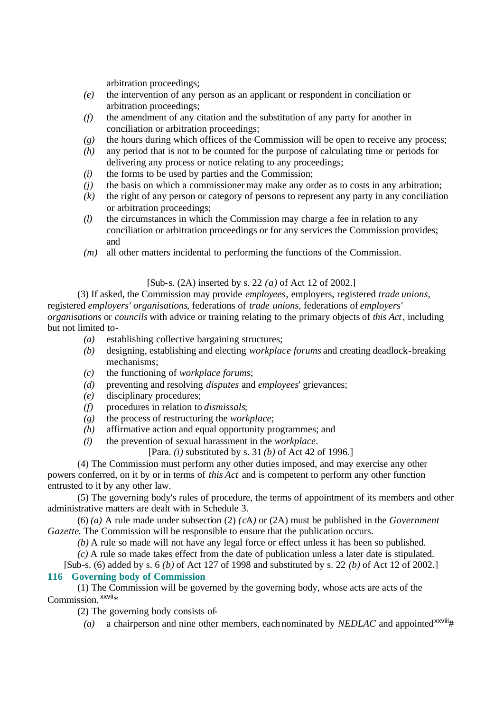arbitration proceedings;

- *(e)* the intervention of any person as an applicant or respondent in conciliation or arbitration proceedings;
- *(f)* the amendment of any citation and the substitution of any party for another in conciliation or arbitration proceedings;
- *(g)* the hours during which offices of the Commission will be open to receive any process;
- *(h)* any period that is not to be counted for the purpose of calculating time or periods for delivering any process or notice relating to any proceedings;
- *(i)* the forms to be used by parties and the Commission;
- *(j)* the basis on which a commissioner may make any order as to costs in any arbitration;
- *(k)* the right of any person or category of persons to represent any party in any conciliation or arbitration proceedings;
- *(l)* the circumstances in which the Commission may charge a fee in relation to any conciliation or arbitration proceedings or for any services the Commission provides; and
- *(m)* all other matters incidental to performing the functions of the Commission.

#### [Sub-s. (2A) inserted by s. 22 *(a)* of Act 12 of 2002.]

(3) If asked, the Commission may provide *employees*, employers, registered *trade unions*, registered *employers' organisations*, federations of *trade unions*, federations of *employers' organisations* or *councils* with advice or training relating to the primary objects of *this Act*, including but not limited to-

- *(a)* establishing collective bargaining structures;
- *(b)* designing, establishing and electing *workplace forums* and creating deadlock-breaking mechanisms;
- *(c)* the functioning of *workplace forums*;
- *(d)* preventing and resolving *disputes* and *employees*' grievances;
- *(e)* disciplinary procedures;
- *(f)* procedures in relation to *dismissals*;
- *(g)* the process of restructuring the *workplace*;
- *(h)* affirmative action and equal opportunity programmes; and
- *(i)* the prevention of sexual harassment in the *workplace*.

[Para. *(i)* substituted by s. 31 *(b)* of Act 42 of 1996.]

(4) The Commission must perform any other duties imposed, and may exercise any other powers conferred, on it by or in terms of *this Act* and is competent to perform any other function entrusted to it by any other law.

(5) The governing body's rules of procedure, the terms of appointment of its members and other administrative matters are dealt with in Schedule 3.

(6) *(a)* A rule made under subsection (2) *(c*A*)* or (2A) must be published in the *Government Gazette*. The Commission will be responsible to ensure that the publication occurs.

*(b)* A rule so made will not have any legal force or effect unless it has been so published.

*(c)* A rule so made takes effect from the date of publication unless a later date is stipulated.

[Sub-s. (6) added by s. 6 *(b)* of Act 127 of 1998 and substituted by s. 22 *(b)* of Act 12 of 2002.]

# **116 Governing body of Commission**

(1) The Commission will be governed by the governing body, whose acts are acts of the  $Commission$ <sup> $xxvii*$ </sup>

(2) The governing body consists of-

(a) a chairperson and nine other members, each nominated by *NEDLAC* and appointed<sup>xxviii</sup>#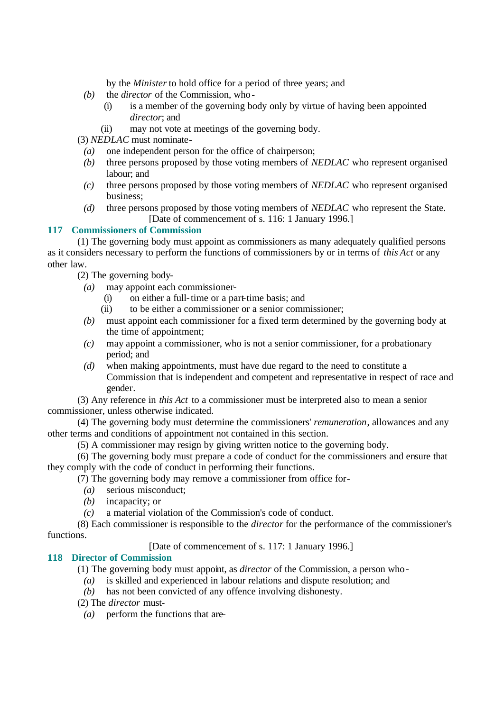by the *Minister* to hold office for a period of three years; and

- *(b)* the *director* of the Commission, who-
	- (i) is a member of the governing body only by virtue of having been appointed *director*; and
	- (ii) may not vote at meetings of the governing body.

(3) *NEDLAC* must nominate-

- *(a)* one independent person for the office of chairperson;
- *(b)* three persons proposed by those voting members of *NEDLAC* who represent organised labour; and
- *(c)* three persons proposed by those voting members of *NEDLAC* who represent organised business;
- *(d)* three persons proposed by those voting members of *NEDLAC* who represent the State. [Date of commencement of s. 116: 1 January 1996.]

# **117 Commissioners of Commission**

(1) The governing body must appoint as commissioners as many adequately qualified persons as it considers necessary to perform the functions of commissioners by or in terms of *this Act* or any other law.

(2) The governing body-

- *(a)* may appoint each commissioner-
	- (i) on either a full-time or a part-time basis; and
	- (ii) to be either a commissioner or a senior commissioner;
- *(b)* must appoint each commissioner for a fixed term determined by the governing body at the time of appointment;
- *(c)* may appoint a commissioner, who is not a senior commissioner, for a probationary period; and
- *(d)* when making appointments, must have due regard to the need to constitute a Commission that is independent and competent and representative in respect of race and gender.

(3) Any reference in *this Act* to a commissioner must be interpreted also to mean a senior commissioner, unless otherwise indicated.

(4) The governing body must determine the commissioners' *remuneration*, allowances and any other terms and conditions of appointment not contained in this section.

(5) A commissioner may resign by giving written notice to the governing body.

(6) The governing body must prepare a code of conduct for the commissioners and ensure that they comply with the code of conduct in performing their functions.

(7) The governing body may remove a commissioner from office for-

- *(a)* serious misconduct;
- *(b)* incapacity; or
- *(c)* a material violation of the Commission's code of conduct.

(8) Each commissioner is responsible to the *director* for the performance of the commissioner's functions.

[Date of commencement of s. 117: 1 January 1996.]

# **118 Director of Commission**

(1) The governing body must appoint, as *director* of the Commission, a person who-

- *(a)* is skilled and experienced in labour relations and dispute resolution; and
- *(b)* has not been convicted of any offence involving dishonesty.
- (2) The *director* must-
	- *(a)* perform the functions that are-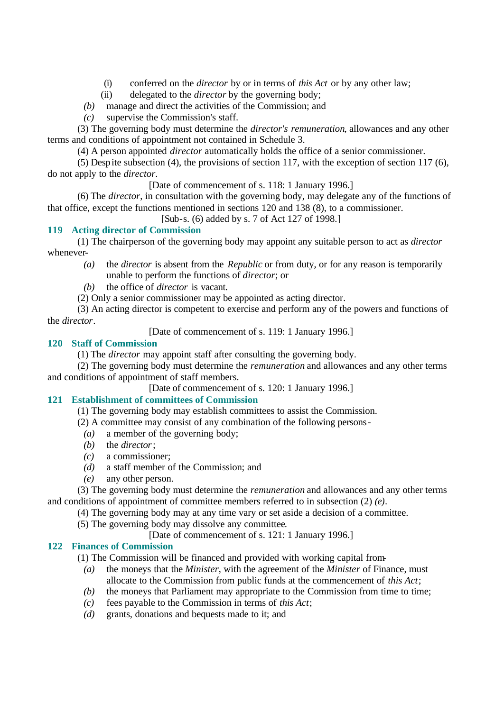- (i) conferred on the *director* by or in terms of *this Act* or by any other law;
- (ii) delegated to the *director* by the governing body;
- *(b)* manage and direct the activities of the Commission; and
- *(c)* supervise the Commission's staff.

(3) The governing body must determine the *director's remuneration*, allowances and any other terms and conditions of appointment not contained in Schedule 3.

(4) A person appointed *director* automatically holds the office of a senior commissioner.

(5) Despite subsection (4), the provisions of section 117, with the exception of section 117 (6), do not apply to the *director*.

[Date of commencement of s. 118: 1 January 1996.]

(6) The *director*, in consultation with the governing body, may delegate any of the functions of that office, except the functions mentioned in sections 120 and 138 (8), to a commissioner.

[Sub-s. (6) added by s. 7 of Act 127 of 1998.]

#### **119 Acting director of Commission**

(1) The chairperson of the governing body may appoint any suitable person to act as *director* whenever-

*(a)* the *director* is absent from the *Republic* or from duty, or for any reason is temporarily unable to perform the functions of *director*; or

*(b)* the office of *director* is vacant.

(2) Only a senior commissioner may be appointed as acting director.

(3) An acting director is competent to exercise and perform any of the powers and functions of the *director*.

[Date of commencement of s. 119: 1 January 1996.]

# **120 Staff of Commission**

(1) The *director* may appoint staff after consulting the governing body.

(2) The governing body must determine the *remuneration* and allowances and any other terms and conditions of appointment of staff members.

[Date of commencement of s. 120: 1 January 1996.]

# **121 Establishment of committees of Commission**

(1) The governing body may establish committees to assist the Commission.

(2) A committee may consist of any combination of the following persons-

- *(a)* a member of the governing body;
- *(b)* the *director*;
- *(c)* a commissioner;
- *(d)* a staff member of the Commission; and
- *(e)* any other person.

(3) The governing body must determine the *remuneration* and allowances and any other terms and conditions of appointment of committee members referred to in subsection (2) *(e)*.

(4) The governing body may at any time vary or set aside a decision of a committee.

(5) The governing body may dissolve any committee.

[Date of commencement of s. 121: 1 January 1996.]

# **122 Finances of Commission**

(1) The Commission will be financed and provided with working capital from-

- *(a)* the moneys that the *Minister*, with the agreement of the *Minister* of Finance, must allocate to the Commission from public funds at the commencement of *this Act*;
- *(b)* the moneys that Parliament may appropriate to the Commission from time to time;
- *(c)* fees payable to the Commission in terms of *this Act*;
- *(d)* grants, donations and bequests made to it; and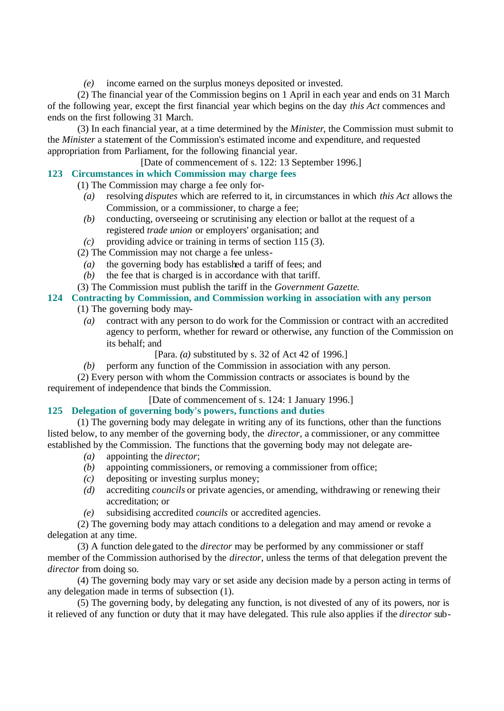*(e)* income earned on the surplus moneys deposited or invested.

(2) The financial year of the Commission begins on 1 April in each year and ends on 31 March of the following year, except the first financial year which begins on the day *this Act* commences and ends on the first following 31 March.

(3) In each financial year, at a time determined by the *Minister*, the Commission must submit to the *Minister* a statement of the Commission's estimated income and expenditure, and requested appropriation from Parliament, for the following financial year.

[Date of commencement of s. 122: 13 September 1996.]

# **123 Circumstances in which Commission may charge fees**

(1) The Commission may charge a fee only for-

- *(a)* resolving *disputes* which are referred to it, in circumstances in which *this Act* allows the Commission, or a commissioner, to charge a fee;
- *(b)* conducting, overseeing or scrutinising any election or ballot at the request of a registered *trade union* or employers' organisation; and
- *(c)* providing advice or training in terms of section 115 (3).
- (2) The Commission may not charge a fee unless-
	- *(a)* the governing body has established a tariff of fees; and
	- *(b)* the fee that is charged is in accordance with that tariff.
- (3) The Commission must publish the tariff in the *Government Gazette*.

# **124 Contracting by Commission, and Commission working in association with any person**

- (1) The governing body may-
	- *(a)* contract with any person to do work for the Commission or contract with an accredited agency to perform, whether for reward or otherwise, any function of the Commission on its behalf; and
		- [Para. *(a)* substituted by s. 32 of Act 42 of 1996.]
	- *(b)* perform any function of the Commission in association with any person.

(2) Every person with whom the Commission contracts or associates is bound by the requirement of independence that binds the Commission.

[Date of commencement of s. 124: 1 January 1996.]

# **125 Delegation of governing body's powers, functions and duties**

(1) The governing body may delegate in writing any of its functions, other than the functions listed below, to any member of the governing body, the *director*, a commissioner, or any committee established by the Commission. The functions that the governing body may not delegate are-

- *(a)* appointing the *director*;
- *(b)* appointing commissioners, or removing a commissioner from office;
- *(c)* depositing or investing surplus money;
- *(d)* accrediting *councils* or private agencies, or amending, withdrawing or renewing their accreditation; or
- *(e)* subsidising accredited *councils* or accredited agencies.

(2) The governing body may attach conditions to a delegation and may amend or revoke a delegation at any time.

(3) A function delegated to the *director* may be performed by any commissioner or staff member of the Commission authorised by the *director*, unless the terms of that delegation prevent the *director* from doing so.

(4) The governing body may vary or set aside any decision made by a person acting in terms of any delegation made in terms of subsection (1).

(5) The governing body, by delegating any function, is not divested of any of its powers, nor is it relieved of any function or duty that it may have delegated. This rule also applies if the *director* sub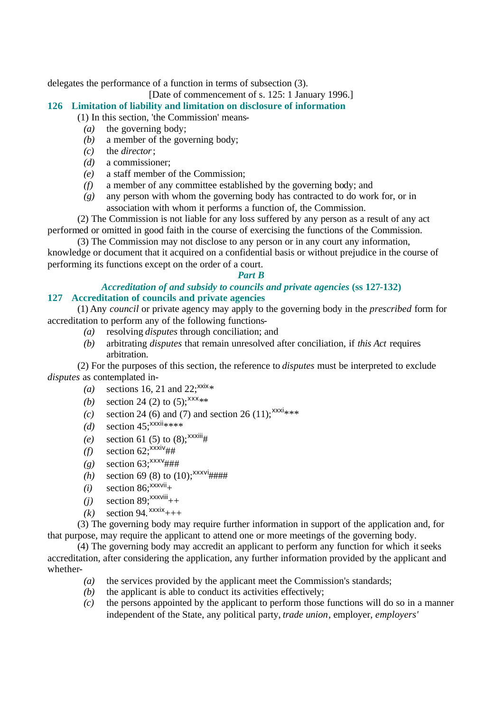delegates the performance of a function in terms of subsection (3).

# [Date of commencement of s. 125: 1 January 1996.]

# **126 Limitation of liability and limitation on disclosure of information**

- (1) In this section, 'the Commission' means-
	- *(a)* the governing body;
	- *(b)* a member of the governing body;
	- *(c)* the *director*;
	- *(d)* a commissioner;
	- *(e)* a staff member of the Commission;
	- *(f)* a member of any committee established by the governing body; and
	- *(g)* any person with whom the governing body has contracted to do work for, or in association with whom it performs a function of, the Commission.

(2) The Commission is not liable for any loss suffered by any person as a result of any act performed or omitted in good faith in the course of exercising the functions of the Commission.

(3) The Commission may not disclose to any person or in any court any information, knowledge or document that it acquired on a confidential basis or without prejudice in the course of performing its functions except on the order of a court.

# *Part B*

# *Accreditation of and subsidy to councils and private agencies* **(ss 127-132) 127 Accreditation of councils and private agencies**

(1) Any *council* or private agency may apply to the governing body in the *prescribed* form for accreditation to perform any of the following functions-

- *(a)* resolving *disputes* through conciliation; and
- *(b)* arbitrating *disputes* that remain unresolved after conciliation, if *this Act* requires arbitration.

(2) For the purposes of this section, the reference to *disputes* must be interpreted to exclude *disputes* as contemplated in-

- (a) sections 16, 21 and 22;<sup>xxix</sup>\*
- *(b)* section 24 (2) to  $(5)$ ;<sup>xxx</sup>\*\*
- *(c)* section 24 (6) and (7) and section 26 (11); $x^{xxx}$ \*\*\*
- *(d)* section  $45$ ;  $\frac{xx}{x}$  \*\*\*\*
- *(e)* section 61 (5) to (8);<sup>xxxiii</sup>#
- $(f)$  section 62;<sup>xxxiv</sup>##
- $(g)$  section 63;<sup>xxxv</sup>###
- *(h)* section 69 (8) to (10);<sup>xxxvi</sup>####
- $(i)$  section 86;<sup>xxxvii</sup>+
- $(i)$  section 89;<sup>xxxviii</sup>++
- $(k)$  section 94.<sup>xxxix</sup>+++

(3) The governing body may require further information in support of the application and, for that purpose, may require the applicant to attend one or more meetings of the governing body.

(4) The governing body may accredit an applicant to perform any function for which it seeks accreditation, after considering the application, any further information provided by the applicant and whether-

- *(a)* the services provided by the applicant meet the Commission's standards;
- *(b)* the applicant is able to conduct its activities effectively;
- *(c)* the persons appointed by the applicant to perform those functions will do so in a manner independent of the State, any political party, *trade union*, employer, *employers'*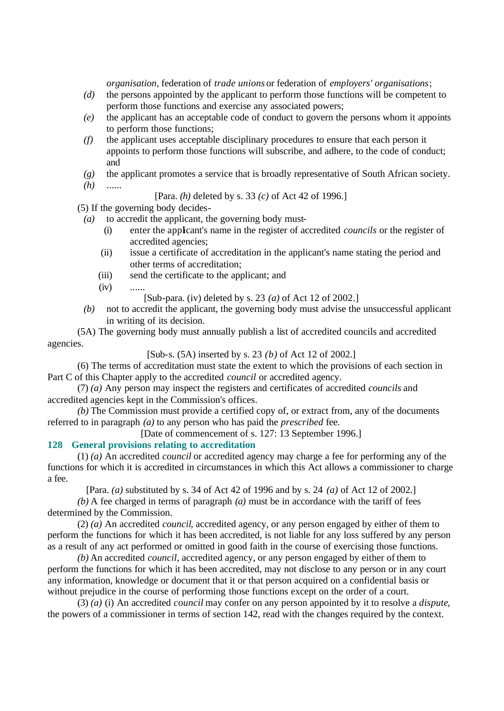*organisation*, federation of *trade unions* or federation of *employers' organisations*;

- *(d)* the persons appointed by the applicant to perform those functions will be competent to perform those functions and exercise any associated powers;
- *(e)* the applicant has an acceptable code of conduct to govern the persons whom it appoints to perform those functions;
- *(f)* the applicant uses acceptable disciplinary procedures to ensure that each person it appoints to perform those functions will subscribe, and adhere, to the code of conduct; and
- *(g)* the applicant promotes a service that is broadly representative of South African society.
- *(h)* ......

[Para. *(h)* deleted by s. 33 *(c)* of Act 42 of 1996.]

(5) If the governing body decides-

- *(a)* to accredit the applicant, the governing body must-
	- (i) enter the applicant's name in the register of accredited *councils* or the register of accredited agencies;
	- (ii) issue a certificate of accreditation in the applicant's name stating the period and other terms of accreditation;
	- (iii) send the certificate to the applicant; and
	- $(iv)$  ......

[Sub-para. (iv) deleted by s. 23 *(a)* of Act 12 of 2002.]

*(b)* not to accredit the applicant, the governing body must advise the unsuccessful applicant in writing of its decision.

(5A) The governing body must annually publish a list of accredited councils and accredited agencies.

[Sub-s. (5A) inserted by s. 23 *(b)* of Act 12 of 2002.]

(6) The terms of accreditation must state the extent to which the provisions of each section in Part C of this Chapter apply to the accredited *council* or accredited agency.

(7) *(a)* Any person may inspect the registers and certificates of accredited *councils* and accredited agencies kept in the Commission's offices.

*(b)* The Commission must provide a certified copy of, or extract from, any of the documents referred to in paragraph *(a)* to any person who has paid the *prescribed* fee.

[Date of commencement of s. 127: 13 September 1996.]

#### **128 General provisions relating to accreditation**

(1) *(a)* An accredited *council* or accredited agency may charge a fee for performing any of the functions for which it is accredited in circumstances in which this Act allows a commissioner to charge a fee.

[Para. *(a)* substituted by s. 34 of Act 42 of 1996 and by s. 24 *(a)* of Act 12 of 2002.]

*(b)* A fee charged in terms of paragraph *(a)* must be in accordance with the tariff of fees determined by the Commission.

(2) *(a)* An accredited *council*, accredited agency, or any person engaged by either of them to perform the functions for which it has been accredited, is not liable for any loss suffered by any person as a result of any act performed or omitted in good faith in the course of exercising those functions.

*(b)* An accredited *council*, accredited agency, or any person engaged by either of them to perform the functions for which it has been accredited, may not disclose to any person or in any court any information, knowledge or document that it or that person acquired on a confidential basis or without prejudice in the course of performing those functions except on the order of a court.

(3) *(a)* (i) An accredited *council* may confer on any person appointed by it to resolve a *dispute*, the powers of a commissioner in terms of section 142, read with the changes required by the context.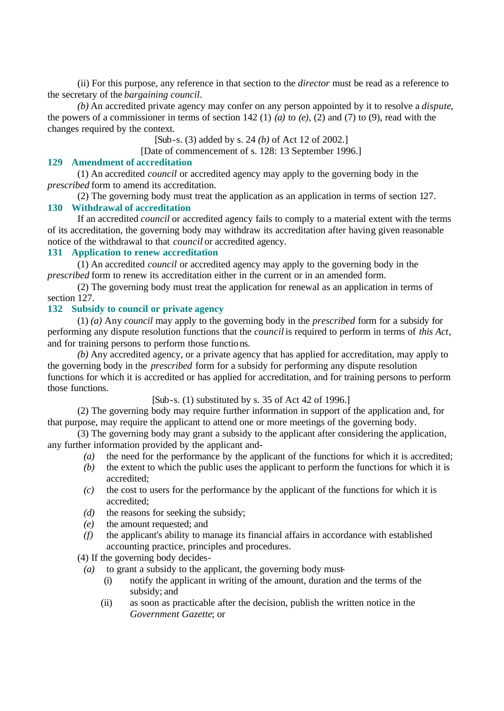(ii) For this purpose, any reference in that section to the *director* must be read as a reference to the secretary of the *bargaining council*.

*(b)* An accredited private agency may confer on any person appointed by it to resolve a *dispute*, the powers of a commissioner in terms of section 142 (1) *(a)* to *(e)*, (2) and (7) to (9), read with the changes required by the context.

[Sub-s. (3) added by s. 24 *(b)* of Act 12 of 2002.]

[Date of commencement of s. 128: 13 September 1996.]

#### **129 Amendment of accreditation**

(1) An accredited *council* or accredited agency may apply to the governing body in the *prescribed* form to amend its accreditation.

(2) The governing body must treat the application as an application in terms of section 127.

#### **130 Withdrawal of accreditation**

If an accredited *council* or accredited agency fails to comply to a material extent with the terms of its accreditation, the governing body may withdraw its accreditation after having given reasonable notice of the withdrawal to that *council* or accredited agency.

## **131 Application to renew accreditation**

(1) An accredited *council* or accredited agency may apply to the governing body in the *prescribed* form to renew its accreditation either in the current or in an amended form.

(2) The governing body must treat the application for renewal as an application in terms of section 127.

#### **132 Subsidy to council or private agency**

(1) *(a)* Any *council* may apply to the governing body in the *prescribed* form for a subsidy for performing any dispute resolution functions that the *council* is required to perform in terms of *this Act*, and for training persons to perform those functions.

*(b)* Any accredited agency, or a private agency that has applied for accreditation, may apply to the governing body in the *prescribed* form for a subsidy for performing any dispute resolution functions for which it is accredited or has applied for accreditation, and for training persons to perform those functions.

 $[Sub-s. (1)$  substituted by s. 35 of Act 42 of 1996.

(2) The governing body may require further information in support of the application and, for that purpose, may require the applicant to attend one or more meetings of the governing body.

(3) The governing body may grant a subsidy to the applicant after considering the application, any further information provided by the applicant and-

- *(a)* the need for the performance by the applicant of the functions for which it is accredited;
- *(b)* the extent to which the public uses the applicant to perform the functions for which it is accredited;
- *(c)* the cost to users for the performance by the applicant of the functions for which it is accredited;
- *(d)* the reasons for seeking the subsidy;
- *(e)* the amount requested; and
- *(f)* the applicant's ability to manage its financial affairs in accordance with established accounting practice, principles and procedures.

(4) If the governing body decides-

- *(a)* to grant a subsidy to the applicant, the governing body must-
	- (i) notify the applicant in writing of the amount, duration and the terms of the subsidy; and
	- (ii) as soon as practicable after the decision, publish the written notice in the *Government Gazette*; or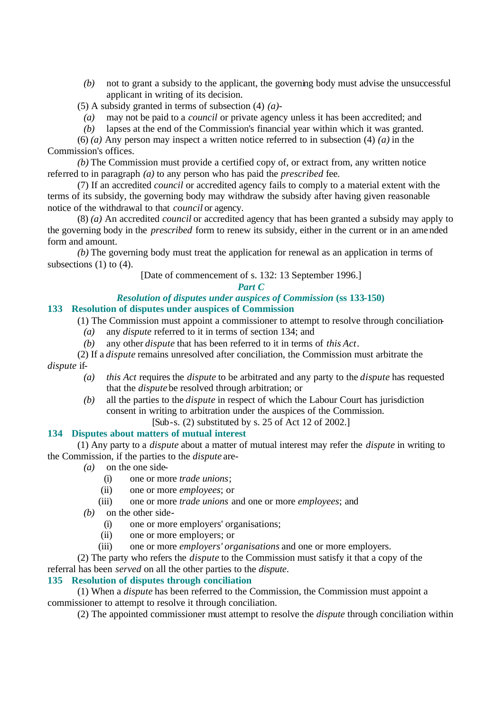*(b)* not to grant a subsidy to the applicant, the governing body must advise the unsuccessful applicant in writing of its decision.

(5) A subsidy granted in terms of subsection (4) *(a)*-

- *(a)* may not be paid to a *council* or private agency unless it has been accredited; and
- *(b)* lapses at the end of the Commission's financial year within which it was granted.

(6) *(a)* Any person may inspect a written notice referred to in subsection (4) *(a)* in the Commission's offices.

*(b)* The Commission must provide a certified copy of, or extract from, any written notice referred to in paragraph *(a)* to any person who has paid the *prescribed* fee.

(7) If an accredited *council* or accredited agency fails to comply to a material extent with the terms of its subsidy, the governing body may withdraw the subsidy after having given reasonable notice of the withdrawal to that *council* or agency.

(8) *(a)* An accredited *council* or accredited agency that has been granted a subsidy may apply to the governing body in the *prescribed* form to renew its subsidy, either in the current or in an amended form and amount.

*(b)* The governing body must treat the application for renewal as an application in terms of subsections  $(1)$  to  $(4)$ .

# [Date of commencement of s. 132: 13 September 1996.]

#### *Part C*

# *Resolution of disputes under auspices of Commission* **(ss 133-150)**

## **133 Resolution of disputes under auspices of Commission**

(1) The Commission must appoint a commissioner to attempt to resolve through conciliation-

- *(a)* any *dispute* referred to it in terms of section 134; and
- *(b)* any other *dispute* that has been referred to it in terms of *this Act*.
- (2) If a *dispute* remains unresolved after conciliation, the Commission must arbitrate the

*dispute* if-

- *(a) this Act* requires the *dispute* to be arbitrated and any party to the *dispute* has requested that the *dispute* be resolved through arbitration; or
- *(b)* all the parties to the *dispute* in respect of which the Labour Court has jurisdiction consent in writing to arbitration under the auspices of the Commission.

[Sub-s. (2) substituted by s. 25 of Act 12 of 2002.]

## **134 Disputes about matters of mutual interest**

(1) Any party to a *dispute* about a matter of mutual interest may refer the *dispute* in writing to the Commission, if the parties to the *dispute* are-

- *(a)* on the one side-
	- (i) one or more *trade unions*;
	- (ii) one or more *employees*; or
	- (iii) one or more *trade unions* and one or more *employees*; and
- *(b)* on the other side-
	- (i) one or more employers' organisations;
	- (ii) one or more employers; or
	- (iii) one or more *employers' organisations* and one or more employers.

(2) The party who refers the *dispute* to the Commission must satisfy it that a copy of the referral has been *served* on all the other parties to the *dispute*.

# **135 Resolution of disputes through conciliation**

(1) When a *dispute* has been referred to the Commission, the Commission must appoint a commissioner to attempt to resolve it through conciliation.

(2) The appointed commissioner must attempt to resolve the *dispute* through conciliation within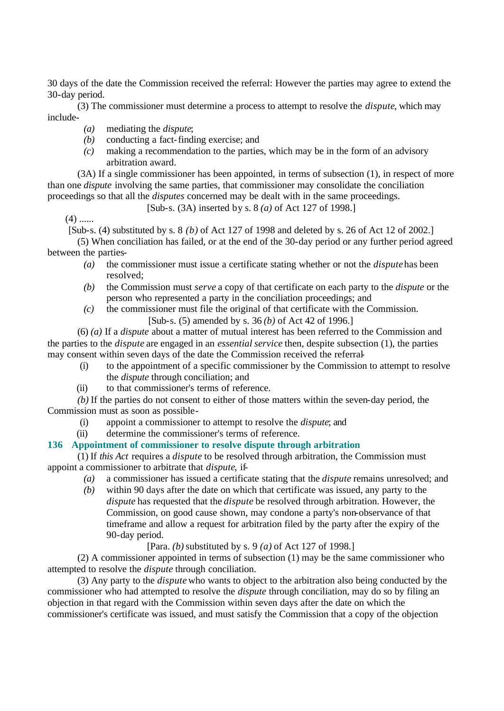30 days of the date the Commission received the referral: However the parties may agree to extend the 30-day period.

(3) The commissioner must determine a process to attempt to resolve the *dispute*, which may include-

- *(a)* mediating the *dispute*;
- *(b)* conducting a fact-finding exercise; and
- *(c)* making a recommendation to the parties, which may be in the form of an advisory arbitration award.

(3A) If a single commissioner has been appointed, in terms of subsection (1), in respect of more than one *dispute* involving the same parties, that commissioner may consolidate the conciliation proceedings so that all the *disputes* concerned may be dealt with in the same proceedings.

[Sub-s. (3A) inserted by s. 8 *(a)* of Act 127 of 1998.]

 $(4)$  ......

[Sub-s. (4) substituted by s. 8 *(b)* of Act 127 of 1998 and deleted by s. 26 of Act 12 of 2002.]

(5) When conciliation has failed, or at the end of the 30-day period or any further period agreed between the parties-

- *(a)* the commissioner must issue a certificate stating whether or not the *dispute* has been resolved;
- *(b)* the Commission must *serve* a copy of that certificate on each party to the *dispute* or the person who represented a party in the conciliation proceedings; and
- *(c)* the commissioner must file the original of that certificate with the Commission. [Sub-s. (5) amended by s. 36 *(b)* of Act 42 of 1996.]

(6) *(a)* If a *dispute* about a matter of mutual interest has been referred to the Commission and the parties to the *dispute* are engaged in an *essential service* then, despite subsection (1), the parties may consent within seven days of the date the Commission received the referral-

- (i) to the appointment of a specific commissioner by the Commission to attempt to resolve the *dispute* through conciliation; and
- (ii) to that commissioner's terms of reference.

*(b)* If the parties do not consent to either of those matters within the seven-day period, the Commission must as soon as possible-

- (i) appoint a commissioner to attempt to resolve the *dispute*; and
- (ii) determine the commissioner's terms of reference.

#### **136 Appointment of commissioner to resolve dispute through arbitration**

(1) If *this Act* requires a *dispute* to be resolved through arbitration, the Commission must appoint a commissioner to arbitrate that *dispute*, if-

- *(a)* a commissioner has issued a certificate stating that the *dispute* remains unresolved; and
- *(b)* within 90 days after the date on which that certificate was issued, any party to the *dispute* has requested that the *dispute* be resolved through arbitration. However, the Commission, on good cause shown, may condone a party's non-observance of that timeframe and allow a request for arbitration filed by the party after the expiry of the 90-day period.

[Para. *(b)* substituted by s. 9 *(a)* of Act 127 of 1998.]

(2) A commissioner appointed in terms of subsection (1) may be the same commissioner who attempted to resolve the *dispute* through conciliation.

(3) Any party to the *dispute* who wants to object to the arbitration also being conducted by the commissioner who had attempted to resolve the *dispute* through conciliation, may do so by filing an objection in that regard with the Commission within seven days after the date on which the commissioner's certificate was issued, and must satisfy the Commission that a copy of the objection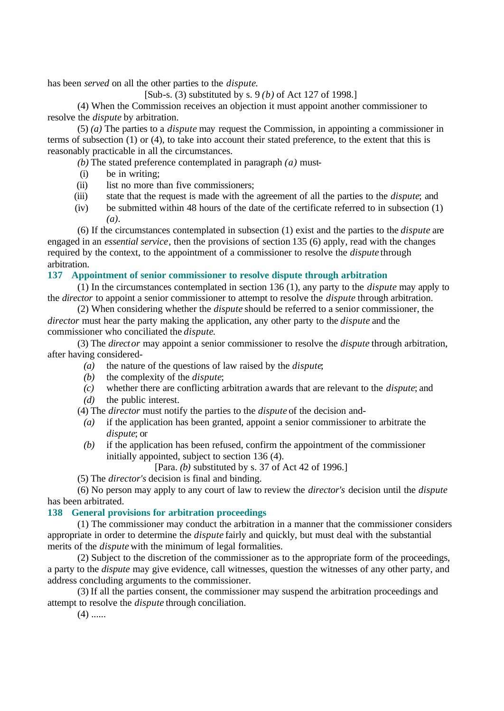has been *served* on all the other parties to the *dispute*.

[Sub-s. (3) substituted by s. 9 *(b)* of Act 127 of 1998.]

(4) When the Commission receives an objection it must appoint another commissioner to resolve the *dispute* by arbitration.

(5) *(a)* The parties to a *dispute* may request the Commission, in appointing a commissioner in terms of subsection (1) or (4), to take into account their stated preference, to the extent that this is reasonably practicable in all the circumstances.

*(b)* The stated preference contemplated in paragraph *(a)* must-

- (i) be in writing;
- (ii) list no more than five commissioners;
- (iii) state that the request is made with the agreement of all the parties to the *dispute*; and
- (iv) be submitted within 48 hours of the date of the certificate referred to in subsection (1) *(a)*.

(6) If the circumstances contemplated in subsection (1) exist and the parties to the *dispute* are engaged in an *essential service*, then the provisions of section 135 (6) apply, read with the changes required by the context, to the appointment of a commissioner to resolve the *dispute* through arbitration.

#### **137 Appointment of senior commissioner to resolve dispute through arbitration**

(1) In the circumstances contemplated in section 136 (1), any party to the *dispute* may apply to the *director* to appoint a senior commissioner to attempt to resolve the *dispute* through arbitration.

(2) When considering whether the *dispute* should be referred to a senior commissioner, the *director* must hear the party making the application, any other party to the *dispute* and the commissioner who conciliated the *dispute*.

(3) The *director* may appoint a senior commissioner to resolve the *dispute* through arbitration, after having considered-

- *(a)* the nature of the questions of law raised by the *dispute*;
- *(b)* the complexity of the *dispute*;
- *(c)* whether there are conflicting arbitration awards that are relevant to the *dispute*; and *(d)* the public interest.
- (4) The *director* must notify the parties to the *dispute* of the decision and-
	- *(a)* if the application has been granted, appoint a senior commissioner to arbitrate the *dispute*; or
	- *(b)* if the application has been refused, confirm the appointment of the commissioner initially appointed, subject to section 136 (4).

[Para. *(b)* substituted by s. 37 of Act 42 of 1996.]

(5) The *director's* decision is final and binding.

(6) No person may apply to any court of law to review the *director's* decision until the *dispute* has been arbitrated.

#### **138 General provisions for arbitration proceedings**

(1) The commissioner may conduct the arbitration in a manner that the commissioner considers appropriate in order to determine the *dispute* fairly and quickly, but must deal with the substantial merits of the *dispute* with the minimum of legal formalities.

(2) Subject to the discretion of the commissioner as to the appropriate form of the proceedings, a party to the *dispute* may give evidence, call witnesses, question the witnesses of any other party, and address concluding arguments to the commissioner.

(3) If all the parties consent, the commissioner may suspend the arbitration proceedings and attempt to resolve the *dispute* through conciliation.

 $(4)$  ......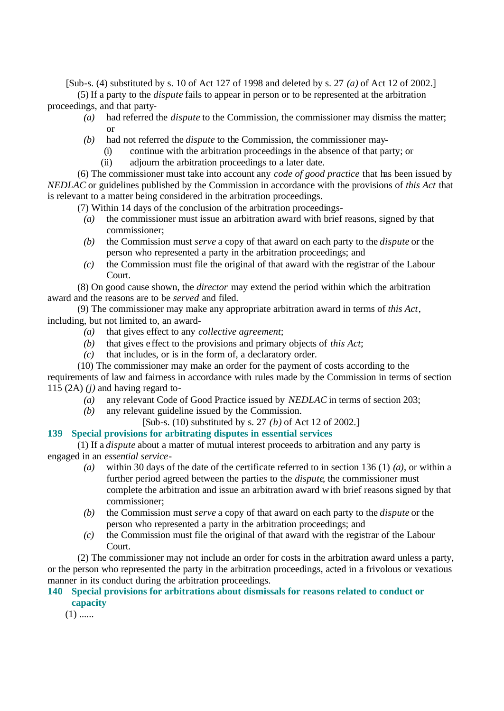[Sub-s. (4) substituted by s. 10 of Act 127 of 1998 and deleted by s. 27 *(a)* of Act 12 of 2002.]

(5) If a party to the *dispute* fails to appear in person or to be represented at the arbitration proceedings, and that party-

- *(a)* had referred the *dispute* to the Commission, the commissioner may dismiss the matter; or
- *(b)* had not referred the *dispute* to the Commission, the commissioner may-
	- (i) continue with the arbitration proceedings in the absence of that party; or
	- (ii) adjourn the arbitration proceedings to a later date.

(6) The commissioner must take into account any *code of good practice* that has been issued by *NEDLAC* or guidelines published by the Commission in accordance with the provisions of *this Act* that is relevant to a matter being considered in the arbitration proceedings.

(7) Within 14 days of the conclusion of the arbitration proceedings-

- *(a)* the commissioner must issue an arbitration award with brief reasons, signed by that commissioner;
- *(b)* the Commission must *serve* a copy of that award on each party to the *dispute* or the person who represented a party in the arbitration proceedings; and
- *(c)* the Commission must file the original of that award with the registrar of the Labour Court.

(8) On good cause shown, the *director* may extend the period within which the arbitration award and the reasons are to be *served* and filed.

(9) The commissioner may make any appropriate arbitration award in terms of *this Act*, including, but not limited to, an award-

- *(a)* that gives effect to any *collective agreement*;
- *(b)* that gives e ffect to the provisions and primary objects of *this Act*;
- *(c)* that includes, or is in the form of, a declaratory order.

(10) The commissioner may make an order for the payment of costs according to the

requirements of law and fairness in accordance with rules made by the Commission in terms of section 115  $(2A)$   $(j)$  and having regard to-

- *(a)* any relevant Code of Good Practice issued by *NEDLAC* in terms of section 203;
- *(b)* any relevant guideline issued by the Commission.
	- [Sub-s. (10) substituted by s. 27 *(b)* of Act 12 of 2002.]

## **139 Special provisions for arbitrating disputes in essential services**

(1) If a *dispute* about a matter of mutual interest proceeds to arbitration and any party is engaged in an *essential service*-

- *(a)* within 30 days of the date of the certificate referred to in section 136 (1) *(a)*, or within a further period agreed between the parties to the *dispute*, the commissioner must complete the arbitration and issue an arbitration award with brief reasons signed by that commissioner;
- *(b)* the Commission must *serve* a copy of that award on each party to the *dispute* or the person who represented a party in the arbitration proceedings; and
- *(c)* the Commission must file the original of that award with the registrar of the Labour Court.

(2) The commissioner may not include an order for costs in the arbitration award unless a party, or the person who represented the party in the arbitration proceedings, acted in a frivolous or vexatious manner in its conduct during the arbitration proceedings.

## **140 Special provisions for arbitrations about dismissals for reasons related to conduct or capacity**

 $(1)$  ......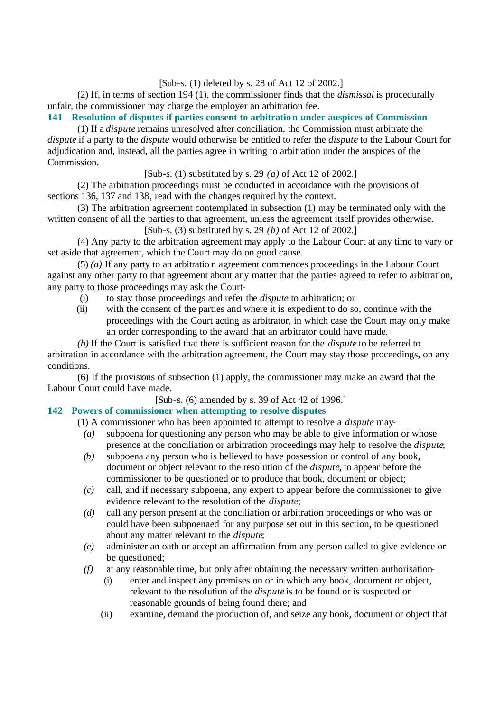[Sub-s. (1) deleted by s. 28 of Act 12 of 2002.]

(2) If, in terms of section 194 (1), the commissioner finds that the *dismissal* is procedurally unfair, the commissioner may charge the employer an arbitration fee.

**141 Resolution of disputes if parties consent to arbitration under auspices of Commission**

(1) If a *dispute* remains unresolved after conciliation, the Commission must arbitrate the *dispute* if a party to the *dispute* would otherwise be entitled to refer the *dispute* to the Labour Court for adjudication and, instead, all the parties agree in writing to arbitration under the auspices of the Commission.

[Sub-s. (1) substituted by s. 29 *(a)* of Act 12 of 2002.]

(2) The arbitration proceedings must be conducted in accordance with the provisions of sections 136, 137 and 138, read with the changes required by the context.

(3) The arbitration agreement contemplated in subsection (1) may be terminated only with the written consent of all the parties to that agreement, unless the agreement itself provides otherwise.

[Sub-s. (3) substituted by s. 29 *(b)* of Act 12 of 2002.]

(4) Any party to the arbitration agreement may apply to the Labour Court at any time to vary or set aside that agreement, which the Court may do on good cause.

(5) *(a)* If any party to an arbitratio n agreement commences proceedings in the Labour Court against any other party to that agreement about any matter that the parties agreed to refer to arbitration, any party to those proceedings may ask the Court-

- (i) to stay those proceedings and refer the *dispute* to arbitration; or
- (ii) with the consent of the parties and where it is expedient to do so, continue with the proceedings with the Court acting as arbitrator, in which case the Court may only make an order corresponding to the award that an arbitrator could have made.

*(b)* If the Court is satisfied that there is sufficient reason for the *dispute* to be referred to arbitration in accordance with the arbitration agreement, the Court may stay those proceedings, on any conditions.

(6) If the provisions of subsection (1) apply, the commissioner may make an award that the Labour Court could have made.

[Sub-s. (6) amended by s. 39 of Act 42 of 1996.]

# **142 Powers of commissioner when attempting to resolve disputes**

(1) A commissioner who has been appointed to attempt to resolve a *dispute* may-

- *(a)* subpoena for questioning any person who may be able to give information or whose presence at the conciliation or arbitration proceedings may help to resolve the *dispute*;
- *(b)* subpoena any person who is believed to have possession or control of any book, document or object relevant to the resolution of the *dispute*, to appear before the commissioner to be questioned or to produce that book, document or object;
- *(c)* call, and if necessary subpoena, any expert to appear before the commissioner to give evidence relevant to the resolution of the *dispute*;
- *(d)* call any person present at the conciliation or arbitration proceedings or who was or could have been subpoenaed for any purpose set out in this section, to be questioned about any matter relevant to the *dispute*;
- *(e)* administer an oath or accept an affirmation from any person called to give evidence or be questioned;
- *(f)* at any reasonable time, but only after obtaining the necessary written authorisation-
	- (i) enter and inspect any premises on or in which any book, document or object, relevant to the resolution of the *dispute* is to be found or is suspected on reasonable grounds of being found there; and
	- (ii) examine, demand the production of, and seize any book, document or object that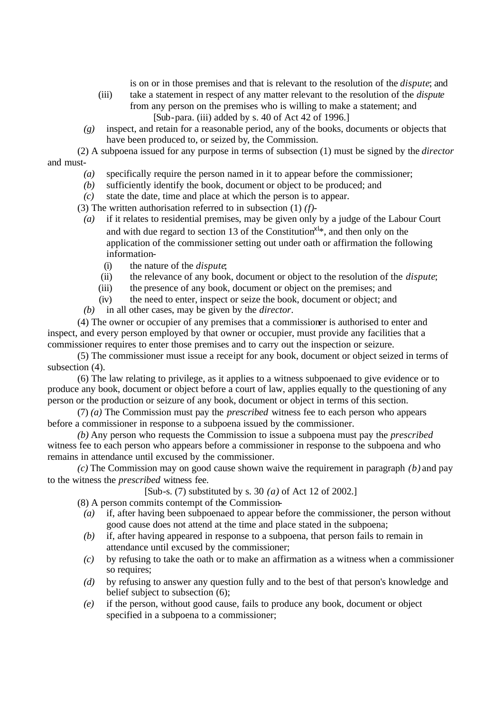is on or in those premises and that is relevant to the resolution of the *dispute*; and

- (iii) take a statement in respect of any matter relevant to the resolution of the *dispute* from any person on the premises who is willing to make a statement; and [Sub-para. (iii) added by s. 40 of Act 42 of 1996.]
- *(g)* inspect, and retain for a reasonable period, any of the books, documents or objects that have been produced to, or seized by, the Commission.

(2) A subpoena issued for any purpose in terms of subsection (1) must be signed by the *director* and must-

- *(a)* specifically require the person named in it to appear before the commissioner;
- *(b)* sufficiently identify the book, document or object to be produced; and
- *(c)* state the date, time and place at which the person is to appear.

(3) The written authorisation referred to in subsection (1) *(f)*-

- *(a)* if it relates to residential premises, may be given only by a judge of the Labour Court and with due regard to section 13 of the Constitution<sup>xl\*</sup>, and then only on the application of the commissioner setting out under oath or affirmation the following information-
	- (i) the nature of the *dispute*;
	- (ii) the relevance of any book, document or object to the resolution of the *dispute*;
	- (iii) the presence of any book, document or object on the premises; and
	- (iv) the need to enter, inspect or seize the book, document or object; and
- *(b)* in all other cases, may be given by the *director*.

(4) The owner or occupier of any premises that a commissioner is authorised to enter and inspect, and every person employed by that owner or occupier, must provide any facilities that a commissioner requires to enter those premises and to carry out the inspection or seizure.

(5) The commissioner must issue a receipt for any book, document or object seized in terms of subsection  $(4)$ .

(6) The law relating to privilege, as it applies to a witness subpoenaed to give evidence or to produce any book, document or object before a court of law, applies equally to the questioning of any person or the production or seizure of any book, document or object in terms of this section.

(7) *(a)* The Commission must pay the *prescribed* witness fee to each person who appears before a commissioner in response to a subpoena issued by the commissioner.

*(b)* Any person who requests the Commission to issue a subpoena must pay the *prescribed* witness fee to each person who appears before a commissioner in response to the subpoena and who remains in attendance until excused by the commissioner.

*(c)* The Commission may on good cause shown waive the requirement in paragraph *(b)* and pay to the witness the *prescribed* witness fee.

[Sub-s. (7) substituted by s. 30 *(a)* of Act 12 of 2002.]

(8) A person commits contempt of the Commission-

- *(a)* if, after having been subpoenaed to appear before the commissioner, the person without good cause does not attend at the time and place stated in the subpoena;
- *(b)* if, after having appeared in response to a subpoena, that person fails to remain in attendance until excused by the commissioner;
- *(c)* by refusing to take the oath or to make an affirmation as a witness when a commissioner so requires;
- *(d)* by refusing to answer any question fully and to the best of that person's knowledge and belief subject to subsection (6);
- *(e)* if the person, without good cause, fails to produce any book, document or object specified in a subpoena to a commissioner;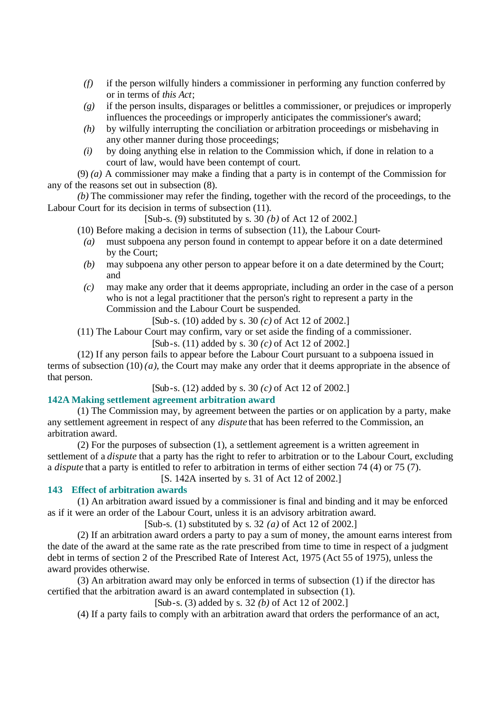- *(f)* if the person wilfully hinders a commissioner in performing any function conferred by or in terms of *this Act*;
- *(g)* if the person insults, disparages or belittles a commissioner, or prejudices or improperly influences the proceedings or improperly anticipates the commissioner's award;
- *(h)* by wilfully interrupting the conciliation or arbitration proceedings or misbehaving in any other manner during those proceedings;
- *(i)* by doing anything else in relation to the Commission which, if done in relation to a court of law, would have been contempt of court.

(9) *(a)* A commissioner may make a finding that a party is in contempt of the Commission for any of the reasons set out in subsection (8).

*(b)* The commissioner may refer the finding, together with the record of the proceedings, to the Labour Court for its decision in terms of subsection (11).

[Sub-s. (9) substituted by s. 30 *(b)* of Act 12 of 2002.]

- (10) Before making a decision in terms of subsection (11), the Labour Court-
	- *(a)* must subpoena any person found in contempt to appear before it on a date determined by the Court;
	- *(b)* may subpoena any other person to appear before it on a date determined by the Court; and
- *(c)* may make any order that it deems appropriate, including an order in the case of a person who is not a legal practitioner that the person's right to represent a party in the Commission and the Labour Court be suspended.

[Sub-s. (10) added by s. 30 *(c)* of Act 12 of 2002.]

(11) The Labour Court may confirm, vary or set aside the finding of a commissioner.

[Sub-s. (11) added by s. 30 *(c)* of Act 12 of 2002.]

(12) If any person fails to appear before the Labour Court pursuant to a subpoena issued in terms of subsection (10) *(a)*, the Court may make any order that it deems appropriate in the absence of that person.

[Sub-s. (12) added by s. 30 *(c)* of Act 12 of 2002.]

#### **142A Making settlement agreement arbitration award**

(1) The Commission may, by agreement between the parties or on application by a party, make any settlement agreement in respect of any *dispute* that has been referred to the Commission, an arbitration award.

(2) For the purposes of subsection (1), a settlement agreement is a written agreement in settlement of a *dispute* that a party has the right to refer to arbitration or to the Labour Court, excluding a *dispute* that a party is entitled to refer to arbitration in terms of either section 74 (4) or 75 (7).

[S. 142A inserted by s. 31 of Act 12 of 2002.]

#### **143 Effect of arbitration awards**

(1) An arbitration award issued by a commissioner is final and binding and it may be enforced as if it were an order of the Labour Court, unless it is an advisory arbitration award.

[Sub-s. (1) substituted by s. 32 *(a)* of Act 12 of 2002.]

(2) If an arbitration award orders a party to pay a sum of money, the amount earns interest from the date of the award at the same rate as the rate prescribed from time to time in respect of a judgment debt in terms of section 2 of the Prescribed Rate of Interest Act, 1975 (Act 55 of 1975), unless the award provides otherwise.

(3) An arbitration award may only be enforced in terms of subsection (1) if the director has certified that the arbitration award is an award contemplated in subsection (1).

[Sub-s. (3) added by s. 32 *(b)* of Act 12 of 2002.]

(4) If a party fails to comply with an arbitration award that orders the performance of an act,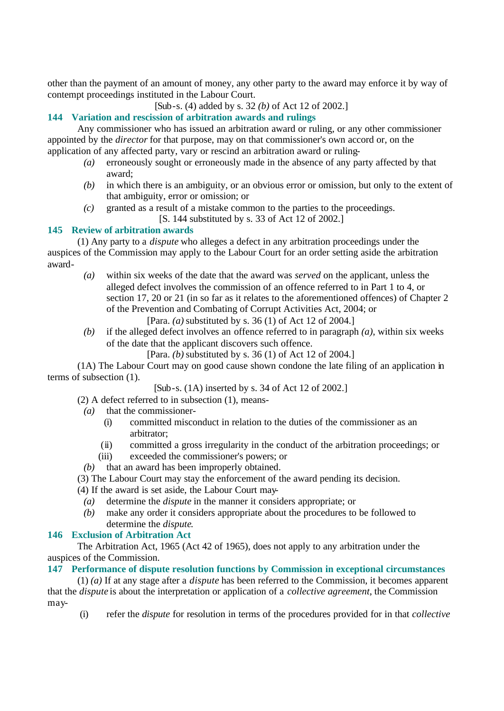other than the payment of an amount of money, any other party to the award may enforce it by way of contempt proceedings instituted in the Labour Court.

[Sub-s. (4) added by s. 32 *(b)* of Act 12 of 2002.]

# **144 Variation and rescission of arbitration awards and rulings**

Any commissioner who has issued an arbitration award or ruling, or any other commissioner appointed by the *director* for that purpose, may on that commissioner's own accord or, on the application of any affected party, vary or rescind an arbitration award or ruling-

- *(a)* erroneously sought or erroneously made in the absence of any party affected by that award;
- *(b)* in which there is an ambiguity, or an obvious error or omission, but only to the extent of that ambiguity, error or omission; or
- *(c)* granted as a result of a mistake common to the parties to the proceedings. [S. 144 substituted by s. 33 of Act 12 of 2002.]

## **145 Review of arbitration awards**

(1) Any party to a *dispute* who alleges a defect in any arbitration proceedings under the auspices of the Commission may apply to the Labour Court for an order setting aside the arbitration award-

*(a)* within six weeks of the date that the award was *served* on the applicant, unless the alleged defect involves the commission of an offence referred to in Part 1 to 4, or section 17, 20 or 21 (in so far as it relates to the aforementioned offences) of Chapter 2 of the Prevention and Combating of Corrupt Activities Act, 2004; or

[Para. *(a)* substituted by s. 36 (1) of Act 12 of 2004.]

*(b)* if the alleged defect involves an offence referred to in paragraph *(a)*, within six weeks of the date that the applicant discovers such offence.

[Para. *(b)* substituted by s. 36 (1) of Act 12 of 2004.]

(1A) The Labour Court may on good cause shown condone the late filing of an application in terms of subsection (1).

[Sub-s. (1A) inserted by s. 34 of Act 12 of 2002.]

(2) A defect referred to in subsection (1), means-

- *(a)* that the commissioner-
	- (i) committed misconduct in relation to the duties of the commissioner as an arbitrator;
	- (ii) committed a gross irregularity in the conduct of the arbitration proceedings; or
- (iii) exceeded the commissioner's powers; or
- *(b)* that an award has been improperly obtained.
- (3) The Labour Court may stay the enforcement of the award pending its decision.
- (4) If the award is set aside, the Labour Court may-
	- *(a)* determine the *dispute* in the manner it considers appropriate; or
	- *(b)* make any order it considers appropriate about the procedures to be followed to determine the *dispute*.

## **146 Exclusion of Arbitration Act**

The Arbitration Act, 1965 (Act 42 of 1965), does not apply to any arbitration under the auspices of the Commission.

#### **147 Performance of dispute resolution functions by Commission in exceptional circumstances**

(1) *(a)* If at any stage after a *dispute* has been referred to the Commission, it becomes apparent that the *dispute* is about the interpretation or application of a *collective agreement*, the Commission may-

(i) refer the *dispute* for resolution in terms of the procedures provided for in that *collective*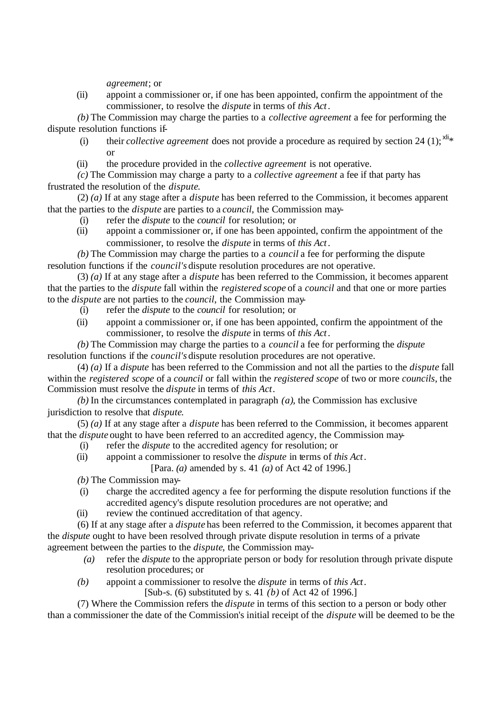*agreement*; or

(ii) appoint a commissioner or, if one has been appointed, confirm the appointment of the commissioner, to resolve the *dispute* in terms of *this Act*.

*(b)* The Commission may charge the parties to a *collective agreement* a fee for performing the dispute resolution functions if-

- (i) their *collective agreement* does not provide a procedure as required by section 24 (1);  $x^{1/3}$ or
- (ii) the procedure provided in the *collective agreement* is not operative.

*(c)* The Commission may charge a party to a *collective agreement* a fee if that party has frustrated the resolution of the *dispute*.

(2) *(a)* If at any stage after a *dispute* has been referred to the Commission, it becomes apparent that the parties to the *dispute* are parties to a *council*, the Commission may-

- (i) refer the *dispute* to the *council* for resolution; or
- (ii) appoint a commissioner or, if one has been appointed, confirm the appointment of the commissioner, to resolve the *dispute* in terms of *this Act*.

*(b)* The Commission may charge the parties to a *council* a fee for performing the dispute resolution functions if the *council's* dispute resolution procedures are not operative.

(3) *(a)* If at any stage after a *dispute* has been referred to the Commission, it becomes apparent that the parties to the *dispute* fall within the *registered scope* of a *council* and that one or more parties to the *dispute* are not parties to the *council*, the Commission may-

- (i) refer the *dispute* to the *council* for resolution; or
- (ii) appoint a commissioner or, if one has been appointed, confirm the appointment of the commissioner, to resolve the *dispute* in terms of *this Act*.

*(b)* The Commission may charge the parties to a *council* a fee for performing the *dispute* resolution functions if the *council's* dispute resolution procedures are not operative.

(4) *(a)* If a *dispute* has been referred to the Commission and not all the parties to the *dispute* fall within the *registered scope* of a *council* or fall within the *registered scope* of two or more *councils*, the Commission must resolve the *dispute* in terms of *this Act*.

*(b)* In the circumstances contemplated in paragraph *(a)*, the Commission has exclusive jurisdiction to resolve that *dispute*.

(5) *(a)* If at any stage after a *dispute* has been referred to the Commission, it becomes apparent that the *dispute* ought to have been referred to an accredited agency, the Commission may-

- (i) refer the *dispute* to the accredited agency for resolution; or
- (ii) appoint a commissioner to resolve the *dispute* in terms of *this Act*.

[Para. *(a)* amended by s. 41 *(a)* of Act 42 of 1996.]

*(b)* The Commission may-

- (i) charge the accredited agency a fee for performing the dispute resolution functions if the accredited agency's dispute resolution procedures are not operative; and
- (ii) review the continued accreditation of that agency.

(6) If at any stage after a *dispute* has been referred to the Commission, it becomes apparent that the *dispute* ought to have been resolved through private dispute resolution in terms of a private agreement between the parties to the *dispute*, the Commission may-

- *(a)* refer the *dispute* to the appropriate person or body for resolution through private dispute resolution procedures; or
- *(b)* appoint a commissioner to resolve the *dispute* in terms of *this Act*.

[Sub-s. (6) substituted by s. 41 *(b)* of Act 42 of 1996.]

(7) Where the Commission refers the *dispute* in terms of this section to a person or body other than a commissioner the date of the Commission's initial receipt of the *dispute* will be deemed to be the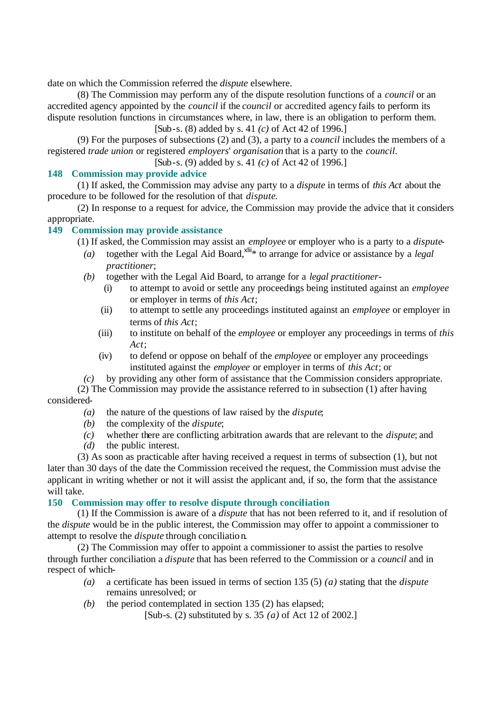date on which the Commission referred the *dispute* elsewhere.

(8) The Commission may perform any of the dispute resolution functions of a *council* or an accredited agency appointed by the *council* if the *council* or accredited agency fails to perform its dispute resolution functions in circumstances where, in law, there is an obligation to perform them.

[Sub-s. (8) added by s. 41 *(c)* of Act 42 of 1996.]

(9) For the purposes of subsections (2) and (3), a party to a *council* includes the members of a registered *trade union* or registered *employers*' *organisation* that is a party to the *council*.

[Sub-s. (9) added by s. 41 *(c)* of Act 42 of 1996.]

## **148 Commission may provide advice**

(1) If asked, the Commission may advise any party to a *dispute* in terms of *this Act* about the procedure to be followed for the resolution of that *dispute*.

(2) In response to a request for advice, the Commission may provide the advice that it considers appropriate.

## **149 Commission may provide assistance**

(1) If asked, the Commission may assist an *employee* or employer who is a party to a *dispute*-

- (a) together with the Legal Aid Board,<sup>xlii</sup><sup>\*</sup> to arrange for advice or assistance by a *legal practitioner*;
- *(b)* together with the Legal Aid Board, to arrange for a *legal practitioner*
	- (i) to attempt to avoid or settle any proceedings being instituted against an *employee* or employer in terms of *this Act*;
	- (ii) to attempt to settle any proceedings instituted against an *employee* or employer in terms of *this Act*;
	- (iii) to institute on behalf of the *employee* or employer any proceedings in terms of *this Act*;
	- (iv) to defend or oppose on behalf of the *employee* or employer any proceedings instituted against the *employee* or employer in terms of *this Act*; or
- *(c)* by providing any other form of assistance that the Commission considers appropriate.

(2) The Commission may provide the assistance referred to in subsection (1) after having considered-

- *(a)* the nature of the questions of law raised by the *dispute*;
- *(b)* the complexity of the *dispute*;
- *(c)* whether there are conflicting arbitration awards that are relevant to the *dispute*; and
- *(d)* the public interest.

(3) As soon as practicable after having received a request in terms of subsection (1), but not later than 30 days of the date the Commission received the request, the Commission must advise the applicant in writing whether or not it will assist the applicant and, if so, the form that the assistance will take.

## **150 Commission may offer to resolve dispute through conciliation**

(1) If the Commission is aware of a *dispute* that has not been referred to it, and if resolution of the *dispute* would be in the public interest, the Commission may offer to appoint a commissioner to attempt to resolve the *dispute* through conciliatio n.

(2) The Commission may offer to appoint a commissioner to assist the parties to resolve through further conciliation a *dispute* that has been referred to the Commission or a *council* and in respect of which-

- *(a)* a certificate has been issued in terms of section 135 (5) *(a)* stating that the *dispute* remains unresolved; or
- *(b)* the period contemplated in section 135 (2) has elapsed;

[Sub-s. (2) substituted by s. 35 *(a)* of Act 12 of 2002.]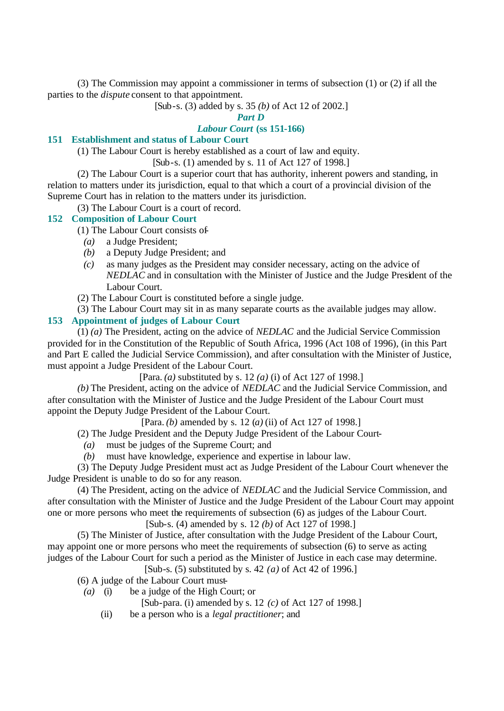(3) The Commission may appoint a commissioner in terms of subsection (1) or (2) if all the parties to the *dispute* consent to that appointment.

[Sub-s. (3) added by s. 35 *(b)* of Act 12 of 2002.]

# *Part D*

# *Labour Court* **(ss 151-166)**

# **151 Establishment and status of Labour Court**

(1) The Labour Court is hereby established as a court of law and equity.

[Sub-s. (1) amended by s. 11 of Act 127 of 1998.]

(2) The Labour Court is a superior court that has authority, inherent powers and standing, in relation to matters under its jurisdiction, equal to that which a court of a provincial division of the Supreme Court has in relation to the matters under its jurisdiction.

(3) The Labour Court is a court of record.

#### **152 Composition of Labour Court**

- (1) The Labour Court consists of-
	- *(a)* a Judge President;
	- *(b)* a Deputy Judge President; and
	- *(c)* as many judges as the President may consider necessary, acting on the advice of *NEDLAC* and in consultation with the Minister of Justice and the Judge President of the Labour Court.
- (2) The Labour Court is constituted before a single judge.

(3) The Labour Court may sit in as many separate courts as the available judges may allow.

#### **153 Appointment of judges of Labour Court**

(1) *(a)* The President, acting on the advice of *NEDLAC* and the Judicial Service Commission provided for in the Constitution of the Republic of South Africa, 1996 (Act 108 of 1996), (in this Part and Part E called the Judicial Service Commission), and after consultation with the Minister of Justice, must appoint a Judge President of the Labour Court.

[Para. *(a)* substituted by s. 12 *(a)* (i) of Act 127 of 1998.]

*(b)* The President, acting on the advice of *NEDLAC* and the Judicial Service Commission, and after consultation with the Minister of Justice and the Judge President of the Labour Court must appoint the Deputy Judge President of the Labour Court.

[Para. *(b)* amended by s. 12 (*a)* (ii) of Act 127 of 1998.]

(2) The Judge President and the Deputy Judge President of the Labour Court-

- *(a)* must be judges of the Supreme Court; and
- *(b)* must have knowledge, experience and expertise in labour law.

(3) The Deputy Judge President must act as Judge President of the Labour Court whenever the Judge President is unable to do so for any reason.

(4) The President, acting on the advice of *NEDLAC* and the Judicial Service Commission, and after consultation with the Minister of Justice and the Judge President of the Labour Court may appoint one or more persons who meet the requirements of subsection (6) as judges of the Labour Court.

[Sub-s. (4) amended by s. 12 *(b)* of Act 127 of 1998.]

(5) The Minister of Justice, after consultation with the Judge President of the Labour Court, may appoint one or more persons who meet the requirements of subsection (6) to serve as acting judges of the Labour Court for such a period as the Minister of Justice in each case may determine.

[Sub-s. (5) substituted by s. 42 *(a)* of Act 42 of 1996.]

(6) A judge of the Labour Court must-

- *(a)* (i) be a judge of the High Court; or
	- [Sub-para. (i) amended by s. 12 *(c)* of Act 127 of 1998.]
	- (ii) be a person who is a *legal practitioner*; and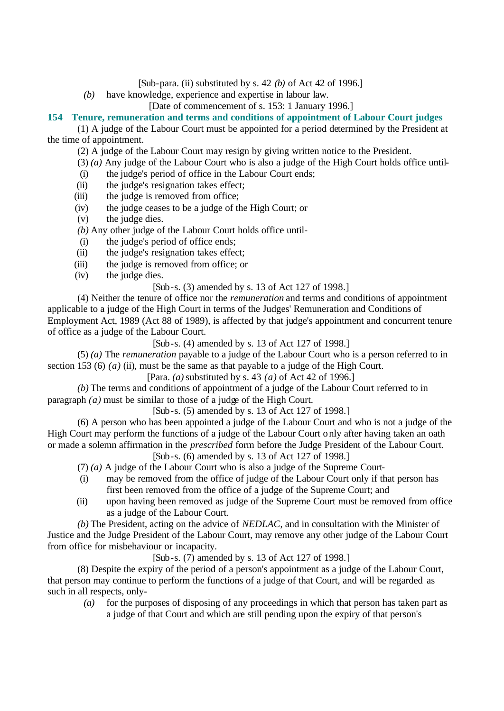- [Sub-para. (ii) substituted by s. 42 *(b)* of Act 42 of 1996.]
- *(b)* have knowledge, experience and expertise in labour law.

[Date of commencement of s. 153: 1 January 1996.]

#### **154 Tenure, remuneration and terms and conditions of appointment of Labour Court judges**

(1) A judge of the Labour Court must be appointed for a period determined by the President at the time of appointment.

(2) A judge of the Labour Court may resign by giving written notice to the President.

- (3) *(a)* Any judge of the Labour Court who is also a judge of the High Court holds office until-
- (i) the judge's period of office in the Labour Court ends;
- (ii) the judge's resignation takes effect;
- (iii) the judge is removed from office;
- (iv) the judge ceases to be a judge of the High Court; or
- (v) the judge dies.
- *(b)* Any other judge of the Labour Court holds office until-
- (i) the judge's period of office ends;
- (ii) the judge's resignation takes effect;
- (iii) the judge is removed from office; or
- (iv) the judge dies.

#### [Sub-s. (3) amended by s. 13 of Act 127 of 1998.]

(4) Neither the tenure of office nor the *remuneration* and terms and conditions of appointment applicable to a judge of the High Court in terms of the Judges' Remuneration and Conditions of Employment Act, 1989 (Act 88 of 1989), is affected by that judge's appointment and concurrent tenure of office as a judge of the Labour Court.

[Sub-s. (4) amended by s. 13 of Act 127 of 1998.]

(5) *(a)* The *remuneration* payable to a judge of the Labour Court who is a person referred to in section 153 (6)  $(a)$  (ii), must be the same as that payable to a judge of the High Court.

[Para. *(a)* substituted by s. 43 *(a)* of Act 42 of 1996.]

*(b)* The terms and conditions of appointment of a judge of the Labour Court referred to in paragraph *(a)* must be similar to those of a judge of the High Court.

[Sub-s. (5) amended by s. 13 of Act 127 of 1998.]

(6) A person who has been appointed a judge of the Labour Court and who is not a judge of the High Court may perform the functions of a judge of the Labour Court only after having taken an oath or made a solemn affirmation in the *prescribed* form before the Judge President of the Labour Court.

[Sub-s. (6) amended by s. 13 of Act 127 of 1998.]

- (7) *(a)* A judge of the Labour Court who is also a judge of the Supreme Court-
- (i) may be removed from the office of judge of the Labour Court only if that person has first been removed from the office of a judge of the Supreme Court; and
- (ii) upon having been removed as judge of the Supreme Court must be removed from office as a judge of the Labour Court.

*(b)* The President, acting on the advice of *NEDLAC*, and in consultation with the Minister of Justice and the Judge President of the Labour Court, may remove any other judge of the Labour Court from office for misbehaviour or incapacity.

[Sub-s. (7) amended by s. 13 of Act 127 of 1998.]

(8) Despite the expiry of the period of a person's appointment as a judge of the Labour Court, that person may continue to perform the functions of a judge of that Court, and will be regarded as such in all respects, only-

*(a)* for the purposes of disposing of any proceedings in which that person has taken part as a judge of that Court and which are still pending upon the expiry of that person's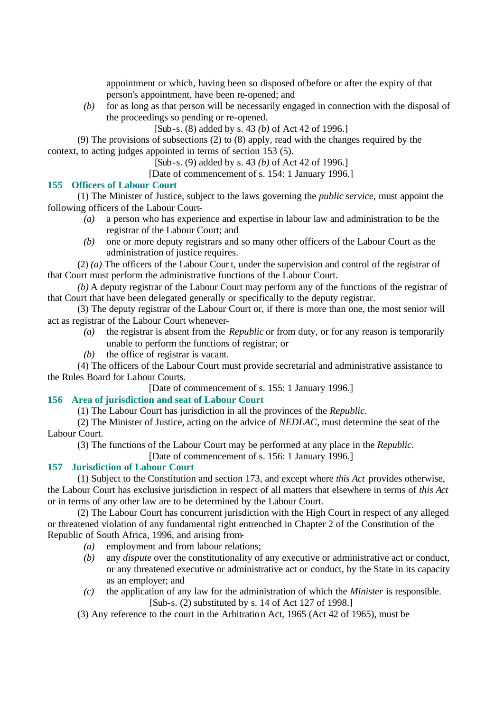appointment or which, having been so disposed of before or after the expiry of that person's appointment, have been re-opened; and

*(b)* for as long as that person will be necessarily engaged in connection with the disposal of the proceedings so pending or re-opened.

[Sub-s. (8) added by s. 43 *(b)* of Act 42 of 1996.]

(9) The provisions of subsections (2) to (8) apply, read with the changes required by the context, to acting judges appointed in terms of section 153 (5).

[Sub-s. (9) added by s. 43 *(b)* of Act 42 of 1996.]

[Date of commencement of s. 154: 1 January 1996.]

#### **155 Officers of Labour Court**

(1) The Minister of Justice, subject to the laws governing the *public service*, must appoint the following officers of the Labour Court-

- *(a)* a person who has experience and expertise in labour law and administration to be the registrar of the Labour Court; and
- *(b)* one or more deputy registrars and so many other officers of the Labour Court as the administration of justice requires.

(2) *(a)* The officers of the Labour Cour t, under the supervision and control of the registrar of that Court must perform the administrative functions of the Labour Court.

*(b)* A deputy registrar of the Labour Court may perform any of the functions of the registrar of that Court that have been delegated generally or specifically to the deputy registrar.

(3) The deputy registrar of the Labour Court or, if there is more than one, the most senior will act as registrar of the Labour Court whenever-

- *(a)* the registrar is absent from the *Republic* or from duty, or for any reason is temporarily unable to perform the functions of registrar; or
- *(b)* the office of registrar is vacant.

(4) The officers of the Labour Court must provide secretarial and administrative assistance to the Rules Board for Labour Courts.

[Date of commencement of s. 155: 1 January 1996.]

#### **156 Area of jurisdiction and seat of Labour Court**

(1) The Labour Court has jurisdiction in all the provinces of the *Republic*.

(2) The Minister of Justice, acting on the advice of *NEDLAC*, must determine the seat of the Labour Court.

(3) The functions of the Labour Court may be performed at any place in the *Republic*.

[Date of commencement of s. 156: 1 January 1996.]

# **157 Jurisdiction of Labour Court**

(1) Subject to the Constitution and section 173, and except where *this Act* provides otherwise, the Labour Court has exclusive jurisdiction in respect of all matters that elsewhere in terms of *this Act* or in terms of any other law are to be determined by the Labour Court.

(2) The Labour Court has concurrent jurisdiction with the High Court in respect of any alleged or threatened violation of any fundamental right entrenched in Chapter 2 of the Constitution of the Republic of South Africa, 1996, and arising from-

- *(a)* employment and from labour relations;
- *(b)* any *dispute* over the constitutionality of any executive or administrative act or conduct, or any threatened executive or administrative act or conduct, by the State in its capacity as an employer; and
- *(c)* the application of any law for the administration of which the *Minister* is responsible. [Sub-s. (2) substituted by s. 14 of Act 127 of 1998.]

(3) Any reference to the court in the Arbitration Act, 1965 (Act 42 of 1965), must be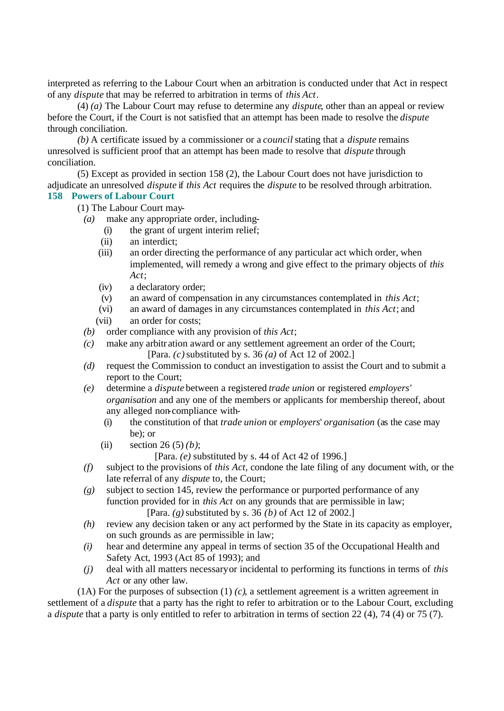interpreted as referring to the Labour Court when an arbitration is conducted under that Act in respect of any *dispute* that may be referred to arbitration in terms of *this Act*.

(4) *(a)* The Labour Court may refuse to determine any *dispute*, other than an appeal or review before the Court, if the Court is not satisfied that an attempt has been made to resolve the *dispute* through conciliation.

*(b)* A certificate issued by a commissioner or a *council* stating that a *dispute* remains unresolved is sufficient proof that an attempt has been made to resolve that *dispute* through conciliation.

(5) Except as provided in section 158 (2), the Labour Court does not have jurisdiction to adjudicate an unresolved *dispute* if *this Act* requires the *dispute* to be resolved through arbitration. **158 Powers of Labour Court**

- (1) The Labour Court may-
	- *(a)* make any appropriate order, including-
		- (i) the grant of urgent interim relief;
		- (ii) an interdict;
		- (iii) an order directing the performance of any particular act which order, when implemented, will remedy a wrong and give effect to the primary objects of *this Act*;
		- (iv) a declaratory order;
		- (v) an award of compensation in any circumstances contemplated in *this Act*;
		- (vi) an award of damages in any circumstances contemplated in *this Act*; and
		- (vii) an order for costs;
	- *(b)* order compliance with any provision of *this Act*;
	- *(c)* make any arbitr ation award or any settlement agreement an order of the Court; [Para. *(c)* substituted by s. 36 *(a)* of Act 12 of 2002.]
	- *(d)* request the Commission to conduct an investigation to assist the Court and to submit a report to the Court;
	- *(e)* determine a *dispute* between a registered *trade union* or registered *employers' organisation* and any one of the members or applicants for membership thereof, about any alleged non-compliance with-
		- (i) the constitution of that *trade union* or *employers*' *organisation* (as the case may be); or
		- (ii) section 26 (5) *(b)*;
			- [Para. *(e)* substituted by s. 44 of Act 42 of 1996.]
	- *(f)* subject to the provisions of *this Act*, condone the late filing of any document with, or the late referral of any *dispute* to, the Court;
	- *(g)* subject to section 145, review the performance or purported performance of any function provided for in *this Act* on any grounds that are permissible in law; [Para. *(g)* substituted by s. 36 *(b)* of Act 12 of 2002.]
	- *(h)* review any decision taken or any act performed by the State in its capacity as employer, on such grounds as are permissible in law;
	- *(i)* hear and determine any appeal in terms of section 35 of the Occupational Health and Safety Act, 1993 (Act 85 of 1993); and
	- *(j)* deal with all matters necessary or incidental to performing its functions in terms of *this Act* or any other law.

(1A) For the purposes of subsection (1) *(c)*, a settlement agreement is a written agreement in settlement of a *dispute* that a party has the right to refer to arbitration or to the Labour Court, excluding a *dispute* that a party is only entitled to refer to arbitration in terms of section 22 (4), 74 (4) or 75 (7).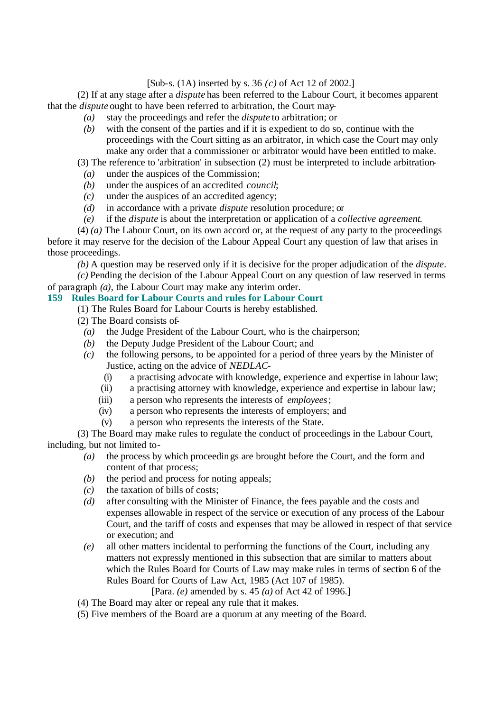## [Sub-s. (1A) inserted by s. 36 *(c)* of Act 12 of 2002.]

(2) If at any stage after a *dispute* has been referred to the Labour Court, it becomes apparent that the *dispute* ought to have been referred to arbitration, the Court may-

- *(a)* stay the proceedings and refer the *dispute* to arbitration; or
- *(b)* with the consent of the parties and if it is expedient to do so, continue with the proceedings with the Court sitting as an arbitrator, in which case the Court may only make any order that a commissioner or arbitrator would have been entitled to make.
- (3) The reference to 'arbitration' in subsection (2) must be interpreted to include arbitration-
- *(a)* under the auspices of the Commission;
- *(b)* under the auspices of an accredited *council*;
- *(c)* under the auspices of an accredited agency;
- *(d)* in accordance with a private *dispute* resolution procedure; or
- *(e)* if the *dispute* is about the interpretation or application of a *collective agreement*.

(4) *(a)* The Labour Court, on its own accord or, at the request of any party to the proceedings before it may reserve for the decision of the Labour Appeal Court any question of law that arises in those proceedings.

*(b)* A question may be reserved only if it is decisive for the proper adjudication of the *dispute*.

*(c)* Pending the decision of the Labour Appeal Court on any question of law reserved in terms of paragraph *(a)*, the Labour Court may make any interim order.

# **159 Rules Board for Labour Courts and rules for Labour Court**

- (1) The Rules Board for Labour Courts is hereby established.
- (2) The Board consists of-
	- *(a)* the Judge President of the Labour Court, who is the chairperson;
	- *(b)* the Deputy Judge President of the Labour Court; and
	- *(c)* the following persons, to be appointed for a period of three years by the Minister of Justice, acting on the advice of *NEDLAC*-
		- (i) a practising advocate with knowledge, experience and expertise in labour law;
		- (ii) a practising attorney with knowledge, experience and expertise in labour law;
		- (iii) a person who represents the interests of *employees*;
		- (iv) a person who represents the interests of employers; and
		- (v) a person who represents the interests of the State.

(3) The Board may make rules to regulate the conduct of proceedings in the Labour Court, including, but not limited to-

- *(a)* the process by which proceedings are brought before the Court, and the form and content of that process;
- *(b)* the period and process for noting appeals;
- *(c)* the taxation of bills of costs;
- *(d)* after consulting with the Minister of Finance, the fees payable and the costs and expenses allowable in respect of the service or execution of any process of the Labour Court, and the tariff of costs and expenses that may be allowed in respect of that service or execution; and
- *(e)* all other matters incidental to performing the functions of the Court, including any matters not expressly mentioned in this subsection that are similar to matters about which the Rules Board for Courts of Law may make rules in terms of section 6 of the Rules Board for Courts of Law Act, 1985 (Act 107 of 1985).

[Para. *(e)* amended by s. 45 *(a)* of Act 42 of 1996.]

- (4) The Board may alter or repeal any rule that it makes.
- (5) Five members of the Board are a quorum at any meeting of the Board.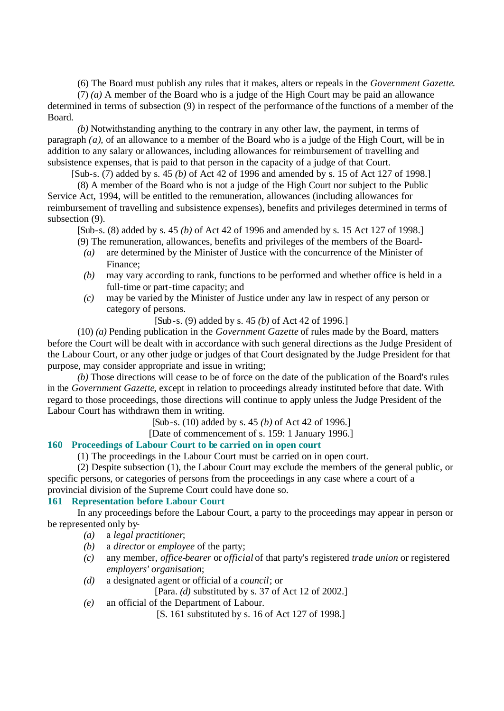(6) The Board must publish any rules that it makes, alters or repeals in the *Government Gazette*.

(7) *(a)* A member of the Board who is a judge of the High Court may be paid an allowance determined in terms of subsection (9) in respect of the performance of the functions of a member of the Board.

*(b)* Notwithstanding anything to the contrary in any other law, the payment, in terms of paragraph *(a)*, of an allowance to a member of the Board who is a judge of the High Court, will be in addition to any salary or allowances, including allowances for reimbursement of travelling and subsistence expenses, that is paid to that person in the capacity of a judge of that Court.

[Sub-s. (7) added by s. 45 *(b)* of Act 42 of 1996 and amended by s. 15 of Act 127 of 1998.]

(8) A member of the Board who is not a judge of the High Court nor subject to the Public Service Act, 1994, will be entitled to the remuneration, allowances (including allowances for reimbursement of travelling and subsistence expenses), benefits and privileges determined in terms of subsection (9).

[Sub-s. (8) added by s. 45 *(b)* of Act 42 of 1996 and amended by s. 15 Act 127 of 1998.]

- (9) The remuneration, allowances, benefits and privileges of the members of the Board- *(a)* are determined by the Minister of Justice with the concurrence of the Minister of Finance;
	- *(b)* may vary according to rank, functions to be performed and whether office is held in a full-time or part-time capacity; and
	- *(c)* may be varied by the Minister of Justice under any law in respect of any person or category of persons.

[Sub-s. (9) added by s. 45 *(b)* of Act 42 of 1996.]

(10) *(a)* Pending publication in the *Government Gazette* of rules made by the Board, matters before the Court will be dealt with in accordance with such general directions as the Judge President of the Labour Court, or any other judge or judges of that Court designated by the Judge President for that purpose, may consider appropriate and issue in writing;

*(b)* Those directions will cease to be of force on the date of the publication of the Board's rules in the *Government Gazette*, except in relation to proceedings already instituted before that date. With regard to those proceedings, those directions will continue to apply unless the Judge President of the Labour Court has withdrawn them in writing.

[Sub-s. (10) added by s. 45 *(b)* of Act 42 of 1996.]

[Date of commencement of s. 159: 1 January 1996.]

## **160 Proceedings of Labour Court to be carried on in open court**

(1) The proceedings in the Labour Court must be carried on in open court.

(2) Despite subsection (1), the Labour Court may exclude the members of the general public, or specific persons, or categories of persons from the proceedings in any case where a court of a provincial division of the Supreme Court could have done so.

## **161 Representation before Labour Court**

In any proceedings before the Labour Court, a party to the proceedings may appear in person or be represented only by-

- *(a)* a *legal practitioner*;
- *(b)* a *director* or *employee* of the party;
- *(c)* any member, *office-bearer* or *official* of that party's registered *trade union* or registered *employers' organisation*;
- *(d)* a designated agent or official of a *council*; or

[Para. *(d)* substituted by s. 37 of Act 12 of 2002.]

*(e)* an official of the Department of Labour.

[S. 161 substituted by s. 16 of Act 127 of 1998.]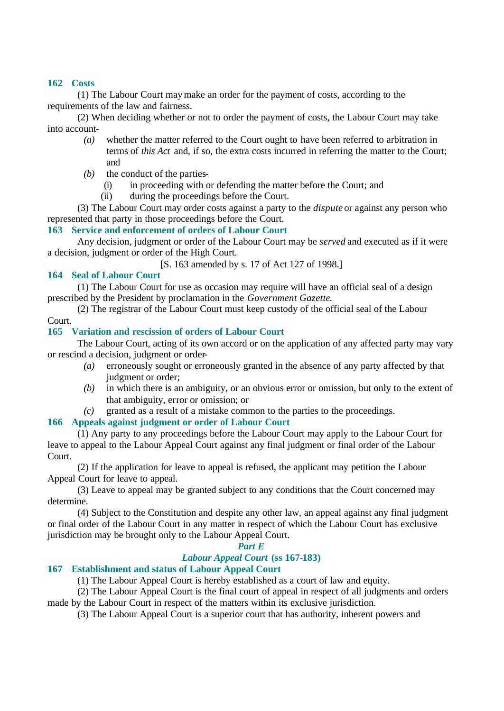## **162 Costs**

(1) The Labour Court may make an order for the payment of costs, according to the requirements of the law and fairness.

(2) When deciding whether or not to order the payment of costs, the Labour Court may take into account-

- *(a)* whether the matter referred to the Court ought to have been referred to arbitration in terms of *this Act* and, if so, the extra costs incurred in referring the matter to the Court; and
- *(b)* the conduct of the parties-
	- (i) in proceeding with or defending the matter before the Court; and
	- (ii) during the proceedings before the Court.

(3) The Labour Court may order costs against a party to the *dispute* or against any person who represented that party in those proceedings before the Court.

# **163 Service and enforcement of orders of Labour Court**

Any decision, judgment or order of the Labour Court may be *served* and executed as if it were a decision, judgment or order of the High Court.

[S. 163 amended by s. 17 of Act 127 of 1998.]

# **164 Seal of Labour Court**

(1) The Labour Court for use as occasion may require will have an official seal of a design prescribed by the President by proclamation in the *Government Gazette*.

(2) The registrar of the Labour Court must keep custody of the official seal of the Labour Court.

# **165 Variation and rescission of orders of Labour Court**

The Labour Court, acting of its own accord or on the application of any affected party may vary or rescind a decision, judgment or order-

- *(a)* erroneously sought or erroneously granted in the absence of any party affected by that judgment or order;
- *(b)* in which there is an ambiguity, or an obvious error or omission, but only to the extent of that ambiguity, error or omission; or
- *(c)* granted as a result of a mistake common to the parties to the proceedings.

## **166 Appeals against judgment or order of Labour Court**

(1) Any party to any proceedings before the Labour Court may apply to the Labour Court for leave to appeal to the Labour Appeal Court against any final judgment or final order of the Labour Court.

(2) If the application for leave to appeal is refused, the applicant may petition the Labour Appeal Court for leave to appeal.

(3) Leave to appeal may be granted subject to any conditions that the Court concerned may determine.

(4) Subject to the Constitution and despite any other law, an appeal against any final judgment or final order of the Labour Court in any matter in respect of which the Labour Court has exclusive jurisdiction may be brought only to the Labour Appeal Court.

# *Part E*

# *Labour Appeal Court* **(ss 167-183)**

# **167 Establishment and status of Labour Appeal Court**

(1) The Labour Appeal Court is hereby established as a court of law and equity.

(2) The Labour Appeal Court is the final court of appeal in respect of all judgments and orders made by the Labour Court in respect of the matters within its exclusive jurisdiction.

(3) The Labour Appeal Court is a superior court that has authority, inherent powers and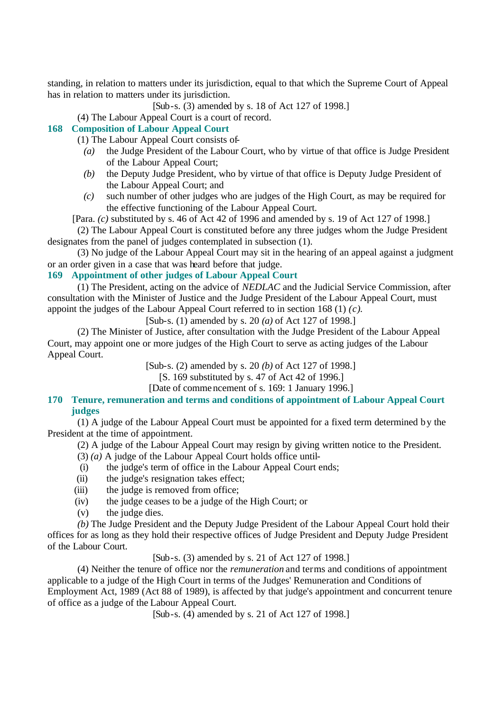standing, in relation to matters under its jurisdiction, equal to that which the Supreme Court of Appeal has in relation to matters under its jurisdiction.

[Sub-s. (3) amended by s. 18 of Act 127 of 1998.]

(4) The Labour Appeal Court is a court of record.

# **168 Composition of Labour Appeal Court**

(1) The Labour Appeal Court consists of-

- *(a)* the Judge President of the Labour Court, who by virtue of that office is Judge President of the Labour Appeal Court;
- *(b)* the Deputy Judge President, who by virtue of that office is Deputy Judge President of the Labour Appeal Court; and
- *(c)* such number of other judges who are judges of the High Court, as may be required for the effective functioning of the Labour Appeal Court.

[Para. *(c)* substituted by s. 46 of Act 42 of 1996 and amended by s. 19 of Act 127 of 1998.]

(2) The Labour Appeal Court is constituted before any three judges whom the Judge President designates from the panel of judges contemplated in subsection (1).

(3) No judge of the Labour Appeal Court may sit in the hearing of an appeal against a judgment or an order given in a case that was heard before that judge.

## **169 Appointment of other judges of Labour Appeal Court**

(1) The President, acting on the advice of *NEDLAC* and the Judicial Service Commission, after consultation with the Minister of Justice and the Judge President of the Labour Appeal Court, must appoint the judges of the Labour Appeal Court referred to in section 168 (1) *(c)*.

[Sub-s. (1) amended by s. 20 *(a)* of Act 127 of 1998.]

(2) The Minister of Justice, after consultation with the Judge President of the Labour Appeal Court, may appoint one or more judges of the High Court to serve as acting judges of the Labour Appeal Court.

[Sub-s. (2) amended by s. 20 *(b)* of Act 127 of 1998.]

[S. 169 substituted by s. 47 of Act 42 of 1996.]

[Date of commencement of s. 169: 1 January 1996.]

#### **170 Tenure, remuneration and terms and conditions of appointment of Labour Appeal Court judges**

(1) A judge of the Labour Appeal Court must be appointed for a fixed term determined by the President at the time of appointment.

(2) A judge of the Labour Appeal Court may resign by giving written notice to the President.

- (3) *(a)* A judge of the Labour Appeal Court holds office until-
- (i) the judge's term of office in the Labour Appeal Court ends;
- (ii) the judge's resignation takes effect;
- (iii) the judge is removed from office;
- (iv) the judge ceases to be a judge of the High Court; or
- (v) the judge dies.

*(b)* The Judge President and the Deputy Judge President of the Labour Appeal Court hold their offices for as long as they hold their respective offices of Judge President and Deputy Judge President of the Labour Court.

[Sub-s. (3) amended by s. 21 of Act 127 of 1998.]

(4) Neither the tenure of office nor the *remuneration* and terms and conditions of appointment applicable to a judge of the High Court in terms of the Judges' Remuneration and Conditions of Employment Act, 1989 (Act 88 of 1989), is affected by that judge's appointment and concurrent tenure of office as a judge of the Labour Appeal Court.

[Sub-s. (4) amended by s. 21 of Act 127 of 1998.]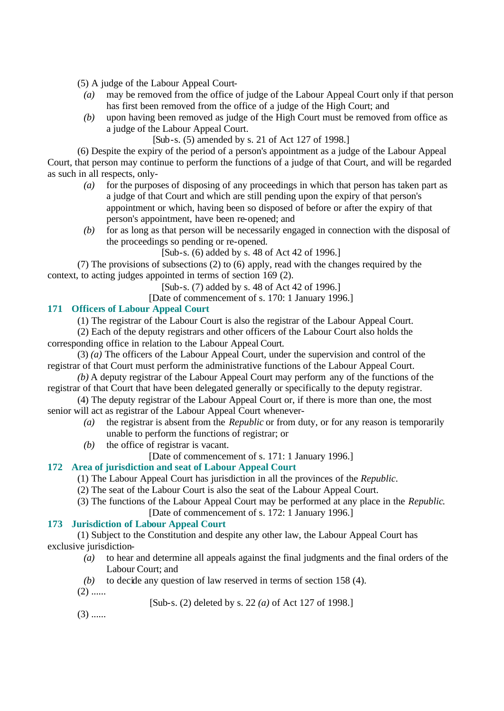(5) A judge of the Labour Appeal Court-

- *(a)* may be removed from the office of judge of the Labour Appeal Court only if that person has first been removed from the office of a judge of the High Court; and
- *(b)* upon having been removed as judge of the High Court must be removed from office as a judge of the Labour Appeal Court.

[Sub-s. (5) amended by s. 21 of Act 127 of 1998.]

(6) Despite the expiry of the period of a person's appointment as a judge of the Labour Appeal Court, that person may continue to perform the functions of a judge of that Court, and will be regarded as such in all respects, only-

- *(a)* for the purposes of disposing of any proceedings in which that person has taken part as a judge of that Court and which are still pending upon the expiry of that person's appointment or which, having been so disposed of before or after the expiry of that person's appointment, have been re-opened; and
- *(b)* for as long as that person will be necessarily engaged in connection with the disposal of the proceedings so pending or re-opened.

[Sub-s. (6) added by s. 48 of Act 42 of 1996.]

(7) The provisions of subsections (2) to (6) apply, read with the changes required by the context, to acting judges appointed in terms of section 169 (2).

[Sub-s. (7) added by s. 48 of Act 42 of 1996.]

[Date of commencement of s. 170: 1 January 1996.]

## **171 Officers of Labour Appeal Court**

(1) The registrar of the Labour Court is also the registrar of the Labour Appeal Court.

(2) Each of the deputy registrars and other officers of the Labour Court also holds the corresponding office in relation to the Labour Appeal Court.

(3) *(a)* The officers of the Labour Appeal Court, under the supervision and control of the registrar of that Court must perform the administrative functions of the Labour Appeal Court.

*(b)* A deputy registrar of the Labour Appeal Court may perform any of the functions of the registrar of that Court that have been delegated generally or specifically to the deputy registrar.

(4) The deputy registrar of the Labour Appeal Court or, if there is more than one, the most senior will act as registrar of the Labour Appeal Court whenever-

- *(a)* the registrar is absent from the *Republic* or from duty, or for any reason is temporarily unable to perform the functions of registrar; or
- *(b)* the office of registrar is vacant.

[Date of commencement of s. 171: 1 January 1996.]

# **172 Area of jurisdiction and seat of Labour Appeal Court**

- (1) The Labour Appeal Court has jurisdiction in all the provinces of the *Republic*.
- (2) The seat of the Labour Court is also the seat of the Labour Appeal Court.
- (3) The functions of the Labour Appeal Court may be performed at any place in the *Republic*. [Date of commencement of s. 172: 1 January 1996.]

# **173 Jurisdiction of Labour Appeal Court**

(1) Subject to the Constitution and despite any other law, the Labour Appeal Court has exclusive jurisdiction-

- *(a)* to hear and determine all appeals against the final judgments and the final orders of the Labour Court; and
- *(b)* to decide any question of law reserved in terms of section 158 (4).
- $(2)$  ......

[Sub-s. (2) deleted by s. 22 *(a)* of Act 127 of 1998.]

 $(3)$  ......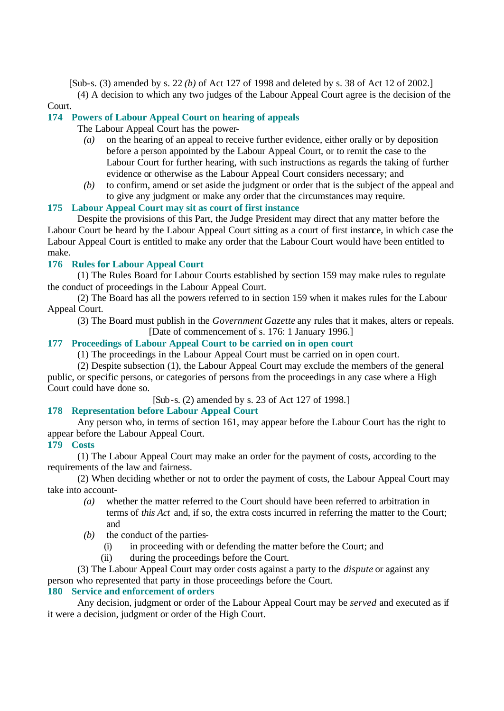[Sub-s. (3) amended by s. 22 *(b)* of Act 127 of 1998 and deleted by s. 38 of Act 12 of 2002.]

(4) A decision to which any two judges of the Labour Appeal Court agree is the decision of the Court.

# **174 Powers of Labour Appeal Court on hearing of appeals**

The Labour Appeal Court has the power-

- *(a)* on the hearing of an appeal to receive further evidence, either orally or by deposition before a person appointed by the Labour Appeal Court, or to remit the case to the Labour Court for further hearing, with such instructions as regards the taking of further evidence or otherwise as the Labour Appeal Court considers necessary; and
- *(b)* to confirm, amend or set aside the judgment or order that is the subject of the appeal and to give any judgment or make any order that the circumstances may require.

# **175 Labour Appeal Court may sit as court of first instance**

Despite the provisions of this Part, the Judge President may direct that any matter before the Labour Court be heard by the Labour Appeal Court sitting as a court of first instance, in which case the Labour Appeal Court is entitled to make any order that the Labour Court would have been entitled to make.

# **176 Rules for Labour Appeal Court**

(1) The Rules Board for Labour Courts established by section 159 may make rules to regulate the conduct of proceedings in the Labour Appeal Court.

(2) The Board has all the powers referred to in section 159 when it makes rules for the Labour Appeal Court.

(3) The Board must publish in the *Government Gazette* any rules that it makes, alters or repeals. [Date of commencement of s. 176: 1 January 1996.]

# **177 Proceedings of Labour Appeal Court to be carried on in open court**

(1) The proceedings in the Labour Appeal Court must be carried on in open court.

(2) Despite subsection (1), the Labour Appeal Court may exclude the members of the general public, or specific persons, or categories of persons from the proceedings in any case where a High Court could have done so.

[Sub-s. (2) amended by s. 23 of Act 127 of 1998.]

# **178 Representation before Labour Appeal Court**

Any person who, in terms of section 161, may appear before the Labour Court has the right to appear before the Labour Appeal Court.

## **179 Costs**

(1) The Labour Appeal Court may make an order for the payment of costs, according to the requirements of the law and fairness.

(2) When deciding whether or not to order the payment of costs, the Labour Appeal Court may take into account-

- *(a)* whether the matter referred to the Court should have been referred to arbitration in terms of *this Act* and, if so, the extra costs incurred in referring the matter to the Court; and
- *(b)* the conduct of the parties-
	- (i) in proceeding with or defending the matter before the Court; and
	- (ii) during the proceedings before the Court.

(3) The Labour Appeal Court may order costs against a party to the *dispute* or against any person who represented that party in those proceedings before the Court.

## **180 Service and enforcement of orders**

Any decision, judgment or order of the Labour Appeal Court may be *served* and executed as if it were a decision, judgment or order of the High Court.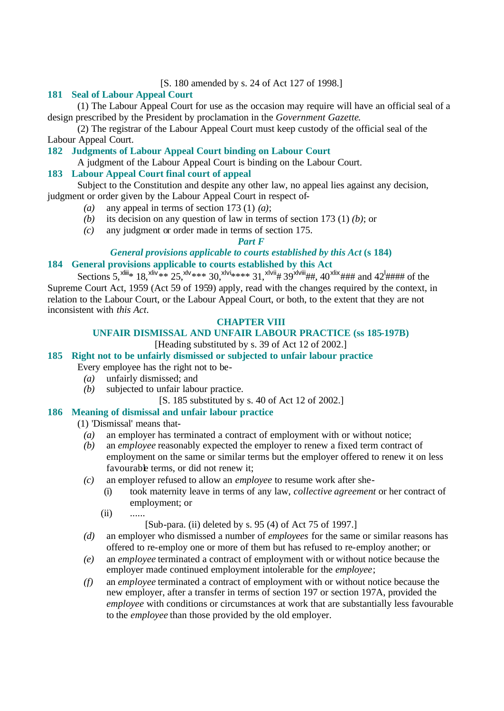## [S. 180 amended by s. 24 of Act 127 of 1998.]

# **181 Seal of Labour Appeal Court**

(1) The Labour Appeal Court for use as the occasion may require will have an official seal of a design prescribed by the President by proclamation in the *Government Gazette*.

(2) The registrar of the Labour Appeal Court must keep custody of the official seal of the Labour Appeal Court.

**182 Judgments of Labour Appeal Court binding on Labour Court**

A judgment of the Labour Appeal Court is binding on the Labour Court.

# **183 Labour Appeal Court final court of appeal**

Subject to the Constitution and despite any other law, no appeal lies against any decision, judgment or order given by the Labour Appeal Court in respect of-

- *(a)* any appeal in terms of section 173 (1) *(a)*;
- *(b)* its decision on any question of law in terms of section 173 (1) *(b)*; or
- *(c)* any judgment or order made in terms of section 175.

## *Part F*

# *General provisions applicable to courts established by this Act* **(s 184)**

# **184 General provisions applicable to courts established by this Act**

Sections 5,<sup>xliii</sup>\* 18,<sup>xliv</sup>\*\* 25,<sup>xlv</sup>\*\*\* 30,<sup>xlvi</sup>\*\*\*\* 31,<sup>xlvii</sup># 39<sup>xlvii</sup>##, 40<sup>xlix</sup>### and 42<sup>1</sup>#### of the Supreme Court Act, 1959 (Act 59 of 1959) apply, read with the changes required by the context, in relation to the Labour Court, or the Labour Appeal Court, or both, to the extent that they are not inconsistent with *this Act*.

# **CHAPTER VIII**

# **UNFAIR DISMISSAL AND UNFAIR LABOUR PRACTICE (ss 185-197B)**

# [Heading substituted by s. 39 of Act 12 of 2002.]

# **185 Right not to be unfairly dismissed or subjected to unfair labour practice**

- Every employee has the right not to be-
	- *(a)* unfairly dismissed; and
	- *(b)* subjected to unfair labour practice.
		- [S. 185 substituted by s. 40 of Act 12 of 2002.]

## **186 Meaning of dismissal and unfair labour practice**

## (1) 'Dismissal' means that-

- *(a)* an employer has terminated a contract of employment with or without notice;
- *(b)* an *employee* reasonably expected the employer to renew a fixed term contract of employment on the same or similar terms but the employer offered to renew it on less favourable terms, or did not renew it;
- *(c)* an employer refused to allow an *employee* to resume work after she-
	- (i) took maternity leave in terms of any law, *collective agreement* or her contract of employment; or

(ii) ......

[Sub-para. (ii) deleted by s. 95 (4) of Act 75 of 1997.]

- *(d)* an employer who dismissed a number of *employees* for the same or similar reasons has offered to re-employ one or more of them but has refused to re-employ another; or
- *(e)* an *employee* terminated a contract of employment with or without notice because the employer made continued employment intolerable for the *employee*;
- *(f)* an *employee* terminated a contract of employment with or without notice because the new employer, after a transfer in terms of section 197 or section 197A, provided the *employee* with conditions or circumstances at work that are substantially less favourable to the *employee* than those provided by the old employer.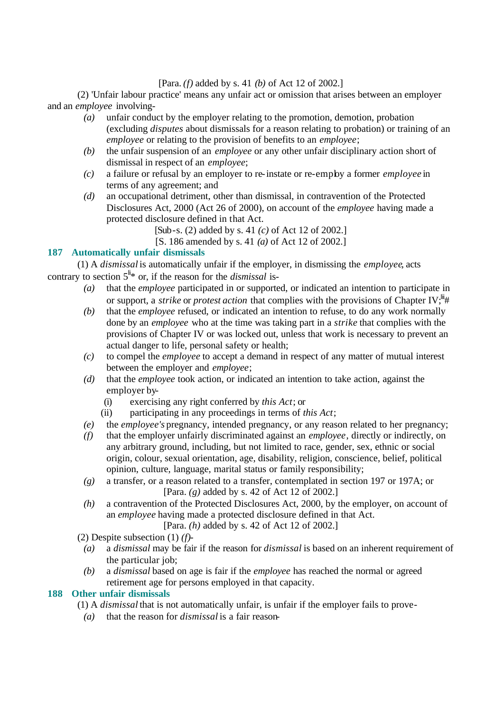## [Para. *(f)* added by s. 41 *(b)* of Act 12 of 2002.]

(2) 'Unfair labour practice' means any unfair act or omission that arises between an employer and an *employee* involving-

- *(a)* unfair conduct by the employer relating to the promotion, demotion, probation (excluding *disputes* about dismissals for a reason relating to probation) or training of an *employee* or relating to the provision of benefits to an *employee*;
- *(b)* the unfair suspension of an *employee* or any other unfair disciplinary action short of dismissal in respect of an *employee*;
- *(c)* a failure or refusal by an employer to re-instate or re-employ a former *employee* in terms of any agreement; and
- *(d)* an occupational detriment, other than dismissal, in contravention of the Protected Disclosures Act, 2000 (Act 26 of 2000), on account of the *employee* having made a protected disclosure defined in that Act.

[Sub-s. (2) added by s. 41 *(c)* of Act 12 of 2002.]

[S. 186 amended by s. 41 *(a)* of Act 12 of 2002.]

# **187 Automatically unfair dismissals**

(1) A *dismissal* is automatically unfair if the employer, in dismissing the *employee*, acts contrary to section  $5^{\text{li}}$ <sup>\*</sup> or, if the reason for the *dismissal* is-

- *(a)* that the *employee* participated in or supported, or indicated an intention to participate in or support, a *strike* or *protest action* that complies with the provisions of Chapter IV:<sup>lii</sup>#
- *(b)* that the *employee* refused, or indicated an intention to refuse, to do any work normally done by an *employee* who at the time was taking part in a *strike* that complies with the provisions of Chapter IV or was locked out, unless that work is necessary to prevent an actual danger to life, personal safety or health;
- *(c)* to compel the *employee* to accept a demand in respect of any matter of mutual interest between the employer and *employee*;
- *(d)* that the *employee* took action, or indicated an intention to take action, against the employer by-
	- (i) exercising any right conferred by *this Act*; or
	- (ii) participating in any proceedings in terms of *this Act*;
- *(e)* the *employee's* pregnancy, intended pregnancy, or any reason related to her pregnancy;
- *(f)* that the employer unfairly discriminated against an *employee*, directly or indirectly, on any arbitrary ground, including, but not limited to race, gender, sex, ethnic or social origin, colour, sexual orientation, age, disability, religion, conscience, belief, political opinion, culture, language, marital status or family responsibility;
- *(g)* a transfer, or a reason related to a transfer, contemplated in section 197 or 197A; or [Para. *(g)* added by s. 42 of Act 12 of 2002.]
- *(h)* a contravention of the Protected Disclosures Act, 2000, by the employer, on account of an *employee* having made a protected disclosure defined in that Act.

[Para. *(h)* added by s. 42 of Act 12 of 2002.]

(2) Despite subsection (1) *(f)*-

- *(a)* a *dismissal* may be fair if the reason for *dismissal* is based on an inherent requirement of the particular job:
- *(b)* a *dismissal* based on age is fair if the *employee* has reached the normal or agreed retirement age for persons employed in that capacity.

# **188 Other unfair dismissals**

- (1) A *dismissal* that is not automatically unfair, is unfair if the employer fails to prove-
	- *(a)* that the reason for *dismissal* is a fair reason-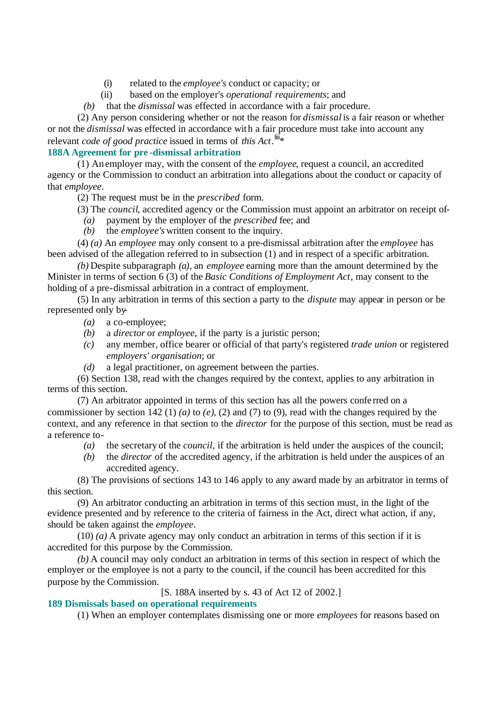- (i) related to the *employee's* conduct or capacity; or
- (ii) based on the employer's *operational requirements*; and

*(b)* that the *dismissal* was effected in accordance with a fair procedure.

(2) Any person considering whether or not the reason for *dismissal* is a fair reason or whether or not the *dismissal* was effected in accordance with a fair procedure must take into account any relevant *code of good practice* issued in terms of *this Act*.<sup>iii</sup>\*

# **188A Agreement for pre -dismissal arbitration**

(1) An employer may, with the consent of the *employee*, request a council, an accredited agency or the Commission to conduct an arbitration into allegations about the conduct or capacity of that *employee*.

(2) The request must be in the *prescribed* form.

(3) The *council*, accredited agency or the Commission must appoint an arbitrator on receipt of-

- *(a)* payment by the employer of the *prescribed* fee; and
- *(b)* the *employee's* written consent to the inquiry.

(4) *(a)* An *employee* may only consent to a pre-dismissal arbitration after the *employee* has been advised of the allegation referred to in subsection (1) and in respect of a specific arbitration.

*(b)* Despite subparagraph *(a)*, an *employee* earning more than the amount determined by the Minister in terms of section 6 (3) of the *Basic Conditions of Employment Act*, may consent to the holding of a pre-dismissal arbitration in a contract of employment.

(5) In any arbitration in terms of this section a party to the *dispute* may appear in person or be represented only by-

- *(a)* a co-employee;
- *(b)* a *director* or *employee*, if the party is a juristic person;
- *(c)* any member, office bearer or official of that party's registered *trade union* or registered *employers' organisation*; or
- *(d)* a legal practitioner, on agreement between the parties.

(6) Section 138, read with the changes required by the context, applies to any arbitration in terms of this section.

(7) An arbitrator appointed in terms of this section has all the powers confe rred on a commissioner by section 142 (1) *(a)* to *(e)*, (2) and (7) to (9), read with the changes required by the context, and any reference in that section to the *director* for the purpose of this section, must be read as a reference to-

- *(a)* the secretary of the *council*, if the arbitration is held under the auspices of the council;
- *(b)* the *director* of the accredited agency, if the arbitration is held under the auspices of an accredited agency.

(8) The provisions of sections 143 to 146 apply to any award made by an arbitrator in terms of this section.

(9) An arbitrator conducting an arbitration in terms of this section must, in the light of the evidence presented and by reference to the criteria of fairness in the Act, direct what action, if any, should be taken against the *employee*.

(10) *(a)* A private agency may only conduct an arbitration in terms of this section if it is accredited for this purpose by the Commission.

*(b)* A council may only conduct an arbitration in terms of this section in respect of which the employer or the employee is not a party to the council, if the council has been accredited for this purpose by the Commission.

[S. 188A inserted by s. 43 of Act 12 of 2002.]

## **189 Dismissals based on operational requirements**

(1) When an employer contemplates dismissing one or more *employees* for reasons based on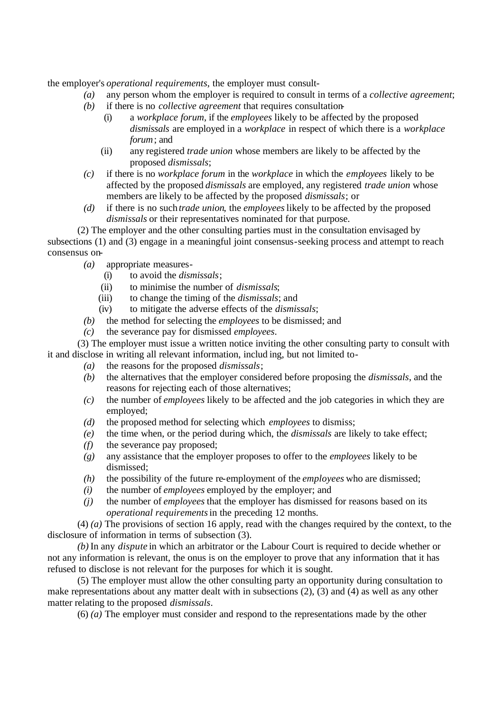the employer's *operational requirements*, the employer must consult-

- *(a)* any person whom the employer is required to consult in terms of a *collective agreement*;
- *(b)* if there is no *collective agreement* that requires consultation-
	- (i) a *workplace forum*, if the *employees* likely to be affected by the proposed *dismissals* are employed in a *workplace* in respect of which there is a *workplace forum*; and
	- (ii) any registered *trade union* whose members are likely to be affected by the proposed *dismissals*;
- *(c)* if there is no *workplace forum* in the *workplace* in which the *employees* likely to be affected by the proposed *dismissals* are employed, any registered *trade union* whose members are likely to be affected by the proposed *dismissals*; or
- *(d)* if there is no such *trade union*, the *employees* likely to be affected by the proposed *dismissals* or their representatives nominated for that purpose.

(2) The employer and the other consulting parties must in the consultation envisaged by subsections (1) and (3) engage in a meaningful joint consensus-seeking process and attempt to reach consensus on-

- *(a)* appropriate measures-
	- (i) to avoid the *dismissals*;
	- (ii) to minimise the number of *dismissals*;
	- (iii) to change the timing of the *dismissals*; and
	- (iv) to mitigate the adverse effects of the *dismissals*;
- *(b)* the method for selecting the *employees* to be dismissed; and
- *(c)* the severance pay for dismissed *employees*.

(3) The employer must issue a written notice inviting the other consulting party to consult with it and disclose in writing all relevant information, includ ing, but not limited to-

- *(a)* the reasons for the proposed *dismissals*;
- *(b)* the alternatives that the employer considered before proposing the *dismissals*, and the reasons for rejecting each of those alternatives;
- *(c)* the number of *employees* likely to be affected and the job categories in which they are employed;
- *(d)* the proposed method for selecting which *employees* to dismiss;
- *(e)* the time when, or the period during which, the *dismissals* are likely to take effect;
- *(f)* the severance pay proposed;
- *(g)* any assistance that the employer proposes to offer to the *employees* likely to be dismissed;
- *(h)* the possibility of the future re-employment of the *employees* who are dismissed;
- *(i)* the number of *employees* employed by the employer; and
- *(j)* the number of *employees* that the employer has dismissed for reasons based on its *operational requirements* in the preceding 12 months.

(4) *(a)* The provisions of section 16 apply, read with the changes required by the context, to the disclosure of information in terms of subsection (3).

*(b)* In any *dispute* in which an arbitrator or the Labour Court is required to decide whether or not any information is relevant, the onus is on the employer to prove that any information that it has refused to disclose is not relevant for the purposes for which it is sought.

(5) The employer must allow the other consulting party an opportunity during consultation to make representations about any matter dealt with in subsections (2), (3) and (4) as well as any other matter relating to the proposed *dismissals*.

(6) *(a)* The employer must consider and respond to the representations made by the other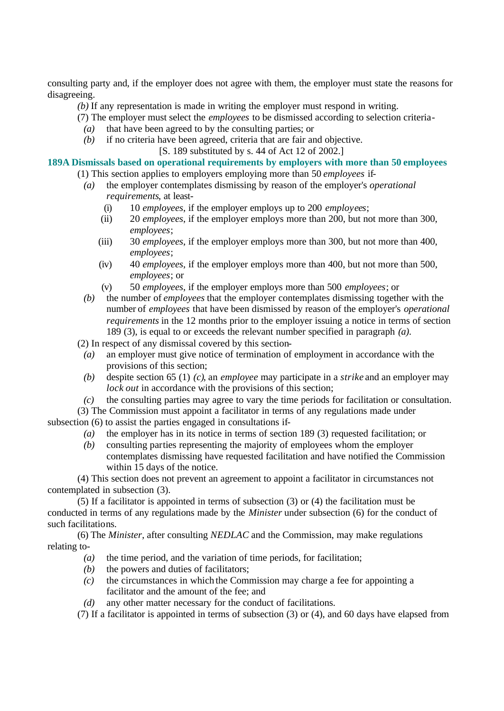consulting party and, if the employer does not agree with them, the employer must state the reasons for disagreeing.

*(b)* If any representation is made in writing the employer must respond in writing.

(7) The employer must select the *employees* to be dismissed according to selection criteria-

- *(a)* that have been agreed to by the consulting parties; or
- *(b)* if no criteria have been agreed, criteria that are fair and objective.

[S. 189 substituted by s. 44 of Act 12 of 2002.]

**189A Dismissals based on operational requirements by employers with more than 50 employees**

- (1) This section applies to employers employing more than 50 *employees* if-
	- *(a)* the employer contemplates dismissing by reason of the employer's *operational requirements*, at least-
		- (i) 10 *employees*, if the employer employs up to 200 *employees*;
		- (ii) 20 *employees*, if the employer employs more than 200, but not more than 300, *employees*;
		- (iii) 30 *employees*, if the employer employs more than 300, but not more than 400, *employees*;
		- (iv) 40 *employees*, if the employer employs more than 400, but not more than 500, *employees*; or
		- (v) 50 *employees*, if the employer employs more than 500 *employees*; or
	- *(b)* the number of *employees* that the employer contemplates dismissing together with the number of *employees* that have been dismissed by reason of the employer's *operational requirements* in the 12 months prior to the employer issuing a notice in terms of section 189 (3), is equal to or exceeds the relevant number specified in paragraph *(a)*.

(2) In respect of any dismissal covered by this section-

- *(a)* an employer must give notice of termination of employment in accordance with the provisions of this section;
- *(b)* despite section 65 (1) *(c)*, an *employee* may participate in a *strike* and an employer may *lock out* in accordance with the provisions of this section;

*(c)* the consulting parties may agree to vary the time periods for facilitation or consultation.

(3) The Commission must appoint a facilitator in terms of any regulations made under subsection (6) to assist the parties engaged in consultations if-

- *(a)* the employer has in its notice in terms of section 189 (3) requested facilitation; or
- *(b)* consulting parties representing the majority of employees whom the employer contemplates dismissing have requested facilitation and have notified the Commission within 15 days of the notice.

(4) This section does not prevent an agreement to appoint a facilitator in circumstances not contemplated in subsection (3).

(5) If a facilitator is appointed in terms of subsection (3) or (4) the facilitation must be conducted in terms of any regulations made by the *Minister* under subsection (6) for the conduct of such facilitations.

(6) The *Minister*, after consulting *NEDLAC* and the Commission, may make regulations relating to-

- *(a)* the time period, and the variation of time periods, for facilitation;
- *(b)* the powers and duties of facilitators;
- *(c)* the circumstances in which the Commission may charge a fee for appointing a facilitator and the amount of the fee; and
- *(d)* any other matter necessary for the conduct of facilitations.

(7) If a facilitator is appointed in terms of subsection (3) or (4), and 60 days have elapsed from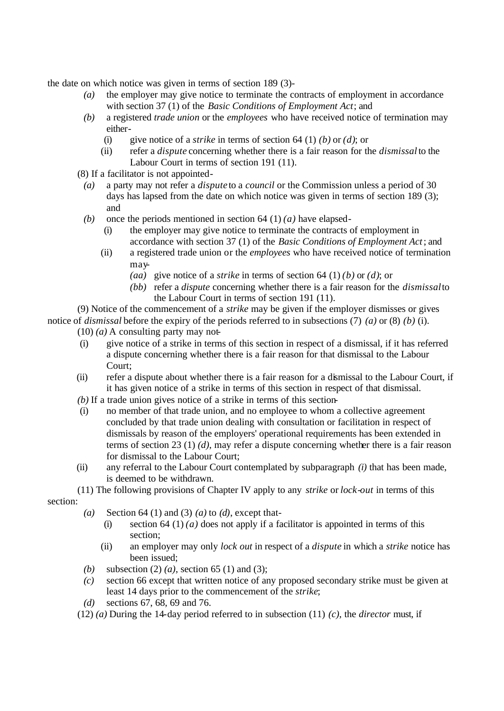the date on which notice was given in terms of section 189 (3)-

- *(a)* the employer may give notice to terminate the contracts of employment in accordance with section 37 (1) of the *Basic Conditions of Employment Act*; and
- *(b)* a registered *trade union* or the *employees* who have received notice of termination may either-
	- (i) give notice of a *strike* in terms of section 64 (1) *(b)* or *(d)*; or
	- (ii) refer a *dispute* concerning whether there is a fair reason for the *dismissal* to the Labour Court in terms of section 191 (11).
- (8) If a facilitator is not appointed-
	- *(a)* a party may not refer a *dispute* to a *council* or the Commission unless a period of 30 days has lapsed from the date on which notice was given in terms of section 189 (3); and
	- *(b)* once the periods mentioned in section 64 (1) *(a)* have elapsed-
		- (i) the employer may give notice to terminate the contracts of employment in accordance with section 37 (1) of the *Basic Conditions of Employment Act*; and
		- (ii) a registered trade union or the *employees* who have received notice of termination may-
			- *(aa)* give notice of a *strike* in terms of section 64 (1) *(b)* or *(d)*; or
			- *(bb)* refer a *dispute* concerning whether there is a fair reason for the *dismissal* to the Labour Court in terms of section 191 (11).

(9) Notice of the commencement of a *strike* may be given if the employer dismisses or gives notice of *dismissal* before the expiry of the periods referred to in subsections (7) *(a)* or (8) *(b)* (i).

 $(10)$  *(a)* A consulting party may not-

- (i) give notice of a strike in terms of this section in respect of a dismissal, if it has referred a dispute concerning whether there is a fair reason for that dismissal to the Labour Court;
- (ii) refer a dispute about whether there is a fair reason for a dismissal to the Labour Court, if it has given notice of a strike in terms of this section in respect of that dismissal.
- *(b)* If a trade union gives notice of a strike in terms of this section-
- (i) no member of that trade union, and no employee to whom a collective agreement concluded by that trade union dealing with consultation or facilitation in respect of dismissals by reason of the employers' operational requirements has been extended in terms of section 23 (1) *(d)*, may refer a dispute concerning whether there is a fair reason for dismissal to the Labour Court;
- (ii) any referral to the Labour Court contemplated by subparagraph *(i)* that has been made, is deemed to be withdrawn.
- (11) The following provisions of Chapter IV apply to any *strike* or *lock-out* in terms of this

section:

- *(a)* Section 64 (1) and (3) *(a)* to *(d)*, except that-
	- (i) section 64 (1) *(a)* does not apply if a facilitator is appointed in terms of this section;
	- (ii) an employer may only *lock out* in respect of a *dispute* in which a *strike* notice has been issued;
- *(b)* subsection (2) *(a)*, section 65 (1) and (3);
- *(c)* section 66 except that written notice of any proposed secondary strike must be given at least 14 days prior to the commencement of the *strike*;
- *(d)* sections 67, 68, 69 and 76.
- (12) *(a)* During the 14-day period referred to in subsection (11) *(c)*, the *director* must, if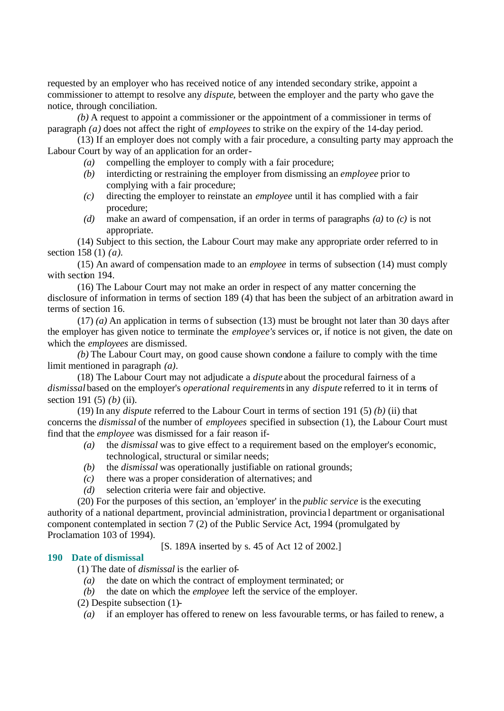requested by an employer who has received notice of any intended secondary strike, appoint a commissioner to attempt to resolve any *dispute*, between the employer and the party who gave the notice, through conciliation.

*(b)* A request to appoint a commissioner or the appointment of a commissioner in terms of paragraph *(a)* does not affect the right of *employees* to strike on the expiry of the 14-day period.

(13) If an employer does not comply with a fair procedure, a consulting party may approach the Labour Court by way of an application for an order-

- *(a)* compelling the employer to comply with a fair procedure;
- *(b)* interdicting or restraining the employer from dismissing an *employee* prior to complying with a fair procedure;
- *(c)* directing the employer to reinstate an *employee* until it has complied with a fair procedure;
- *(d)* make an award of compensation, if an order in terms of paragraphs *(a)* to *(c)* is not appropriate.

(14) Subject to this section, the Labour Court may make any appropriate order referred to in section 158 (1) *(a)*.

(15) An award of compensation made to an *employee* in terms of subsection (14) must comply with section 194.

(16) The Labour Court may not make an order in respect of any matter concerning the disclosure of information in terms of section 189 (4) that has been the subject of an arbitration award in terms of section 16.

(17) *(a)* An application in terms of subsection (13) must be brought not later than 30 days after the employer has given notice to terminate the *employee's* services or, if notice is not given, the date on which the *employees* are dismissed.

*(b)* The Labour Court may, on good cause shown condone a failure to comply with the time limit mentioned in paragraph *(a)*.

(18) The Labour Court may not adjudicate a *dispute* about the procedural fairness of a *dismissal* based on the employer's *operational requirements* in any *dispute* referred to it in terms of section 191 (5) *(b)* (ii).

(19) In any *dispute* referred to the Labour Court in terms of section 191 (5) *(b)* (ii) that concerns the *dismissal* of the number of *employees* specified in subsection (1), the Labour Court must find that the *employee* was dismissed for a fair reason if-

- *(a)* the *dismissal* was to give effect to a requirement based on the employer's economic, technological, structural or similar needs;
- *(b)* the *dismissal* was operationally justifiable on rational grounds;
- *(c)* there was a proper consideration of alternatives; and
- *(d)* selection criteria were fair and objective.

(20) For the purposes of this section, an 'employer' in the *public service* is the executing authority of a national department, provincial administration, provincia l department or organisational component contemplated in section 7 (2) of the Public Service Act, 1994 (promulgated by Proclamation 103 of 1994).

[S. 189A inserted by s. 45 of Act 12 of 2002.]

#### **190 Date of dismissal**

(1) The date of *dismissal* is the earlier of-

- *(a)* the date on which the contract of employment terminated; or
- *(b)* the date on which the *employee* left the service of the employer.
- (2) Despite subsection (1)-
	- *(a)* if an employer has offered to renew on less favourable terms, or has failed to renew, a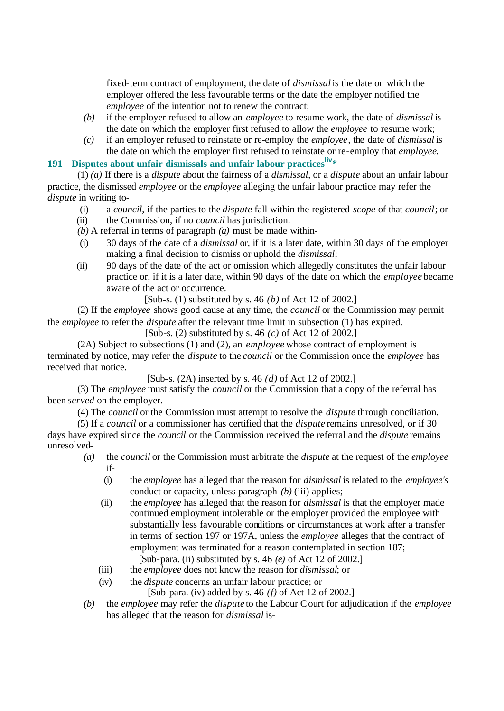fixed-term contract of employment, the date of *dismissal* is the date on which the employer offered the less favourable terms or the date the employer notified the *employee* of the intention not to renew the contract;

- *(b)* if the employer refused to allow an *employee* to resume work, the date of *dismissal* is the date on which the employer first refused to allow the *employee* to resume work;
- *(c)* if an employer refused to reinstate or re-employ the *employee*, the date of *dismissal* is the date on which the employer first refused to reinstate or re-employ that *employee*.

# **191 Disputes about unfair dismissals and unfair labour practicesliv\***

(1) *(a)* If there is a *dispute* about the fairness of a *dismissal*, or a *dispute* about an unfair labour practice, the dismissed *employee* or the *employee* alleging the unfair labour practice may refer the *dispute* in writing to-

- (i) a *council*, if the parties to the *dispute* fall within the registered *scope* of that *council*; or
- (ii) the Commission, if no *council* has jurisdiction.
- *(b)* A referral in terms of paragraph *(a)* must be made within-
- (i) 30 days of the date of a *dismissal* or, if it is a later date, within 30 days of the employer making a final decision to dismiss or uphold the *dismissal*;
- (ii) 90 days of the date of the act or omission which allegedly constitutes the unfair labour practice or, if it is a later date, within 90 days of the date on which the *employee* became aware of the act or occurrence.

[Sub-s. (1) substituted by s. 46 *(b)* of Act 12 of 2002.]

(2) If the *employee* shows good cause at any time, the *council* or the Commission may permit the *employee* to refer the *dispute* after the relevant time limit in subsection (1) has expired.

[Sub-s. (2) substituted by s. 46 *(c)* of Act 12 of 2002.]

(2A) Subject to subsections (1) and (2), an *employee* whose contract of employment is terminated by notice, may refer the *dispute* to the *council* or the Commission once the *employee* has received that notice.

[Sub-s. (2A) inserted by s. 46 *(d)* of Act 12 of 2002.]

(3) The *employee* must satisfy the *council* or the Commission that a copy of the referral has been *served* on the employer.

(4) The *council* or the Commission must attempt to resolve the *dispute* through conciliation.

(5) If a *council* or a commissioner has certified that the *dispute* remains unresolved, or if 30 days have expired since the *council* or the Commission received the referral and the *dispute* remains unresolved-

- *(a)* the *council* or the Commission must arbitrate the *dispute* at the request of the *employee* if-
	- (i) the *employee* has alleged that the reason for *dismissal* is related to the *employee's* conduct or capacity, unless paragraph *(b)* (iii) applies;
	- (ii) the *employee* has alleged that the reason for *dismissal* is that the employer made continued employment intolerable or the employer provided the employee with substantially less favourable conditions or circumstances at work after a transfer in terms of section 197 or 197A, unless the *employee* alleges that the contract of employment was terminated for a reason contemplated in section 187; [Sub-para. (ii) substituted by s. 46 *(e)* of Act 12 of 2002.]
	- (iii) the *employee* does not know the reason for *dismissal*; or
	- (iv) the *dispute* concerns an unfair labour practice; or

[Sub-para. (iv) added by s. 46 *(f)* of Act 12 of 2002.]

*(b)* the *employee* may refer the *dispute* to the Labour Court for adjudication if the *employee* has alleged that the reason for *dismissal* is-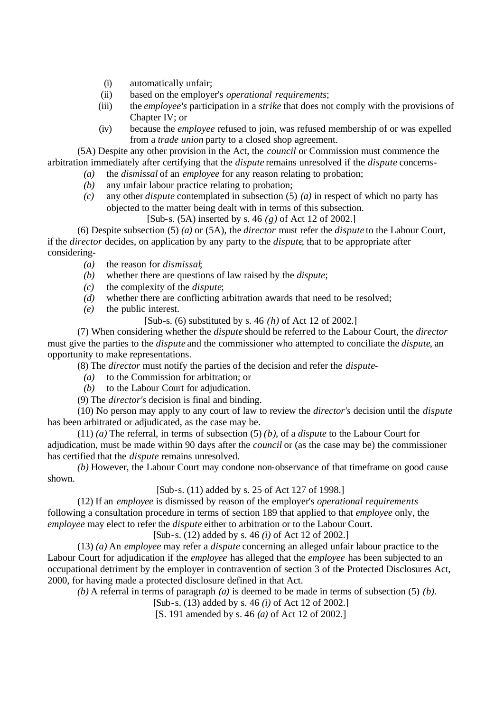- (i) automatically unfair;
- (ii) based on the employer's *operational requirements*;
- (iii) the *employee's* participation in a *strike* that does not comply with the provisions of Chapter IV; or
- (iv) because the *employee* refused to join, was refused membership of or was expelled from a *trade union* party to a closed shop agreement.

(5A) Despite any other provision in the Act, the *council* or Commission must commence the arbitration immediately after certifying that the *dispute* remains unresolved if the *dispute* concerns-

- *(a)* the *dismissal* of an *employee* for any reason relating to probation;
- *(b)* any unfair labour practice relating to probation;
- *(c)* any other *dispute* contemplated in subsection (5) *(a)* in respect of which no party has objected to the matter being dealt with in terms of this subsection.

[Sub-s. (5A) inserted by s. 46 *(g)* of Act 12 of 2002.]

(6) Despite subsection (5) *(a)* or (5A), the *director* must refer the *dispute* to the Labour Court, if the *director* decides, on application by any party to the *dispute*, that to be appropriate after considering-

- *(a)* the reason for *dismissal*;
- *(b)* whether there are questions of law raised by the *dispute*;
- *(c)* the complexity of the *dispute*;
- *(d)* whether there are conflicting arbitration awards that need to be resolved;
- *(e)* the public interest.
	- [Sub-s. (6) substituted by s. 46 *(h)* of Act 12 of 2002.]

(7) When considering whether the *dispute* should be referred to the Labour Court, the *director* must give the parties to the *dispute* and the commissioner who attempted to conciliate the *dispute*, an opportunity to make representations.

- (8) The *director* must notify the parties of the decision and refer the *dispute*
	- *(a)* to the Commission for arbitration; or
	- *(b)* to the Labour Court for adjudication.
- (9) The *director's* decision is final and binding.

(10) No person may apply to any court of law to review the *director's* decision until the *dispute* has been arbitrated or adjudicated, as the case may be.

 $(11)$  *(a)* The referral, in terms of subsection (5) *(b)*, of a *dispute* to the Labour Court for adjudication, must be made within 90 days after the *council* or (as the case may be) the commissioner has certified that the *dispute* remains unresolved.

*(b)* However, the Labour Court may condone non-observance of that timeframe on good cause shown.

[Sub-s. (11) added by s. 25 of Act 127 of 1998.]

(12) If an *employee* is dismissed by reason of the employer's *operational requirements* following a consultation procedure in terms of section 189 that applied to that *employee* only, the *employee* may elect to refer the *dispute* either to arbitration or to the Labour Court.

[Sub-s. (12) added by s. 46 *(i)* of Act 12 of 2002.]

(13) *(a)* An *employee* may refer a *dispute* concerning an alleged unfair labour practice to the Labour Court for adjudication if the *employee* has alleged that the *employee* has been subjected to an occupational detriment by the employer in contravention of section 3 of the Protected Disclosures Act, 2000, for having made a protected disclosure defined in that Act.

*(b)* A referral in terms of paragraph *(a)* is deemed to be made in terms of subsection (5) *(b)*.

[Sub-s. (13) added by s. 46 *(i)* of Act 12 of 2002.]

[S. 191 amended by s. 46 *(a)* of Act 12 of 2002.]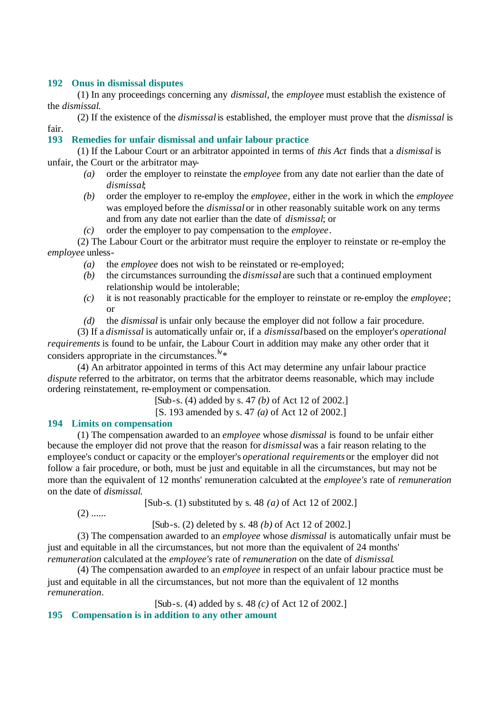#### **192 Onus in dismissal disputes**

(1) In any proceedings concerning any *dismissal*, the *employee* must establish the existence of the *dismissal*.

(2) If the existence of the *dismissal* is established, the employer must prove that the *dismissal* is fair.

#### **193 Remedies for unfair dismissal and unfair labour practice**

(1) If the Labour Court or an arbitrator appointed in terms of *this Act* finds that a *dismissal* is unfair, the Court or the arbitrator may-

- *(a)* order the employer to reinstate the *employee* from any date not earlier than the date of *dismissal*;
- *(b)* order the employer to re-employ the *employee*, either in the work in which the *employee* was employed before the *dismissal* or in other reasonably suitable work on any terms and from any date not earlier than the date of *dismissal*; or
- *(c)* order the employer to pay compensation to the *employee*.

(2) The Labour Court or the arbitrator must require the employer to reinstate or re-employ the *employee* unless-

- *(a)* the *employee* does not wish to be reinstated or re-employed;
- *(b)* the circumstances surrounding the *dismissal* are such that a continued employment relationship would be intolerable;
- *(c)* it is not reasonably practicable for the employer to reinstate or re-employ the *employee*; or
- *(d)* the *dismissal* is unfair only because the employer did not follow a fair procedure.

(3) If a *dismissal* is automatically unfair or, if a *dismissal* based on the employer's *operational requirements* is found to be unfair, the Labour Court in addition may make any other order that it considers appropriate in the circumstances.<sup> $N*$ </sup>

(4) An arbitrator appointed in terms of this Act may determine any unfair labour practice *dispute* referred to the arbitrator, on terms that the arbitrator deems reasonable, which may include ordering reinstatement, re-employment or compensation.

[Sub-s. (4) added by s. 47 *(b)* of Act 12 of 2002.]

[S. 193 amended by s. 47 *(a)* of Act 12 of 2002.]

#### **194 Limits on compensation**

(1) The compensation awarded to an *employee* whose *dismissal* is found to be unfair either because the employer did not prove that the reason for *dismissal* was a fair reason relating to the employee's conduct or capacity or the employer's *operational requirements* or the employer did not follow a fair procedure, or both, must be just and equitable in all the circumstances, but may not be more than the equivalent of 12 months' remuneration calculated at the *employee's* rate of *remuneration* on the date of *dismissal*.

[Sub-s. (1) substituted by s. 48 *(a)* of Act 12 of 2002.]

 $(2)$  ......

[Sub-s. (2) deleted by s. 48 *(b)* of Act 12 of 2002.]

(3) The compensation awarded to an *employee* whose *dismissal* is automatically unfair must be just and equitable in all the circumstances, but not more than the equivalent of 24 months' *remuneration* calculated at the *employee's* rate of *remuneration* on the date of *dismissal*.

(4) The compensation awarded to an *employee* in respect of an unfair labour practice must be just and equitable in all the circumstances, but not more than the equivalent of 12 months *remuneration*.

[Sub-s. (4) added by s. 48 *(c)* of Act 12 of 2002.]

**195 Compensation is in addition to any other amount**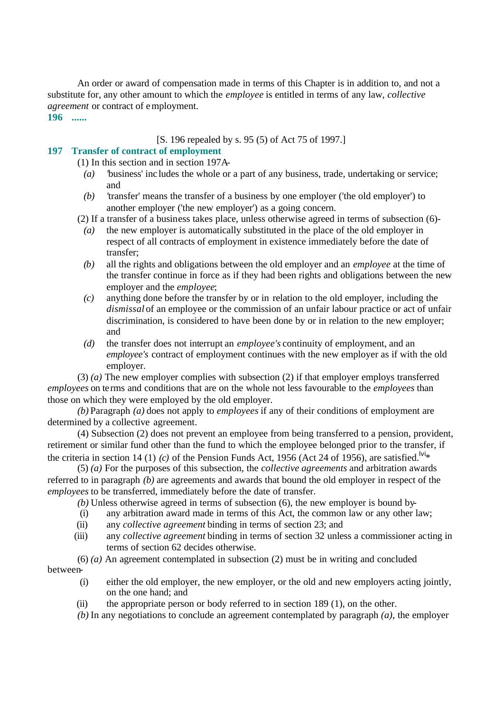An order or award of compensation made in terms of this Chapter is in addition to, and not a substitute for, any other amount to which the *employee* is entitled in terms of any law, *collective agreement* or contract of employment.

**196 ......**

#### [S. 196 repealed by s. 95 (5) of Act 75 of 1997.]

# **197 Transfer of contract of employment**

(1) In this section and in section 197A-

- *(a) '*business' inc ludes the whole or a part of any business, trade, undertaking or service; and
- *(b) '*transfer' means the transfer of a business by one employer ('the old employer') to another employer ('the new employer') as a going concern.
- (2) If a transfer of a business takes place, unless otherwise agreed in terms of subsection (6)-
	- *(a)* the new employer is automatically substituted in the place of the old employer in respect of all contracts of employment in existence immediately before the date of transfer;
	- *(b)* all the rights and obligations between the old employer and an *employee* at the time of the transfer continue in force as if they had been rights and obligations between the new employer and the *employee*;
	- *(c)* anything done before the transfer by or in relation to the old employer, including the *dismissal* of an employee or the commission of an unfair labour practice or act of unfair discrimination, is considered to have been done by or in relation to the new employer; and
	- *(d)* the transfer does not interrupt an *employee's* continuity of employment, and an *employee's* contract of employment continues with the new employer as if with the old employer.

(3) *(a)* The new employer complies with subsection (2) if that employer employs transferred *employees* on terms and conditions that are on the whole not less favourable to the *employees* than those on which they were employed by the old employer.

*(b)* Paragraph *(a)* does not apply to *employees* if any of their conditions of employment are determined by a collective agreement.

(4) Subsection (2) does not prevent an employee from being transferred to a pension, provident, retirement or similar fund other than the fund to which the employee belonged prior to the transfer, if the criteria in section 14 (1) *(c)* of the Pension Funds Act, 1956 (Act 24 of 1956), are satisfied.<sup>[Vi<sub>\*</sub>]</sup>

(5) *(a)* For the purposes of this subsection, the *collective agreements* and arbitration awards referred to in paragraph *(b)* are agreements and awards that bound the old employer in respect of the *employees* to be transferred, immediately before the date of transfer.

*(b)* Unless otherwise agreed in terms of subsection (6), the new employer is bound by-

- (i) any arbitration award made in terms of this Act, the common law or any other law;
- (ii) any *collective agreement* binding in terms of section 23; and
- (iii) any *collective agreement* binding in terms of section 32 unless a commissioner acting in terms of section 62 decides otherwise.

(6) *(a)* An agreement contemplated in subsection (2) must be in writing and concluded between-

- (i) either the old employer, the new employer, or the old and new employers acting jointly, on the one hand; and
- (ii) the appropriate person or body referred to in section 189 (1), on the other.
- *(b)* In any negotiations to conclude an agreement contemplated by paragraph *(a)*, the employer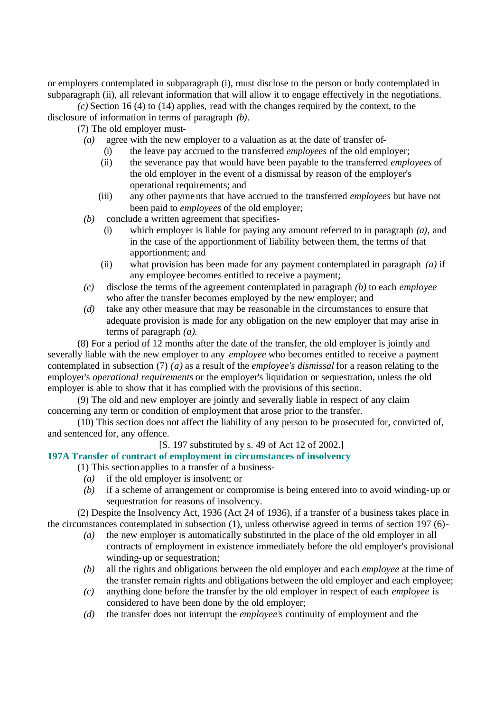or employers contemplated in subparagraph (i), must disclose to the person or body contemplated in subparagraph (ii), all relevant information that will allow it to engage effectively in the negotiations.

*(c)* Section 16 (4) to (14) applies, read with the changes required by the context, to the disclosure of information in terms of paragraph *(b)*.

(7) The old employer must-

- *(a)* agree with the new employer to a valuation as at the date of transfer of-
	- (i) the leave pay accrued to the transferred *employees* of the old employer;
	- (ii) the severance pay that would have been payable to the transferred *employees* of the old employer in the event of a dismissal by reason of the employer's operational requirements; and
	- (iii) any other payme nts that have accrued to the transferred *employees* but have not been paid to *employees* of the old employer;
- *(b)* conclude a written agreement that specifies-
	- (i) which employer is liable for paying any amount referred to in paragraph *(a)*, and in the case of the apportionment of liability between them, the terms of that apportionment; and
	- (ii) what provision has been made for any payment contemplated in paragraph *(a)* if any employee becomes entitled to receive a payment;
- *(c)* disclose the terms of the agreement contemplated in paragraph *(b)* to each *employee* who after the transfer becomes employed by the new employer; and
- *(d)* take any other measure that may be reasonable in the circumstances to ensure that adequate provision is made for any obligation on the new employer that may arise in terms of paragraph *(a)*.

(8) For a period of 12 months after the date of the transfer, the old employer is jointly and severally liable with the new employer to any *employee* who becomes entitled to receive a payment contemplated in subsection (7) *(a)* as a result of the *employee's dismissal* for a reason relating to the employer's *operational requirements* or the employer's liquidation or sequestration, unless the old employer is able to show that it has complied with the provisions of this section.

(9) The old and new employer are jointly and severally liable in respect of any claim concerning any term or condition of employment that arose prior to the transfer.

(10) This section does not affect the liability of any person to be prosecuted for, convicted of, and sentenced for, any offence.

[S. 197 substituted by s. 49 of Act 12 of 2002.]

**197A Transfer of contract of employment in circumstances of insolvency**

(1) This section applies to a transfer of a business-

- *(a)* if the old employer is insolvent; or
- *(b)* if a scheme of arrangement or compromise is being entered into to avoid winding-up or sequestration for reasons of insolvency.

(2) Despite the Insolvency Act, 1936 (Act 24 of 1936), if a transfer of a business takes place in the circumstances contemplated in subsection (1), unless otherwise agreed in terms of section 197 (6)-

- *(a)* the new employer is automatically substituted in the place of the old employer in all contracts of employment in existence immediately before the old employer's provisional winding-up or sequestration;
- *(b)* all the rights and obligations between the old employer and each *employee* at the time of the transfer remain rights and obligations between the old employer and each employee;
- *(c)* anything done before the transfer by the old employer in respect of each *employee* is considered to have been done by the old employer;
- *(d)* the transfer does not interrupt the *employee'*s continuity of employment and the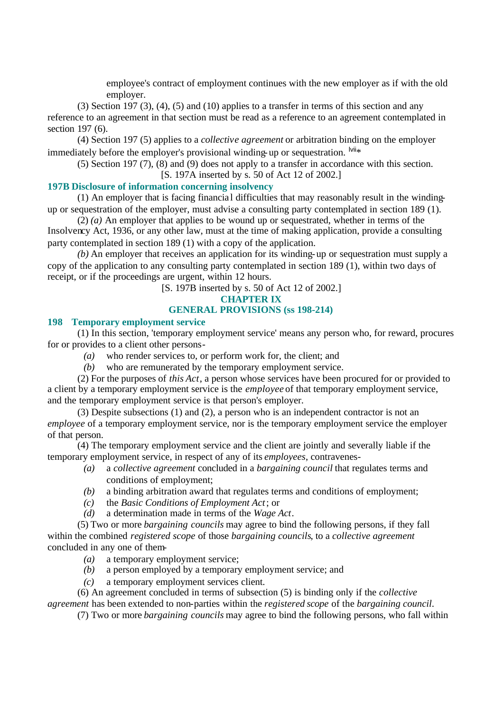employee's contract of employment continues with the new employer as if with the old employer.

 $(3)$  Section 197  $(3)$ ,  $(4)$ ,  $(5)$  and  $(10)$  applies to a transfer in terms of this section and any reference to an agreement in that section must be read as a reference to an agreement contemplated in section 197 (6).

(4) Section 197 (5) applies to a *collective agreement* or arbitration binding on the employer immediately before the employer's provisional winding-up or sequestration.  $\frac{1}{10}$ 

(5) Section 197 (7), (8) and (9) does not apply to a transfer in accordance with this section. [S. 197A inserted by s. 50 of Act 12 of 2002.]

#### **197B Disclosure of information concerning insolvency**

(1) An employer that is facing financia l difficulties that may reasonably result in the windingup or sequestration of the employer, must advise a consulting party contemplated in section 189 (1).

(2) *(a)* An employer that applies to be wound up or sequestrated, whether in terms of the Insolvency Act, 1936, or any other law, must at the time of making application, provide a consulting party contemplated in section 189 (1) with a copy of the application.

*(b)* An employer that receives an application for its winding-up or sequestration must supply a copy of the application to any consulting party contemplated in section 189 (1), within two days of receipt, or if the proceedings are urgent, within 12 hours.

[S. 197B inserted by s. 50 of Act 12 of 2002.]

# **CHAPTER IX**

## **GENERAL PROVISIONS (ss 198-214)**

#### **198 Temporary employment service**

(1) In this section, 'temporary employment service' means any person who, for reward, procures for or provides to a client other persons-

- *(a)* who render services to, or perform work for, the client; and
- *(b)* who are remunerated by the temporary employment service.

(2) For the purposes of *this Act*, a person whose services have been procured for or provided to a client by a temporary employment service is the *employee* of that temporary employment service, and the temporary employment service is that person's employer.

(3) Despite subsections (1) and (2), a person who is an independent contractor is not an *employee* of a temporary employment service, nor is the temporary employment service the employer of that person.

(4) The temporary employment service and the client are jointly and severally liable if the temporary employment service, in respect of any of its *employees*, contravenes-

- *(a)* a *collective agreement* concluded in a *bargaining council* that regulates terms and conditions of employment;
- *(b)* a binding arbitration award that regulates terms and conditions of employment;
- *(c)* the *Basic Conditions of Employment Act*; or
- *(d)* a determination made in terms of the *Wage Act*.

(5) Two or more *bargaining councils* may agree to bind the following persons, if they fall within the combined *registered scope* of those *bargaining councils*, to a *collective agreement* concluded in any one of them-

- *(a)* a temporary employment service;
- *(b)* a person employed by a temporary employment service; and
- *(c)* a temporary employment services client.

(6) An agreement concluded in terms of subsection (5) is binding only if the *collective agreement* has been extended to non-parties within the *registered scope* of the *bargaining council*.

(7) Two or more *bargaining councils* may agree to bind the following persons, who fall within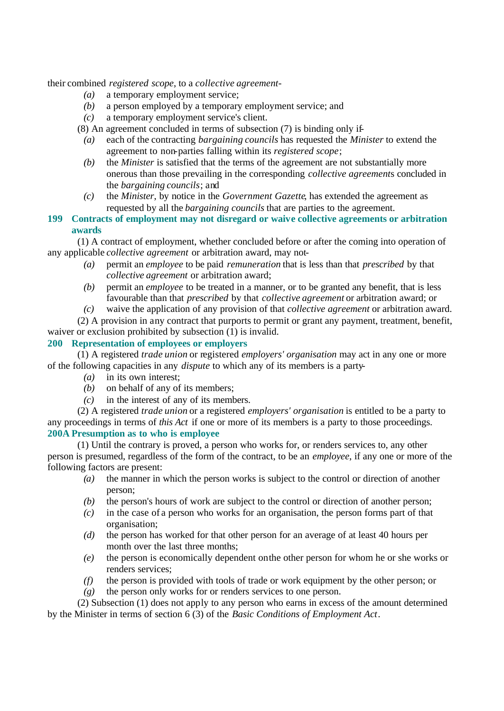their combined *registered scope*, to a *collective agreement*-

- *(a)* a temporary employment service;
- *(b)* a person employed by a temporary employment service; and
- *(c)* a temporary employment service's client.
- (8) An agreement concluded in terms of subsection (7) is binding only if-
	- *(a)* each of the contracting *bargaining councils* has requested the *Minister* to extend the agreement to non-parties falling within its *registered scope*;
	- *(b)* the *Minister* is satisfied that the terms of the agreement are not substantially more onerous than those prevailing in the corresponding *collective agreement*s concluded in the *bargaining councils*; and
	- *(c)* the *Minister*, by notice in the *Government Gazette*, has extended the agreement as requested by all the *bargaining councils* that are parties to the agreement.

## **199 Contracts of employment may not disregard or waive collective agreements or arbitration awards**

(1) A contract of employment, whether concluded before or after the coming into operation of any applicable *collective agreement* or arbitration award, may not-

- *(a)* permit an *employee* to be paid *remuneration* that is less than that *prescribed* by that *collective agreement* or arbitration award;
- *(b)* permit an *employee* to be treated in a manner, or to be granted any benefit, that is less favourable than that *prescribed* by that *collective agreement* or arbitration award; or
- *(c)* waive the application of any provision of that *collective agreement* or arbitration award.

(2) A provision in any contract that purports to permit or grant any payment, treatment, benefit, waiver or exclusion prohibited by subsection (1) is invalid.

# **200 Representation of employees or employers**

(1) A registered *trade union* or registered *employers' organisation* may act in any one or more of the following capacities in any *dispute* to which any of its members is a party-

- *(a)* in its own interest;
- *(b)* on behalf of any of its members;
- *(c)* in the interest of any of its members.

(2) A registered *trade union* or a registered *employers' organisation* is entitled to be a party to any proceedings in terms of *this Act* if one or more of its members is a party to those proceedings. **200A Presumption as to who is employee**

(1) Until the contrary is proved, a person who works for, or renders services to, any other person is presumed, regardless of the form of the contract, to be an *employee*, if any one or more of the following factors are present:

- *(a)* the manner in which the person works is subject to the control or direction of another person;
- *(b)* the person's hours of work are subject to the control or direction of another person;
- *(c)* in the case of a person who works for an organisation, the person forms part of that organisation;
- *(d)* the person has worked for that other person for an average of at least 40 hours per month over the last three months;
- *(e)* the person is economically dependent on the other person for whom he or she works or renders services;
- *(f)* the person is provided with tools of trade or work equipment by the other person; or
- *(g)* the person only works for or renders services to one person.

(2) Subsection (1) does not apply to any person who earns in excess of the amount determined by the Minister in terms of section 6 (3) of the *Basic Conditions of Employment Act*.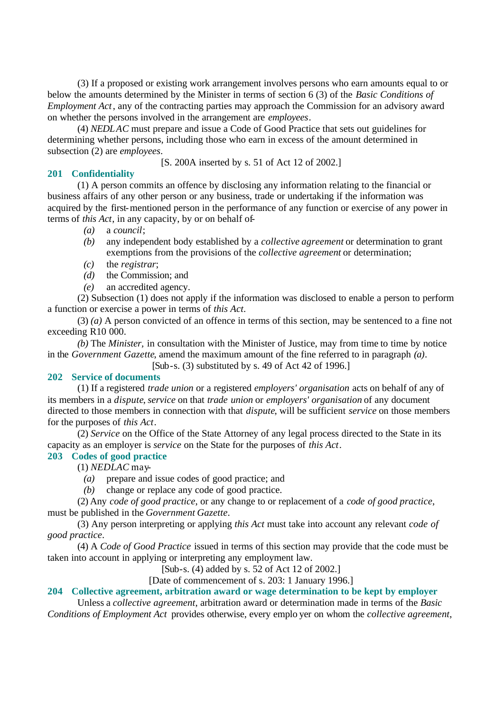(3) If a proposed or existing work arrangement involves persons who earn amounts equal to or below the amounts determined by the Minister in terms of section 6 (3) of the *Basic Conditions of Employment Act*, any of the contracting parties may approach the Commission for an advisory award on whether the persons involved in the arrangement are *employees*.

(4) *NEDLAC* must prepare and issue a Code of Good Practice that sets out guidelines for determining whether persons, including those who earn in excess of the amount determined in subsection (2) are *employees*.

[S. 200A inserted by s. 51 of Act 12 of 2002.]

#### **201 Confidentiality**

(1) A person commits an offence by disclosing any information relating to the financial or business affairs of any other person or any business, trade or undertaking if the information was acquired by the first-mentioned person in the performance of any function or exercise of any power in terms of *this Act*, in any capacity, by or on behalf of-

*(a)* a *council*;

- *(b)* any independent body established by a *collective agreement* or determination to grant exemptions from the provisions of the *collective agreement* or determination;
- *(c)* the *registrar*;
- *(d)* the Commission; and
- *(e)* an accredited agency.

(2) Subsection (1) does not apply if the information was disclosed to enable a person to perform a function or exercise a power in terms of *this Act*.

(3) *(a)* A person convicted of an offence in terms of this section, may be sentenced to a fine not exceeding R10 000.

*(b)* The *Minister,* in consultation with the Minister of Justice, may from time to time by notice in the *Government Gazette*, amend the maximum amount of the fine referred to in paragraph *(a)*.

 $[Sub-s. (3)$  substituted by s. 49 of Act 42 of 1996.]

#### **202 Service of documents**

(1) If a registered *trade union* or a registered *employers' organisation* acts on behalf of any of its members in a *dispute*, *service* on that *trade union* or *employers' organisation* of any document directed to those members in connection with that *dispute*, will be sufficient *service* on those members for the purposes of *this Act*.

(2) *Service* on the Office of the State Attorney of any legal process directed to the State in its capacity as an employer is *service* on the State for the purposes of *this Act*.

## **203 Codes of good practice**

(1) *NEDLAC* may-

- *(a)* prepare and issue codes of good practice; and
- *(b)* change or replace any code of good practice.

(2) Any *code of good practice*, or any change to or replacement of a *code of good practice*, must be published in the *Government Gazette*.

(3) Any person interpreting or applying *this Act* must take into account any relevant *code of good practice*.

(4) A *Code of Good Practice* issued in terms of this section may provide that the code must be taken into account in applying or interpreting any employment law.

[Sub-s. (4) added by s. 52 of Act 12 of 2002.]

[Date of commencement of s. 203: 1 January 1996.]

#### **204 Collective agreement, arbitration award or wage determination to be kept by employer**

Unless a *collective agreement*, arbitration award or determination made in terms of the *Basic Conditions of Employment Act* provides otherwise, every emplo yer on whom the *collective agreement*,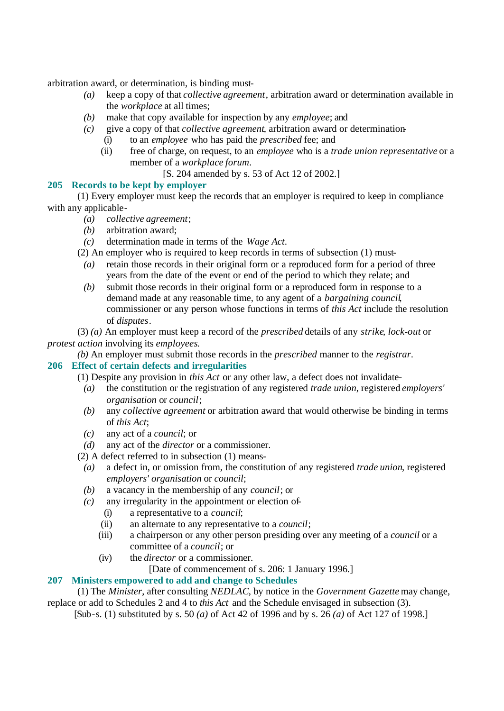arbitration award, or determination, is binding must-

- *(a)* keep a copy of that *collective agreement*, arbitration award or determination available in the *workplace* at all times;
- *(b)* make that copy available for inspection by any *employee*; and
- *(c)* give a copy of that *collective agreement*, arbitration award or determination-
	- (i) to an *employee* who has paid the *prescribed* fee; and
		- (ii) free of charge, on request, to an *employee* who is a *trade union representative* or a member of a *workplace forum*.
			- [S. 204 amended by s. 53 of Act 12 of 2002.]

# **205 Records to be kept by employer**

(1) Every employer must keep the records that an employer is required to keep in compliance with any applicable-

- *(a) collective agreement*;
- *(b)* arbitration award;
- *(c)* determination made in terms of the *Wage Act*.

(2) An employer who is required to keep records in terms of subsection (1) must-

- *(a)* retain those records in their original form or a reproduced form for a period of three years from the date of the event or end of the period to which they relate; and
- *(b)* submit those records in their original form or a reproduced form in response to a demand made at any reasonable time, to any agent of a *bargaining council*, commissioner or any person whose functions in terms of *this Act* include the resolution of *disputes*.
- (3) *(a)* An employer must keep a record of the *prescribed* details of any *strike*, *lock-out* or *protest action* involving its *employees*.

*(b)* An employer must submit those records in the *prescribed* manner to the *registrar*.

# **206 Effect of certain defects and irregularities**

(1) Despite any provision in *this Act* or any other law, a defect does not invalidate-

- *(a)* the constitution or the registration of any registered *trade union*, registered *employers' organisation* or *council*;
- *(b)* any *collective agreement* or arbitration award that would otherwise be binding in terms of *this Act*;
- *(c)* any act of a *council*; or
- *(d)* any act of the *director* or a commissioner.
- (2) A defect referred to in subsection (1) means-
	- *(a)* a defect in, or omission from, the constitution of any registered *trade union*, registered *employers' organisation* or *council*;
	- *(b)* a vacancy in the membership of any *council*; or
	- *(c)* any irregularity in the appointment or election of-
		- (i) a representative to a *council*;
		- (ii) an alternate to any representative to a *council*;
		- (iii) a chairperson or any other person presiding over any meeting of a *council* or a committee of a *council*; or
		- (iv) the *director* or a commissioner.

[Date of commencement of s. 206: 1 January 1996.]

# **207 Ministers empowered to add and change to Schedules**

(1) The *Minister*, after consulting *NEDLAC*, by notice in the *Government Gazette* may change, replace or add to Schedules 2 and 4 to *this Act* and the Schedule envisaged in subsection (3).

[Sub-s. (1) substituted by s. 50 *(a)* of Act 42 of 1996 and by s. 26 *(a)* of Act 127 of 1998.]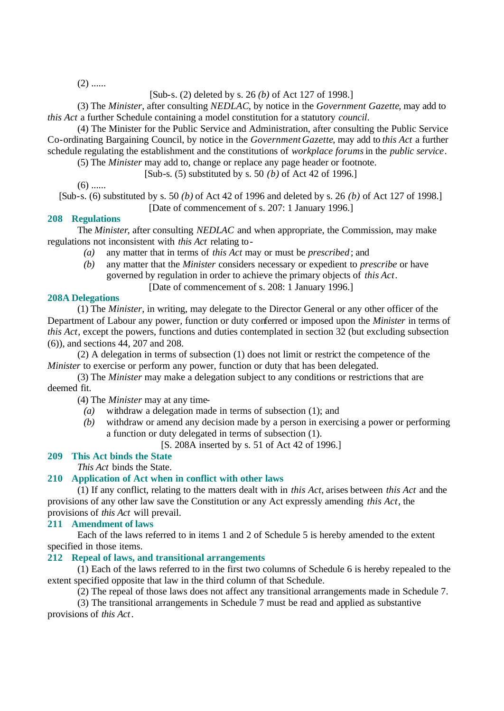$(2)$  ......

[Sub-s. (2) deleted by s. 26 *(b)* of Act 127 of 1998.]

(3) The *Minister*, after consulting *NEDLAC*, by notice in the *Government Gazette*, may add to *this Act* a further Schedule containing a model constitution for a statutory *council*.

(4) The Minister for the Public Service and Administration, after consulting the Public Service Co-ordinating Bargaining Council, by notice in the *Government Gazette*, may add to *this Act* a further schedule regulating the establishment and the constitutions of *workplace forums* in the *public service*.

(5) The *Minister* may add to, change or replace any page header or footnote.

[Sub-s. (5) substituted by s. 50 *(b)* of Act 42 of 1996.]

 $(6)$  ......

[Sub-s. (6) substituted by s. 50 *(b)* of Act 42 of 1996 and deleted by s. 26 *(b)* of Act 127 of 1998.] [Date of commencement of s. 207: 1 January 1996.]

### **208 Regulations**

The *Minister*, after consulting *NEDLAC* and when appropriate, the Commission, may make regulations not inconsistent with *this Act* relating to-

- *(a)* any matter that in terms of *this Act* may or must be *prescribed*; and
- *(b)* any matter that the *Minister* considers necessary or expedient to *prescribe* or have governed by regulation in order to achieve the primary objects of *this Act*.

[Date of commencement of s. 208: 1 January 1996.]

### **208A Delegations**

(1) The *Minister*, in writing, may delegate to the Director General or any other officer of the Department of Labour any power, function or duty conferred or imposed upon the *Minister* in terms of *this Act*, except the powers, functions and duties contemplated in section 32 (but excluding subsection (6)), and sections 44, 207 and 208.

(2) A delegation in terms of subsection (1) does not limit or restrict the competence of the *Minister* to exercise or perform any power, function or duty that has been delegated.

(3) The *Minister* may make a delegation subject to any conditions or restrictions that are deemed fit.

(4) The *Minister* may at any time-

- *(a)* withdraw a delegation made in terms of subsection (1); and
- *(b)* withdraw or amend any decision made by a person in exercising a power or performing a function or duty delegated in terms of subsection (1).

[S. 208A inserted by s. 51 of Act 42 of 1996.]

### **209 This Act binds the State**

*This Act* binds the State.

### **210 Application of Act when in conflict with other laws**

(1) If any conflict, relating to the matters dealt with in *this Act*, arises between *this Act* and the provisions of any other law save the Constitution or any Act expressly amending *this Act*, the provisions of *this Act* will prevail.

### **211 Amendment of laws**

Each of the laws referred to in items 1 and 2 of Schedule 5 is hereby amended to the extent specified in those items.

### **212 Repeal of laws, and transitional arrangements**

(1) Each of the laws referred to in the first two columns of Schedule 6 is hereby repealed to the extent specified opposite that law in the third column of that Schedule.

(2) The repeal of those laws does not affect any transitional arrangements made in Schedule 7.

(3) The transitional arrangements in Schedule 7 must be read and applied as substantive provisions of *this Act*.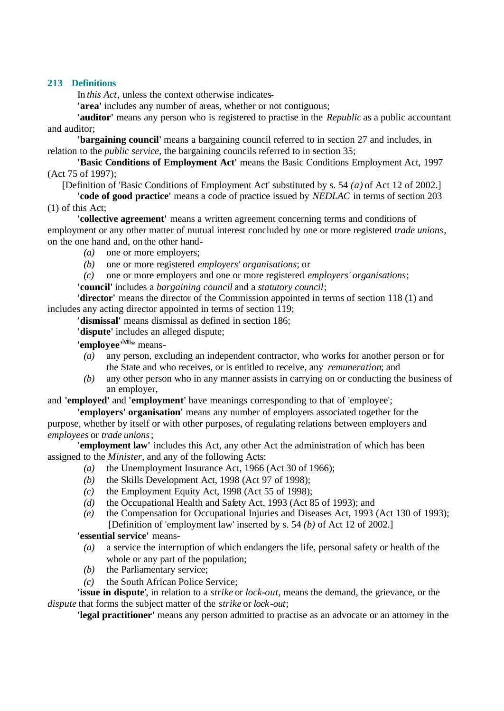# **213 Definitions**

In *this Act*, unless the context otherwise indicates-

**'area'** includes any number of areas, whether or not contiguous;

**'auditor'** means any person who is registered to practise in the *Republic* as a public accountant and auditor;

**'bargaining council'** means a bargaining council referred to in section 27 and includes, in relation to the *public service*, the bargaining councils referred to in section 35;

**'Basic Conditions of Employment Act'** means the Basic Conditions Employment Act, 1997 (Act 75 of 1997);

[Definition of 'Basic Conditions of Employment Act' substituted by s. 54 *(a)* of Act 12 of 2002.]

**'code of good practice'** means a code of practice issued by *NEDLAC* in terms of section 203 (1) of this Act;

- **'collective agreement'** means a written agreement concerning terms and conditions of employment or any other matter of mutual interest concluded by one or more registered *trade unions*, on the one hand and, on the other hand-
	- *(a)* one or more employers;
	- *(b)* one or more registered *employers' organisations*; or
	- *(c)* one or more employers and one or more registered *employers' organisations*;

**'council'** includes a *bargaining council* and a *statutory council*;

**'director'** means the director of the Commission appointed in terms of section 118 (1) and includes any acting director appointed in terms of section 119;

**'dismissal'** means dismissal as defined in section 186;

**'dispute'** includes an alleged dispute;

'employee'<sup>lviii</sup>\* means-

- *(a)* any person, excluding an independent contractor, who works for another person or for the State and who receives, or is entitled to receive, any *remuneration*; and
- *(b)* any other person who in any manner assists in carrying on or conducting the business of an employer,

and **'employed'** and **'employment'** have meanings corresponding to that of 'employee';

**'employers' organisation'** means any number of employers associated together for the purpose, whether by itself or with other purposes, of regulating relations between employers and *employees* or *trade unions*;

**'employment law'** includes this Act, any other Act the administration of which has been assigned to the *Minister*, and any of the following Acts:

- *(a)* the Unemployment Insurance Act, 1966 (Act 30 of 1966);
- *(b)* the Skills Development Act, 1998 (Act 97 of 1998);
- *(c)* the Employment Equity Act, 1998 (Act 55 of 1998);
- *(d)* the Occupational Health and Safety Act, 1993 (Act 85 of 1993); and
- *(e)* the Compensation for Occupational Injuries and Diseases Act, 1993 (Act 130 of 1993); [Definition of 'employment law' inserted by s. 54 *(b)* of Act 12 of 2002.]

# **'essential service'** means-

- *(a)* a service the interruption of which endangers the life, personal safety or health of the whole or any part of the population;
- *(b)* the Parliamentary service;
- *(c)* the South African Police Service;

**'issue in dispute'**, in relation to a *strike* or *lock-out*, means the demand, the grievance, or the *dispute* that forms the subject matter of the *strike* or *lock-out*;

**'legal practitioner'** means any person admitted to practise as an advocate or an attorney in the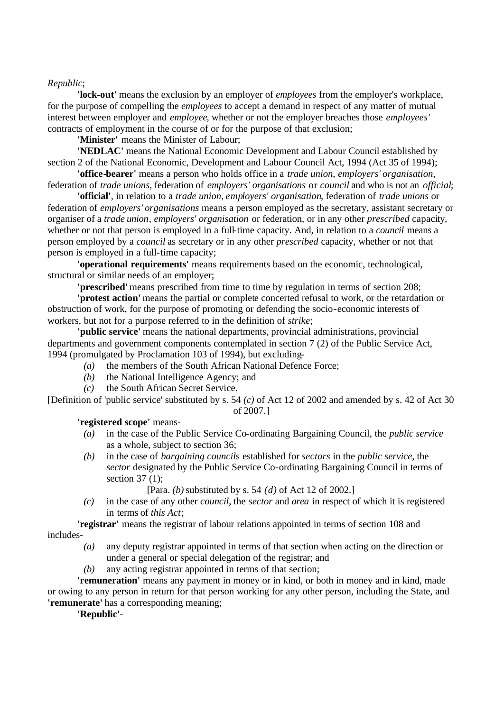#### *Republic*;

**'lock-out'** means the exclusion by an employer of *employees* from the employer's workplace, for the purpose of compelling the *employees* to accept a demand in respect of any matter of mutual interest between employer and *employee*, whether or not the employer breaches those *employees'* contracts of employment in the course of or for the purpose of that exclusion;

**'Minister'** means the Minister of Labour;

**'NEDLAC'** means the National Economic Development and Labour Council established by section 2 of the National Economic, Development and Labour Council Act, 1994 (Act 35 of 1994);

**'office-bearer'** means a person who holds office in a *trade union*, *employers' organisation*, federation of *trade unions*, federation of *employers' organisations* or *council* and who is not an *official*;

**'official'**, in relation to a *trade union*, *employers' organisation*, federation of *trade unions* or federation of *employers' organisations* means a person employed as the secretary, assistant secretary or organiser of a *trade union*, *employers' organisation* or federation, or in any other *prescribed* capacity, whether or not that person is employed in a full-time capacity. And, in relation to a *council* means a person employed by a *council* as secretary or in any other *prescribed* capacity, whether or not that person is employed in a full-time capacity;

**'operational requirements'** means requirements based on the economic, technological, structural or similar needs of an employer;

**'prescribed'** means prescribed from time to time by regulation in terms of section 208;

**'protest action'** means the partial or complete concerted refusal to work, or the retardation or obstruction of work, for the purpose of promoting or defending the socio-economic interests of workers, but not for a purpose referred to in the definition of *strike*;

**'public service'** means the national departments, provincial administrations, provincial departments and government components contemplated in section 7 (2) of the Public Service Act, 1994 (promulgated by Proclamation 103 of 1994), but excluding-

- *(a)* the members of the South African National Defence Force;
- *(b)* the National Intelligence Agency; and
- *(c)* the South African Secret Service.

[Definition of 'public service' substituted by s. 54 *(c)* of Act 12 of 2002 and amended by s. 42 of Act 30 of 2007.]

**'registered scope'** means-

- *(a)* in the case of the Public Service Co-ordinating Bargaining Council, the *public service* as a whole, subject to section 36;
- *(b)* in the case of *bargaining council*s established for *sectors* in the *public service*, the *sector* designated by the Public Service Co-ordinating Bargaining Council in terms of section 37 (1);
	- [Para. *(b)* substituted by s. 54 *(d)* of Act 12 of 2002.]
- *(c)* in the case of any other *council*, the *sector* and *area* in respect of which it is registered in terms of *this Act*;

**'registrar'** means the registrar of labour relations appointed in terms of section 108 and includes-

- *(a)* any deputy registrar appointed in terms of that section when acting on the direction or under a general or special delegation of the registrar; and
- *(b)* any acting registrar appointed in terms of that section;

**'remuneration'** means any payment in money or in kind, or both in money and in kind, made or owing to any person in return for that person working for any other person, including the State, and **'remunerate'** has a corresponding meaning;

**'Republic'**-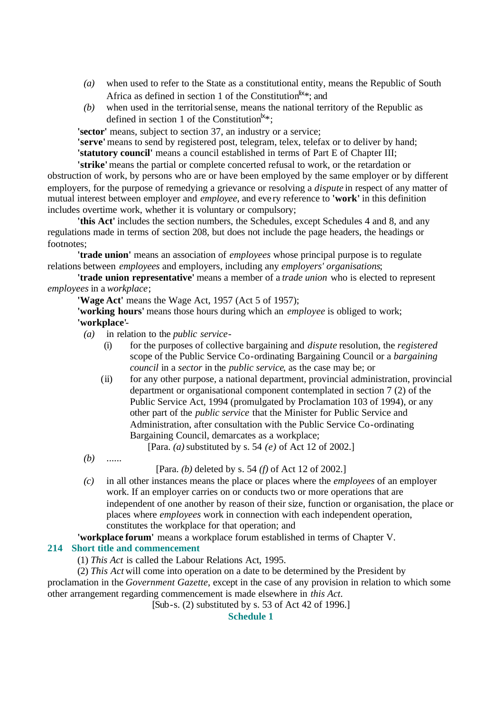- *(a)* when used to refer to the State as a constitutional entity, means the Republic of South Africa as defined in section 1 of the Constitution<sup>lix\*</sup>; and
- *(b)* when used in the territorial sense, means the national territory of the Republic as defined in section 1 of the Constitution<sup> $k*$ </sup>;

**'sector'** means, subject to section 37, an industry or a service;

**'serve'** means to send by registered post, telegram, telex, telefax or to deliver by hand; **'statutory council'** means a council established in terms of Part E of Chapter III;

**'strike'** means the partial or complete concerted refusal to work, or the retardation or obstruction of work, by persons who are or have been employed by the same employer or by different employers, for the purpose of remedying a grievance or resolving a *dispute* in respect of any matter of mutual interest between employer and *employee*, and eve ry reference to **'work'** in this definition includes overtime work, whether it is voluntary or compulsory;

**'this Act'** includes the section numbers, the Schedules, except Schedules 4 and 8, and any regulations made in terms of section 208, but does not include the page headers, the headings or footnotes;

**'trade union'** means an association of *employees* whose principal purpose is to regulate relations between *employees* and employers, including any *employers' organisations*;

**'trade union representative'** means a member of a *trade union* who is elected to represent *employees* in a *workplace*;

**'Wage Act'** means the Wage Act, 1957 (Act 5 of 1957);

**'working hours'** means those hours during which an *employee* is obliged to work; **'workplace'**-

- *(a)* in relation to the *public service*
	- (i) for the purposes of collective bargaining and *dispute* resolution, the *registered* scope of the Public Service Co-ordinating Bargaining Council or a *bargaining council* in a *sector* in the *public service*, as the case may be; or
	- (ii) for any other purpose, a national department, provincial administration, provincial department or organisational component contemplated in section 7 (2) of the Public Service Act, 1994 (promulgated by Proclamation 103 of 1994), or any other part of the *public service* that the Minister for Public Service and Administration, after consultation with the Public Service Co-ordinating Bargaining Council, demarcates as a workplace;

[Para. *(a)* substituted by s. 54 *(e)* of Act 12 of 2002.]

*(b)* ......

[Para. *(b)* deleted by s. 54 *(f)* of Act 12 of 2002.]

*(c)* in all other instances means the place or places where the *employees* of an employer work. If an employer carries on or conducts two or more operations that are independent of one another by reason of their size, function or organisation, the place or places where *employees* work in connection with each independent operation, constitutes the workplace for that operation; and

# **'workplace forum'** means a workplace forum established in terms of Chapter V.

# **214 Short title and commencement**

(1) *This Act* is called the Labour Relations Act, 1995.

(2) *This Act* will come into operation on a date to be determined by the President by proclamation in the *Government Gazette*, except in the case of any provision in relation to which some

other arrangement regarding commencement is made elsewhere in *this Act*.

[Sub-s. (2) substituted by s. 53 of Act 42 of 1996.]

# **Schedule 1**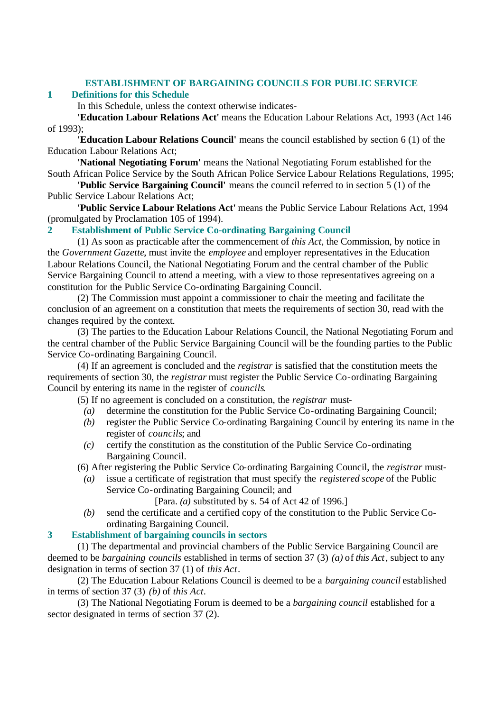### **ESTABLISHMENT OF BARGAINING COUNCILS FOR PUBLIC SERVICE**

### **1 Definitions for this Schedule**

In this Schedule, unless the context otherwise indicates-

**'Education Labour Relations Act'** means the Education Labour Relations Act, 1993 (Act 146 of 1993);

**'Education Labour Relations Council'** means the council established by section 6 (1) of the Education Labour Relations Act;

**'National Negotiating Forum'** means the National Negotiating Forum established for the South African Police Service by the South African Police Service Labour Relations Regulations, 1995;

**'Public Service Bargaining Council'** means the council referred to in section 5 (1) of the Public Service Labour Relations Act;

**'Public Service Labour Relations Act'** means the Public Service Labour Relations Act, 1994 (promulgated by Proclamation 105 of 1994).

**2 Establishment of Public Service Co-ordinating Bargaining Council**

(1) As soon as practicable after the commencement of *this Act*, the Commission, by notice in the *Government Gazette*, must invite the *employee* and employer representatives in the Education Labour Relations Council, the National Negotiating Forum and the central chamber of the Public Service Bargaining Council to attend a meeting, with a view to those representatives agreeing on a constitution for the Public Service Co-ordinating Bargaining Council.

(2) The Commission must appoint a commissioner to chair the meeting and facilitate the conclusion of an agreement on a constitution that meets the requirements of section 30, read with the changes required by the context.

(3) The parties to the Education Labour Relations Council, the National Negotiating Forum and the central chamber of the Public Service Bargaining Council will be the founding parties to the Public Service Co-ordinating Bargaining Council.

(4) If an agreement is concluded and the *registrar* is satisfied that the constitution meets the requirements of section 30, the *registrar* must register the Public Service Co-ordinating Bargaining Council by entering its name in the register of *councils*.

(5) If no agreement is concluded on a constitution, the *registrar* must-

- *(a)* determine the constitution for the Public Service Co-ordinating Bargaining Council;
- *(b)* register the Public Service Co-ordinating Bargaining Council by entering its name in the register of *councils*; and
- *(c)* certify the constitution as the constitution of the Public Service Co-ordinating Bargaining Council.

(6) After registering the Public Service Co-ordinating Bargaining Council, the *registrar* must-

*(a)* issue a certificate of registration that must specify the *registered scope* of the Public Service Co-ordinating Bargaining Council; and

[Para. *(a)* substituted by s. 54 of Act 42 of 1996.]

*(b)* send the certificate and a certified copy of the constitution to the Public Service Coordinating Bargaining Council.

# **3 Establishment of bargaining councils in sectors**

(1) The departmental and provincial chambers of the Public Service Bargaining Council are deemed to be *bargaining councils* established in terms of section 37 (3) *(a)* of *this Act*, subject to any designation in terms of section 37 (1) of *this Act*.

(2) The Education Labour Relations Council is deemed to be a *bargaining council* established in terms of section 37 (3) *(b)* of *this Act*.

(3) The National Negotiating Forum is deemed to be a *bargaining council* established for a sector designated in terms of section 37 (2).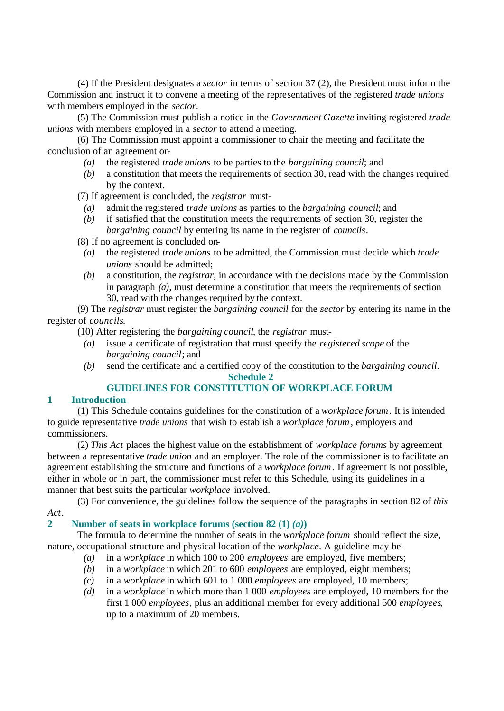(4) If the President designates a *sector* in terms of section 37 (2), the President must inform the Commission and instruct it to convene a meeting of the representatives of the registered *trade unions* with members employed in the *sector*.

(5) The Commission must publish a notice in the *Government Gazette* inviting registered *trade unions* with members employed in a *sector* to attend a meeting.

(6) The Commission must appoint a commissioner to chair the meeting and facilitate the conclusion of an agreement on-

- *(a)* the registered *trade unions* to be parties to the *bargaining council*; and
- *(b)* a constitution that meets the requirements of section 30, read with the changes required by the context.

(7) If agreement is concluded, the *registrar* must-

- *(a)* admit the registered *trade unions* as parties to the *bargaining council*; and
- *(b)* if satisfied that the constitution meets the requirements of section 30, register the *bargaining council* by entering its name in the register of *councils*.

(8) If no agreement is concluded on-

- *(a)* the registered *trade unions* to be admitted, the Commission must decide which *trade unions* should be admitted;
- *(b)* a constitution, the *registrar*, in accordance with the decisions made by the Commission in paragraph *(a)*, must determine a constitution that meets the requirements of section 30, read with the changes required by the context.

(9) The *registrar* must register the *bargaining council* for the *sector* by entering its name in the register of *councils*.

(10) After registering the *bargaining council*, the *registrar* must-

- *(a)* issue a certificate of registration that must specify the *registered scope* of the *bargaining council*; and
- *(b)* send the certificate and a certified copy of the constitution to the *bargaining council*. **Schedule 2**

# **GUIDELINES FOR CONSTITUTION OF WORKPLACE FORUM**

### **1 Introduction**

(1) This Schedule contains guidelines for the constitution of a *workplace forum*. It is intended to guide representative *trade unions* that wish to establish a *workplace forum*, employers and commissioners.

(2) *This Act* places the highest value on the establishment of *workplace forums* by agreement between a representative *trade union* and an employer. The role of the commissioner is to facilitate an agreement establishing the structure and functions of a *workplace forum*. If agreement is not possible, either in whole or in part, the commissioner must refer to this Schedule, using its guidelines in a manner that best suits the particular *workplace* involved.

(3) For convenience, the guidelines follow the sequence of the paragraphs in section 82 of *this Act*.

# **2 Number of seats in workplace forums (section 82 (1)**  $(a)$ **)**

The formula to determine the number of seats in the *workplace forum* should reflect the size, nature, occupational structure and physical location of the *workplace*. A guideline may be-

- *(a)* in a *workplace* in which 100 to 200 *employees* are employed, five members;
- *(b)* in a *workplace* in which 201 to 600 *employees* are employed, eight members;
- *(c)* in a *workplace* in which 601 to 1 000 *employees* are employed, 10 members;
- *(d)* in a *workplace* in which more than 1 000 *employees* are employed, 10 members for the first 1 000 *employees*, plus an additional member for every additional 500 *employees*, up to a maximum of 20 members.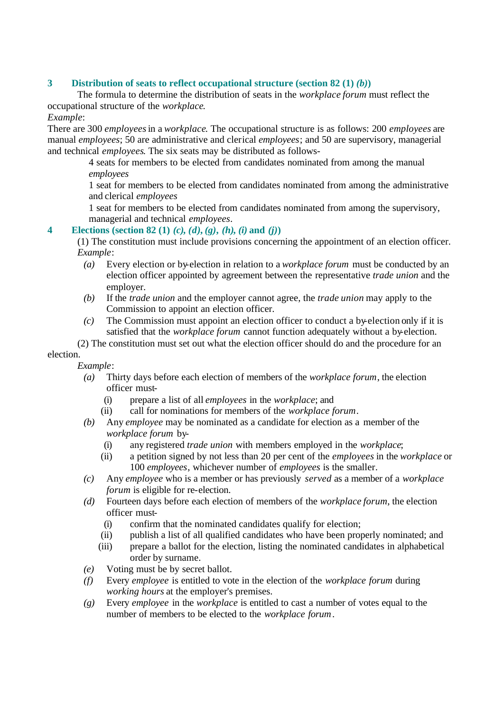# **3 Distribution of seats to reflect occupational structure (section 82 (1)** *(b)***)**

The formula to determine the distribution of seats in the *workplace forum* must reflect the occupational structure of the *workplace*.

### *Example*:

There are 300 *employees* in a *workplace*. The occupational structure is as follows: 200 *employees* are manual *employees*; 50 are administrative and clerical *employees*; and 50 are supervisory, managerial and technical *employees*. The six seats may be distributed as follows-

4 seats for members to be elected from candidates nominated from among the manual *employees*

1 seat for members to be elected from candidates nominated from among the administrative and clerical *employees*

1 seat for members to be elected from candidates nominated from among the supervisory, managerial and technical *employees*.

# **4 Elections (section 82 (1)** *(c)***,** *(d)***,** *(g)***,** *(h)***,** *(i)* **and** *(j)***)**

(1) The constitution must include provisions concerning the appointment of an election officer. *Example*:

- *(a)* Every election or by-election in relation to a *workplace forum* must be conducted by an election officer appointed by agreement between the representative *trade union* and the employer.
- *(b)* If the *trade union* and the employer cannot agree, the *trade union* may apply to the Commission to appoint an election officer.
- *(c)* The Commission must appoint an election officer to conduct a by-election only if it is satisfied that the *workplace forum* cannot function adequately without a by-election.

(2) The constitution must set out what the election officer should do and the procedure for an

election.

- *Example*:
	- *(a)* Thirty days before each election of members of the *workplace forum*, the election officer must-
		- (i) prepare a list of all *employees* in the *workplace*; and
		- (ii) call for nominations for members of the *workplace forum*.
	- *(b)* Any *employee* may be nominated as a candidate for election as a member of the *workplace forum* by-
		- (i) any registered *trade union* with members employed in the *workplace*;
		- (ii) a petition signed by not less than 20 per cent of the *employees* in the *workplace* or 100 *employees*, whichever number of *employees* is the smaller.
	- *(c)* Any *employee* who is a member or has previously *served* as a member of a *workplace forum* is eligible for re-election.
	- *(d)* Fourteen days before each election of members of the *workplace forum*, the election officer must-
		- (i) confirm that the nominated candidates qualify for election;
		- (ii) publish a list of all qualified candidates who have been properly nominated; and
		- (iii) prepare a ballot for the election, listing the nominated candidates in alphabetical order by surname.
	- *(e)* Voting must be by secret ballot.
	- *(f)* Every *employee* is entitled to vote in the election of the *workplace forum* during *working hours* at the employer's premises.
	- *(g)* Every *employee* in the *workplace* is entitled to cast a number of votes equal to the number of members to be elected to the *workplace forum*.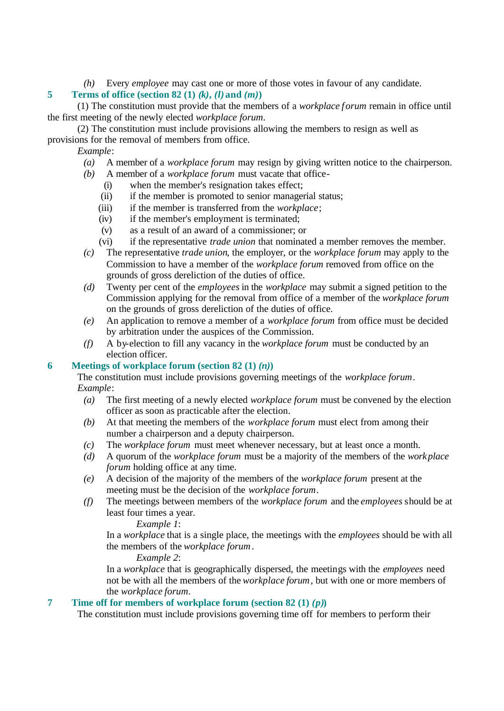*(h)* Every *employee* may cast one or more of those votes in favour of any candidate.

# **5 Terms of office (section 82 (1)**  $(k)$ **,**  $(l)$  **and**  $(m)$ **)**

(1) The constitution must provide that the members of a *workplace forum* remain in office until the first meeting of the newly elected *workplace forum*.

(2) The constitution must include provisions allowing the members to resign as well as provisions for the removal of members from office.

### *Example*:

- *(a)* A member of a *workplace forum* may resign by giving written notice to the chairperson.
- *(b)* A member of a *workplace forum* must vacate that office-
	- (i) when the member's resignation takes effect;
	- (ii) if the member is promoted to senior managerial status;
	- (iii) if the member is transferred from the *workplace*;
	- (iv) if the member's employment is terminated;
	- (v) as a result of an award of a commissioner; or
	- (vi) if the representative *trade union* that nominated a member removes the member.
- *(c)* The representative *trade union*, the employer, or the *workplace forum* may apply to the Commission to have a member of the *workplace forum* removed from office on the grounds of gross dereliction of the duties of office.
- *(d)* Twenty per cent of the *employees* in the *workplace* may submit a signed petition to the Commission applying for the removal from office of a member of the *workplace forum* on the grounds of gross dereliction of the duties of office.
- *(e)* An application to remove a member of a *workplace forum* from office must be decided by arbitration under the auspices of the Commission.
- *(f)* A by-election to fill any vacancy in the *workplace forum* must be conducted by an election officer.

# **6 Meetings of workplace forum (section 82 (1)**  $(n)$ **)**

The constitution must include provisions governing meetings of the *workplace forum*. *Example*:

- *(a)* The first meeting of a newly elected *workplace forum* must be convened by the election officer as soon as practicable after the election.
- *(b)* At that meeting the members of the *workplace forum* must elect from among their number a chairperson and a deputy chairperson.
- *(c)* The *workplace forum* must meet whenever necessary, but at least once a month.
- *(d)* A quorum of the *workplace forum* must be a majority of the members of the *workplace forum* holding office at any time.
- *(e)* A decision of the majority of the members of the *workplace forum* present at the meeting must be the decision of the *workplace forum*.
- *(f)* The meetings between members of the *workplace forum* and the *employees* should be at least four times a year.

### *Example 1*:

In a *workplace* that is a single place, the meetings with the *employees* should be with all the members of the *workplace forum*.

*Example 2*:

In a *workplace* that is geographically dispersed, the meetings with the *employees* need not be with all the members of the *workplace forum*, but with one or more members of the *workplace forum*.

# **7 Time off for members of workplace forum (section 82 (1)**  $(p)$ **)**

The constitution must include provisions governing time off for members to perform their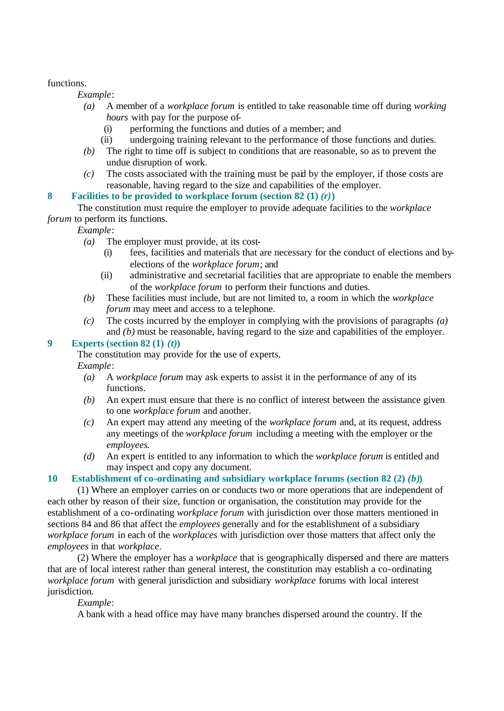### functions.

*Example*:

- *(a)* A member of a *workplace forum* is entitled to take reasonable time off during *working hours* with pay for the purpose of-
	- (i) performing the functions and duties of a member; and
	- (ii) undergoing training relevant to the performance of those functions and duties.
- *(b)* The right to time off is subject to conditions that are reasonable, so as to prevent the undue disruption of work.
- *(c)* The costs associated with the training must be paid by the employer, if those costs are reasonable, having regard to the size and capabilities of the employer.

# **8 Facilities to be provided to workplace forum (section 82 (1)** *(r)***)**

The constitution must require the employer to provide adequate facilities to the *workplace forum* to perform its functions.

*Example*:

- *(a)* The employer must provide, at its cost-
	- (i) fees, facilities and materials that are necessary for the conduct of elections and byelections of the *workplace forum*; and
	- (ii) administrative and secretarial facilities that are appropriate to enable the members of the *workplace forum* to perform their functions and duties.
- *(b)* These facilities must include, but are not limited to, a room in which the *workplace forum* may meet and access to a telephone.
- *(c)* The costs incurred by the employer in complying with the provisions of paragraphs *(a)* and *(b)* must be reasonable, having regard to the size and capabilities of the employer.

# **9 Experts (section 82 (1)** *(t)***)**

The constitution may provide for the use of experts. *Example*:

- *(a)* A *workplace forum* may ask experts to assist it in the performance of any of its functions.
- *(b)* An expert must ensure that there is no conflict of interest between the assistance given to one *workplace forum* and another.
- *(c)* An expert may attend any meeting of the *workplace forum* and, at its request, address any meetings of the *workplace forum* including a meeting with the employer or the *employees*.
- *(d)* An expert is entitled to any information to which the *workplace forum* is entitled and may inspect and copy any document.

# **10 Establishment of co-ordinating and subsidiary workplace forums (section 82 (2)** *(b)***)**

(1) Where an employer carries on or conducts two or more operations that are independent of each other by reason of their size, function or organisation, the constitution may provide for the establishment of a co-ordinating *workplace forum* with jurisdiction over those matters mentioned in sections 84 and 86 that affect the *employees* generally and for the establishment of a subsidiary *workplace forum* in each of the *workplaces* with jurisdiction over those matters that affect only the *employees* in that *workplace*.

(2) Where the employer has a *workplace* that is geographically dispersed and there are matters that are of local interest rather than general interest, the constitution may establish a co-ordinating *workplace forum* with general jurisdiction and subsidiary *workplace* forums with local interest jurisdiction.

# *Example*:

A bank with a head office may have many branches dispersed around the country. If the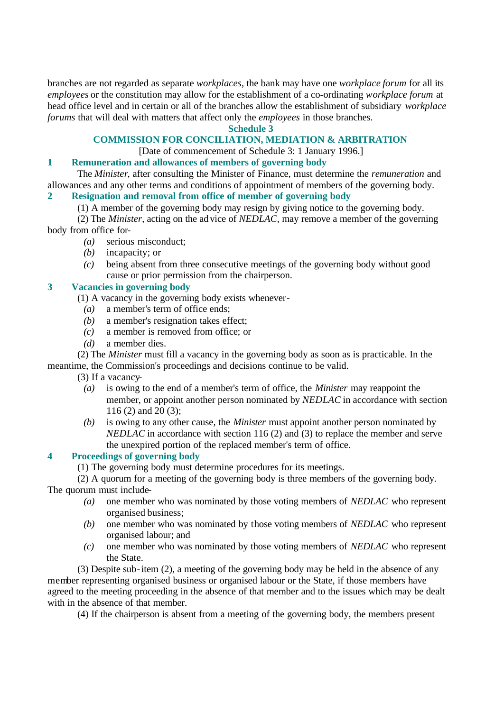branches are not regarded as separate *workplaces*, the bank may have one *workplace forum* for all its *employees* or the constitution may allow for the establishment of a co-ordinating *workplace forum* at head office level and in certain or all of the branches allow the establishment of subsidiary *workplace forums* that will deal with matters that affect only the *employees* in those branches.

### **Schedule 3**

# **COMMISSION FOR CONCILIATION, MEDIATION & ARBITRATION**

[Date of commencement of Schedule 3: 1 January 1996.]

### **1 Remuneration and allowances of members of governing body**

The *Minister*, after consulting the Minister of Finance, must determine the *remuneration* and allowances and any other terms and conditions of appointment of members of the governing body.

# **2 Resignation and removal from office of member of governing body**

(1) A member of the governing body may resign by giving notice to the governing body.

(2) The *Minister*, acting on the advice of *NEDLAC*, may remove a member of the governing body from office for-

- *(a)* serious misconduct;
- *(b)* incapacity; or
- *(c)* being absent from three consecutive meetings of the governing body without good cause or prior permission from the chairperson.

# **3 Vacancies in governing body**

(1) A vacancy in the governing body exists whenever-

- *(a)* a member's term of office ends;
- *(b)* a member's resignation takes effect;
- *(c)* a member is removed from office; or
- *(d)* a member dies.

(2) The *Minister* must fill a vacancy in the governing body as soon as is practicable. In the meantime, the Commission's proceedings and decisions continue to be valid.

(3) If a vacancy-

- *(a)* is owing to the end of a member's term of office, the *Minister* may reappoint the member, or appoint another person nominated by *NEDLAC* in accordance with section 116 (2) and 20 (3);
- *(b)* is owing to any other cause, the *Minister* must appoint another person nominated by *NEDLAC* in accordance with section 116 (2) and (3) to replace the member and serve the unexpired portion of the replaced member's term of office.

# **4 Proceedings of governing body**

(1) The governing body must determine procedures for its meetings.

(2) A quorum for a meeting of the governing body is three members of the governing body. The quorum must include-

- *(a)* one member who was nominated by those voting members of *NEDLAC* who represent organised business;
- *(b)* one member who was nominated by those voting members of *NEDLAC* who represent organised labour; and
- *(c)* one member who was nominated by those voting members of *NEDLAC* who represent the State.

(3) Despite sub-item (2), a meeting of the governing body may be held in the absence of any member representing organised business or organised labour or the State, if those members have agreed to the meeting proceeding in the absence of that member and to the issues which may be dealt with in the absence of that member.

(4) If the chairperson is absent from a meeting of the governing body, the members present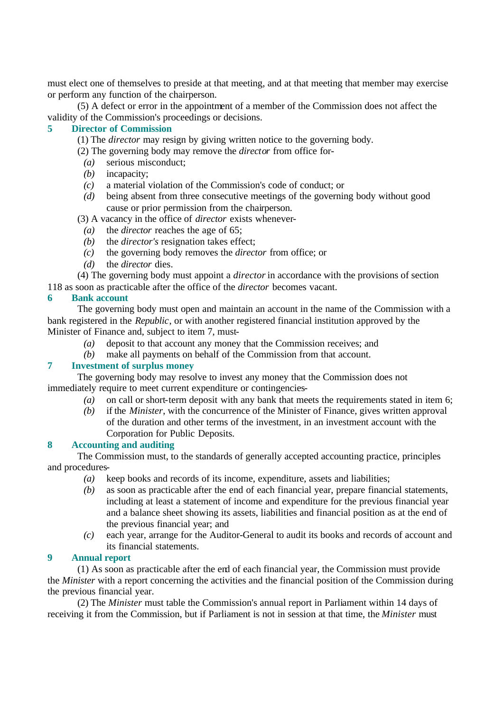must elect one of themselves to preside at that meeting, and at that meeting that member may exercise or perform any function of the chairperson.

(5) A defect or error in the appointment of a member of the Commission does not affect the validity of the Commission's proceedings or decisions.

# **5 Director of Commission**

(1) The *director* may resign by giving written notice to the governing body.

(2) The governing body may remove the *director* from office for-

- *(a)* serious misconduct;
- *(b)* incapacity;
- *(c)* a material violation of the Commission's code of conduct; or
- *(d)* being absent from three consecutive meetings of the governing body without good cause or prior permission from the chairperson.
- (3) A vacancy in the office of *director* exists whenever-
	- *(a)* the *director* reaches the age of 65;
	- *(b)* the *director's* resignation takes effect;
	- *(c)* the governing body removes the *director* from office; or
- *(d)* the *director* dies.

(4) The governing body must appoint a *director* in accordance with the provisions of section

118 as soon as practicable after the office of the *director* becomes vacant.

# **6 Bank account**

The governing body must open and maintain an account in the name of the Commission with a bank registered in the *Republic*, or with another registered financial institution approved by the Minister of Finance and, subject to item 7, must-

- *(a)* deposit to that account any money that the Commission receives; and
- *(b)* make all payments on behalf of the Commission from that account.

# **7 Investment of surplus money**

The governing body may resolve to invest any money that the Commission does not immediately require to meet current expenditure or contingencies-

- *(a)* on call or short-term deposit with any bank that meets the requirements stated in item 6;
- *(b)* if the *Minister*, with the concurrence of the Minister of Finance, gives written approval of the duration and other terms of the investment, in an investment account with the Corporation for Public Deposits.

# **8 Accounting and auditing**

The Commission must, to the standards of generally accepted accounting practice, principles and procedures-

- *(a)* keep books and records of its income, expenditure, assets and liabilities;
- *(b)* as soon as practicable after the end of each financial year, prepare financial statements, including at least a statement of income and expenditure for the previous financial year and a balance sheet showing its assets, liabilities and financial position as at the end of the previous financial year; and
- *(c)* each year, arrange for the Auditor-General to audit its books and records of account and its financial statements.

### **9 Annual report**

(1) As soon as practicable after the end of each financial year, the Commission must provide the *Minister* with a report concerning the activities and the financial position of the Commission during the previous financial year.

(2) The *Minister* must table the Commission's annual report in Parliament within 14 days of receiving it from the Commission, but if Parliament is not in session at that time, the *Minister* must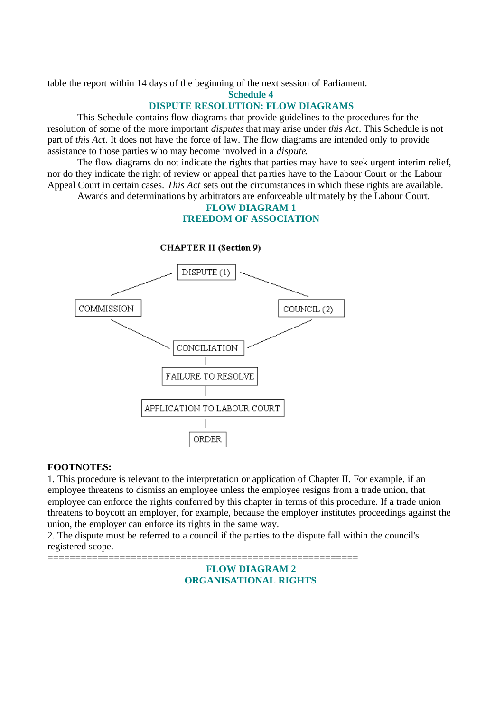table the report within 14 days of the beginning of the next session of Parliament.

**Schedule 4**

# **DISPUTE RESOLUTION: FLOW DIAGRAMS**

This Schedule contains flow diagrams that provide guidelines to the procedures for the resolution of some of the more important *disputes* that may arise under *this Act*. This Schedule is not part of *this Act*. It does not have the force of law. The flow diagrams are intended only to provide assistance to those parties who may become involved in a *dispute*.

The flow diagrams do not indicate the rights that parties may have to seek urgent interim relief, nor do they indicate the right of review or appeal that pa rties have to the Labour Court or the Labour Appeal Court in certain cases. *This Act* sets out the circumstances in which these rights are available.

Awards and determinations by arbitrators are enforceable ultimately by the Labour Court.

### **FLOW DIAGRAM 1 FREEDOM OF ASSOCIATION**



### **CHAPTER II (Section 9)**

### **FOOTNOTES:**

1. This procedure is relevant to the interpretation or application of Chapter II. For example, if an employee threatens to dismiss an employee unless the employee resigns from a trade union, that employee can enforce the rights conferred by this chapter in terms of this procedure. If a trade union threatens to boycott an employer, for example, because the employer institutes proceedings against the union, the employer can enforce its rights in the same way.

2. The dispute must be referred to a council if the parties to the dispute fall within the council's registered scope.

========================================================

# **FLOW DIAGRAM 2 ORGANISATIONAL RIGHTS**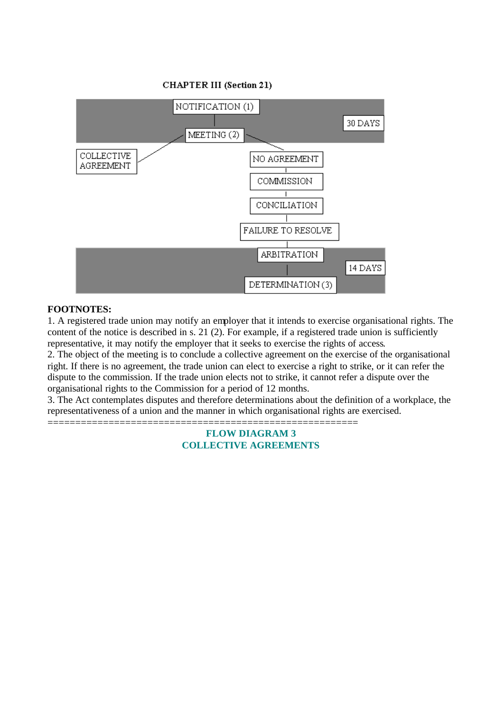**CHAPTER III (Section 21)** 



### **FOOTNOTES:**

1. A registered trade union may notify an employer that it intends to exercise organisational rights. The content of the notice is described in s. 21 (2). For example, if a registered trade union is sufficiently representative, it may notify the employer that it seeks to exercise the rights of access.

2. The object of the meeting is to conclude a collective agreement on the exercise of the organisational right. If there is no agreement, the trade union can elect to exercise a right to strike, or it can refer the dispute to the commission. If the trade union elects not to strike, it cannot refer a dispute over the organisational rights to the Commission for a period of 12 months.

3. The Act contemplates disputes and therefore determinations about the definition of a workplace, the representativeness of a union and the manner in which organisational rights are exercised.

======================================================== **FLOW DIAGRAM 3**

# **COLLECTIVE AGREEMENTS**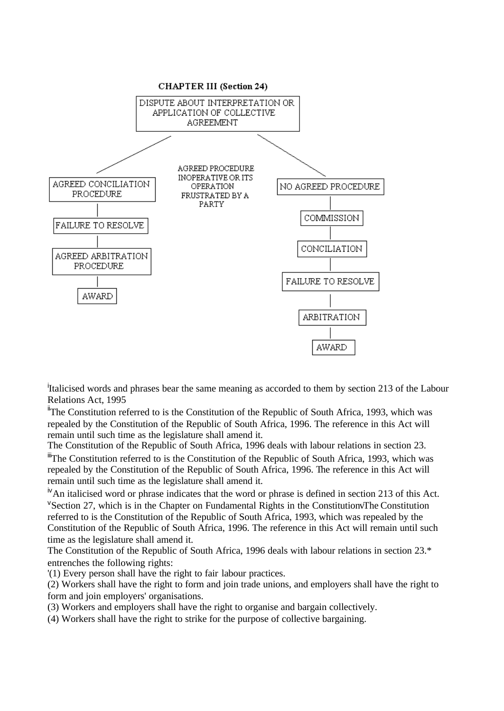

<sup>i</sup>Italicised words and phrases bear the same meaning as accorded to them by section 213 of the Labour Relations Act, 1995

 $\textsuperscript{ii}$ The Constitution referred to is the Constitution of the Republic of South Africa, 1993, which was repealed by the Constitution of the Republic of South Africa, 1996. The reference in this Act will remain until such time as the legislature shall amend it.

The Constitution of the Republic of South Africa, 1996 deals with labour relations in section 23.

<sup>iii</sup>The Constitution referred to is the Constitution of the Republic of South Africa, 1993, which was repealed by the Constitution of the Republic of South Africa, 1996. The reference in this Act will remain until such time as the legislature shall amend it.

 $N$ An italicised word or phrase indicates that the word or phrase is defined in section 213 of this Act.  $V$ Section 27, which is in the Chapter on Fundamental Rights in the Constitution The Constitution referred to is the Constitution of the Republic of South Africa, 1993, which was repealed by the Constitution of the Republic of South Africa, 1996. The reference in this Act will remain until such time as the legislature shall amend it.

The Constitution of the Republic of South Africa, 1996 deals with labour relations in section 23.\* entrenches the following rights:

'(1) Every person shall have the right to fair labour practices.

(2) Workers shall have the right to form and join trade unions, and employers shall have the right to form and join employers' organisations.

- (3) Workers and employers shall have the right to organise and bargain collectively.
- (4) Workers shall have the right to strike for the purpose of collective bargaining.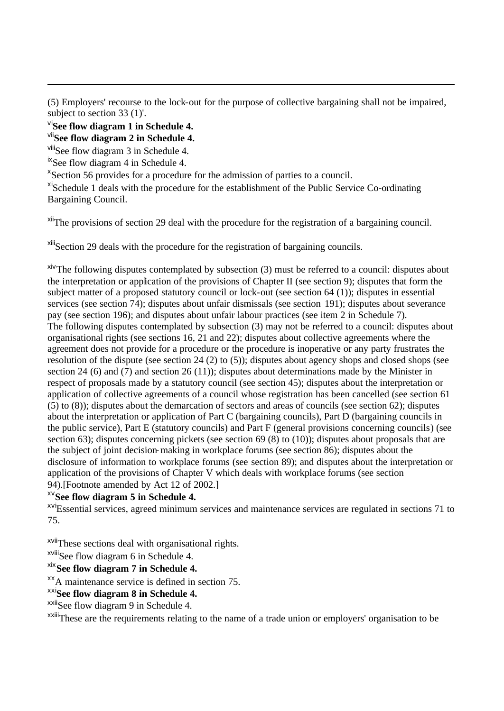(5) Employers' recourse to the lock-out for the purpose of collective bargaining shall not be impaired, subject to section 33 (1)'.

vi**See flow diagram 1 in Schedule 4.**

vii**See flow diagram 2 in Schedule 4.**

viiiSee flow diagram 3 in Schedule 4.

<sup>ix</sup>See flow diagram 4 in Schedule 4.

<sup>x</sup>Section 56 provides for a procedure for the admission of parties to a council.

<sup>xi</sup>Schedule 1 deals with the procedure for the establishment of the Public Service Co-ordinating Bargaining Council.

<sup>xii</sup>The provisions of section 29 deal with the procedure for the registration of a bargaining council.

xiiiSection 29 deals with the procedure for the registration of bargaining councils.

xivThe following disputes contemplated by subsection (3) must be referred to a council: disputes about the interpretation or application of the provisions of Chapter II (see section 9); disputes that form the subject matter of a proposed statutory council or lock-out (see section 64 (1)); disputes in essential services (see section 74); disputes about unfair dismissals (see section 191); disputes about severance pay (see section 196); and disputes about unfair labour practices (see item 2 in Schedule 7). The following disputes contemplated by subsection (3) may not be referred to a council: disputes about organisational rights (see sections 16, 21 and 22); disputes about collective agreements where the agreement does not provide for a procedure or the procedure is inoperative or any party frustrates the resolution of the dispute (see section 24 (2) to (5)); disputes about agency shops and closed shops (see section 24 (6) and (7) and section 26 (11)); disputes about determinations made by the Minister in respect of proposals made by a statutory council (see section 45); disputes about the interpretation or application of collective agreements of a council whose registration has been cancelled (see section 61 (5) to (8)); disputes about the demarcation of sectors and areas of councils (see section 62); disputes about the interpretation or application of Part C (bargaining councils), Part D (bargaining councils in the public service), Part E (statutory councils) and Part F (general provisions concerning councils) (see section 63); disputes concerning pickets (see section 69 (8) to (10)); disputes about proposals that are the subject of joint decision-making in workplace forums (see section 86); disputes about the disclosure of information to workplace forums (see section 89); and disputes about the interpretation or application of the provisions of Chapter V which deals with workplace forums (see section 94).[Footnote amended by Act 12 of 2002.]

xv**See flow diagram 5 in Schedule 4.**

xviEssential services, agreed minimum services and maintenance services are regulated in sections 71 to 75.

xviiThese sections deal with organisational rights.

xviiiSee flow diagram 6 in Schedule 4.

xix**See flow diagram 7 in Schedule 4.**

xxA maintenance service is defined in section 75.

xxi**See flow diagram 8 in Schedule 4.**

xxiiSee flow diagram 9 in Schedule 4.

xxiiiThese are the requirements relating to the name of a trade union or employers' organisation to be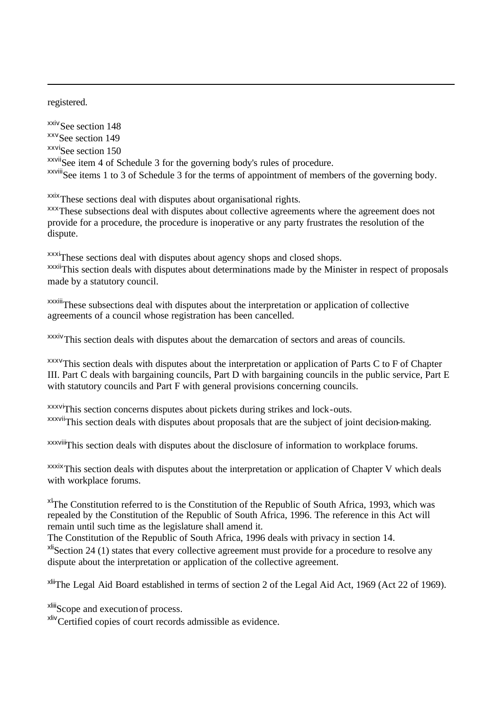registered.

xxiv See section 148 xxv<sub>See section 149</sub> xxvi<sub>See section 150</sub> xxviiSee item 4 of Schedule 3 for the governing body's rules of procedure. xxviiiSee items 1 to 3 of Schedule 3 for the terms of appointment of members of the governing body.

xxix These sections deal with disputes about organisational rights.

xxxThese subsections deal with disputes about collective agreements where the agreement does not provide for a procedure, the procedure is inoperative or any party frustrates the resolution of the dispute.

xxxi<sub>These</sub> sections deal with disputes about agency shops and closed shops. xxxii<sup>This</sup> section deals with disputes about determinations made by the Minister in respect of proposals made by a statutory council.

xxxiiiThese subsections deal with disputes about the interpretation or application of collective agreements of a council whose registration has been cancelled.

xxxiv<sub>This</sub> section deals with disputes about the demarcation of sectors and areas of councils.

 $xxxv$ This section deals with disputes about the interpretation or application of Parts C to F of Chapter III. Part C deals with bargaining councils, Part D with bargaining councils in the public service, Part E with statutory councils and Part F with general provisions concerning councils.

xxxviThis section concerns disputes about pickets during strikes and lock-outs. xxxvii<sup>This</sup> section deals with disputes about proposals that are the subject of joint decision-making.

xxxviii<sup></sup>This section deals with disputes about the disclosure of information to workplace forums.

xxxixThis section deals with disputes about the interpretation or application of Chapter V which deals with workplace forums.

 $x$ <sup>t</sup>The Constitution referred to is the Constitution of the Republic of South Africa, 1993, which was repealed by the Constitution of the Republic of South Africa, 1996. The reference in this Act will remain until such time as the legislature shall amend it.

The Constitution of the Republic of South Africa, 1996 deals with privacy in section 14.  $x^{\text{li}}$ Section 24 (1) states that every collective agreement must provide for a procedure to resolve any dispute about the interpretation or application of the collective agreement.

xliiThe Legal Aid Board established in terms of section 2 of the Legal Aid Act, 1969 (Act 22 of 1969).

<sup>xliii</sup>Scope and execution of process.

<sup>xliv</sup>Certified copies of court records admissible as evidence.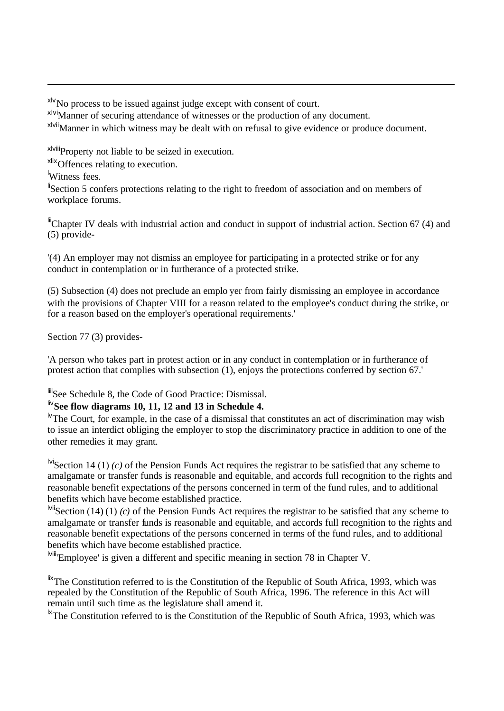xlvNo process to be issued against judge except with consent of court.

xlviManner of securing attendance of witnesses or the production of any document.

x<sup>Ivii</sup>Manner in which witness may be dealt with on refusal to give evidence or produce document.

xlviiiProperty not liable to be seized in execution.

xlixOffences relating to execution.

<sup>l</sup>Witness fees.

<sup>li</sup>Section 5 confers protections relating to the right to freedom of association and on members of workplace forums.

 $\ddot{=}$ Chapter IV deals with industrial action and conduct in support of industrial action. Section 67 (4) and (5) provide-

'(4) An employer may not dismiss an employee for participating in a protected strike or for any conduct in contemplation or in furtherance of a protected strike.

(5) Subsection (4) does not preclude an emplo yer from fairly dismissing an employee in accordance with the provisions of Chapter VIII for a reason related to the employee's conduct during the strike, or for a reason based on the employer's operational requirements.'

Section 77 (3) provides-

'A person who takes part in protest action or in any conduct in contemplation or in furtherance of protest action that complies with subsection (1), enjoys the protections conferred by section 67.'

liiiSee Schedule 8, the Code of Good Practice: Dismissal.

# liv**See flow diagrams 10, 11, 12 and 13 in Schedule 4.**

<sup>1</sup>W The Court, for example, in the case of a dismissal that constitutes an act of discrimination may wish to issue an interdict obliging the employer to stop the discriminatory practice in addition to one of the other remedies it may grant.

<sup>lvi</sup>Section 14 (1) *(c)* of the Pension Funds Act requires the registrar to be satisfied that any scheme to amalgamate or transfer funds is reasonable and equitable, and accords full recognition to the rights and reasonable benefit expectations of the persons concerned in term of the fund rules, and to additional benefits which have become established practice.

<sup>lvii</sup>Section (14) (1) *(c)* of the Pension Funds Act requires the registrar to be satisfied that any scheme to amalgamate or transfer funds is reasonable and equitable, and accords full recognition to the rights and reasonable benefit expectations of the persons concerned in terms of the fund rules, and to additional benefits which have become established practice.

lviii'Employee' is given a different and specific meaning in section 78 in Chapter V.

 $\frac{fix}{if}$ The Constitution referred to is the Constitution of the Republic of South Africa, 1993, which was repealed by the Constitution of the Republic of South Africa, 1996. The reference in this Act will remain until such time as the legislature shall amend it.

<sup>1x</sup>The Constitution referred to is the Constitution of the Republic of South Africa, 1993, which was